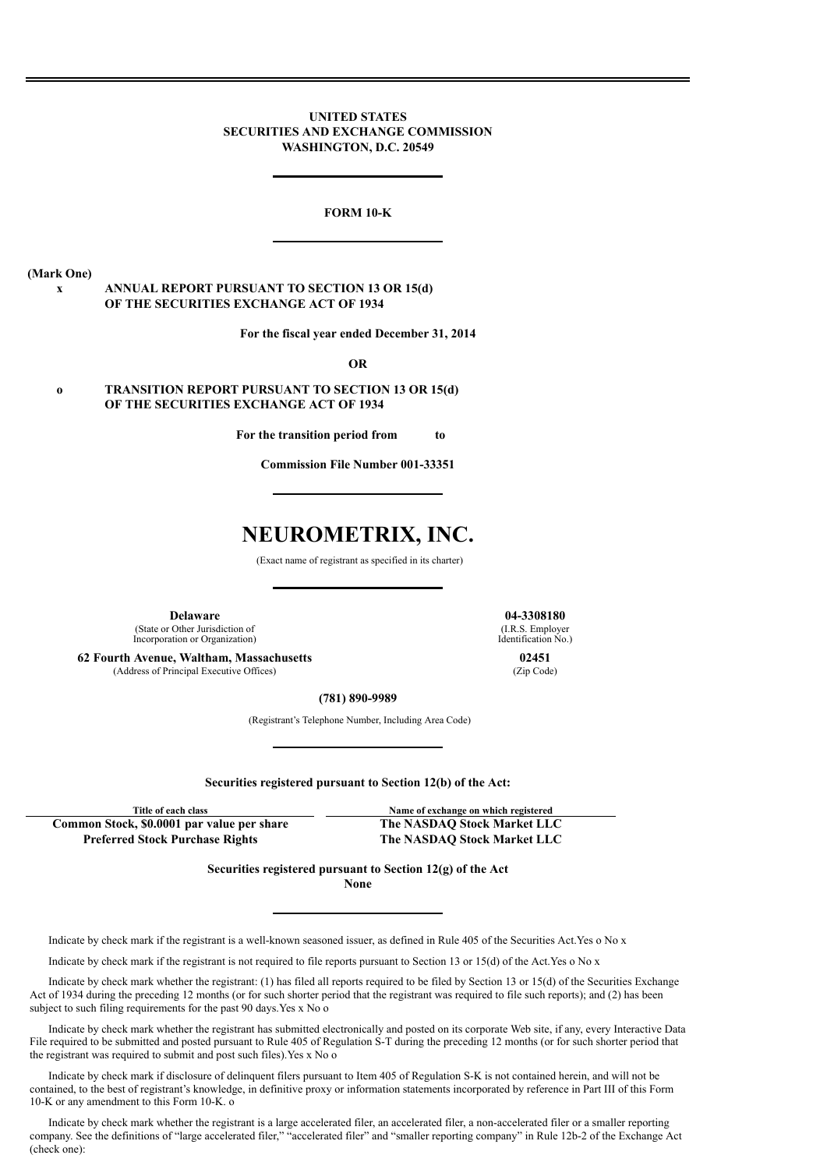### **UNITED STATES SECURITIES AND EXCHANGE COMMISSION WASHINGTON, D.C. 20549**

### **FORM 10-K**

**(Mark One)**

# **x ANNUAL REPORT PURSUANT TO SECTION 13 OR 15(d) OF THE SECURITIES EXCHANGE ACT OF 1934**

**For the fiscal year ended December 31, 2014**

**OR**

# **o TRANSITION REPORT PURSUANT TO SECTION 13 OR 15(d) OF THE SECURITIES EXCHANGE ACT OF 1934**

**For the transition period from to**

**Commission File Number 001-33351**

# **NEUROMETRIX, INC.**

(Exact name of registrant as specified in its charter)

**Delaware 04-3308180**

(State or Other Jurisdiction of Incorporation or Organization)

**62 Fourth Avenue, Waltham, Massachusetts 02451** (Address of Principal Executive Offices) (Zip Code)

**(781) 890-9989**

(Registrant's Telephone Number, Including Area Code)

**Securities registered pursuant to Section 12(b) of the Act:**

**Common Stock, \$0.0001 par value per share The NASDAQ Stock Market LLC Preferred Stock Purchase Rights The NASDAQ Stock Market LLC**

**Title of each class Name of exchange on which registered**

**Securities registered pursuant to Section 12(g) of the Act None**

Indicate by check mark if the registrant is a well-known seasoned issuer, as defined in Rule 405 of the Securities Act.Yes o No x

Indicate by check mark if the registrant is not required to file reports pursuant to Section 13 or 15(d) of the Act.Yes o No x

Indicate by check mark whether the registrant: (1) has filed all reports required to be filed by Section 13 or 15(d) of the Securities Exchange Act of 1934 during the preceding 12 months (or for such shorter period that the registrant was required to file such reports); and (2) has been subject to such filing requirements for the past 90 days.Yes x No o

Indicate by check mark whether the registrant has submitted electronically and posted on its corporate Web site, if any, every Interactive Data File required to be submitted and posted pursuant to Rule 405 of Regulation S-T during the preceding 12 months (or for such shorter period that the registrant was required to submit and post such files).Yes x No o

Indicate by check mark if disclosure of delinquent filers pursuant to Item 405 of Regulation S-K is not contained herein, and will not be contained, to the best of registrant's knowledge, in definitive proxy or information statements incorporated by reference in Part III of this Form 10-K or any amendment to this Form 10-K. o

Indicate by check mark whether the registrant is a large accelerated filer, an accelerated filer, a non-accelerated filer or a smaller reporting company. See the definitions of "large accelerated filer," "accelerated filer" and "smaller reporting company" in Rule 12b-2 of the Exchange Act (check one):

(I.R.S. Employer Identification No.)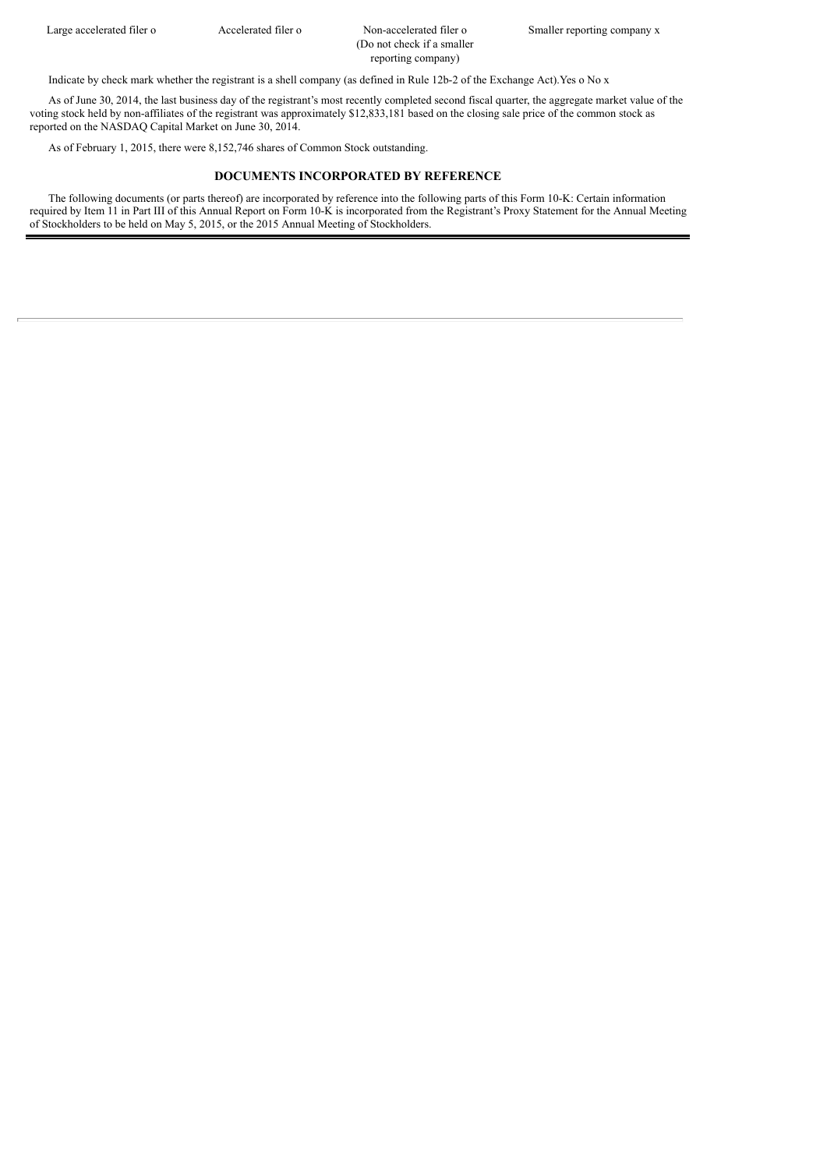Indicate by check mark whether the registrant is a shell company (as defined in Rule 12b-2 of the Exchange Act).Yes o No x

As of June 30, 2014, the last business day of the registrant's most recently completed second fiscal quarter, the aggregate market value of the voting stock held by non-affiliates of the registrant was approximately \$12,833,181 based on the closing sale price of the common stock as reported on the NASDAQ Capital Market on June 30, 2014.

As of February 1, 2015, there were 8,152,746 shares of Common Stock outstanding.

# **DOCUMENTS INCORPORATED BY REFERENCE**

The following documents (or parts thereof) are incorporated by reference into the following parts of this Form 10-K: Certain information required by Item 11 in Part III of this Annual Report on Form 10-K is incorporated from the Registrant's Proxy Statement for the Annual Meeting of Stockholders to be held on May 5, 2015, or the 2015 Annual Meeting of Stockholders.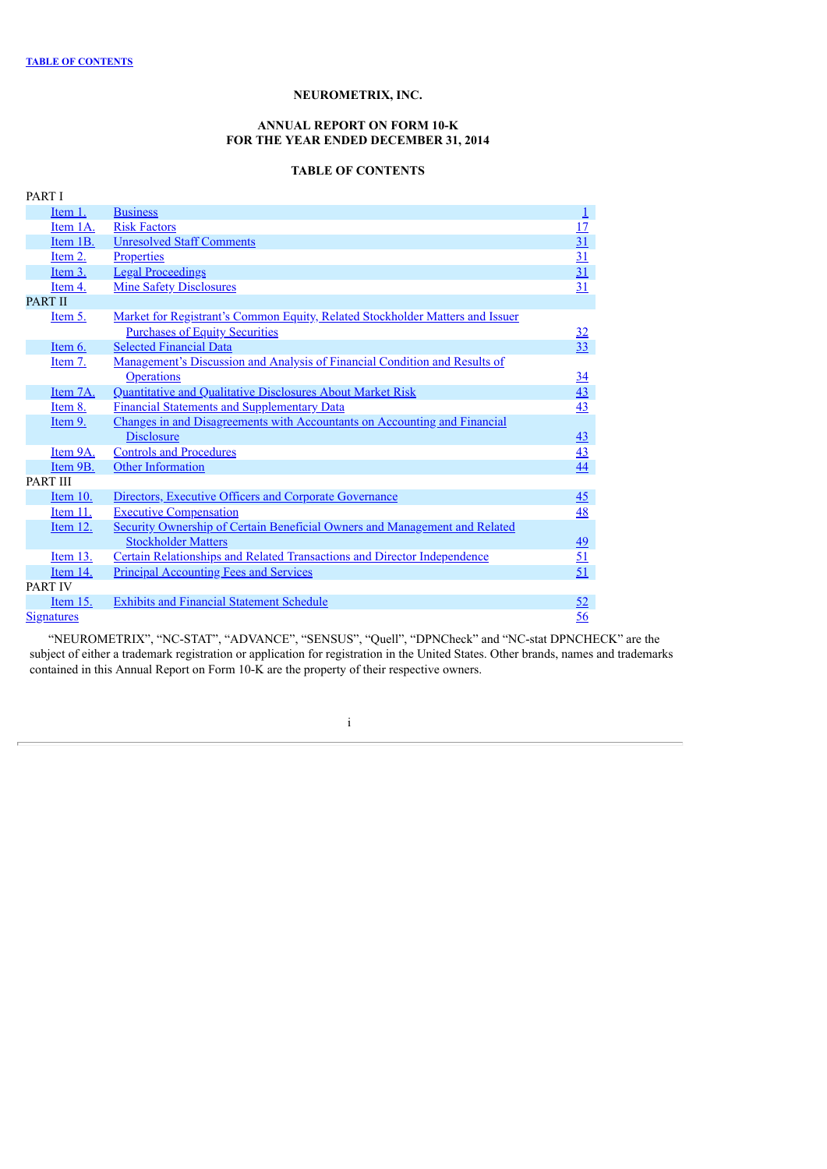# **NEUROMETRIX, INC.**

# **ANNUAL REPORT ON FORM 10-K FOR THE YEAR ENDED DECEMBER 31, 2014**

# **TABLE OF CONTENTS**

<span id="page-2-0"></span>

| PART I            |                                                                                 |                                 |
|-------------------|---------------------------------------------------------------------------------|---------------------------------|
| Item 1.           | <b>Business</b>                                                                 |                                 |
| Item 1A.          | <b>Risk Factors</b>                                                             |                                 |
| Item 1B.          | <b>Unresolved Staff Comments</b>                                                | $\frac{17}{31}$ $\frac{31}{31}$ |
| Item 2.           | Properties                                                                      |                                 |
| Item 3.           | <b>Legal Proceedings</b>                                                        |                                 |
| Item 4.           | <b>Mine Safety Disclosures</b>                                                  | 31                              |
| <b>PART II</b>    |                                                                                 |                                 |
| Item 5.           | Market for Registrant's Common Equity, Related Stockholder Matters and Issuer   |                                 |
|                   | <b>Purchases of Equity Securities</b>                                           |                                 |
| Item $6.$         | <b>Selected Financial Data</b>                                                  | $\frac{32}{33}$                 |
| Item 7.           | Management's Discussion and Analysis of Financial Condition and Results of      |                                 |
|                   | <b>Operations</b>                                                               |                                 |
| Item 7A.          | Quantitative and Qualitative Disclosures About Market Risk                      | $\frac{34}{43}$                 |
| Item 8.           | <b>Financial Statements and Supplementary Data</b>                              | 43                              |
| Item 9.           | Changes in and Disagreements with Accountants on Accounting and Financial       |                                 |
|                   | <b>Disclosure</b>                                                               |                                 |
| Item 9A.          | <b>Controls and Procedures</b>                                                  | $\frac{43}{43}$                 |
| Item 9B.          | <b>Other Information</b>                                                        |                                 |
| PART III          |                                                                                 |                                 |
| <b>Item 10.</b>   | Directors, Executive Officers and Corporate Governance                          | 45                              |
| Item 11.          | <b>Executive Compensation</b>                                                   | $\underline{48}$                |
| Item 12.          | Security Ownership of Certain Beneficial Owners and Management and Related      |                                 |
|                   | <b>Stockholder Matters</b>                                                      |                                 |
| Item $13.$        | <b>Certain Relationships and Related Transactions and Director Independence</b> | $\frac{49}{51}$                 |
| Item $14$ .       | <b>Principal Accounting Fees and Services</b>                                   |                                 |
| <b>PART IV</b>    |                                                                                 |                                 |
| Item $15$ .       | <b>Exhibits and Financial Statement Schedule</b>                                | 52                              |
| <b>Signatures</b> |                                                                                 | 56                              |

"NEUROMETRIX", "NC-STAT", "ADVANCE", "SENSUS", "Quell", "DPNCheck" and "NC-stat DPNCHECK" are the subject of either a trademark registration or application for registration in the United States. Other brands, names and trademarks contained in this Annual Report on Form 10-K are the property of their respective owners.

i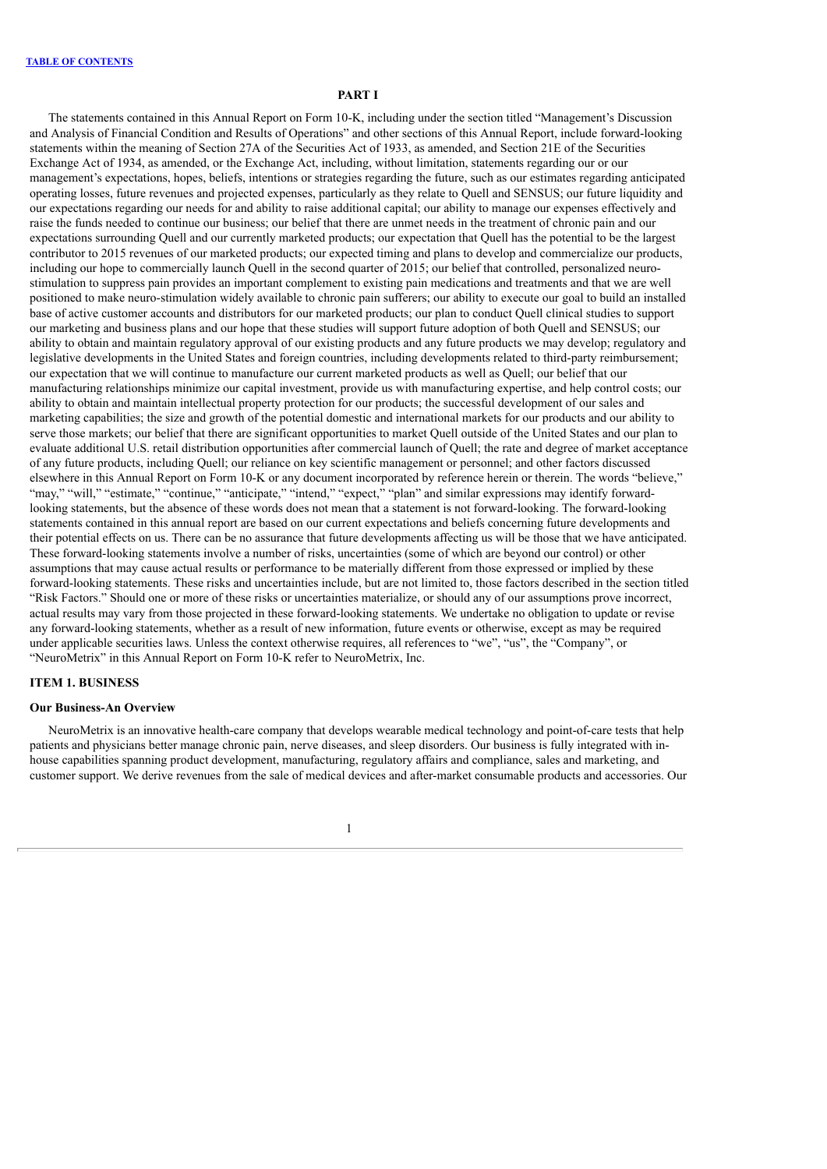### **PART I**

The statements contained in this Annual Report on Form 10-K, including under the section titled "Management's Discussion and Analysis of Financial Condition and Results of Operations" and other sections of this Annual Report, include forward-looking statements within the meaning of Section 27A of the Securities Act of 1933, as amended, and Section 21E of the Securities Exchange Act of 1934, as amended, or the Exchange Act, including, without limitation, statements regarding our or our management's expectations, hopes, beliefs, intentions or strategies regarding the future, such as our estimates regarding anticipated operating losses, future revenues and projected expenses, particularly as they relate to Quell and SENSUS; our future liquidity and our expectations regarding our needs for and ability to raise additional capital; our ability to manage our expenses effectively and raise the funds needed to continue our business; our belief that there are unmet needs in the treatment of chronic pain and our expectations surrounding Quell and our currently marketed products; our expectation that Quell has the potential to be the largest contributor to 2015 revenues of our marketed products; our expected timing and plans to develop and commercialize our products, including our hope to commercially launch Quell in the second quarter of 2015; our belief that controlled, personalized neurostimulation to suppress pain provides an important complement to existing pain medications and treatments and that we are well positioned to make neuro-stimulation widely available to chronic pain sufferers; our ability to execute our goal to build an installed base of active customer accounts and distributors for our marketed products; our plan to conduct Quell clinical studies to support our marketing and business plans and our hope that these studies will support future adoption of both Quell and SENSUS; our ability to obtain and maintain regulatory approval of our existing products and any future products we may develop; regulatory and legislative developments in the United States and foreign countries, including developments related to third-party reimbursement; our expectation that we will continue to manufacture our current marketed products as well as Quell; our belief that our manufacturing relationships minimize our capital investment, provide us with manufacturing expertise, and help control costs; our ability to obtain and maintain intellectual property protection for our products; the successful development of our sales and marketing capabilities; the size and growth of the potential domestic and international markets for our products and our ability to serve those markets; our belief that there are significant opportunities to market Quell outside of the United States and our plan to evaluate additional U.S. retail distribution opportunities after commercial launch of Quell; the rate and degree of market acceptance of any future products, including Quell; our reliance on key scientific management or personnel; and other factors discussed elsewhere in this Annual Report on Form 10-K or any document incorporated by reference herein or therein. The words "believe," "may," "will," "estimate," "continue," "anticipate," "intend," "expect," "plan" and similar expressions may identify forwardlooking statements, but the absence of these words does not mean that a statement is not forward-looking. The forward-looking statements contained in this annual report are based on our current expectations and beliefs concerning future developments and their potential effects on us. There can be no assurance that future developments affecting us will be those that we have anticipated. These forward-looking statements involve a number of risks, uncertainties (some of which are beyond our control) or other assumptions that may cause actual results or performance to be materially different from those expressed or implied by these forward-looking statements. These risks and uncertainties include, but are not limited to, those factors described in the section titled "Risk Factors." Should one or more of these risks or uncertainties materialize, or should any of our assumptions prove incorrect, actual results may vary from those projected in these forward-looking statements. We undertake no obligation to update or revise any forward-looking statements, whether as a result of new information, future events or otherwise, except as may be required under applicable securities laws. Unless the context otherwise requires, all references to "we", "us", the "Company", or "NeuroMetrix" in this Annual Report on Form 10-K refer to NeuroMetrix, Inc.

# <span id="page-3-0"></span>**ITEM 1. BUSINESS**

#### **Our Business-An Overview**

NeuroMetrix is an innovative health-care company that develops wearable medical technology and point-of-care tests that help patients and physicians better manage chronic pain, nerve diseases, and sleep disorders. Our business is fully integrated with inhouse capabilities spanning product development, manufacturing, regulatory affairs and compliance, sales and marketing, and customer support. We derive revenues from the sale of medical devices and after-market consumable products and accessories. Our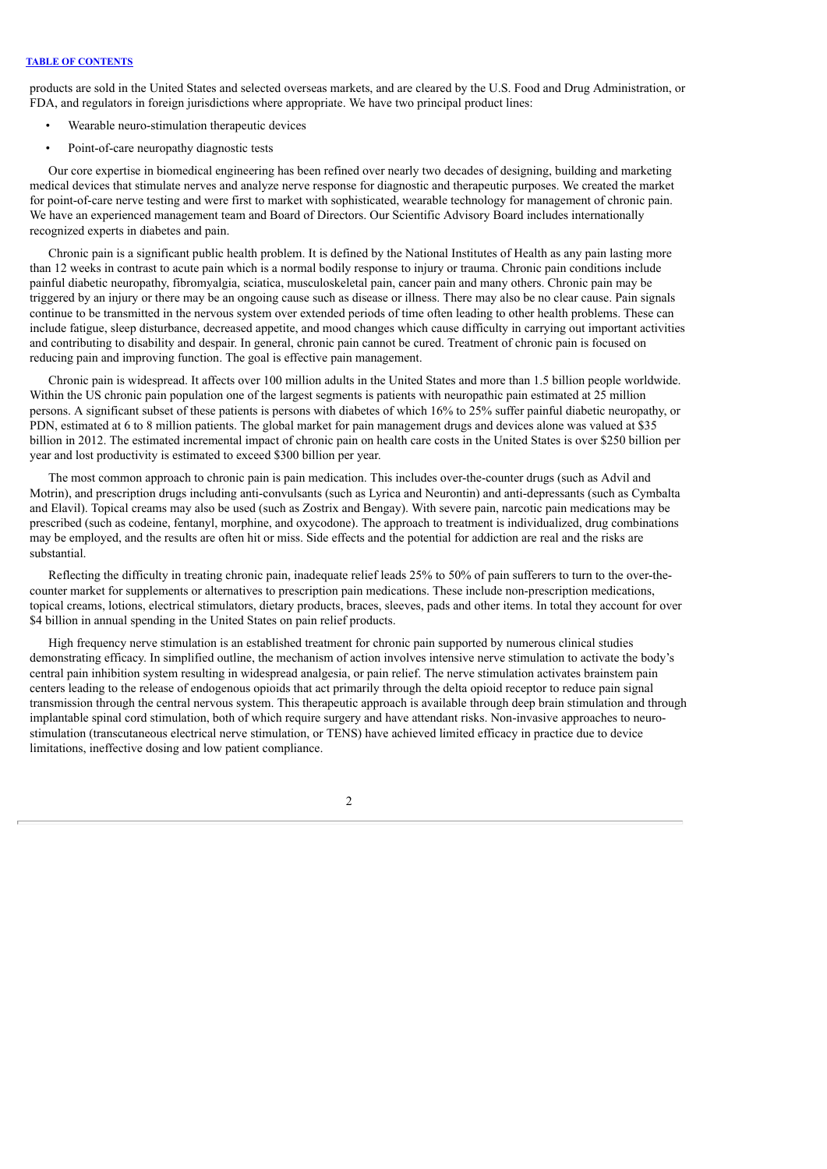products are sold in the United States and selected overseas markets, and are cleared by the U.S. Food and Drug Administration, or FDA, and regulators in foreign jurisdictions where appropriate. We have two principal product lines:

- Wearable neuro-stimulation therapeutic devices
- Point-of-care neuropathy diagnostic tests

Our core expertise in biomedical engineering has been refined over nearly two decades of designing, building and marketing medical devices that stimulate nerves and analyze nerve response for diagnostic and therapeutic purposes. We created the market for point-of-care nerve testing and were first to market with sophisticated, wearable technology for management of chronic pain. We have an experienced management team and Board of Directors. Our Scientific Advisory Board includes internationally recognized experts in diabetes and pain.

Chronic pain is a significant public health problem. It is defined by the National Institutes of Health as any pain lasting more than 12 weeks in contrast to acute pain which is a normal bodily response to injury or trauma. Chronic pain conditions include painful diabetic neuropathy, fibromyalgia, sciatica, musculoskeletal pain, cancer pain and many others. Chronic pain may be triggered by an injury or there may be an ongoing cause such as disease or illness. There may also be no clear cause. Pain signals continue to be transmitted in the nervous system over extended periods of time often leading to other health problems. These can include fatigue, sleep disturbance, decreased appetite, and mood changes which cause difficulty in carrying out important activities and contributing to disability and despair. In general, chronic pain cannot be cured. Treatment of chronic pain is focused on reducing pain and improving function. The goal is effective pain management.

Chronic pain is widespread. It affects over 100 million adults in the United States and more than 1.5 billion people worldwide. Within the US chronic pain population one of the largest segments is patients with neuropathic pain estimated at 25 million persons. A significant subset of these patients is persons with diabetes of which 16% to 25% suffer painful diabetic neuropathy, or PDN, estimated at 6 to 8 million patients. The global market for pain management drugs and devices alone was valued at \$35 billion in 2012. The estimated incremental impact of chronic pain on health care costs in the United States is over \$250 billion per year and lost productivity is estimated to exceed \$300 billion per year.

The most common approach to chronic pain is pain medication. This includes over-the-counter drugs (such as Advil and Motrin), and prescription drugs including anti-convulsants (such as Lyrica and Neurontin) and anti-depressants (such as Cymbalta and Elavil). Topical creams may also be used (such as Zostrix and Bengay). With severe pain, narcotic pain medications may be prescribed (such as codeine, fentanyl, morphine, and oxycodone). The approach to treatment is individualized, drug combinations may be employed, and the results are often hit or miss. Side effects and the potential for addiction are real and the risks are substantial.

Reflecting the difficulty in treating chronic pain, inadequate relief leads 25% to 50% of pain sufferers to turn to the over-thecounter market for supplements or alternatives to prescription pain medications. These include non-prescription medications, topical creams, lotions, electrical stimulators, dietary products, braces, sleeves, pads and other items. In total they account for over \$4 billion in annual spending in the United States on pain relief products.

High frequency nerve stimulation is an established treatment for chronic pain supported by numerous clinical studies demonstrating efficacy. In simplified outline, the mechanism of action involves intensive nerve stimulation to activate the body's central pain inhibition system resulting in widespread analgesia, or pain relief. The nerve stimulation activates brainstem pain centers leading to the release of endogenous opioids that act primarily through the delta opioid receptor to reduce pain signal transmission through the central nervous system. This therapeutic approach is available through deep brain stimulation and through implantable spinal cord stimulation, both of which require surgery and have attendant risks. Non-invasive approaches to neurostimulation (transcutaneous electrical nerve stimulation, or TENS) have achieved limited efficacy in practice due to device limitations, ineffective dosing and low patient compliance.

 $\mathcal{L}$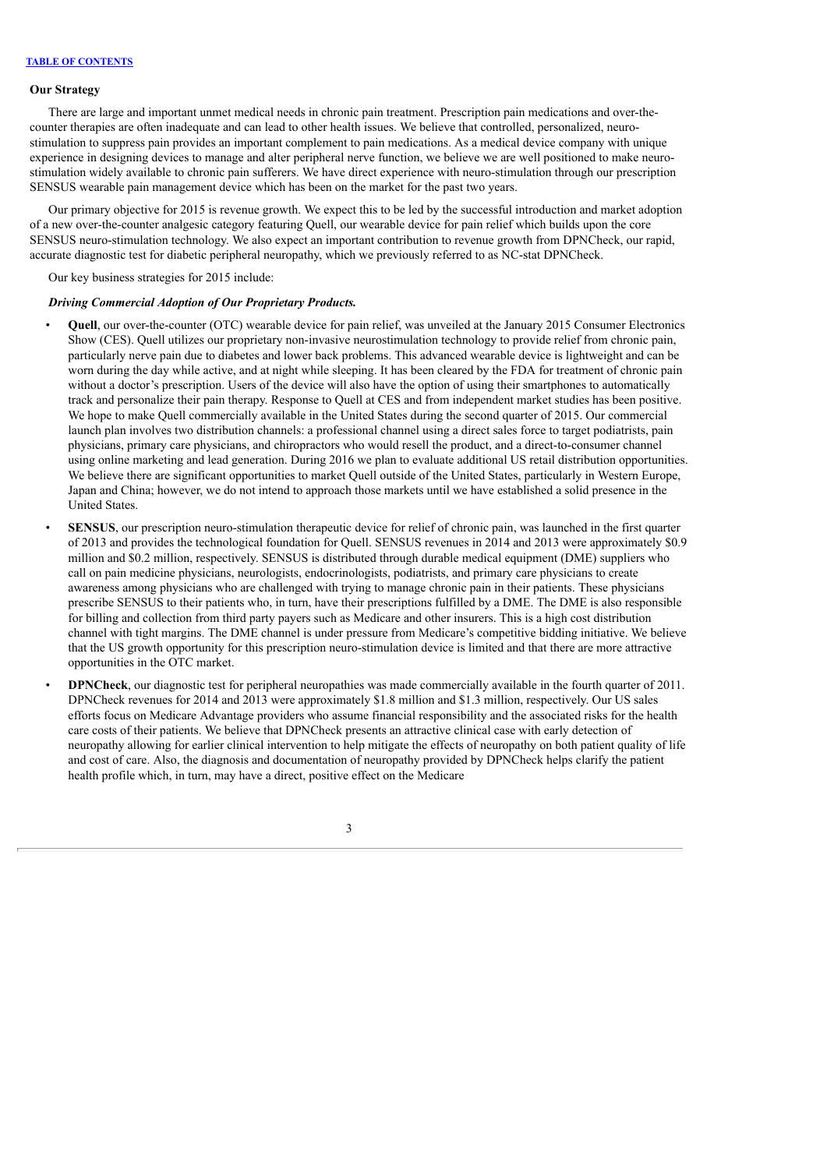### **Our Strategy**

There are large and important unmet medical needs in chronic pain treatment. Prescription pain medications and over-thecounter therapies are often inadequate and can lead to other health issues. We believe that controlled, personalized, neurostimulation to suppress pain provides an important complement to pain medications. As a medical device company with unique experience in designing devices to manage and alter peripheral nerve function, we believe we are well positioned to make neurostimulation widely available to chronic pain sufferers. We have direct experience with neuro-stimulation through our prescription SENSUS wearable pain management device which has been on the market for the past two years.

Our primary objective for 2015 is revenue growth. We expect this to be led by the successful introduction and market adoption of a new over-the-counter analgesic category featuring Quell, our wearable device for pain relief which builds upon the core SENSUS neuro-stimulation technology. We also expect an important contribution to revenue growth from DPNCheck, our rapid, accurate diagnostic test for diabetic peripheral neuropathy, which we previously referred to as NC-stat DPNCheck.

Our key business strategies for 2015 include:

### *Driving Commercial Adoption of Our Proprietary Products.*

- **Quell**, our over-the-counter (OTC) wearable device for pain relief, was unveiled at the January 2015 Consumer Electronics Show (CES). Quell utilizes our proprietary non-invasive neurostimulation technology to provide relief from chronic pain, particularly nerve pain due to diabetes and lower back problems. This advanced wearable device is lightweight and can be worn during the day while active, and at night while sleeping. It has been cleared by the FDA for treatment of chronic pain without a doctor's prescription. Users of the device will also have the option of using their smartphones to automatically track and personalize their pain therapy. Response to Quell at CES and from independent market studies has been positive. We hope to make Quell commercially available in the United States during the second quarter of 2015. Our commercial launch plan involves two distribution channels: a professional channel using a direct sales force to target podiatrists, pain physicians, primary care physicians, and chiropractors who would resell the product, and a direct-to-consumer channel using online marketing and lead generation. During 2016 we plan to evaluate additional US retail distribution opportunities. We believe there are significant opportunities to market Quell outside of the United States, particularly in Western Europe, Japan and China; however, we do not intend to approach those markets until we have established a solid presence in the United States.
- **SENSUS**, our prescription neuro-stimulation therapeutic device for relief of chronic pain, was launched in the first quarter of 2013 and provides the technological foundation for Quell. SENSUS revenues in 2014 and 2013 were approximately \$0.9 million and \$0.2 million, respectively. SENSUS is distributed through durable medical equipment (DME) suppliers who call on pain medicine physicians, neurologists, endocrinologists, podiatrists, and primary care physicians to create awareness among physicians who are challenged with trying to manage chronic pain in their patients. These physicians prescribe SENSUS to their patients who, in turn, have their prescriptions fulfilled by a DME. The DME is also responsible for billing and collection from third party payers such as Medicare and other insurers. This is a high cost distribution channel with tight margins. The DME channel is under pressure from Medicare's competitive bidding initiative. We believe that the US growth opportunity for this prescription neuro-stimulation device is limited and that there are more attractive opportunities in the OTC market.
- **DPNCheck**, our diagnostic test for peripheral neuropathies was made commercially available in the fourth quarter of 2011. DPNCheck revenues for 2014 and 2013 were approximately \$1.8 million and \$1.3 million, respectively. Our US sales efforts focus on Medicare Advantage providers who assume financial responsibility and the associated risks for the health care costs of their patients. We believe that DPNCheck presents an attractive clinical case with early detection of neuropathy allowing for earlier clinical intervention to help mitigate the effects of neuropathy on both patient quality of life and cost of care. Also, the diagnosis and documentation of neuropathy provided by DPNCheck helps clarify the patient health profile which, in turn, may have a direct, positive effect on the Medicare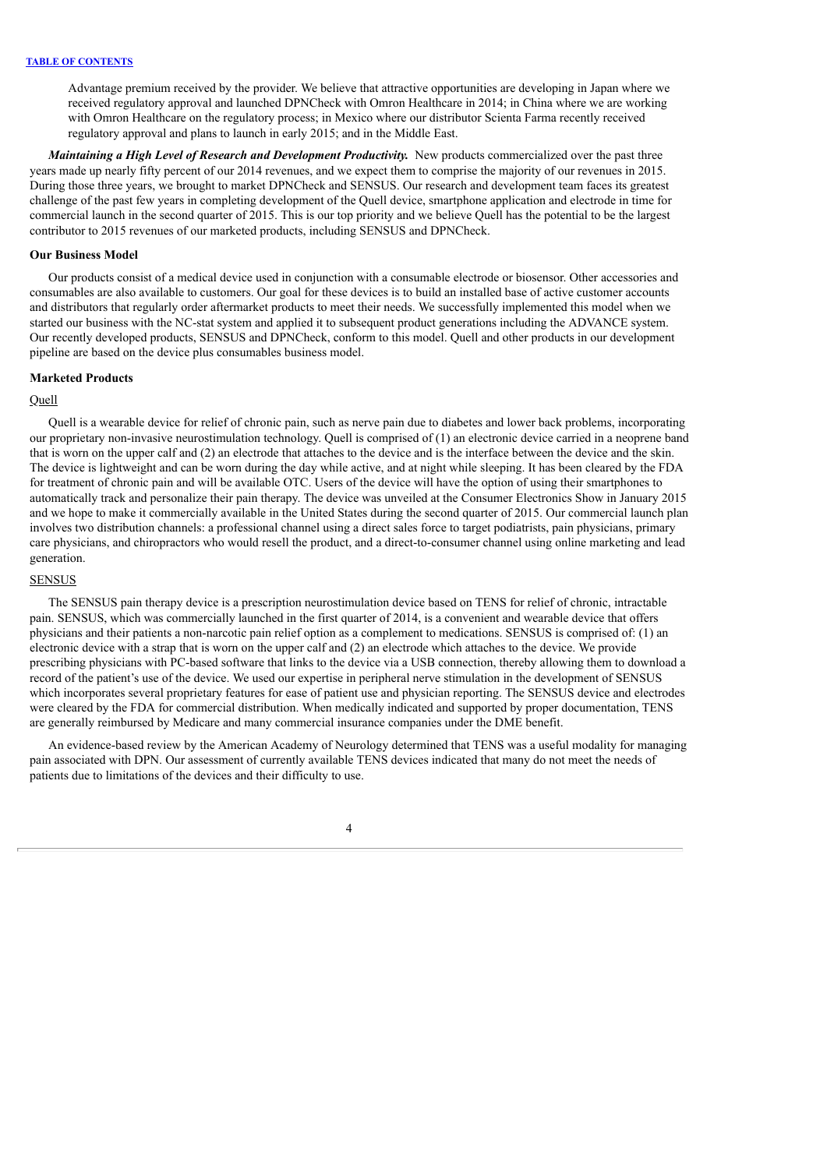Advantage premium received by the provider. We believe that attractive opportunities are developing in Japan where we received regulatory approval and launched DPNCheck with Omron Healthcare in 2014; in China where we are working with Omron Healthcare on the regulatory process; in Mexico where our distributor Scienta Farma recently received regulatory approval and plans to launch in early 2015; and in the Middle East.

*Maintaining a High Level of Research and Development Productivity.* New products commercialized over the past three years made up nearly fifty percent of our 2014 revenues, and we expect them to comprise the majority of our revenues in 2015. During those three years, we brought to market DPNCheck and SENSUS. Our research and development team faces its greatest challenge of the past few years in completing development of the Quell device, smartphone application and electrode in time for commercial launch in the second quarter of 2015. This is our top priority and we believe Quell has the potential to be the largest contributor to 2015 revenues of our marketed products, including SENSUS and DPNCheck.

# **Our Business Model**

Our products consist of a medical device used in conjunction with a consumable electrode or biosensor. Other accessories and consumables are also available to customers. Our goal for these devices is to build an installed base of active customer accounts and distributors that regularly order aftermarket products to meet their needs. We successfully implemented this model when we started our business with the NC-stat system and applied it to subsequent product generations including the ADVANCE system. Our recently developed products, SENSUS and DPNCheck, conform to this model. Quell and other products in our development pipeline are based on the device plus consumables business model.

# **Marketed Products**

# Quell

Quell is a wearable device for relief of chronic pain, such as nerve pain due to diabetes and lower back problems, incorporating our proprietary non-invasive neurostimulation technology. Quell is comprised of (1) an electronic device carried in a neoprene band that is worn on the upper calf and (2) an electrode that attaches to the device and is the interface between the device and the skin. The device is lightweight and can be worn during the day while active, and at night while sleeping. It has been cleared by the FDA for treatment of chronic pain and will be available OTC. Users of the device will have the option of using their smartphones to automatically track and personalize their pain therapy. The device was unveiled at the Consumer Electronics Show in January 2015 and we hope to make it commercially available in the United States during the second quarter of 2015. Our commercial launch plan involves two distribution channels: a professional channel using a direct sales force to target podiatrists, pain physicians, primary care physicians, and chiropractors who would resell the product, and a direct-to-consumer channel using online marketing and lead generation.

# **SENSUS**

The SENSUS pain therapy device is a prescription neurostimulation device based on TENS for relief of chronic, intractable pain. SENSUS, which was commercially launched in the first quarter of 2014, is a convenient and wearable device that offers physicians and their patients a non-narcotic pain relief option as a complement to medications. SENSUS is comprised of: (1) an electronic device with a strap that is worn on the upper calf and (2) an electrode which attaches to the device. We provide prescribing physicians with PC-based software that links to the device via a USB connection, thereby allowing them to download a record of the patient's use of the device. We used our expertise in peripheral nerve stimulation in the development of SENSUS which incorporates several proprietary features for ease of patient use and physician reporting. The SENSUS device and electrodes were cleared by the FDA for commercial distribution. When medically indicated and supported by proper documentation, TENS are generally reimbursed by Medicare and many commercial insurance companies under the DME benefit.

An evidence-based review by the American Academy of Neurology determined that TENS was a useful modality for managing pain associated with DPN. Our assessment of currently available TENS devices indicated that many do not meet the needs of patients due to limitations of the devices and their difficulty to use.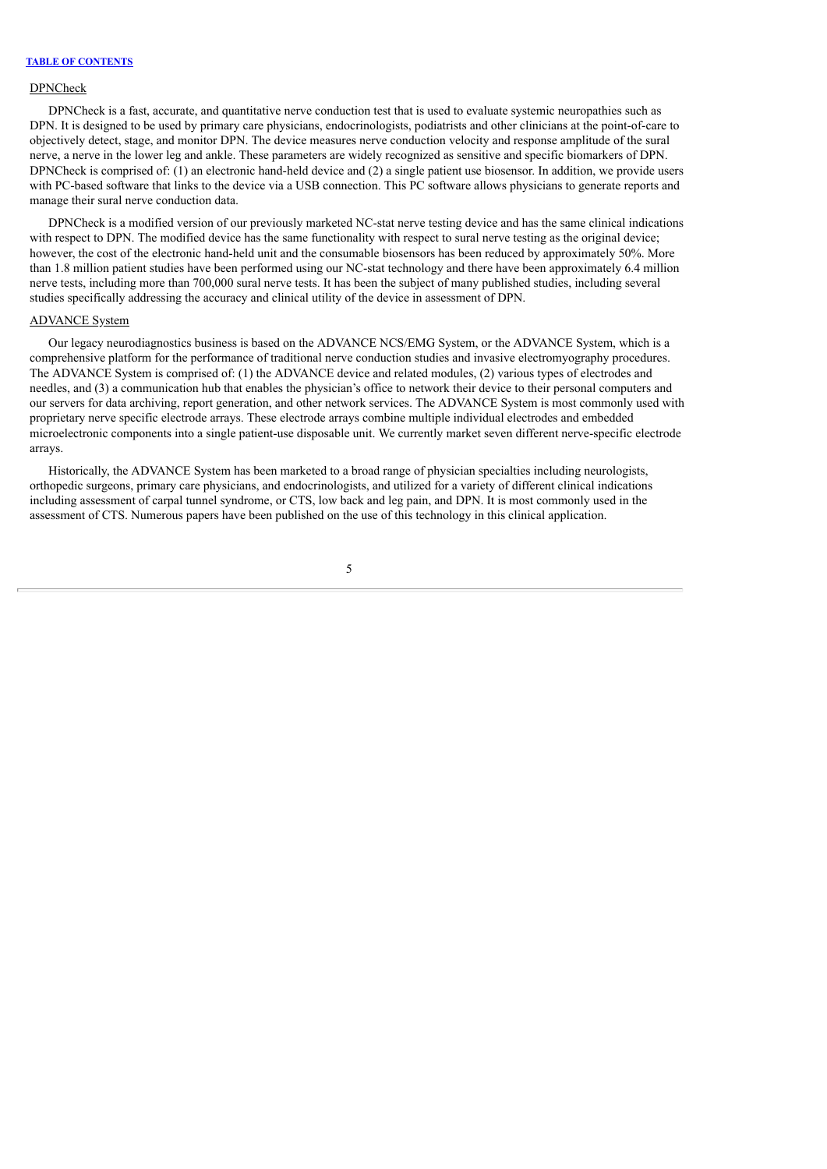### DPNCheck

DPNCheck is a fast, accurate, and quantitative nerve conduction test that is used to evaluate systemic neuropathies such as DPN. It is designed to be used by primary care physicians, endocrinologists, podiatrists and other clinicians at the point-of-care to objectively detect, stage, and monitor DPN. The device measures nerve conduction velocity and response amplitude of the sural nerve, a nerve in the lower leg and ankle. These parameters are widely recognized as sensitive and specific biomarkers of DPN. DPNCheck is comprised of: (1) an electronic hand-held device and (2) a single patient use biosensor. In addition, we provide users with PC-based software that links to the device via a USB connection. This PC software allows physicians to generate reports and manage their sural nerve conduction data.

DPNCheck is a modified version of our previously marketed NC-stat nerve testing device and has the same clinical indications with respect to DPN. The modified device has the same functionality with respect to sural nerve testing as the original device: however, the cost of the electronic hand-held unit and the consumable biosensors has been reduced by approximately 50%. More than 1.8 million patient studies have been performed using our NC-stat technology and there have been approximately 6.4 million nerve tests, including more than 700,000 sural nerve tests. It has been the subject of many published studies, including several studies specifically addressing the accuracy and clinical utility of the device in assessment of DPN.

### ADVANCE System

Our legacy neurodiagnostics business is based on the ADVANCE NCS/EMG System, or the ADVANCE System, which is a comprehensive platform for the performance of traditional nerve conduction studies and invasive electromyography procedures. The ADVANCE System is comprised of: (1) the ADVANCE device and related modules, (2) various types of electrodes and needles, and (3) a communication hub that enables the physician's office to network their device to their personal computers and our servers for data archiving, report generation, and other network services. The ADVANCE System is most commonly used with proprietary nerve specific electrode arrays. These electrode arrays combine multiple individual electrodes and embedded microelectronic components into a single patient-use disposable unit. We currently market seven different nerve-specific electrode arrays.

Historically, the ADVANCE System has been marketed to a broad range of physician specialties including neurologists, orthopedic surgeons, primary care physicians, and endocrinologists, and utilized for a variety of different clinical indications including assessment of carpal tunnel syndrome, or CTS, low back and leg pain, and DPN. It is most commonly used in the assessment of CTS. Numerous papers have been published on the use of this technology in this clinical application.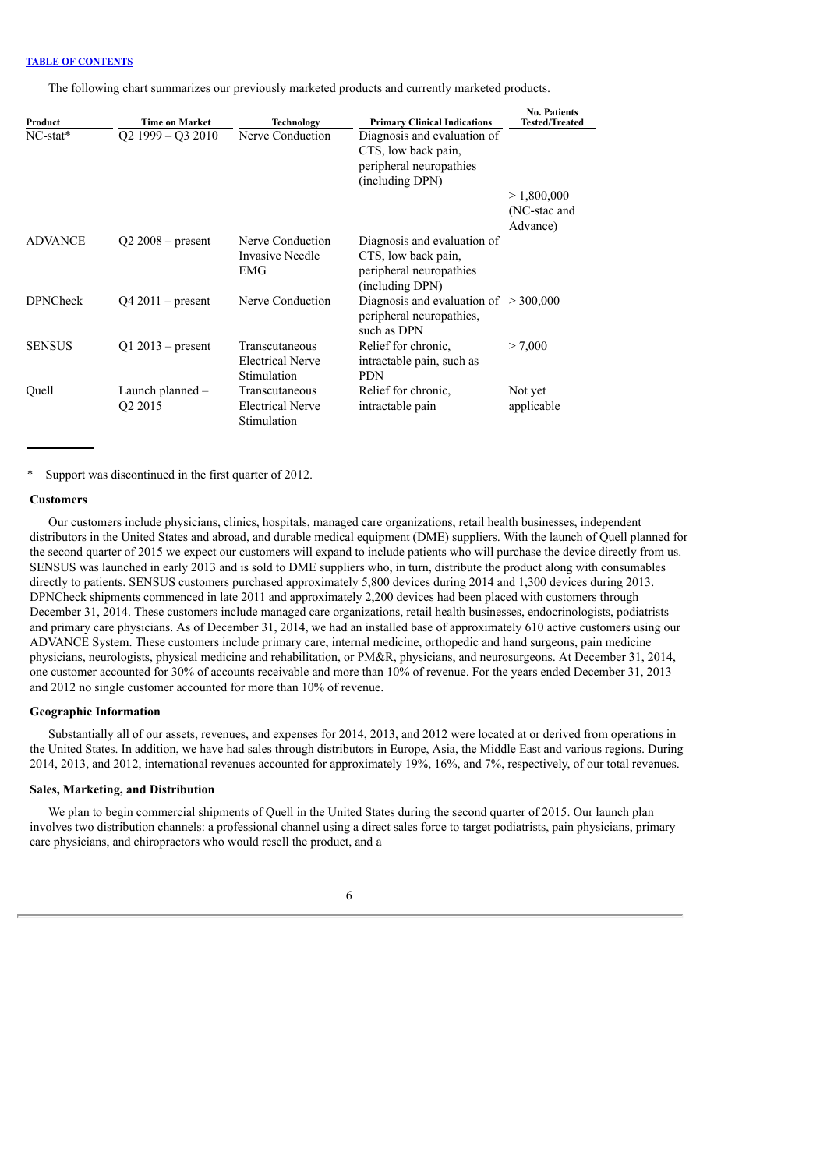The following chart summarizes our previously marketed products and currently marketed products.

| Product         | <b>Time on Market</b>                   | <b>Technology</b>                                        | <b>Primary Clinical Indications</b>                                                              | <b>No. Patients</b><br><b>Tested/Treated</b> |
|-----------------|-----------------------------------------|----------------------------------------------------------|--------------------------------------------------------------------------------------------------|----------------------------------------------|
| $NC$ -stat $*$  | $Q2$ 1999 – Q3 2010                     | Nerve Conduction                                         | Diagnosis and evaluation of<br>CTS, low back pain,<br>peripheral neuropathies<br>(including DPN) |                                              |
|                 |                                         |                                                          |                                                                                                  | > 1,800,000                                  |
|                 |                                         |                                                          |                                                                                                  | (NC-stac and<br>Advance)                     |
| <b>ADVANCE</b>  | $Q2\,2008$ – present                    | Nerve Conduction<br><b>Invasive Needle</b><br>EMG        | Diagnosis and evaluation of<br>CTS, low back pain,<br>peripheral neuropathies<br>(including DPN) |                                              |
| <b>DPNCheck</b> | $Q4\ 2011$ – present                    | Nerve Conduction                                         | Diagnosis and evaluation of $>$ 300,000<br>peripheral neuropathies,<br>such as DPN               |                                              |
| <b>SENSUS</b>   | $Q1 2013$ – present                     | Transcutaneous<br><b>Electrical Nerve</b><br>Stimulation | Relief for chronic.<br>intractable pain, such as<br><b>PDN</b>                                   | > 7,000                                      |
| Quell           | Launch planned -<br>O <sub>2</sub> 2015 | Transcutaneous<br><b>Electrical Nerve</b><br>Stimulation | Relief for chronic,<br>intractable pain                                                          | Not yet<br>applicable                        |

Support was discontinued in the first quarter of 2012.

### **Customers**

Our customers include physicians, clinics, hospitals, managed care organizations, retail health businesses, independent distributors in the United States and abroad, and durable medical equipment (DME) suppliers. With the launch of Quell planned for the second quarter of 2015 we expect our customers will expand to include patients who will purchase the device directly from us. SENSUS was launched in early 2013 and is sold to DME suppliers who, in turn, distribute the product along with consumables directly to patients. SENSUS customers purchased approximately 5,800 devices during 2014 and 1,300 devices during 2013. DPNCheck shipments commenced in late 2011 and approximately 2,200 devices had been placed with customers through December 31, 2014. These customers include managed care organizations, retail health businesses, endocrinologists, podiatrists and primary care physicians. As of December 31, 2014, we had an installed base of approximately 610 active customers using our ADVANCE System. These customers include primary care, internal medicine, orthopedic and hand surgeons, pain medicine physicians, neurologists, physical medicine and rehabilitation, or PM&R, physicians, and neurosurgeons. At December 31, 2014, one customer accounted for 30% of accounts receivable and more than 10% of revenue. For the years ended December 31, 2013 and 2012 no single customer accounted for more than 10% of revenue.

### **Geographic Information**

Substantially all of our assets, revenues, and expenses for 2014, 2013, and 2012 were located at or derived from operations in the United States. In addition, we have had sales through distributors in Europe, Asia, the Middle East and various regions. During 2014, 2013, and 2012, international revenues accounted for approximately 19%, 16%, and 7%, respectively, of our total revenues.

### **Sales, Marketing, and Distribution**

We plan to begin commercial shipments of Quell in the United States during the second quarter of 2015. Our launch plan involves two distribution channels: a professional channel using a direct sales force to target podiatrists, pain physicians, primary care physicians, and chiropractors who would resell the product, and a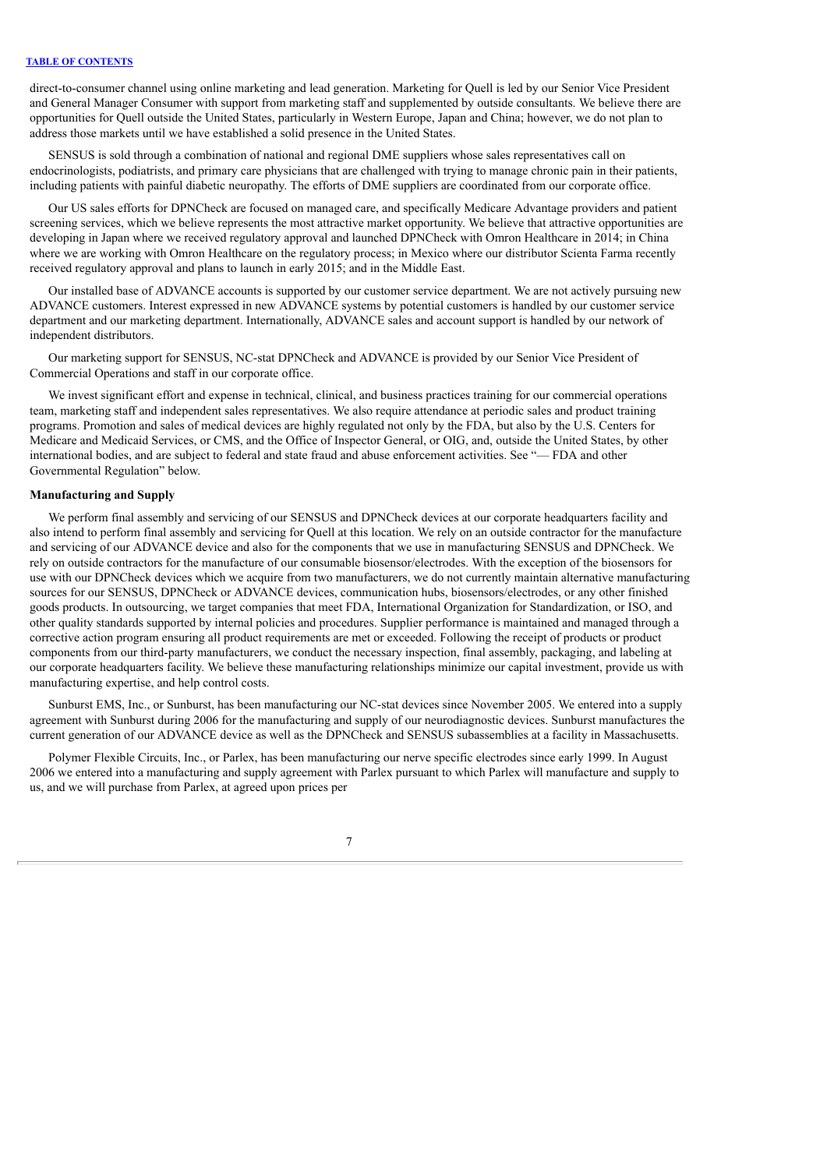direct-to-consumer channel using online marketing and lead generation. Marketing for Quell is led by our Senior Vice President and General Manager Consumer with support from marketing staff and supplemented by outside consultants. We believe there are opportunities for Quell outside the United States, particularly in Western Europe, Japan and China; however, we do not plan to address those markets until we have established a solid presence in the United States.

SENSUS is sold through a combination of national and regional DME suppliers whose sales representatives call on endocrinologists, podiatrists, and primary care physicians that are challenged with trying to manage chronic pain in their patients, including patients with painful diabetic neuropathy. The efforts of DME suppliers are coordinated from our corporate office.

Our US sales efforts for DPNCheck are focused on managed care, and specifically Medicare Advantage providers and patient screening services, which we believe represents the most attractive market opportunity. We believe that attractive opportunities are developing in Japan where we received regulatory approval and launched DPNCheck with Omron Healthcare in 2014; in China where we are working with Omron Healthcare on the regulatory process; in Mexico where our distributor Scienta Farma recently received regulatory approval and plans to launch in early 2015; and in the Middle East.

Our installed base of ADVANCE accounts is supported by our customer service department. We are not actively pursuing new ADVANCE customers. Interest expressed in new ADVANCE systems by potential customers is handled by our customer service department and our marketing department. Internationally, ADVANCE sales and account support is handled by our network of independent distributors.

Our marketing support for SENSUS, NC-stat DPNCheck and ADVANCE is provided by our Senior Vice President of Commercial Operations and staff in our corporate office.

We invest significant effort and expense in technical, clinical, and business practices training for our commercial operations team, marketing staff and independent sales representatives. We also require attendance at periodic sales and product training programs. Promotion and sales of medical devices are highly regulated not only by the FDA, but also by the U.S. Centers for Medicare and Medicaid Services, or CMS, and the Office of Inspector General, or OIG, and, outside the United States, by other international bodies, and are subject to federal and state fraud and abuse enforcement activities. See "— FDA and other Governmental Regulation" below.

# **Manufacturing and Supply**

We perform final assembly and servicing of our SENSUS and DPNCheck devices at our corporate headquarters facility and also intend to perform final assembly and servicing for Quell at this location. We rely on an outside contractor for the manufacture and servicing of our ADVANCE device and also for the components that we use in manufacturing SENSUS and DPNCheck. We rely on outside contractors for the manufacture of our consumable biosensor/electrodes. With the exception of the biosensors for use with our DPNCheck devices which we acquire from two manufacturers, we do not currently maintain alternative manufacturing sources for our SENSUS, DPNCheck or ADVANCE devices, communication hubs, biosensors/electrodes, or any other finished goods products. In outsourcing, we target companies that meet FDA, International Organization for Standardization, or ISO, and other quality standards supported by internal policies and procedures. Supplier performance is maintained and managed through a corrective action program ensuring all product requirements are met or exceeded. Following the receipt of products or product components from our third-party manufacturers, we conduct the necessary inspection, final assembly, packaging, and labeling at our corporate headquarters facility. We believe these manufacturing relationships minimize our capital investment, provide us with manufacturing expertise, and help control costs.

Sunburst EMS, Inc., or Sunburst, has been manufacturing our NC-stat devices since November 2005. We entered into a supply agreement with Sunburst during 2006 for the manufacturing and supply of our neurodiagnostic devices. Sunburst manufactures the current generation of our ADVANCE device as well as the DPNCheck and SENSUS subassemblies at a facility in Massachusetts.

Polymer Flexible Circuits, Inc., or Parlex, has been manufacturing our nerve specific electrodes since early 1999. In August 2006 we entered into a manufacturing and supply agreement with Parlex pursuant to which Parlex will manufacture and supply to us, and we will purchase from Parlex, at agreed upon prices per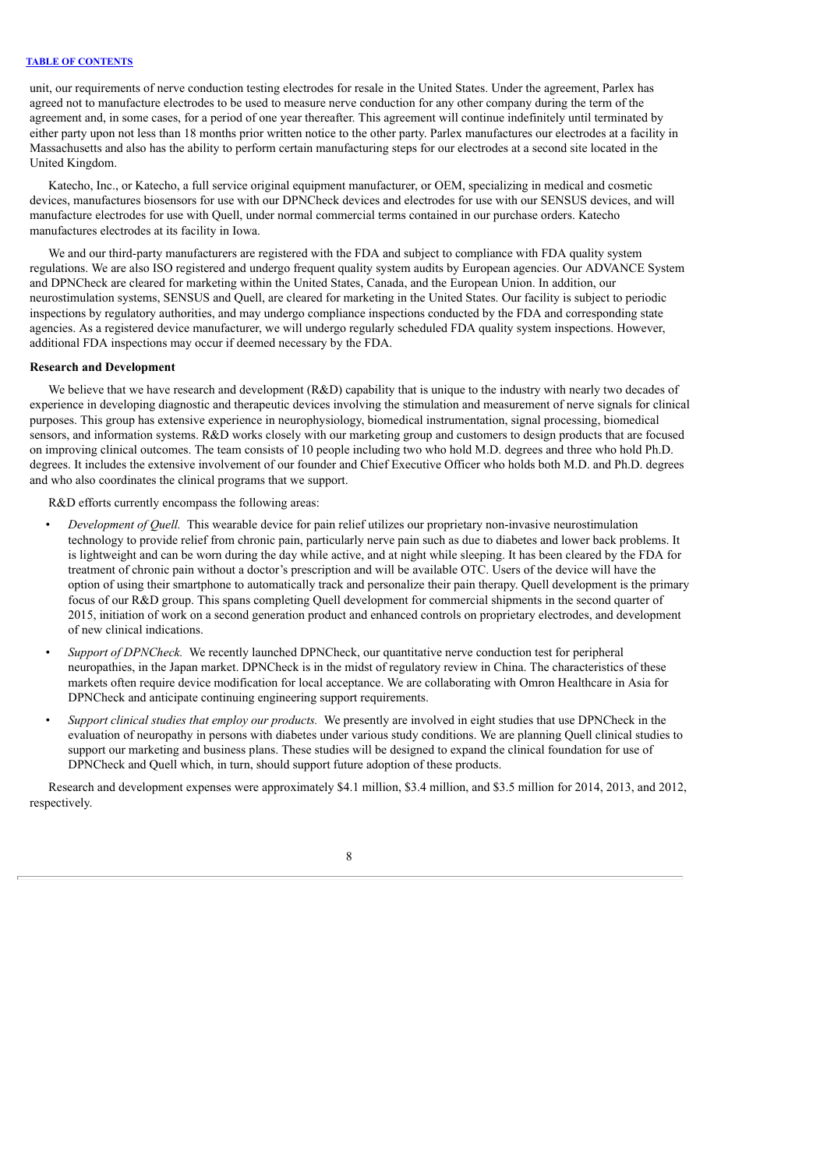unit, our requirements of nerve conduction testing electrodes for resale in the United States. Under the agreement, Parlex has agreed not to manufacture electrodes to be used to measure nerve conduction for any other company during the term of the agreement and, in some cases, for a period of one year thereafter. This agreement will continue indefinitely until terminated by either party upon not less than 18 months prior written notice to the other party. Parlex manufactures our electrodes at a facility in Massachusetts and also has the ability to perform certain manufacturing steps for our electrodes at a second site located in the United Kingdom.

Katecho, Inc., or Katecho, a full service original equipment manufacturer, or OEM, specializing in medical and cosmetic devices, manufactures biosensors for use with our DPNCheck devices and electrodes for use with our SENSUS devices, and will manufacture electrodes for use with Quell, under normal commercial terms contained in our purchase orders. Katecho manufactures electrodes at its facility in Iowa.

We and our third-party manufacturers are registered with the FDA and subject to compliance with FDA quality system regulations. We are also ISO registered and undergo frequent quality system audits by European agencies. Our ADVANCE System and DPNCheck are cleared for marketing within the United States, Canada, and the European Union. In addition, our neurostimulation systems, SENSUS and Quell, are cleared for marketing in the United States. Our facility is subject to periodic inspections by regulatory authorities, and may undergo compliance inspections conducted by the FDA and corresponding state agencies. As a registered device manufacturer, we will undergo regularly scheduled FDA quality system inspections. However, additional FDA inspections may occur if deemed necessary by the FDA.

## **Research and Development**

We believe that we have research and development (R&D) capability that is unique to the industry with nearly two decades of experience in developing diagnostic and therapeutic devices involving the stimulation and measurement of nerve signals for clinical purposes. This group has extensive experience in neurophysiology, biomedical instrumentation, signal processing, biomedical sensors, and information systems. R&D works closely with our marketing group and customers to design products that are focused on improving clinical outcomes. The team consists of 10 people including two who hold M.D. degrees and three who hold Ph.D. degrees. It includes the extensive involvement of our founder and Chief Executive Officer who holds both M.D. and Ph.D. degrees and who also coordinates the clinical programs that we support.

R&D efforts currently encompass the following areas:

- *Development of Quell.* This wearable device for pain relief utilizes our proprietary non-invasive neurostimulation technology to provide relief from chronic pain, particularly nerve pain such as due to diabetes and lower back problems. It is lightweight and can be worn during the day while active, and at night while sleeping. It has been cleared by the FDA for treatment of chronic pain without a doctor's prescription and will be available OTC. Users of the device will have the option of using their smartphone to automatically track and personalize their pain therapy. Quell development is the primary focus of our R&D group. This spans completing Quell development for commercial shipments in the second quarter of 2015, initiation of work on a second generation product and enhanced controls on proprietary electrodes, and development of new clinical indications.
- *Support of DPNCheck.* We recently launched DPNCheck, our quantitative nerve conduction test for peripheral neuropathies, in the Japan market. DPNCheck is in the midst of regulatory review in China. The characteristics of these markets often require device modification for local acceptance. We are collaborating with Omron Healthcare in Asia for DPNCheck and anticipate continuing engineering support requirements.
- *Support clinical studies that employ our products.* We presently are involved in eight studies that use DPNCheck in the evaluation of neuropathy in persons with diabetes under various study conditions. We are planning Quell clinical studies to support our marketing and business plans. These studies will be designed to expand the clinical foundation for use of DPNCheck and Quell which, in turn, should support future adoption of these products.

Research and development expenses were approximately \$4.1 million, \$3.4 million, and \$3.5 million for 2014, 2013, and 2012, respectively.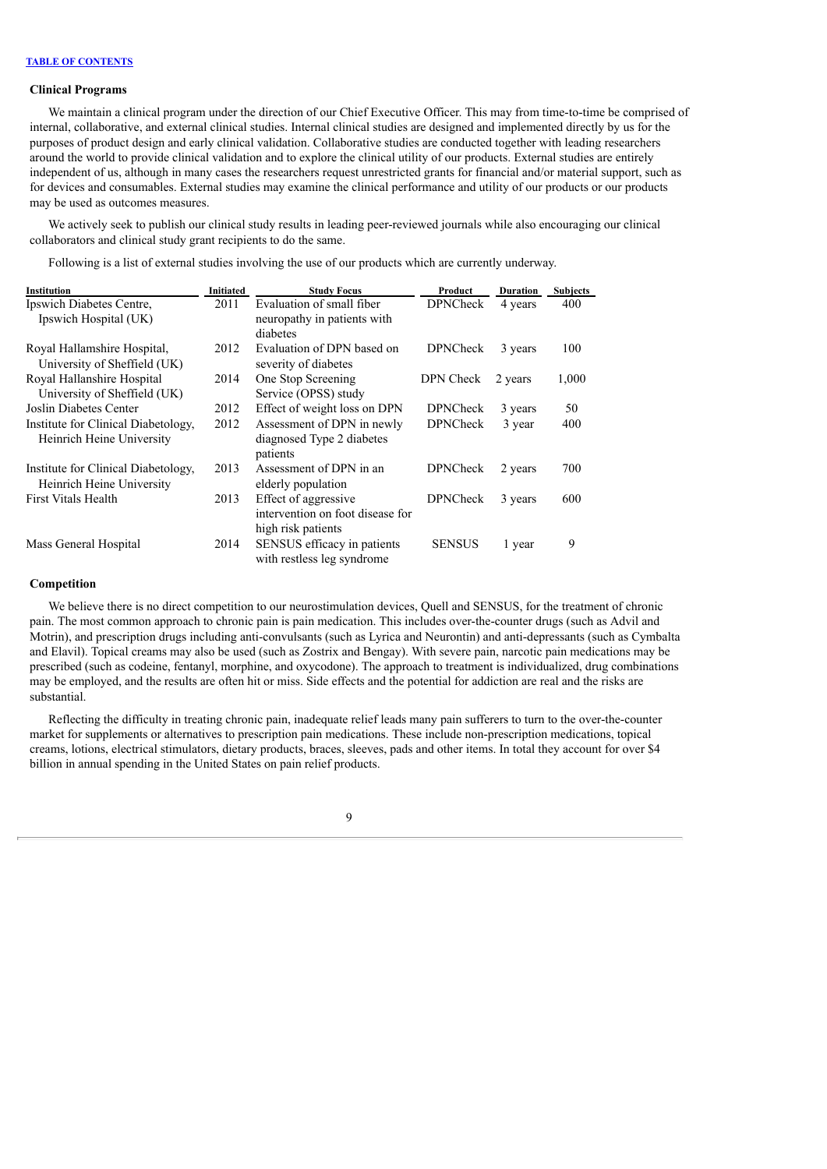#### **Clinical Programs**

We maintain a clinical program under the direction of our Chief Executive Officer. This may from time-to-time be comprised of internal, collaborative, and external clinical studies. Internal clinical studies are designed and implemented directly by us for the purposes of product design and early clinical validation. Collaborative studies are conducted together with leading researchers around the world to provide clinical validation and to explore the clinical utility of our products. External studies are entirely independent of us, although in many cases the researchers request unrestricted grants for financial and/or material support, such as for devices and consumables. External studies may examine the clinical performance and utility of our products or our products may be used as outcomes measures.

We actively seek to publish our clinical study results in leading peer-reviewed journals while also encouraging our clinical collaborators and clinical study grant recipients to do the same.

Following is a list of external studies involving the use of our products which are currently underway.

| <b>Institution</b>                  | <b>Initiated</b> | <b>Study Focus</b>               | Product         | <b>Duration</b> | <b>Subjects</b> |  |
|-------------------------------------|------------------|----------------------------------|-----------------|-----------------|-----------------|--|
| Ipswich Diabetes Centre,            | 2011             | Evaluation of small fiber        | <b>DPNCheck</b> | 4 years         | 400             |  |
| Ipswich Hospital (UK)               |                  | neuropathy in patients with      |                 |                 |                 |  |
|                                     |                  | diabetes                         |                 |                 |                 |  |
| Royal Hallamshire Hospital,         | 2012             | Evaluation of DPN based on       | <b>DPNCheck</b> | 3 years         | 100             |  |
| University of Sheffield (UK)        |                  | severity of diabetes             |                 |                 |                 |  |
| Royal Hallanshire Hospital          | 2014             | One Stop Screening               | DPN Check       | 2 years         | 1,000           |  |
| University of Sheffield (UK)        |                  | Service (OPSS) study             |                 |                 |                 |  |
| Joslin Diabetes Center              | 2012             | Effect of weight loss on DPN     | <b>DPNCheck</b> | 3 years         | 50              |  |
| Institute for Clinical Diabetology, | 2012             | Assessment of DPN in newly       | <b>DPNCheck</b> | 3 year          | 400             |  |
| Heinrich Heine University           |                  | diagnosed Type 2 diabetes        |                 |                 |                 |  |
|                                     |                  | patients                         |                 |                 |                 |  |
| Institute for Clinical Diabetology, | 2013             | Assessment of DPN in an          | <b>DPNCheck</b> | 2 years         | 700             |  |
| Heinrich Heine University           |                  | elderly population               |                 |                 |                 |  |
| <b>First Vitals Health</b>          | 2013             | Effect of aggressive             | <b>DPNCheck</b> | 3 years         | 600             |  |
|                                     |                  | intervention on foot disease for |                 |                 |                 |  |
|                                     |                  | high risk patients               |                 |                 |                 |  |
| Mass General Hospital               | 2014             | SENSUS efficacy in patients      | <b>SENSUS</b>   | 1 year          | 9               |  |
|                                     |                  | with restless leg syndrome       |                 |                 |                 |  |

# **Competition**

We believe there is no direct competition to our neurostimulation devices, Quell and SENSUS, for the treatment of chronic pain. The most common approach to chronic pain is pain medication. This includes over-the-counter drugs (such as Advil and Motrin), and prescription drugs including anti-convulsants (such as Lyrica and Neurontin) and anti-depressants (such as Cymbalta and Elavil). Topical creams may also be used (such as Zostrix and Bengay). With severe pain, narcotic pain medications may be prescribed (such as codeine, fentanyl, morphine, and oxycodone). The approach to treatment is individualized, drug combinations may be employed, and the results are often hit or miss. Side effects and the potential for addiction are real and the risks are substantial.

Reflecting the difficulty in treating chronic pain, inadequate relief leads many pain sufferers to turn to the over-the-counter market for supplements or alternatives to prescription pain medications. These include non-prescription medications, topical creams, lotions, electrical stimulators, dietary products, braces, sleeves, pads and other items. In total they account for over \$4 billion in annual spending in the United States on pain relief products.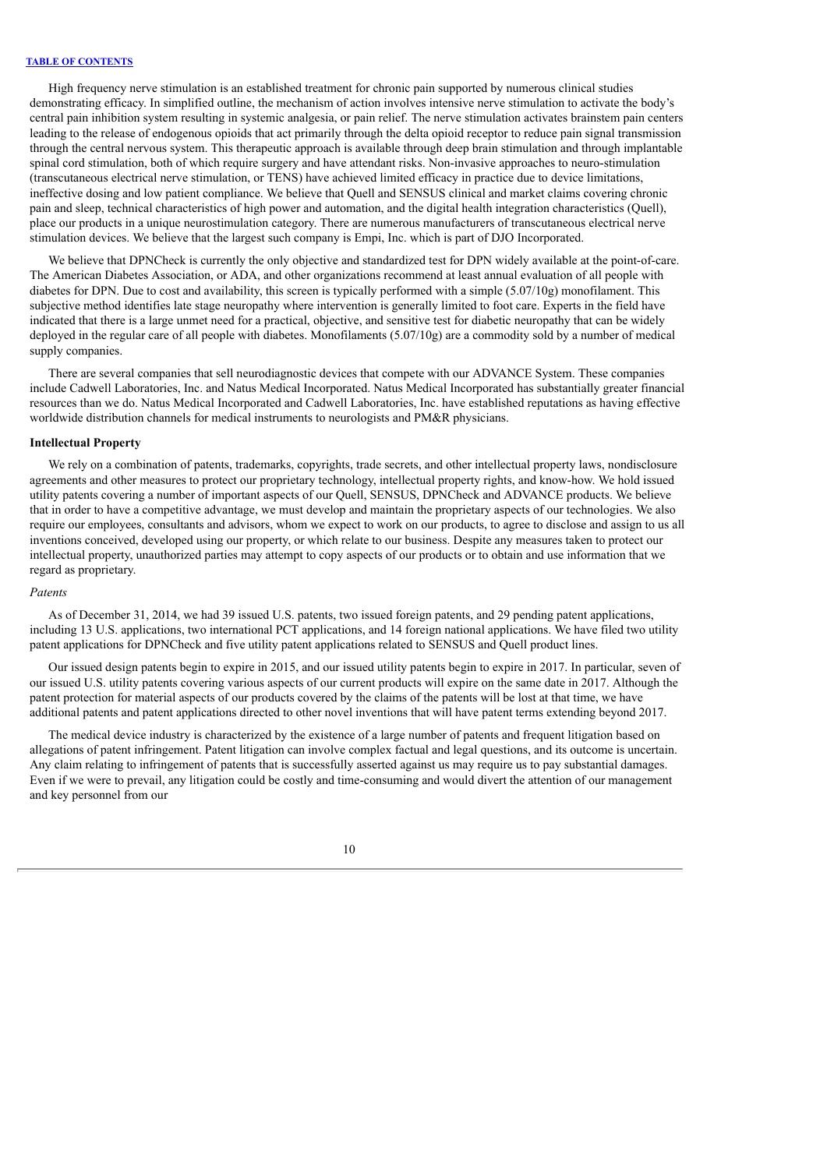High frequency nerve stimulation is an established treatment for chronic pain supported by numerous clinical studies demonstrating efficacy. In simplified outline, the mechanism of action involves intensive nerve stimulation to activate the body's central pain inhibition system resulting in systemic analgesia, or pain relief. The nerve stimulation activates brainstem pain centers leading to the release of endogenous opioids that act primarily through the delta opioid receptor to reduce pain signal transmission through the central nervous system. This therapeutic approach is available through deep brain stimulation and through implantable spinal cord stimulation, both of which require surgery and have attendant risks. Non-invasive approaches to neuro-stimulation (transcutaneous electrical nerve stimulation, or TENS) have achieved limited efficacy in practice due to device limitations, ineffective dosing and low patient compliance. We believe that Quell and SENSUS clinical and market claims covering chronic pain and sleep, technical characteristics of high power and automation, and the digital health integration characteristics (Quell), place our products in a unique neurostimulation category. There are numerous manufacturers of transcutaneous electrical nerve stimulation devices. We believe that the largest such company is Empi, Inc. which is part of DJO Incorporated.

We believe that DPNCheck is currently the only objective and standardized test for DPN widely available at the point-of-care. The American Diabetes Association, or ADA, and other organizations recommend at least annual evaluation of all people with diabetes for DPN. Due to cost and availability, this screen is typically performed with a simple (5.07/10g) monofilament. This subjective method identifies late stage neuropathy where intervention is generally limited to foot care. Experts in the field have indicated that there is a large unmet need for a practical, objective, and sensitive test for diabetic neuropathy that can be widely deployed in the regular care of all people with diabetes. Monofilaments (5.07/10g) are a commodity sold by a number of medical supply companies.

There are several companies that sell neurodiagnostic devices that compete with our ADVANCE System. These companies include Cadwell Laboratories, Inc. and Natus Medical Incorporated. Natus Medical Incorporated has substantially greater financial resources than we do. Natus Medical Incorporated and Cadwell Laboratories, Inc. have established reputations as having effective worldwide distribution channels for medical instruments to neurologists and PM&R physicians.

### **Intellectual Property**

We rely on a combination of patents, trademarks, copyrights, trade secrets, and other intellectual property laws, nondisclosure agreements and other measures to protect our proprietary technology, intellectual property rights, and know-how. We hold issued utility patents covering a number of important aspects of our Quell, SENSUS, DPNCheck and ADVANCE products. We believe that in order to have a competitive advantage, we must develop and maintain the proprietary aspects of our technologies. We also require our employees, consultants and advisors, whom we expect to work on our products, to agree to disclose and assign to us all inventions conceived, developed using our property, or which relate to our business. Despite any measures taken to protect our intellectual property, unauthorized parties may attempt to copy aspects of our products or to obtain and use information that we regard as proprietary.

#### *Patents*

As of December 31, 2014, we had 39 issued U.S. patents, two issued foreign patents, and 29 pending patent applications, including 13 U.S. applications, two international PCT applications, and 14 foreign national applications. We have filed two utility patent applications for DPNCheck and five utility patent applications related to SENSUS and Quell product lines.

Our issued design patents begin to expire in 2015, and our issued utility patents begin to expire in 2017. In particular, seven of our issued U.S. utility patents covering various aspects of our current products will expire on the same date in 2017. Although the patent protection for material aspects of our products covered by the claims of the patents will be lost at that time, we have additional patents and patent applications directed to other novel inventions that will have patent terms extending beyond 2017.

The medical device industry is characterized by the existence of a large number of patents and frequent litigation based on allegations of patent infringement. Patent litigation can involve complex factual and legal questions, and its outcome is uncertain. Any claim relating to infringement of patents that is successfully asserted against us may require us to pay substantial damages. Even if we were to prevail, any litigation could be costly and time-consuming and would divert the attention of our management and key personnel from our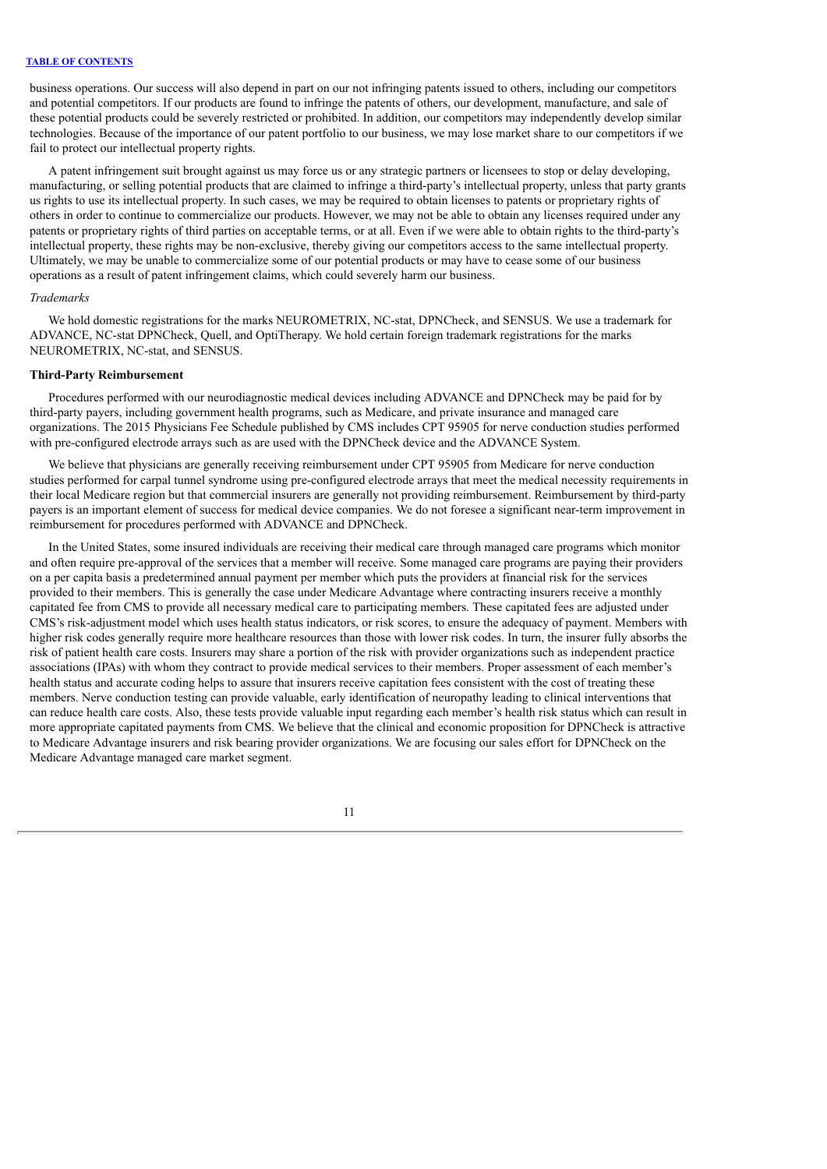business operations. Our success will also depend in part on our not infringing patents issued to others, including our competitors and potential competitors. If our products are found to infringe the patents of others, our development, manufacture, and sale of these potential products could be severely restricted or prohibited. In addition, our competitors may independently develop similar technologies. Because of the importance of our patent portfolio to our business, we may lose market share to our competitors if we fail to protect our intellectual property rights.

A patent infringement suit brought against us may force us or any strategic partners or licensees to stop or delay developing, manufacturing, or selling potential products that are claimed to infringe a third-party's intellectual property, unless that party grants us rights to use its intellectual property. In such cases, we may be required to obtain licenses to patents or proprietary rights of others in order to continue to commercialize our products. However, we may not be able to obtain any licenses required under any patents or proprietary rights of third parties on acceptable terms, or at all. Even if we were able to obtain rights to the third-party's intellectual property, these rights may be non-exclusive, thereby giving our competitors access to the same intellectual property. Ultimately, we may be unable to commercialize some of our potential products or may have to cease some of our business operations as a result of patent infringement claims, which could severely harm our business.

# *Trademarks*

We hold domestic registrations for the marks NEUROMETRIX, NC-stat, DPNCheck, and SENSUS. We use a trademark for ADVANCE, NC-stat DPNCheck, Quell, and OptiTherapy. We hold certain foreign trademark registrations for the marks NEUROMETRIX, NC-stat, and SENSUS.

### **Third-Party Reimbursement**

Procedures performed with our neurodiagnostic medical devices including ADVANCE and DPNCheck may be paid for by third-party payers, including government health programs, such as Medicare, and private insurance and managed care organizations. The 2015 Physicians Fee Schedule published by CMS includes CPT 95905 for nerve conduction studies performed with pre-configured electrode arrays such as are used with the DPNCheck device and the ADVANCE System.

We believe that physicians are generally receiving reimbursement under CPT 95905 from Medicare for nerve conduction studies performed for carpal tunnel syndrome using pre-configured electrode arrays that meet the medical necessity requirements in their local Medicare region but that commercial insurers are generally not providing reimbursement. Reimbursement by third-party payers is an important element of success for medical device companies. We do not foresee a significant near-term improvement in reimbursement for procedures performed with ADVANCE and DPNCheck.

In the United States, some insured individuals are receiving their medical care through managed care programs which monitor and often require pre-approval of the services that a member will receive. Some managed care programs are paying their providers on a per capita basis a predetermined annual payment per member which puts the providers at financial risk for the services provided to their members. This is generally the case under Medicare Advantage where contracting insurers receive a monthly capitated fee from CMS to provide all necessary medical care to participating members. These capitated fees are adjusted under CMS's risk-adjustment model which uses health status indicators, or risk scores, to ensure the adequacy of payment. Members with higher risk codes generally require more healthcare resources than those with lower risk codes. In turn, the insurer fully absorbs the risk of patient health care costs. Insurers may share a portion of the risk with provider organizations such as independent practice associations (IPAs) with whom they contract to provide medical services to their members. Proper assessment of each member's health status and accurate coding helps to assure that insurers receive capitation fees consistent with the cost of treating these members. Nerve conduction testing can provide valuable, early identification of neuropathy leading to clinical interventions that can reduce health care costs. Also, these tests provide valuable input regarding each member's health risk status which can result in more appropriate capitated payments from CMS. We believe that the clinical and economic proposition for DPNCheck is attractive to Medicare Advantage insurers and risk bearing provider organizations. We are focusing our sales effort for DPNCheck on the Medicare Advantage managed care market segment.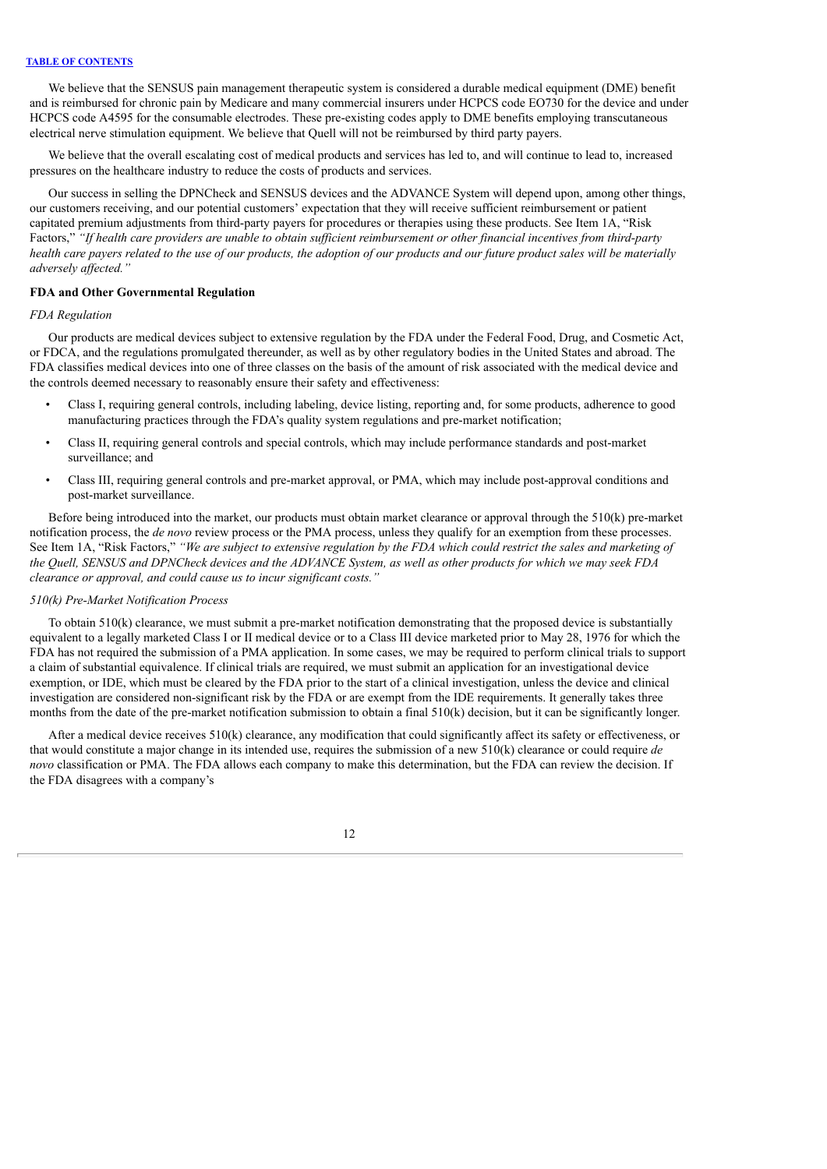We believe that the SENSUS pain management therapeutic system is considered a durable medical equipment (DME) benefit and is reimbursed for chronic pain by Medicare and many commercial insurers under HCPCS code EO730 for the device and under HCPCS code A4595 for the consumable electrodes. These pre-existing codes apply to DME benefits employing transcutaneous electrical nerve stimulation equipment. We believe that Quell will not be reimbursed by third party payers.

We believe that the overall escalating cost of medical products and services has led to, and will continue to lead to, increased pressures on the healthcare industry to reduce the costs of products and services.

Our success in selling the DPNCheck and SENSUS devices and the ADVANCE System will depend upon, among other things, our customers receiving, and our potential customers' expectation that they will receive sufficient reimbursement or patient capitated premium adjustments from third-party payers for procedures or therapies using these products. See Item 1A, "Risk Factors," "If health care providers are unable to obtain sufficient reimbursement or other financial incentives from third-party health care payers related to the use of our products, the adoption of our products and our future product sales will be materially *adversely af ected."*

# **FDA and Other Governmental Regulation**

### *FDA Regulation*

Our products are medical devices subject to extensive regulation by the FDA under the Federal Food, Drug, and Cosmetic Act, or FDCA, and the regulations promulgated thereunder, as well as by other regulatory bodies in the United States and abroad. The FDA classifies medical devices into one of three classes on the basis of the amount of risk associated with the medical device and the controls deemed necessary to reasonably ensure their safety and effectiveness:

- Class I, requiring general controls, including labeling, device listing, reporting and, for some products, adherence to good manufacturing practices through the FDA's quality system regulations and pre-market notification;
- Class II, requiring general controls and special controls, which may include performance standards and post-market surveillance; and
- Class III, requiring general controls and pre-market approval, or PMA, which may include post-approval conditions and post-market surveillance.

Before being introduced into the market, our products must obtain market clearance or approval through the 510(k) pre-market notification process, the *de novo* review process or the PMA process, unless they qualify for an exemption from these processes. See Item 1A, "Risk Factors," "We are subject to extensive regulation by the FDA which could restrict the sales and marketing of the Ouell, SENSUS and DPNCheck devices and the ADVANCE System, as well as other products for which we may seek FDA *clearance or approval, and could cause us to incur significant costs."*

# *510(k) Pre-Market Notification Process*

To obtain 510(k) clearance, we must submit a pre-market notification demonstrating that the proposed device is substantially equivalent to a legally marketed Class I or II medical device or to a Class III device marketed prior to May 28, 1976 for which the FDA has not required the submission of a PMA application. In some cases, we may be required to perform clinical trials to support a claim of substantial equivalence. If clinical trials are required, we must submit an application for an investigational device exemption, or IDE, which must be cleared by the FDA prior to the start of a clinical investigation, unless the device and clinical investigation are considered non-significant risk by the FDA or are exempt from the IDE requirements. It generally takes three months from the date of the pre-market notification submission to obtain a final 510(k) decision, but it can be significantly longer.

After a medical device receives 510(k) clearance, any modification that could significantly affect its safety or effectiveness, or that would constitute a major change in its intended use, requires the submission of a new 510(k) clearance or could require *de novo* classification or PMA. The FDA allows each company to make this determination, but the FDA can review the decision. If the FDA disagrees with a company's

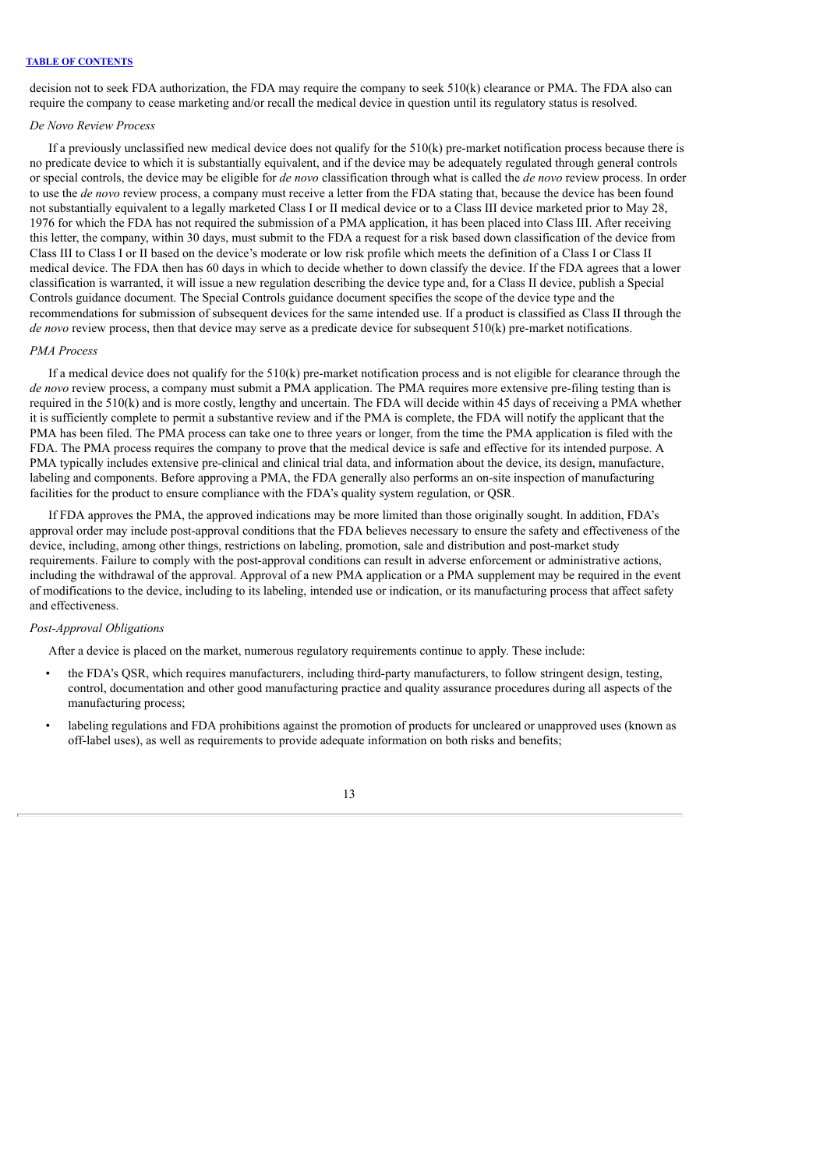decision not to seek FDA authorization, the FDA may require the company to seek 510(k) clearance or PMA. The FDA also can require the company to cease marketing and/or recall the medical device in question until its regulatory status is resolved.

### *De Novo Review Process*

If a previously unclassified new medical device does not qualify for the  $510(k)$  pre-market notification process because there is no predicate device to which it is substantially equivalent, and if the device may be adequately regulated through general controls or special controls, the device may be eligible for *de novo* classification through what is called the *de novo* review process. In order to use the *de novo* review process, a company must receive a letter from the FDA stating that, because the device has been found not substantially equivalent to a legally marketed Class I or II medical device or to a Class III device marketed prior to May 28, 1976 for which the FDA has not required the submission of a PMA application, it has been placed into Class III. After receiving this letter, the company, within 30 days, must submit to the FDA a request for a risk based down classification of the device from Class III to Class I or II based on the device's moderate or low risk profile which meets the definition of a Class I or Class II medical device. The FDA then has 60 days in which to decide whether to down classify the device. If the FDA agrees that a lower classification is warranted, it will issue a new regulation describing the device type and, for a Class II device, publish a Special Controls guidance document. The Special Controls guidance document specifies the scope of the device type and the recommendations for submission of subsequent devices for the same intended use. If a product is classified as Class II through the *de novo* review process, then that device may serve as a predicate device for subsequent 510(k) pre-market notifications.

#### *PMA Process*

If a medical device does not qualify for the 510(k) pre-market notification process and is not eligible for clearance through the *de novo* review process, a company must submit a PMA application. The PMA requires more extensive pre-filing testing than is required in the 510(k) and is more costly, lengthy and uncertain. The FDA will decide within 45 days of receiving a PMA whether it is sufficiently complete to permit a substantive review and if the PMA is complete, the FDA will notify the applicant that the PMA has been filed. The PMA process can take one to three years or longer, from the time the PMA application is filed with the FDA. The PMA process requires the company to prove that the medical device is safe and effective for its intended purpose. A PMA typically includes extensive pre-clinical and clinical trial data, and information about the device, its design, manufacture, labeling and components. Before approving a PMA, the FDA generally also performs an on-site inspection of manufacturing facilities for the product to ensure compliance with the FDA's quality system regulation, or QSR.

If FDA approves the PMA, the approved indications may be more limited than those originally sought. In addition, FDA's approval order may include post-approval conditions that the FDA believes necessary to ensure the safety and effectiveness of the device, including, among other things, restrictions on labeling, promotion, sale and distribution and post-market study requirements. Failure to comply with the post-approval conditions can result in adverse enforcement or administrative actions, including the withdrawal of the approval. Approval of a new PMA application or a PMA supplement may be required in the event of modifications to the device, including to its labeling, intended use or indication, or its manufacturing process that affect safety and effectiveness.

# *Post-Approval Obligations*

After a device is placed on the market, numerous regulatory requirements continue to apply. These include:

- the FDA's QSR, which requires manufacturers, including third-party manufacturers, to follow stringent design, testing, control, documentation and other good manufacturing practice and quality assurance procedures during all aspects of the manufacturing process;
- labeling regulations and FDA prohibitions against the promotion of products for uncleared or unapproved uses (known as off-label uses), as well as requirements to provide adequate information on both risks and benefits;

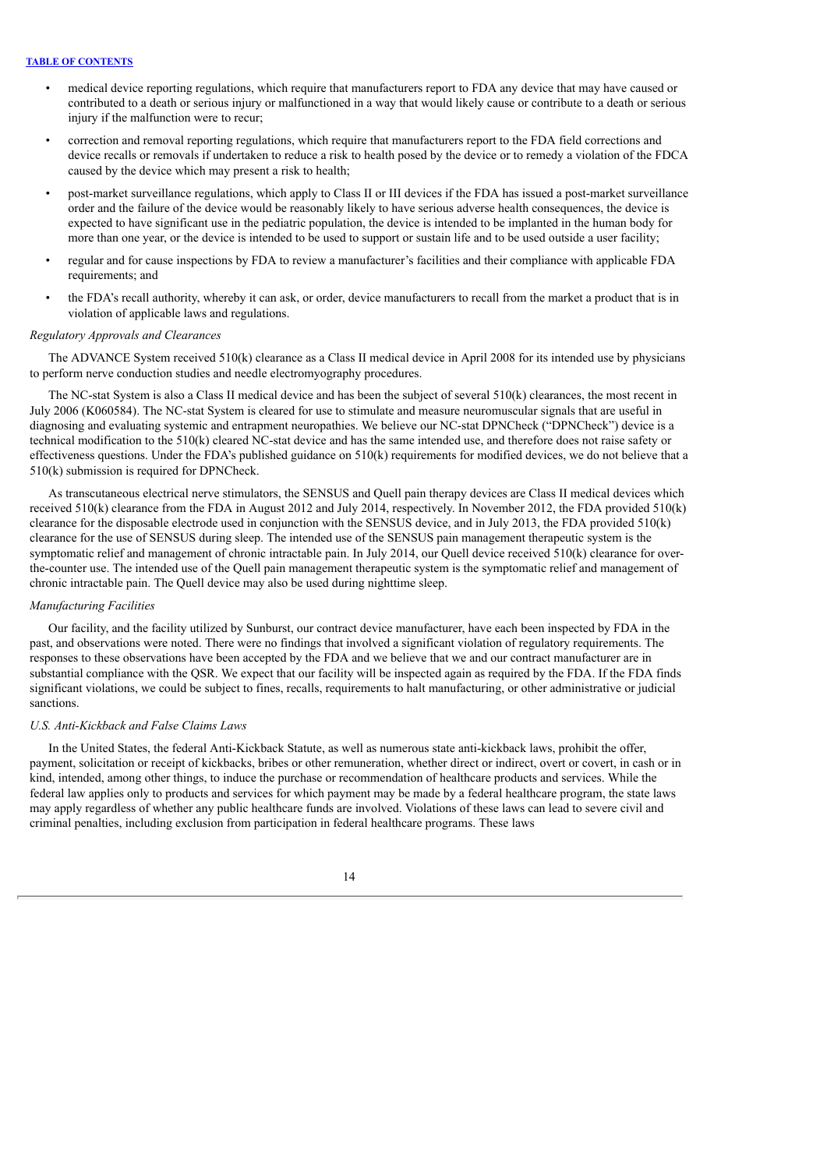- medical device reporting regulations, which require that manufacturers report to FDA any device that may have caused or contributed to a death or serious injury or malfunctioned in a way that would likely cause or contribute to a death or serious injury if the malfunction were to recur;
- correction and removal reporting regulations, which require that manufacturers report to the FDA field corrections and device recalls or removals if undertaken to reduce a risk to health posed by the device or to remedy a violation of the FDCA caused by the device which may present a risk to health;
- post-market surveillance regulations, which apply to Class II or III devices if the FDA has issued a post-market surveillance order and the failure of the device would be reasonably likely to have serious adverse health consequences, the device is expected to have significant use in the pediatric population, the device is intended to be implanted in the human body for more than one year, or the device is intended to be used to support or sustain life and to be used outside a user facility;
- regular and for cause inspections by FDA to review a manufacturer's facilities and their compliance with applicable FDA requirements; and
- the FDA's recall authority, whereby it can ask, or order, device manufacturers to recall from the market a product that is in violation of applicable laws and regulations.

# *Regulatory Approvals and Clearances*

The ADVANCE System received 510(k) clearance as a Class II medical device in April 2008 for its intended use by physicians to perform nerve conduction studies and needle electromyography procedures.

The NC-stat System is also a Class II medical device and has been the subject of several 510(k) clearances, the most recent in July 2006 (K060584). The NC-stat System is cleared for use to stimulate and measure neuromuscular signals that are useful in diagnosing and evaluating systemic and entrapment neuropathies. We believe our NC-stat DPNCheck ("DPNCheck") device is a technical modification to the 510(k) cleared NC-stat device and has the same intended use, and therefore does not raise safety or effectiveness questions. Under the FDA's published guidance on  $510(k)$  requirements for modified devices, we do not believe that a 510(k) submission is required for DPNCheck.

As transcutaneous electrical nerve stimulators, the SENSUS and Quell pain therapy devices are Class II medical devices which received 510(k) clearance from the FDA in August 2012 and July 2014, respectively. In November 2012, the FDA provided 510(k) clearance for the disposable electrode used in conjunction with the SENSUS device, and in July 2013, the FDA provided 510(k) clearance for the use of SENSUS during sleep. The intended use of the SENSUS pain management therapeutic system is the symptomatic relief and management of chronic intractable pain. In July 2014, our Quell device received 510(k) clearance for overthe-counter use. The intended use of the Quell pain management therapeutic system is the symptomatic relief and management of chronic intractable pain. The Quell device may also be used during nighttime sleep.

### *Manufacturing Facilities*

Our facility, and the facility utilized by Sunburst, our contract device manufacturer, have each been inspected by FDA in the past, and observations were noted. There were no findings that involved a significant violation of regulatory requirements. The responses to these observations have been accepted by the FDA and we believe that we and our contract manufacturer are in substantial compliance with the QSR. We expect that our facility will be inspected again as required by the FDA. If the FDA finds significant violations, we could be subject to fines, recalls, requirements to halt manufacturing, or other administrative or judicial sanctions.

### *U.S. Anti-Kickback and False Claims Laws*

In the United States, the federal Anti-Kickback Statute, as well as numerous state anti-kickback laws, prohibit the offer, payment, solicitation or receipt of kickbacks, bribes or other remuneration, whether direct or indirect, overt or covert, in cash or in kind, intended, among other things, to induce the purchase or recommendation of healthcare products and services. While the federal law applies only to products and services for which payment may be made by a federal healthcare program, the state laws may apply regardless of whether any public healthcare funds are involved. Violations of these laws can lead to severe civil and criminal penalties, including exclusion from participation in federal healthcare programs. These laws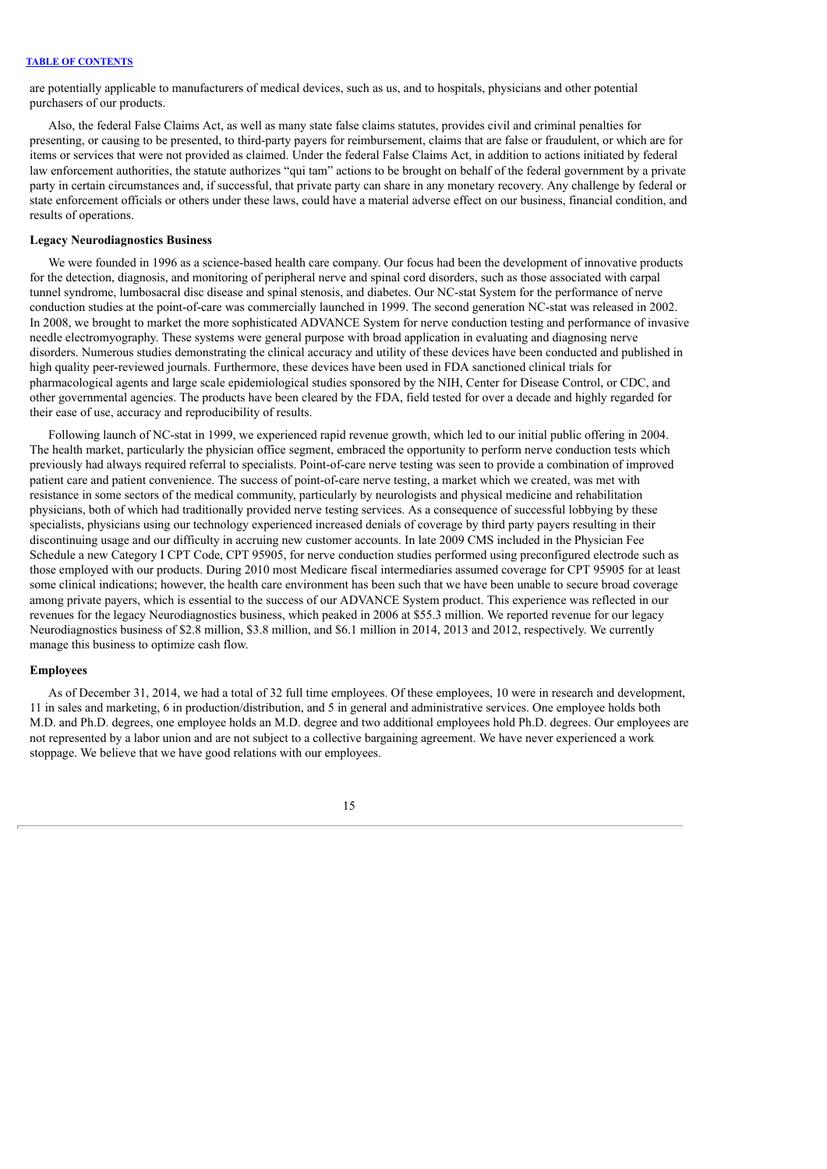are potentially applicable to manufacturers of medical devices, such as us, and to hospitals, physicians and other potential purchasers of our products.

Also, the federal False Claims Act, as well as many state false claims statutes, provides civil and criminal penalties for presenting, or causing to be presented, to third-party payers for reimbursement, claims that are false or fraudulent, or which are for items or services that were not provided as claimed. Under the federal False Claims Act, in addition to actions initiated by federal law enforcement authorities, the statute authorizes "qui tam" actions to be brought on behalf of the federal government by a private party in certain circumstances and, if successful, that private party can share in any monetary recovery. Any challenge by federal or state enforcement officials or others under these laws, could have a material adverse effect on our business, financial condition, and results of operations.

### **Legacy Neurodiagnostics Business**

We were founded in 1996 as a science-based health care company. Our focus had been the development of innovative products for the detection, diagnosis, and monitoring of peripheral nerve and spinal cord disorders, such as those associated with carpal tunnel syndrome, lumbosacral disc disease and spinal stenosis, and diabetes. Our NC-stat System for the performance of nerve conduction studies at the point-of-care was commercially launched in 1999. The second generation NC-stat was released in 2002. In 2008, we brought to market the more sophisticated ADVANCE System for nerve conduction testing and performance of invasive needle electromyography. These systems were general purpose with broad application in evaluating and diagnosing nerve disorders. Numerous studies demonstrating the clinical accuracy and utility of these devices have been conducted and published in high quality peer-reviewed journals. Furthermore, these devices have been used in FDA sanctioned clinical trials for pharmacological agents and large scale epidemiological studies sponsored by the NIH, Center for Disease Control, or CDC, and other governmental agencies. The products have been cleared by the FDA, field tested for over a decade and highly regarded for their ease of use, accuracy and reproducibility of results.

Following launch of NC-stat in 1999, we experienced rapid revenue growth, which led to our initial public offering in 2004. The health market, particularly the physician office segment, embraced the opportunity to perform nerve conduction tests which previously had always required referral to specialists. Point-of-care nerve testing was seen to provide a combination of improved patient care and patient convenience. The success of point-of-care nerve testing, a market which we created, was met with resistance in some sectors of the medical community, particularly by neurologists and physical medicine and rehabilitation physicians, both of which had traditionally provided nerve testing services. As a consequence of successful lobbying by these specialists, physicians using our technology experienced increased denials of coverage by third party payers resulting in their discontinuing usage and our difficulty in accruing new customer accounts. In late 2009 CMS included in the Physician Fee Schedule a new Category I CPT Code, CPT 95905, for nerve conduction studies performed using preconfigured electrode such as those employed with our products. During 2010 most Medicare fiscal intermediaries assumed coverage for CPT 95905 for at least some clinical indications; however, the health care environment has been such that we have been unable to secure broad coverage among private payers, which is essential to the success of our ADVANCE System product. This experience was reflected in our revenues for the legacy Neurodiagnostics business, which peaked in 2006 at \$55.3 million. We reported revenue for our legacy Neurodiagnostics business of \$2.8 million, \$3.8 million, and \$6.1 million in 2014, 2013 and 2012, respectively. We currently manage this business to optimize cash flow.

### **Employees**

As of December 31, 2014, we had a total of 32 full time employees. Of these employees, 10 were in research and development, 11 in sales and marketing, 6 in production/distribution, and 5 in general and administrative services. One employee holds both M.D. and Ph.D. degrees, one employee holds an M.D. degree and two additional employees hold Ph.D. degrees. Our employees are not represented by a labor union and are not subject to a collective bargaining agreement. We have never experienced a work stoppage. We believe that we have good relations with our employees.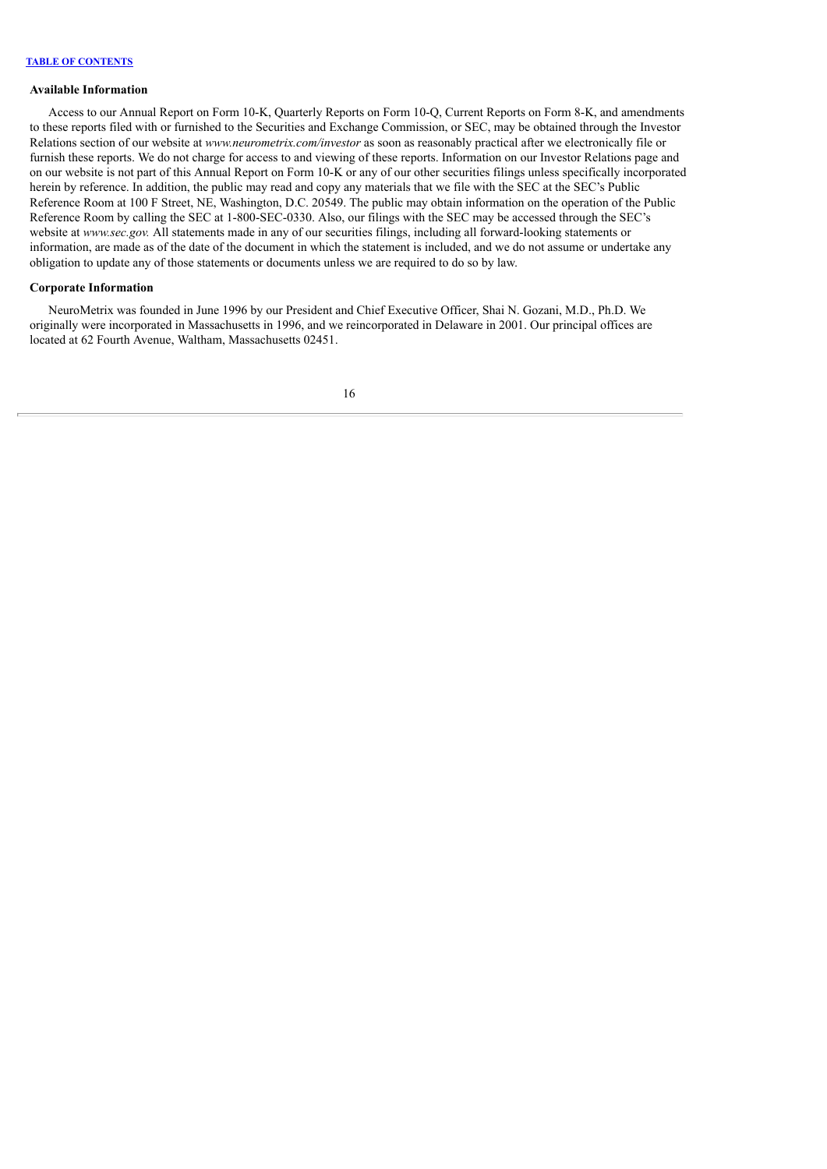### **Available Information**

Access to our Annual Report on Form 10-K, Quarterly Reports on Form 10-Q, Current Reports on Form 8-K, and amendments to these reports filed with or furnished to the Securities and Exchange Commission, or SEC, may be obtained through the Investor Relations section of our website at *www.neurometrix.com/investor* as soon as reasonably practical after we electronically file or furnish these reports. We do not charge for access to and viewing of these reports. Information on our Investor Relations page and on our website is not part of this Annual Report on Form 10-K or any of our other securities filings unless specifically incorporated herein by reference. In addition, the public may read and copy any materials that we file with the SEC at the SEC's Public Reference Room at 100 F Street, NE, Washington, D.C. 20549. The public may obtain information on the operation of the Public Reference Room by calling the SEC at 1-800-SEC-0330. Also, our filings with the SEC may be accessed through the SEC's website at *www.sec.gov.* All statements made in any of our securities filings, including all forward-looking statements or information, are made as of the date of the document in which the statement is included, and we do not assume or undertake any obligation to update any of those statements or documents unless we are required to do so by law.

### **Corporate Information**

NeuroMetrix was founded in June 1996 by our President and Chief Executive Officer, Shai N. Gozani, M.D., Ph.D. We originally were incorporated in Massachusetts in 1996, and we reincorporated in Delaware in 2001. Our principal offices are located at 62 Fourth Avenue, Waltham, Massachusetts 02451.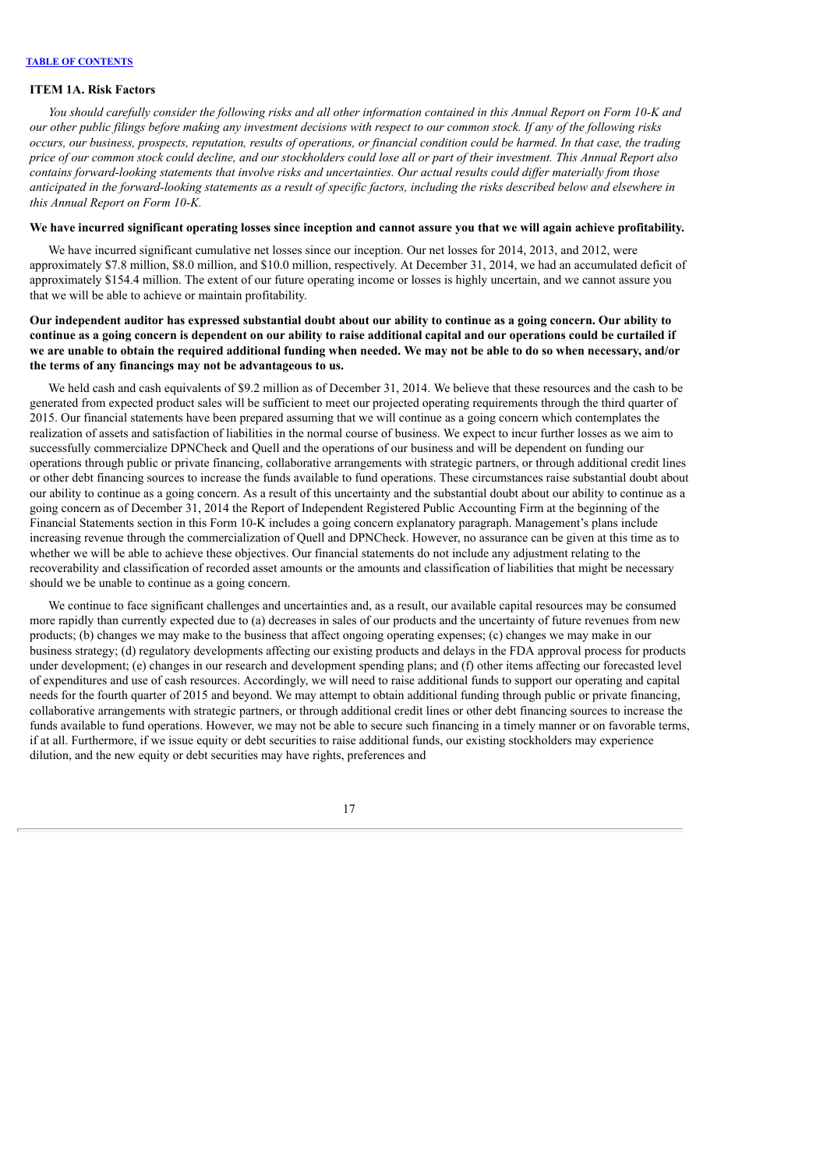### <span id="page-19-0"></span>**ITEM 1A. Risk Factors**

You should carefully consider the following risks and all other information contained in this Annual Report on Form 10-K and our other public filings before making any investment decisions with respect to our common stock. If any of the following risks occurs, our business, prospects, reputation, results of operations, or financial condition could be harmed. In that case, the trading price of our common stock could decline, and our stockholders could lose all or part of their investment. This Annual Report also contains forward-looking statements that involve risks and uncertainties. Our actual results could differ materially from those anticipated in the forward-looking statements as a result of specific factors, including the risks described below and elsewhere in *this Annual Report on Form 10-K.*

# We have incurred significant operating losses since inception and cannot assure you that we will again achieve profitability.

We have incurred significant cumulative net losses since our inception. Our net losses for 2014, 2013, and 2012, were approximately \$7.8 million, \$8.0 million, and \$10.0 million, respectively. At December 31, 2014, we had an accumulated deficit of approximately \$154.4 million. The extent of our future operating income or losses is highly uncertain, and we cannot assure you that we will be able to achieve or maintain profitability.

# Our independent auditor has expressed substantial doubt about our ability to continue as a going concern. Our ability to continue as a going concern is dependent on our ability to raise additional capital and our operations could be curtailed if we are unable to obtain the required additional funding when needed. We may not be able to do so when necessary, and/or **the terms of any financings may not be advantageous to us.**

We held cash and cash equivalents of \$9.2 million as of December 31, 2014. We believe that these resources and the cash to be generated from expected product sales will be sufficient to meet our projected operating requirements through the third quarter of 2015. Our financial statements have been prepared assuming that we will continue as a going concern which contemplates the realization of assets and satisfaction of liabilities in the normal course of business. We expect to incur further losses as we aim to successfully commercialize DPNCheck and Quell and the operations of our business and will be dependent on funding our operations through public or private financing, collaborative arrangements with strategic partners, or through additional credit lines or other debt financing sources to increase the funds available to fund operations. These circumstances raise substantial doubt about our ability to continue as a going concern. As a result of this uncertainty and the substantial doubt about our ability to continue as a going concern as of December 31, 2014 the Report of Independent Registered Public Accounting Firm at the beginning of the Financial Statements section in this Form 10-K includes a going concern explanatory paragraph. Management's plans include increasing revenue through the commercialization of Quell and DPNCheck. However, no assurance can be given at this time as to whether we will be able to achieve these objectives. Our financial statements do not include any adjustment relating to the recoverability and classification of recorded asset amounts or the amounts and classification of liabilities that might be necessary should we be unable to continue as a going concern.

We continue to face significant challenges and uncertainties and, as a result, our available capital resources may be consumed more rapidly than currently expected due to (a) decreases in sales of our products and the uncertainty of future revenues from new products; (b) changes we may make to the business that affect ongoing operating expenses; (c) changes we may make in our business strategy; (d) regulatory developments affecting our existing products and delays in the FDA approval process for products under development; (e) changes in our research and development spending plans; and (f) other items affecting our forecasted level of expenditures and use of cash resources. Accordingly, we will need to raise additional funds to support our operating and capital needs for the fourth quarter of 2015 and beyond. We may attempt to obtain additional funding through public or private financing, collaborative arrangements with strategic partners, or through additional credit lines or other debt financing sources to increase the funds available to fund operations. However, we may not be able to secure such financing in a timely manner or on favorable terms, if at all. Furthermore, if we issue equity or debt securities to raise additional funds, our existing stockholders may experience dilution, and the new equity or debt securities may have rights, preferences and

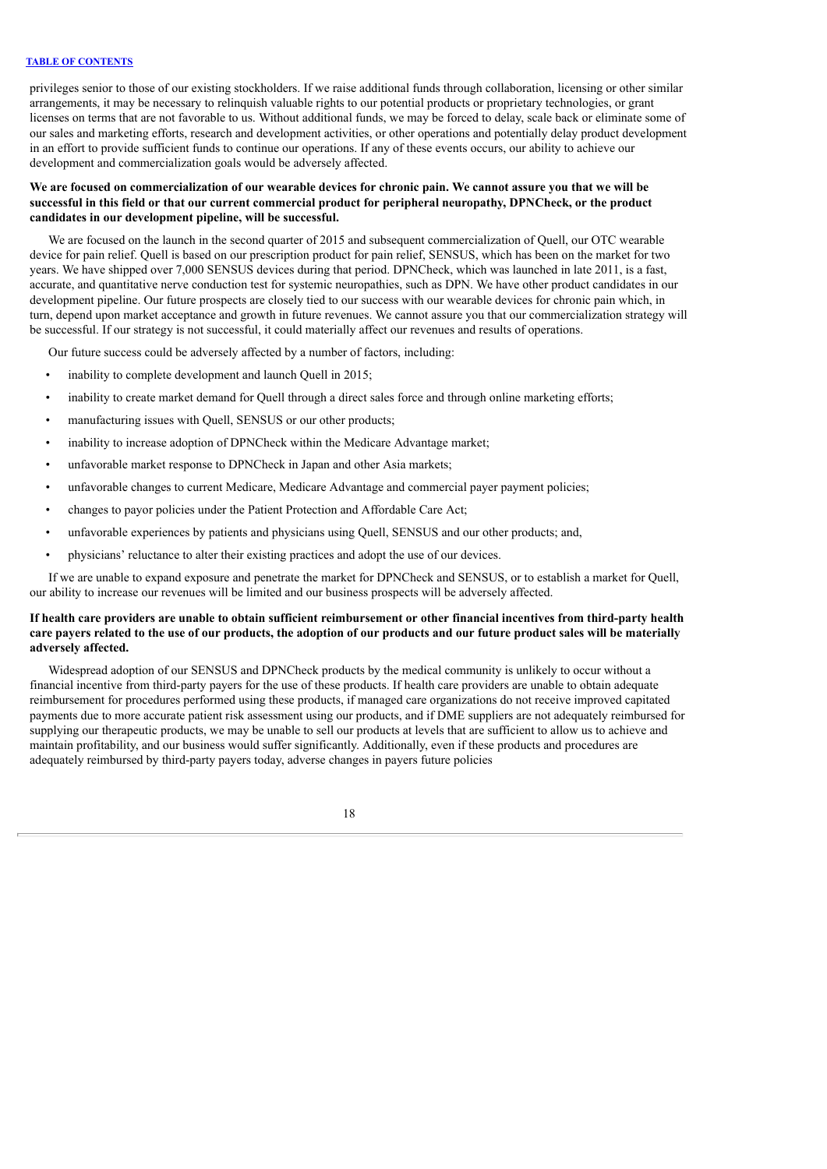privileges senior to those of our existing stockholders. If we raise additional funds through collaboration, licensing or other similar arrangements, it may be necessary to relinquish valuable rights to our potential products or proprietary technologies, or grant licenses on terms that are not favorable to us. Without additional funds, we may be forced to delay, scale back or eliminate some of our sales and marketing efforts, research and development activities, or other operations and potentially delay product development in an effort to provide sufficient funds to continue our operations. If any of these events occurs, our ability to achieve our development and commercialization goals would be adversely affected.

# We are focused on commercialization of our wearable devices for chronic pain. We cannot assure you that we will be successful in this field or that our current commercial product for peripheral neuropathy, DPNCheck, or the product **candidates in our development pipeline, will be successful.**

We are focused on the launch in the second quarter of 2015 and subsequent commercialization of Quell, our OTC wearable device for pain relief. Quell is based on our prescription product for pain relief, SENSUS, which has been on the market for two years. We have shipped over 7,000 SENSUS devices during that period. DPNCheck, which was launched in late 2011, is a fast, accurate, and quantitative nerve conduction test for systemic neuropathies, such as DPN. We have other product candidates in our development pipeline. Our future prospects are closely tied to our success with our wearable devices for chronic pain which, in turn, depend upon market acceptance and growth in future revenues. We cannot assure you that our commercialization strategy will be successful. If our strategy is not successful, it could materially affect our revenues and results of operations.

Our future success could be adversely affected by a number of factors, including:

- inability to complete development and launch Quell in 2015;
- inability to create market demand for Quell through a direct sales force and through online marketing efforts;
- manufacturing issues with Quell, SENSUS or our other products;
- inability to increase adoption of DPNCheck within the Medicare Advantage market;
- unfavorable market response to DPNCheck in Japan and other Asia markets;
- unfavorable changes to current Medicare, Medicare Advantage and commercial payer payment policies;
- changes to payor policies under the Patient Protection and Affordable Care Act;
- unfavorable experiences by patients and physicians using Quell, SENSUS and our other products; and,
- physicians' reluctance to alter their existing practices and adopt the use of our devices.

If we are unable to expand exposure and penetrate the market for DPNCheck and SENSUS, or to establish a market for Quell, our ability to increase our revenues will be limited and our business prospects will be adversely affected.

# If health care providers are unable to obtain sufficient reimbursement or other financial incentives from third-party health care payers related to the use of our products, the adoption of our products and our future product sales will be materially **adversely affected.**

Widespread adoption of our SENSUS and DPNCheck products by the medical community is unlikely to occur without a financial incentive from third-party payers for the use of these products. If health care providers are unable to obtain adequate reimbursement for procedures performed using these products, if managed care organizations do not receive improved capitated payments due to more accurate patient risk assessment using our products, and if DME suppliers are not adequately reimbursed for supplying our therapeutic products, we may be unable to sell our products at levels that are sufficient to allow us to achieve and maintain profitability, and our business would suffer significantly. Additionally, even if these products and procedures are adequately reimbursed by third-party payers today, adverse changes in payers future policies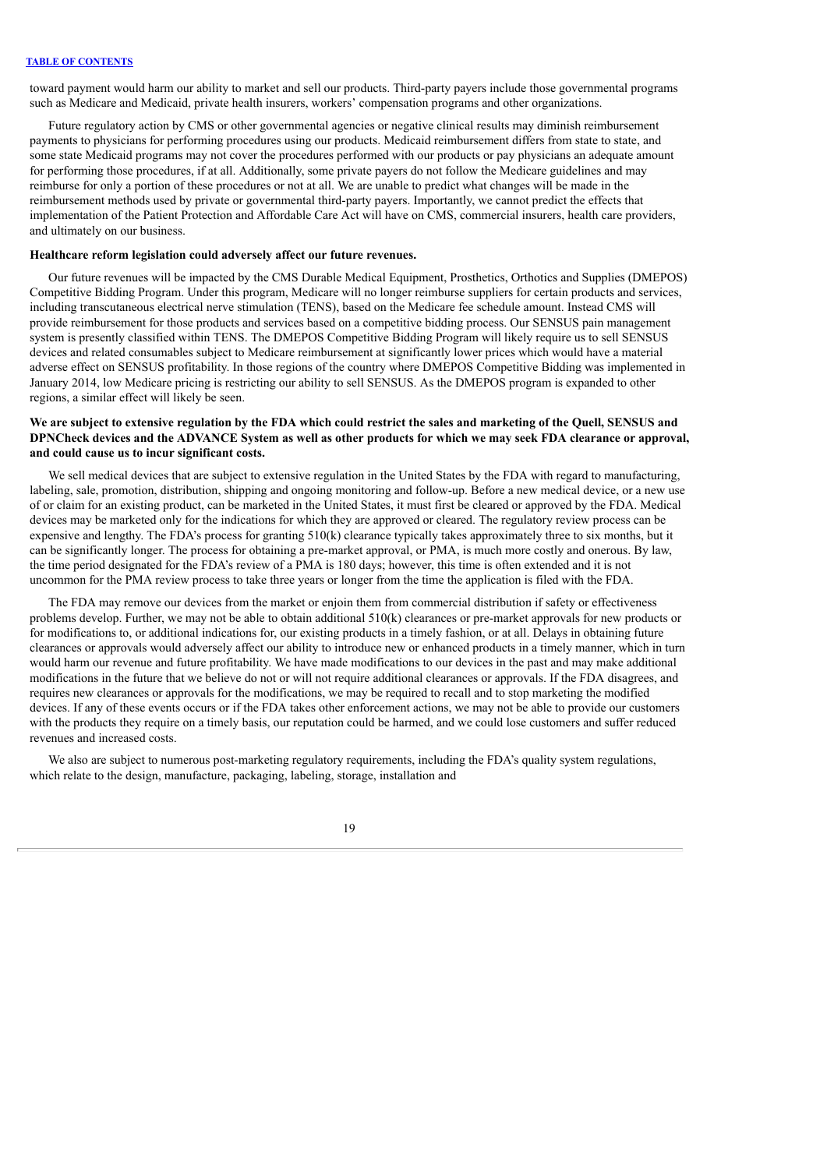toward payment would harm our ability to market and sell our products. Third-party payers include those governmental programs such as Medicare and Medicaid, private health insurers, workers' compensation programs and other organizations.

Future regulatory action by CMS or other governmental agencies or negative clinical results may diminish reimbursement payments to physicians for performing procedures using our products. Medicaid reimbursement differs from state to state, and some state Medicaid programs may not cover the procedures performed with our products or pay physicians an adequate amount for performing those procedures, if at all. Additionally, some private payers do not follow the Medicare guidelines and may reimburse for only a portion of these procedures or not at all. We are unable to predict what changes will be made in the reimbursement methods used by private or governmental third-party payers. Importantly, we cannot predict the effects that implementation of the Patient Protection and Affordable Care Act will have on CMS, commercial insurers, health care providers, and ultimately on our business.

# **Healthcare reform legislation could adversely affect our future revenues.**

Our future revenues will be impacted by the CMS Durable Medical Equipment, Prosthetics, Orthotics and Supplies (DMEPOS) Competitive Bidding Program. Under this program, Medicare will no longer reimburse suppliers for certain products and services, including transcutaneous electrical nerve stimulation (TENS), based on the Medicare fee schedule amount. Instead CMS will provide reimbursement for those products and services based on a competitive bidding process. Our SENSUS pain management system is presently classified within TENS. The DMEPOS Competitive Bidding Program will likely require us to sell SENSUS devices and related consumables subject to Medicare reimbursement at significantly lower prices which would have a material adverse effect on SENSUS profitability. In those regions of the country where DMEPOS Competitive Bidding was implemented in January 2014, low Medicare pricing is restricting our ability to sell SENSUS. As the DMEPOS program is expanded to other regions, a similar effect will likely be seen.

# We are subject to extensive regulation by the FDA which could restrict the sales and marketing of the Quell, SENSUS and DPNCheck devices and the ADVANCE System as well as other products for which we may seek FDA clearance or approval, **and could cause us to incur significant costs.**

We sell medical devices that are subject to extensive regulation in the United States by the FDA with regard to manufacturing, labeling, sale, promotion, distribution, shipping and ongoing monitoring and follow-up. Before a new medical device, or a new use of or claim for an existing product, can be marketed in the United States, it must first be cleared or approved by the FDA. Medical devices may be marketed only for the indications for which they are approved or cleared. The regulatory review process can be expensive and lengthy. The FDA's process for granting 510(k) clearance typically takes approximately three to six months, but it can be significantly longer. The process for obtaining a pre-market approval, or PMA, is much more costly and onerous. By law, the time period designated for the FDA's review of a PMA is 180 days; however, this time is often extended and it is not uncommon for the PMA review process to take three years or longer from the time the application is filed with the FDA.

The FDA may remove our devices from the market or enjoin them from commercial distribution if safety or effectiveness problems develop. Further, we may not be able to obtain additional 510(k) clearances or pre-market approvals for new products or for modifications to, or additional indications for, our existing products in a timely fashion, or at all. Delays in obtaining future clearances or approvals would adversely affect our ability to introduce new or enhanced products in a timely manner, which in turn would harm our revenue and future profitability. We have made modifications to our devices in the past and may make additional modifications in the future that we believe do not or will not require additional clearances or approvals. If the FDA disagrees, and requires new clearances or approvals for the modifications, we may be required to recall and to stop marketing the modified devices. If any of these events occurs or if the FDA takes other enforcement actions, we may not be able to provide our customers with the products they require on a timely basis, our reputation could be harmed, and we could lose customers and suffer reduced revenues and increased costs.

We also are subject to numerous post-marketing regulatory requirements, including the FDA's quality system regulations, which relate to the design, manufacture, packaging, labeling, storage, installation and

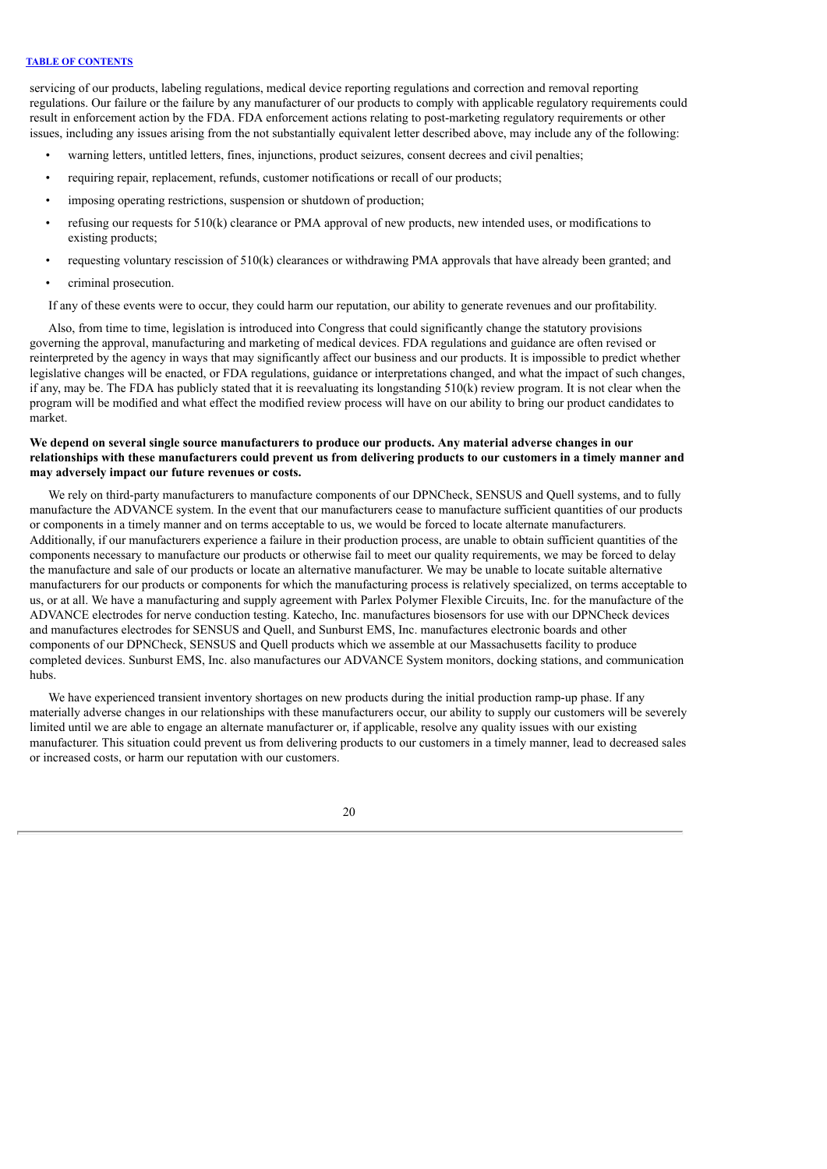servicing of our products, labeling regulations, medical device reporting regulations and correction and removal reporting regulations. Our failure or the failure by any manufacturer of our products to comply with applicable regulatory requirements could result in enforcement action by the FDA. FDA enforcement actions relating to post-marketing regulatory requirements or other issues, including any issues arising from the not substantially equivalent letter described above, may include any of the following:

- warning letters, untitled letters, fines, injunctions, product seizures, consent decrees and civil penalties;
- requiring repair, replacement, refunds, customer notifications or recall of our products;
- imposing operating restrictions, suspension or shutdown of production;
- refusing our requests for 510(k) clearance or PMA approval of new products, new intended uses, or modifications to existing products;
- requesting voluntary rescission of 510(k) clearances or withdrawing PMA approvals that have already been granted; and
- criminal prosecution.

If any of these events were to occur, they could harm our reputation, our ability to generate revenues and our profitability.

Also, from time to time, legislation is introduced into Congress that could significantly change the statutory provisions governing the approval, manufacturing and marketing of medical devices. FDA regulations and guidance are often revised or reinterpreted by the agency in ways that may significantly affect our business and our products. It is impossible to predict whether legislative changes will be enacted, or FDA regulations, guidance or interpretations changed, and what the impact of such changes, if any, may be. The FDA has publicly stated that it is reevaluating its longstanding 510(k) review program. It is not clear when the program will be modified and what effect the modified review process will have on our ability to bring our product candidates to market.

# We depend on several single source manufacturers to produce our products. Any material adverse changes in our relationships with these manufacturers could prevent us from delivering products to our customers in a timely manner and **may adversely impact our future revenues or costs.**

We rely on third-party manufacturers to manufacture components of our DPNCheck, SENSUS and Quell systems, and to fully manufacture the ADVANCE system. In the event that our manufacturers cease to manufacture sufficient quantities of our products or components in a timely manner and on terms acceptable to us, we would be forced to locate alternate manufacturers. Additionally, if our manufacturers experience a failure in their production process, are unable to obtain sufficient quantities of the components necessary to manufacture our products or otherwise fail to meet our quality requirements, we may be forced to delay the manufacture and sale of our products or locate an alternative manufacturer. We may be unable to locate suitable alternative manufacturers for our products or components for which the manufacturing process is relatively specialized, on terms acceptable to us, or at all. We have a manufacturing and supply agreement with Parlex Polymer Flexible Circuits, Inc. for the manufacture of the ADVANCE electrodes for nerve conduction testing. Katecho, Inc. manufactures biosensors for use with our DPNCheck devices and manufactures electrodes for SENSUS and Quell, and Sunburst EMS, Inc. manufactures electronic boards and other components of our DPNCheck, SENSUS and Quell products which we assemble at our Massachusetts facility to produce completed devices. Sunburst EMS, Inc. also manufactures our ADVANCE System monitors, docking stations, and communication hubs.

We have experienced transient inventory shortages on new products during the initial production ramp-up phase. If any materially adverse changes in our relationships with these manufacturers occur, our ability to supply our customers will be severely limited until we are able to engage an alternate manufacturer or, if applicable, resolve any quality issues with our existing manufacturer. This situation could prevent us from delivering products to our customers in a timely manner, lead to decreased sales or increased costs, or harm our reputation with our customers.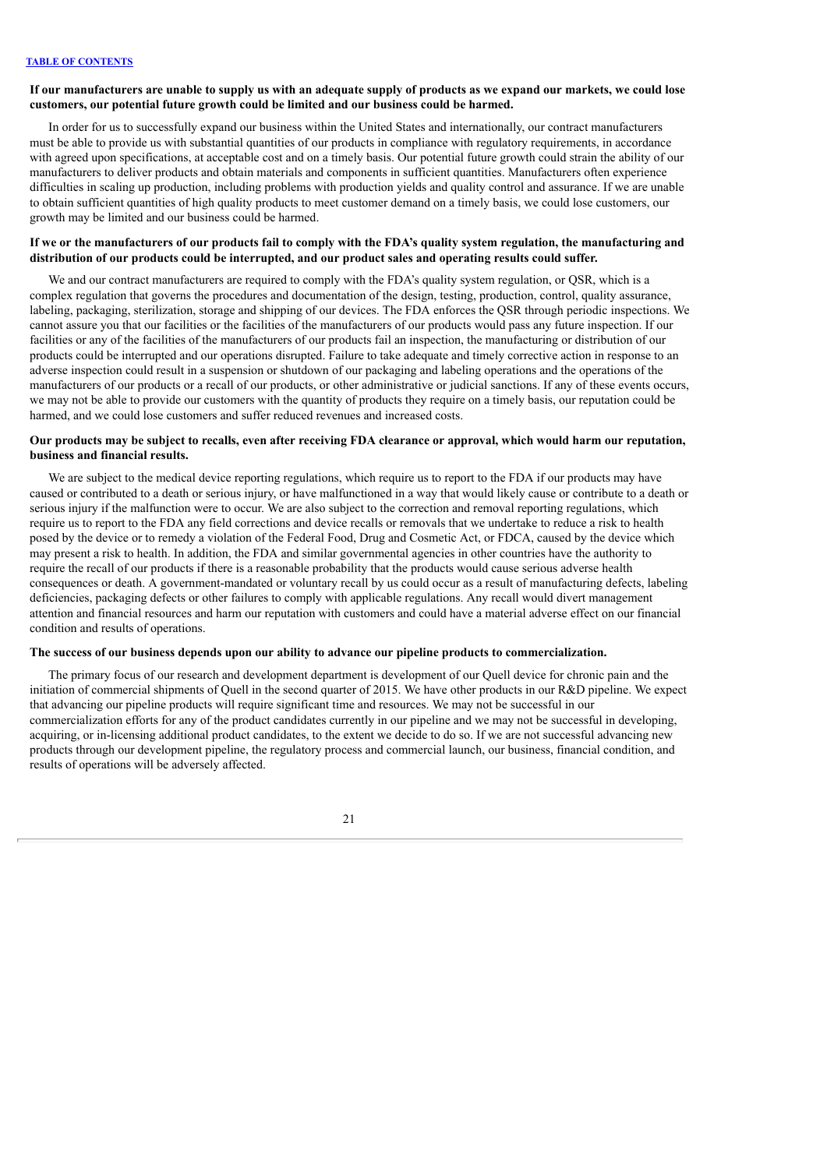# If our manufacturers are unable to supply us with an adequate supply of products as we expand our markets, we could lose **customers, our potential future growth could be limited and our business could be harmed.**

In order for us to successfully expand our business within the United States and internationally, our contract manufacturers must be able to provide us with substantial quantities of our products in compliance with regulatory requirements, in accordance with agreed upon specifications, at acceptable cost and on a timely basis. Our potential future growth could strain the ability of our manufacturers to deliver products and obtain materials and components in sufficient quantities. Manufacturers often experience difficulties in scaling up production, including problems with production yields and quality control and assurance. If we are unable to obtain sufficient quantities of high quality products to meet customer demand on a timely basis, we could lose customers, our growth may be limited and our business could be harmed.

# If we or the manufacturers of our products fail to comply with the FDA's quality system regulation, the manufacturing and **distribution of our products could be interrupted, and our product sales and operating results could suffer.**

We and our contract manufacturers are required to comply with the FDA's quality system regulation, or QSR, which is a complex regulation that governs the procedures and documentation of the design, testing, production, control, quality assurance, labeling, packaging, sterilization, storage and shipping of our devices. The FDA enforces the QSR through periodic inspections. We cannot assure you that our facilities or the facilities of the manufacturers of our products would pass any future inspection. If our facilities or any of the facilities of the manufacturers of our products fail an inspection, the manufacturing or distribution of our products could be interrupted and our operations disrupted. Failure to take adequate and timely corrective action in response to an adverse inspection could result in a suspension or shutdown of our packaging and labeling operations and the operations of the manufacturers of our products or a recall of our products, or other administrative or judicial sanctions. If any of these events occurs, we may not be able to provide our customers with the quantity of products they require on a timely basis, our reputation could be harmed, and we could lose customers and suffer reduced revenues and increased costs.

# Our products may be subject to recalls, even after receiving FDA clearance or approval, which would harm our reputation, **business and financial results.**

We are subject to the medical device reporting regulations, which require us to report to the FDA if our products may have caused or contributed to a death or serious injury, or have malfunctioned in a way that would likely cause or contribute to a death or serious injury if the malfunction were to occur. We are also subject to the correction and removal reporting regulations, which require us to report to the FDA any field corrections and device recalls or removals that we undertake to reduce a risk to health posed by the device or to remedy a violation of the Federal Food, Drug and Cosmetic Act, or FDCA, caused by the device which may present a risk to health. In addition, the FDA and similar governmental agencies in other countries have the authority to require the recall of our products if there is a reasonable probability that the products would cause serious adverse health consequences or death. A government-mandated or voluntary recall by us could occur as a result of manufacturing defects, labeling deficiencies, packaging defects or other failures to comply with applicable regulations. Any recall would divert management attention and financial resources and harm our reputation with customers and could have a material adverse effect on our financial condition and results of operations.

# **The success of our business depends upon our ability to advance our pipeline products to commercialization.**

The primary focus of our research and development department is development of our Quell device for chronic pain and the initiation of commercial shipments of Quell in the second quarter of 2015. We have other products in our R&D pipeline. We expect that advancing our pipeline products will require significant time and resources. We may not be successful in our commercialization efforts for any of the product candidates currently in our pipeline and we may not be successful in developing, acquiring, or in-licensing additional product candidates, to the extent we decide to do so. If we are not successful advancing new products through our development pipeline, the regulatory process and commercial launch, our business, financial condition, and results of operations will be adversely affected.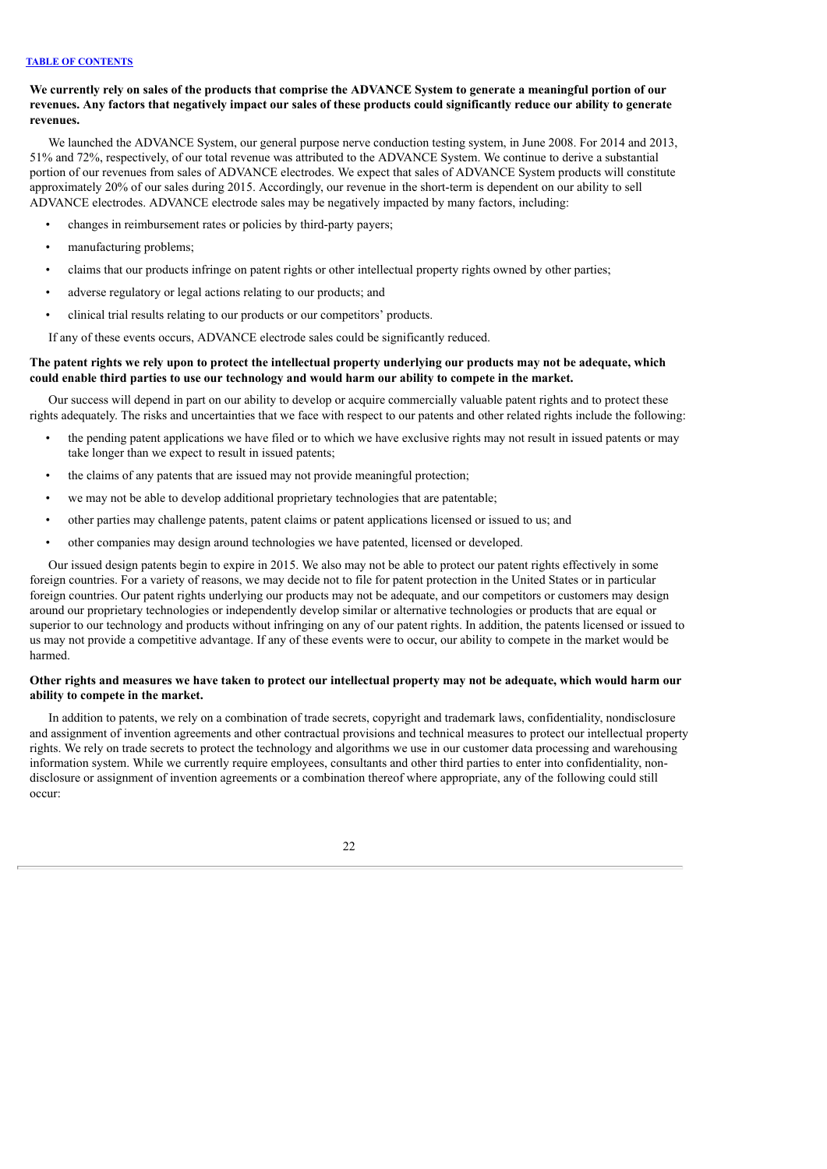# We currently rely on sales of the products that comprise the ADVANCE System to generate a meaningful portion of our revenues. Any factors that negatively impact our sales of these products could significantly reduce our ability to generate **revenues.**

We launched the ADVANCE System, our general purpose nerve conduction testing system, in June 2008. For 2014 and 2013, 51% and 72%, respectively, of our total revenue was attributed to the ADVANCE System. We continue to derive a substantial portion of our revenues from sales of ADVANCE electrodes. We expect that sales of ADVANCE System products will constitute approximately 20% of our sales during 2015. Accordingly, our revenue in the short-term is dependent on our ability to sell ADVANCE electrodes. ADVANCE electrode sales may be negatively impacted by many factors, including:

- changes in reimbursement rates or policies by third-party payers;
- manufacturing problems;
- claims that our products infringe on patent rights or other intellectual property rights owned by other parties;
- adverse regulatory or legal actions relating to our products; and
- clinical trial results relating to our products or our competitors' products.
- If any of these events occurs, ADVANCE electrode sales could be significantly reduced.

# The patent rights we rely upon to protect the intellectual property underlying our products may not be adequate, which could enable third parties to use our technology and would harm our ability to compete in the market.

Our success will depend in part on our ability to develop or acquire commercially valuable patent rights and to protect these rights adequately. The risks and uncertainties that we face with respect to our patents and other related rights include the following:

- the pending patent applications we have filed or to which we have exclusive rights may not result in issued patents or may take longer than we expect to result in issued patents;
- the claims of any patents that are issued may not provide meaningful protection;
- we may not be able to develop additional proprietary technologies that are patentable;
- other parties may challenge patents, patent claims or patent applications licensed or issued to us; and
- other companies may design around technologies we have patented, licensed or developed.

Our issued design patents begin to expire in 2015. We also may not be able to protect our patent rights effectively in some foreign countries. For a variety of reasons, we may decide not to file for patent protection in the United States or in particular foreign countries. Our patent rights underlying our products may not be adequate, and our competitors or customers may design around our proprietary technologies or independently develop similar or alternative technologies or products that are equal or superior to our technology and products without infringing on any of our patent rights. In addition, the patents licensed or issued to us may not provide a competitive advantage. If any of these events were to occur, our ability to compete in the market would be harmed.

# Other rights and measures we have taken to protect our intellectual property may not be adequate, which would harm our **ability to compete in the market.**

In addition to patents, we rely on a combination of trade secrets, copyright and trademark laws, confidentiality, nondisclosure and assignment of invention agreements and other contractual provisions and technical measures to protect our intellectual property rights. We rely on trade secrets to protect the technology and algorithms we use in our customer data processing and warehousing information system. While we currently require employees, consultants and other third parties to enter into confidentiality, nondisclosure or assignment of invention agreements or a combination thereof where appropriate, any of the following could still occur: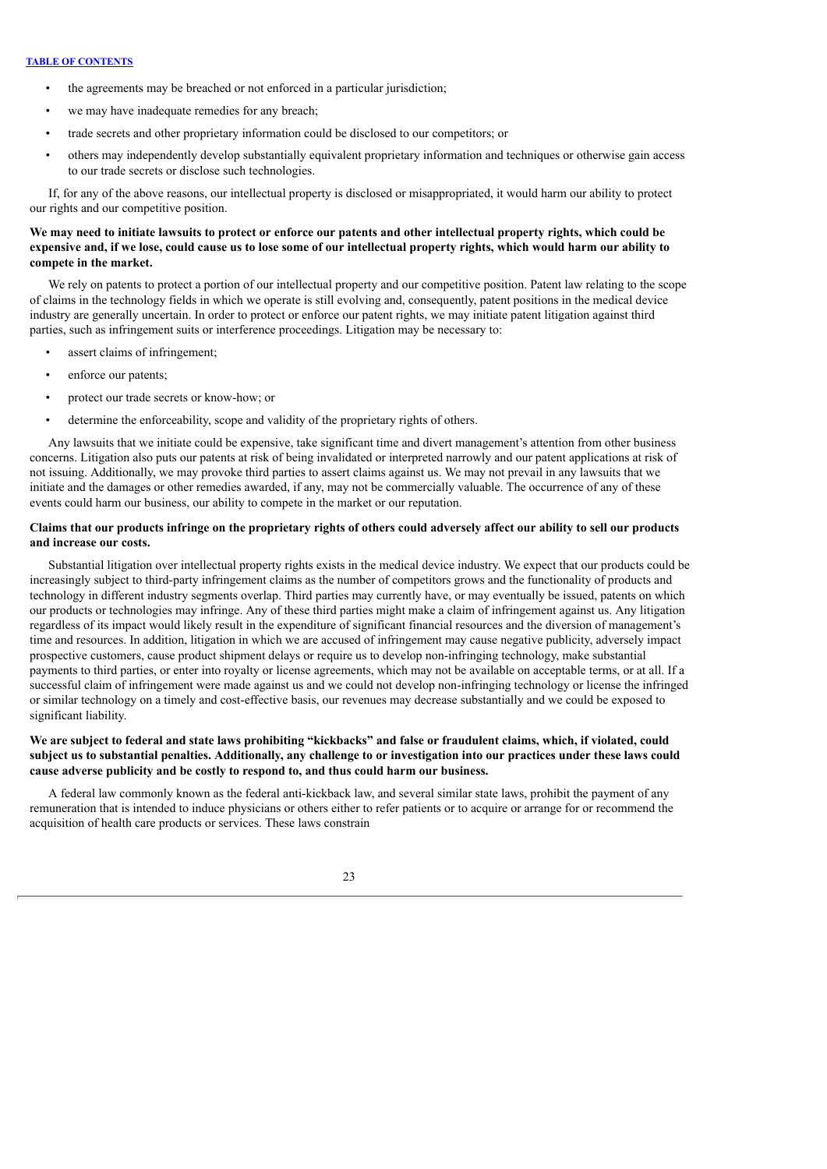- the agreements may be breached or not enforced in a particular jurisdiction;
- we may have inadequate remedies for any breach;
- trade secrets and other proprietary information could be disclosed to our competitors; or
- others may independently develop substantially equivalent proprietary information and techniques or otherwise gain access to our trade secrets or disclose such technologies.

If, for any of the above reasons, our intellectual property is disclosed or misappropriated, it would harm our ability to protect our rights and our competitive position.

# We may need to initiate lawsuits to protect or enforce our patents and other intellectual property rights, which could be expensive and, if we lose, could cause us to lose some of our intellectual property rights, which would harm our ability to **compete in the market.**

We rely on patents to protect a portion of our intellectual property and our competitive position. Patent law relating to the scope of claims in the technology fields in which we operate is still evolving and, consequently, patent positions in the medical device industry are generally uncertain. In order to protect or enforce our patent rights, we may initiate patent litigation against third parties, such as infringement suits or interference proceedings. Litigation may be necessary to:

- assert claims of infringement;
- enforce our patents:
- protect our trade secrets or know-how; or
- determine the enforceability, scope and validity of the proprietary rights of others.

Any lawsuits that we initiate could be expensive, take significant time and divert management's attention from other business concerns. Litigation also puts our patents at risk of being invalidated or interpreted narrowly and our patent applications at risk of not issuing. Additionally, we may provoke third parties to assert claims against us. We may not prevail in any lawsuits that we initiate and the damages or other remedies awarded, if any, may not be commercially valuable. The occurrence of any of these events could harm our business, our ability to compete in the market or our reputation.

# Claims that our products infringe on the proprietary rights of others could adversely affect our ability to sell our products **and increase our costs.**

Substantial litigation over intellectual property rights exists in the medical device industry. We expect that our products could be increasingly subject to third-party infringement claims as the number of competitors grows and the functionality of products and technology in different industry segments overlap. Third parties may currently have, or may eventually be issued, patents on which our products or technologies may infringe. Any of these third parties might make a claim of infringement against us. Any litigation regardless of its impact would likely result in the expenditure of significant financial resources and the diversion of management's time and resources. In addition, litigation in which we are accused of infringement may cause negative publicity, adversely impact prospective customers, cause product shipment delays or require us to develop non-infringing technology, make substantial payments to third parties, or enter into royalty or license agreements, which may not be available on acceptable terms, or at all. If a successful claim of infringement were made against us and we could not develop non-infringing technology or license the infringed or similar technology on a timely and cost-effective basis, our revenues may decrease substantially and we could be exposed to significant liability.

# We are subject to federal and state laws prohibiting "kickbacks" and false or fraudulent claims, which, if violated, could subject us to substantial penalties. Additionally, any challenge to or investigation into our practices under these laws could **cause adverse publicity and be costly to respond to, and thus could harm our business.**

A federal law commonly known as the federal anti-kickback law, and several similar state laws, prohibit the payment of any remuneration that is intended to induce physicians or others either to refer patients or to acquire or arrange for or recommend the acquisition of health care products or services. These laws constrain

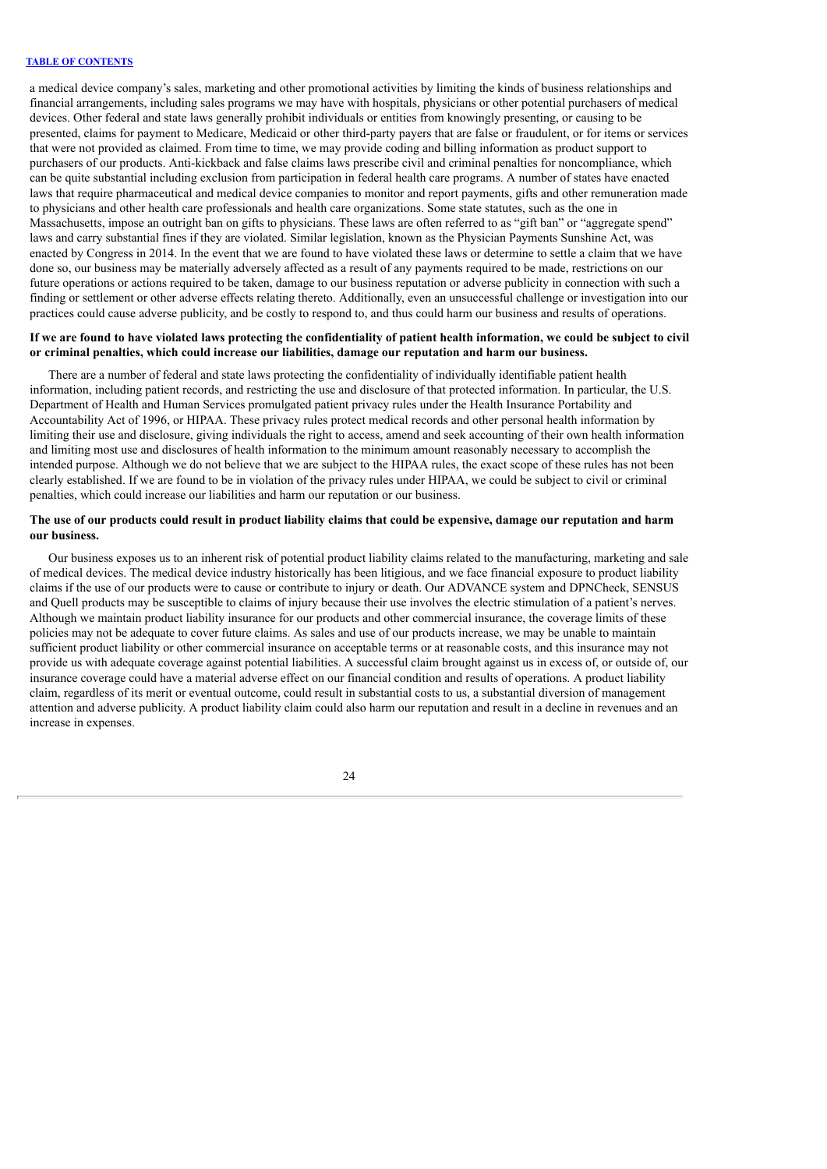a medical device company's sales, marketing and other promotional activities by limiting the kinds of business relationships and financial arrangements, including sales programs we may have with hospitals, physicians or other potential purchasers of medical devices. Other federal and state laws generally prohibit individuals or entities from knowingly presenting, or causing to be presented, claims for payment to Medicare, Medicaid or other third-party payers that are false or fraudulent, or for items or services that were not provided as claimed. From time to time, we may provide coding and billing information as product support to purchasers of our products. Anti-kickback and false claims laws prescribe civil and criminal penalties for noncompliance, which can be quite substantial including exclusion from participation in federal health care programs. A number of states have enacted laws that require pharmaceutical and medical device companies to monitor and report payments, gifts and other remuneration made to physicians and other health care professionals and health care organizations. Some state statutes, such as the one in Massachusetts, impose an outright ban on gifts to physicians. These laws are often referred to as "gift ban" or "aggregate spend" laws and carry substantial fines if they are violated. Similar legislation, known as the Physician Payments Sunshine Act, was enacted by Congress in 2014. In the event that we are found to have violated these laws or determine to settle a claim that we have done so, our business may be materially adversely affected as a result of any payments required to be made, restrictions on our future operations or actions required to be taken, damage to our business reputation or adverse publicity in connection with such a finding or settlement or other adverse effects relating thereto. Additionally, even an unsuccessful challenge or investigation into our practices could cause adverse publicity, and be costly to respond to, and thus could harm our business and results of operations.

# If we are found to have violated laws protecting the confidentiality of patient health information, we could be subject to civil **or criminal penalties, which could increase our liabilities, damage our reputation and harm our business.**

There are a number of federal and state laws protecting the confidentiality of individually identifiable patient health information, including patient records, and restricting the use and disclosure of that protected information. In particular, the U.S. Department of Health and Human Services promulgated patient privacy rules under the Health Insurance Portability and Accountability Act of 1996, or HIPAA. These privacy rules protect medical records and other personal health information by limiting their use and disclosure, giving individuals the right to access, amend and seek accounting of their own health information and limiting most use and disclosures of health information to the minimum amount reasonably necessary to accomplish the intended purpose. Although we do not believe that we are subject to the HIPAA rules, the exact scope of these rules has not been clearly established. If we are found to be in violation of the privacy rules under HIPAA, we could be subject to civil or criminal penalties, which could increase our liabilities and harm our reputation or our business.

# The use of our products could result in product liability claims that could be expensive, damage our reputation and harm **our business.**

Our business exposes us to an inherent risk of potential product liability claims related to the manufacturing, marketing and sale of medical devices. The medical device industry historically has been litigious, and we face financial exposure to product liability claims if the use of our products were to cause or contribute to injury or death. Our ADVANCE system and DPNCheck, SENSUS and Quell products may be susceptible to claims of injury because their use involves the electric stimulation of a patient's nerves. Although we maintain product liability insurance for our products and other commercial insurance, the coverage limits of these policies may not be adequate to cover future claims. As sales and use of our products increase, we may be unable to maintain sufficient product liability or other commercial insurance on acceptable terms or at reasonable costs, and this insurance may not provide us with adequate coverage against potential liabilities. A successful claim brought against us in excess of, or outside of, our insurance coverage could have a material adverse effect on our financial condition and results of operations. A product liability claim, regardless of its merit or eventual outcome, could result in substantial costs to us, a substantial diversion of management attention and adverse publicity. A product liability claim could also harm our reputation and result in a decline in revenues and an increase in expenses.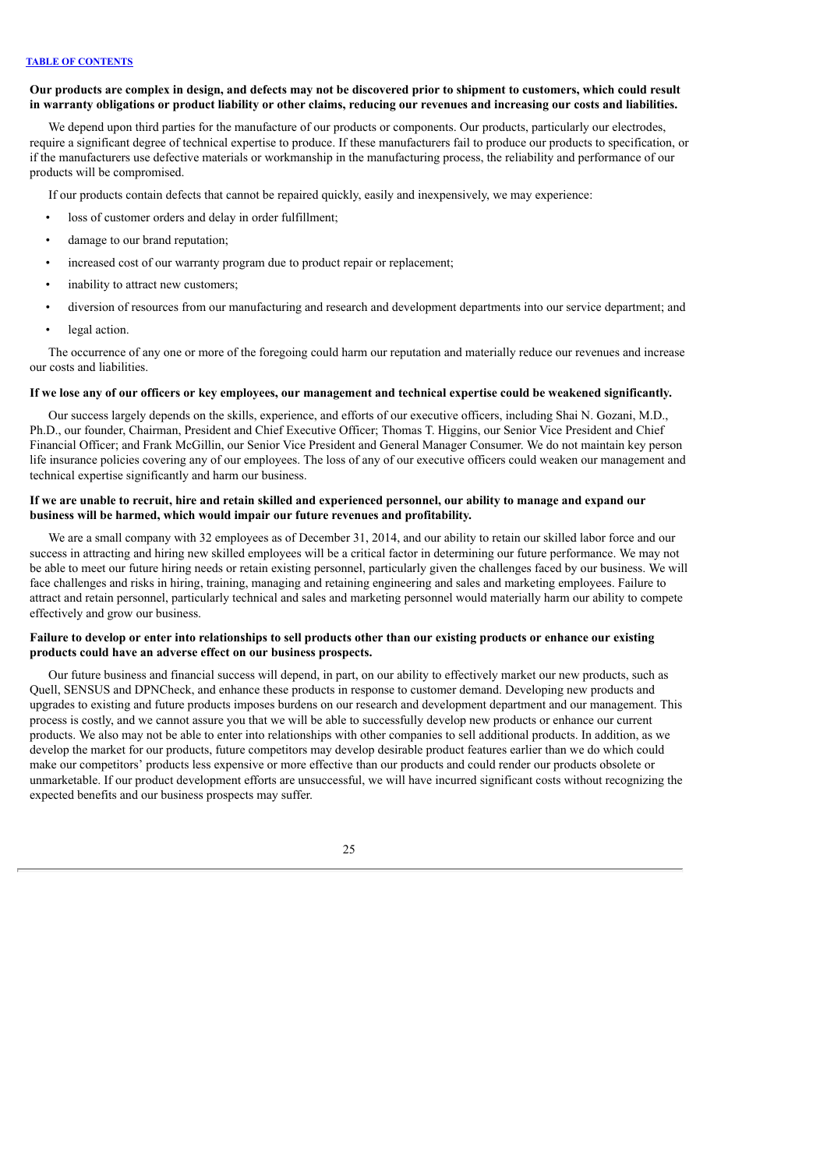# Our products are complex in design, and defects may not be discovered prior to shipment to customers, which could result in warranty obligations or product liability or other claims, reducing our revenues and increasing our costs and liabilities.

We depend upon third parties for the manufacture of our products or components. Our products, particularly our electrodes, require a significant degree of technical expertise to produce. If these manufacturers fail to produce our products to specification, or if the manufacturers use defective materials or workmanship in the manufacturing process, the reliability and performance of our products will be compromised.

If our products contain defects that cannot be repaired quickly, easily and inexpensively, we may experience:

- loss of customer orders and delay in order fulfillment;
- damage to our brand reputation;
- increased cost of our warranty program due to product repair or replacement;
- inability to attract new customers;
- diversion of resources from our manufacturing and research and development departments into our service department; and
- legal action.

The occurrence of any one or more of the foregoing could harm our reputation and materially reduce our revenues and increase our costs and liabilities.

# If we lose any of our officers or key employees, our management and technical expertise could be weakened significantly.

Our success largely depends on the skills, experience, and efforts of our executive officers, including Shai N. Gozani, M.D., Ph.D., our founder, Chairman, President and Chief Executive Officer; Thomas T. Higgins, our Senior Vice President and Chief Financial Officer; and Frank McGillin, our Senior Vice President and General Manager Consumer. We do not maintain key person life insurance policies covering any of our employees. The loss of any of our executive officers could weaken our management and technical expertise significantly and harm our business.

# If we are unable to recruit, hire and retain skilled and experienced personnel, our ability to manage and expand our **business will be harmed, which would impair our future revenues and profitability.**

We are a small company with 32 employees as of December 31, 2014, and our ability to retain our skilled labor force and our success in attracting and hiring new skilled employees will be a critical factor in determining our future performance. We may not be able to meet our future hiring needs or retain existing personnel, particularly given the challenges faced by our business. We will face challenges and risks in hiring, training, managing and retaining engineering and sales and marketing employees. Failure to attract and retain personnel, particularly technical and sales and marketing personnel would materially harm our ability to compete effectively and grow our business.

# Failure to develop or enter into relationships to sell products other than our existing products or enhance our existing **products could have an adverse effect on our business prospects.**

Our future business and financial success will depend, in part, on our ability to effectively market our new products, such as Quell, SENSUS and DPNCheck, and enhance these products in response to customer demand. Developing new products and upgrades to existing and future products imposes burdens on our research and development department and our management. This process is costly, and we cannot assure you that we will be able to successfully develop new products or enhance our current products. We also may not be able to enter into relationships with other companies to sell additional products. In addition, as we develop the market for our products, future competitors may develop desirable product features earlier than we do which could make our competitors' products less expensive or more effective than our products and could render our products obsolete or unmarketable. If our product development efforts are unsuccessful, we will have incurred significant costs without recognizing the expected benefits and our business prospects may suffer.

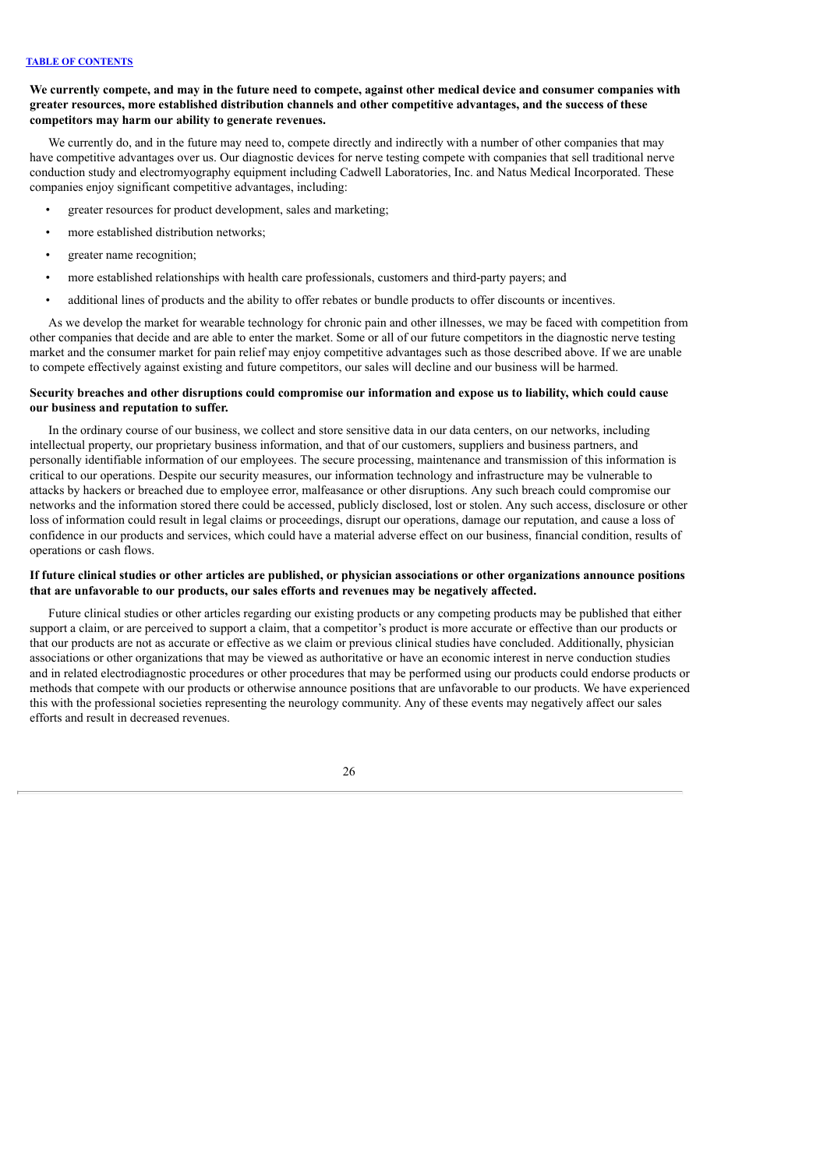# We currently compete, and may in the future need to compete, against other medical device and consumer companies with **greater resources, more established distribution channels and other competitive advantages, and the success of these competitors may harm our ability to generate revenues.**

We currently do, and in the future may need to, compete directly and indirectly with a number of other companies that may have competitive advantages over us. Our diagnostic devices for nerve testing compete with companies that sell traditional nerve conduction study and electromyography equipment including Cadwell Laboratories, Inc. and Natus Medical Incorporated. These companies enjoy significant competitive advantages, including:

- greater resources for product development, sales and marketing;
- more established distribution networks:
- greater name recognition;
- more established relationships with health care professionals, customers and third-party payers; and
- additional lines of products and the ability to offer rebates or bundle products to offer discounts or incentives.

As we develop the market for wearable technology for chronic pain and other illnesses, we may be faced with competition from other companies that decide and are able to enter the market. Some or all of our future competitors in the diagnostic nerve testing market and the consumer market for pain relief may enjoy competitive advantages such as those described above. If we are unable to compete effectively against existing and future competitors, our sales will decline and our business will be harmed.

# Security breaches and other disruptions could compromise our information and expose us to liability, which could cause **our business and reputation to suffer.**

In the ordinary course of our business, we collect and store sensitive data in our data centers, on our networks, including intellectual property, our proprietary business information, and that of our customers, suppliers and business partners, and personally identifiable information of our employees. The secure processing, maintenance and transmission of this information is critical to our operations. Despite our security measures, our information technology and infrastructure may be vulnerable to attacks by hackers or breached due to employee error, malfeasance or other disruptions. Any such breach could compromise our networks and the information stored there could be accessed, publicly disclosed, lost or stolen. Any such access, disclosure or other loss of information could result in legal claims or proceedings, disrupt our operations, damage our reputation, and cause a loss of confidence in our products and services, which could have a material adverse effect on our business, financial condition, results of operations or cash flows.

# If future clinical studies or other articles are published, or physician associations or other organizations announce positions **that are unfavorable to our products, our sales efforts and revenues may be negatively affected.**

Future clinical studies or other articles regarding our existing products or any competing products may be published that either support a claim, or are perceived to support a claim, that a competitor's product is more accurate or effective than our products or that our products are not as accurate or effective as we claim or previous clinical studies have concluded. Additionally, physician associations or other organizations that may be viewed as authoritative or have an economic interest in nerve conduction studies and in related electrodiagnostic procedures or other procedures that may be performed using our products could endorse products or methods that compete with our products or otherwise announce positions that are unfavorable to our products. We have experienced this with the professional societies representing the neurology community. Any of these events may negatively affect our sales efforts and result in decreased revenues.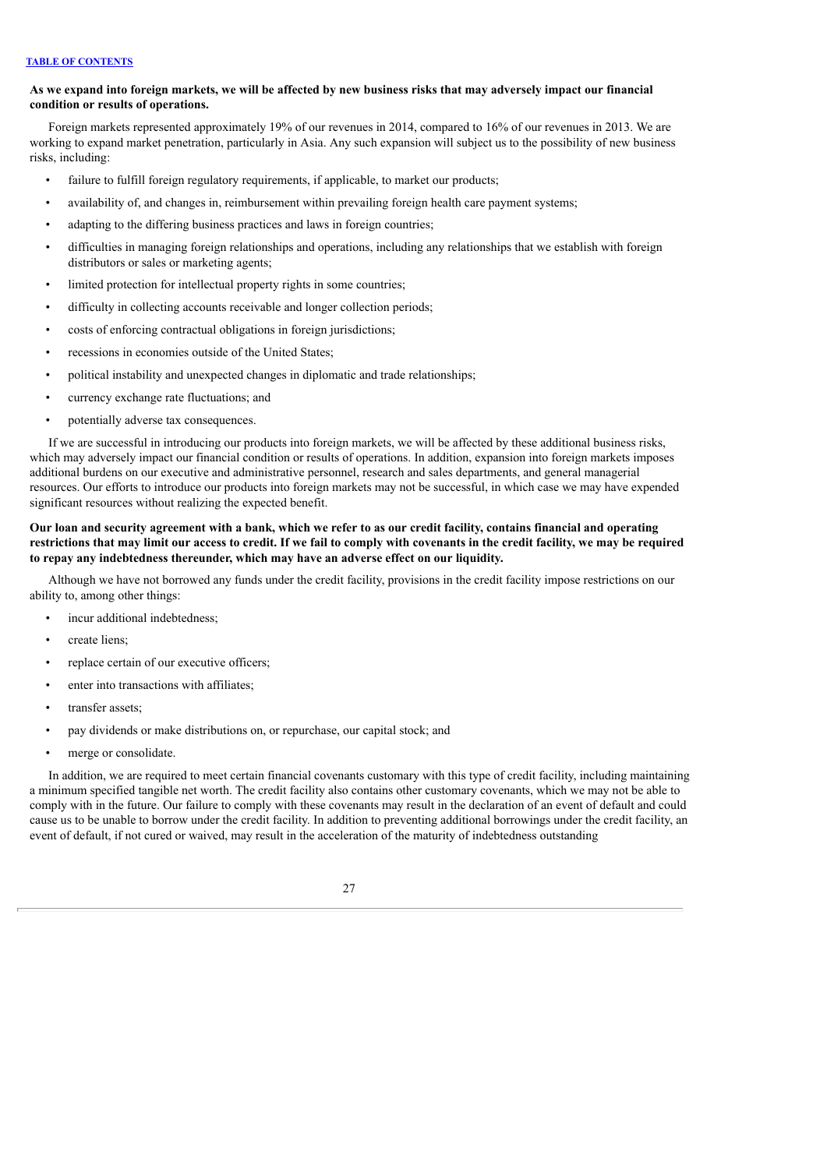# As we expand into foreign markets, we will be affected by new business risks that may adversely impact our financial **condition or results of operations.**

Foreign markets represented approximately 19% of our revenues in 2014, compared to 16% of our revenues in 2013. We are working to expand market penetration, particularly in Asia. Any such expansion will subject us to the possibility of new business risks, including:

- failure to fulfill foreign regulatory requirements, if applicable, to market our products;
- availability of, and changes in, reimbursement within prevailing foreign health care payment systems;
- adapting to the differing business practices and laws in foreign countries;
- difficulties in managing foreign relationships and operations, including any relationships that we establish with foreign distributors or sales or marketing agents;
- limited protection for intellectual property rights in some countries;
- difficulty in collecting accounts receivable and longer collection periods;
- costs of enforcing contractual obligations in foreign jurisdictions;
- recessions in economies outside of the United States;
- political instability and unexpected changes in diplomatic and trade relationships;
- currency exchange rate fluctuations; and
- potentially adverse tax consequences.

If we are successful in introducing our products into foreign markets, we will be affected by these additional business risks, which may adversely impact our financial condition or results of operations. In addition, expansion into foreign markets imposes additional burdens on our executive and administrative personnel, research and sales departments, and general managerial resources. Our efforts to introduce our products into foreign markets may not be successful, in which case we may have expended significant resources without realizing the expected benefit.

# Our loan and security agreement with a bank, which we refer to as our credit facility, contains financial and operating restrictions that may limit our access to credit. If we fail to comply with covenants in the credit facility, we may be required **to repay any indebtedness thereunder, which may have an adverse effect on our liquidity.**

Although we have not borrowed any funds under the credit facility, provisions in the credit facility impose restrictions on our ability to, among other things:

- incur additional indebtedness:
- create liens<sup>;</sup>
- replace certain of our executive officers;
- enter into transactions with affiliates:
- transfer assets:
- pay dividends or make distributions on, or repurchase, our capital stock; and
- merge or consolidate.

In addition, we are required to meet certain financial covenants customary with this type of credit facility, including maintaining a minimum specified tangible net worth. The credit facility also contains other customary covenants, which we may not be able to comply with in the future. Our failure to comply with these covenants may result in the declaration of an event of default and could cause us to be unable to borrow under the credit facility. In addition to preventing additional borrowings under the credit facility, an event of default, if not cured or waived, may result in the acceleration of the maturity of indebtedness outstanding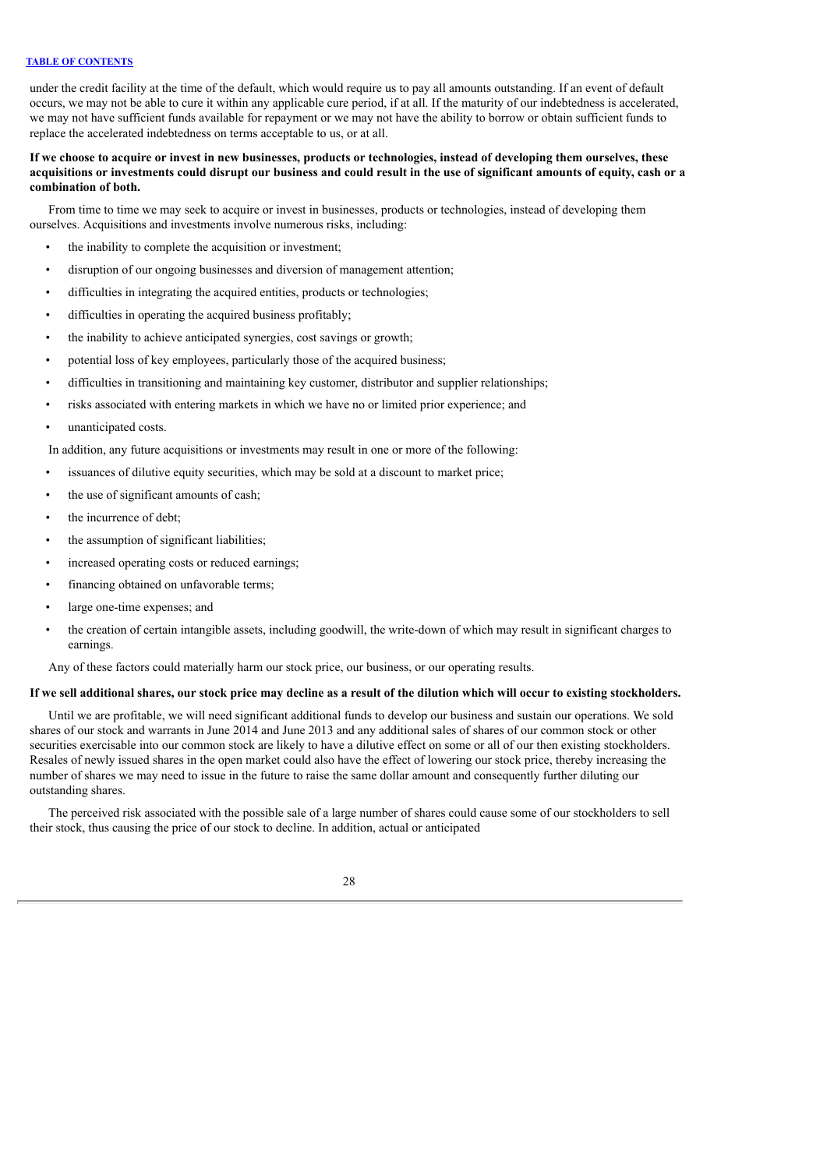under the credit facility at the time of the default, which would require us to pay all amounts outstanding. If an event of default occurs, we may not be able to cure it within any applicable cure period, if at all. If the maturity of our indebtedness is accelerated, we may not have sufficient funds available for repayment or we may not have the ability to borrow or obtain sufficient funds to replace the accelerated indebtedness on terms acceptable to us, or at all.

# If we choose to acquire or invest in new businesses, products or technologies, instead of developing them ourselves, these acquisitions or investments could disrupt our business and could result in the use of significant amounts of equity, cash or a **combination of both.**

From time to time we may seek to acquire or invest in businesses, products or technologies, instead of developing them ourselves. Acquisitions and investments involve numerous risks, including:

- the inability to complete the acquisition or investment;
- disruption of our ongoing businesses and diversion of management attention;
- difficulties in integrating the acquired entities, products or technologies;
- difficulties in operating the acquired business profitably;
- the inability to achieve anticipated synergies, cost savings or growth;
- potential loss of key employees, particularly those of the acquired business;
- difficulties in transitioning and maintaining key customer, distributor and supplier relationships;
- risks associated with entering markets in which we have no or limited prior experience; and
- unanticipated costs.

In addition, any future acquisitions or investments may result in one or more of the following:

- issuances of dilutive equity securities, which may be sold at a discount to market price;
- the use of significant amounts of cash;
- the incurrence of debt;
- the assumption of significant liabilities;
- increased operating costs or reduced earnings;
- financing obtained on unfavorable terms;
- large one-time expenses; and
- the creation of certain intangible assets, including goodwill, the write-down of which may result in significant charges to earnings.

Any of these factors could materially harm our stock price, our business, or our operating results.

# If we sell additional shares, our stock price may decline as a result of the dilution which will occur to existing stockholders.

Until we are profitable, we will need significant additional funds to develop our business and sustain our operations. We sold shares of our stock and warrants in June 2014 and June 2013 and any additional sales of shares of our common stock or other securities exercisable into our common stock are likely to have a dilutive effect on some or all of our then existing stockholders. Resales of newly issued shares in the open market could also have the effect of lowering our stock price, thereby increasing the number of shares we may need to issue in the future to raise the same dollar amount and consequently further diluting our outstanding shares.

The perceived risk associated with the possible sale of a large number of shares could cause some of our stockholders to sell their stock, thus causing the price of our stock to decline. In addition, actual or anticipated

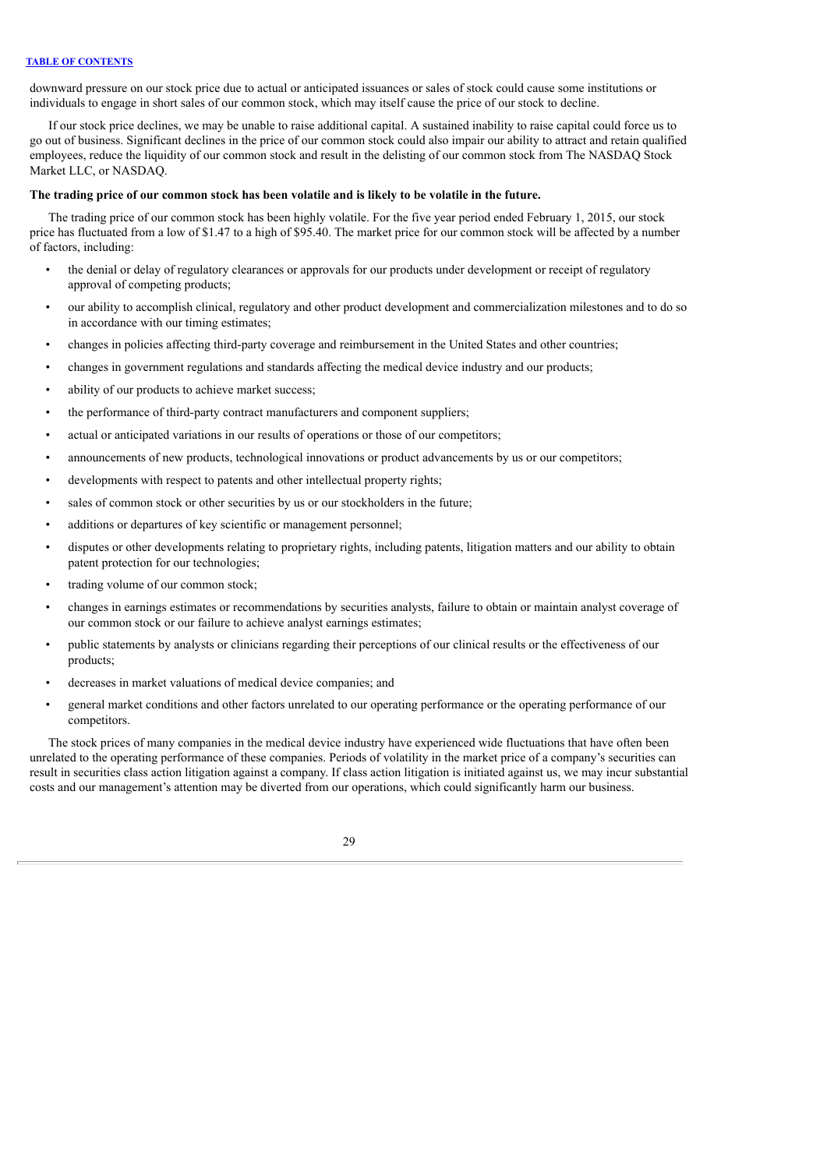downward pressure on our stock price due to actual or anticipated issuances or sales of stock could cause some institutions or individuals to engage in short sales of our common stock, which may itself cause the price of our stock to decline.

If our stock price declines, we may be unable to raise additional capital. A sustained inability to raise capital could force us to go out of business. Significant declines in the price of our common stock could also impair our ability to attract and retain qualified employees, reduce the liquidity of our common stock and result in the delisting of our common stock from The NASDAQ Stock Market LLC, or NASDAQ.

# The trading price of our common stock has been volatile and is likely to be volatile in the future.

The trading price of our common stock has been highly volatile. For the five year period ended February 1, 2015, our stock price has fluctuated from a low of \$1.47 to a high of \$95.40. The market price for our common stock will be affected by a number of factors, including:

- the denial or delay of regulatory clearances or approvals for our products under development or receipt of regulatory approval of competing products;
- our ability to accomplish clinical, regulatory and other product development and commercialization milestones and to do so in accordance with our timing estimates;
- changes in policies affecting third-party coverage and reimbursement in the United States and other countries;
- changes in government regulations and standards affecting the medical device industry and our products;
- ability of our products to achieve market success;
- the performance of third-party contract manufacturers and component suppliers;
- actual or anticipated variations in our results of operations or those of our competitors;
- announcements of new products, technological innovations or product advancements by us or our competitors;
- developments with respect to patents and other intellectual property rights;
- sales of common stock or other securities by us or our stockholders in the future;
- additions or departures of key scientific or management personnel;
- disputes or other developments relating to proprietary rights, including patents, litigation matters and our ability to obtain patent protection for our technologies;
- trading volume of our common stock;
- changes in earnings estimates or recommendations by securities analysts, failure to obtain or maintain analyst coverage of our common stock or our failure to achieve analyst earnings estimates;
- public statements by analysts or clinicians regarding their perceptions of our clinical results or the effectiveness of our products;
- decreases in market valuations of medical device companies; and
- general market conditions and other factors unrelated to our operating performance or the operating performance of our competitors.

The stock prices of many companies in the medical device industry have experienced wide fluctuations that have often been unrelated to the operating performance of these companies. Periods of volatility in the market price of a company's securities can result in securities class action litigation against a company. If class action litigation is initiated against us, we may incur substantial costs and our management's attention may be diverted from our operations, which could significantly harm our business.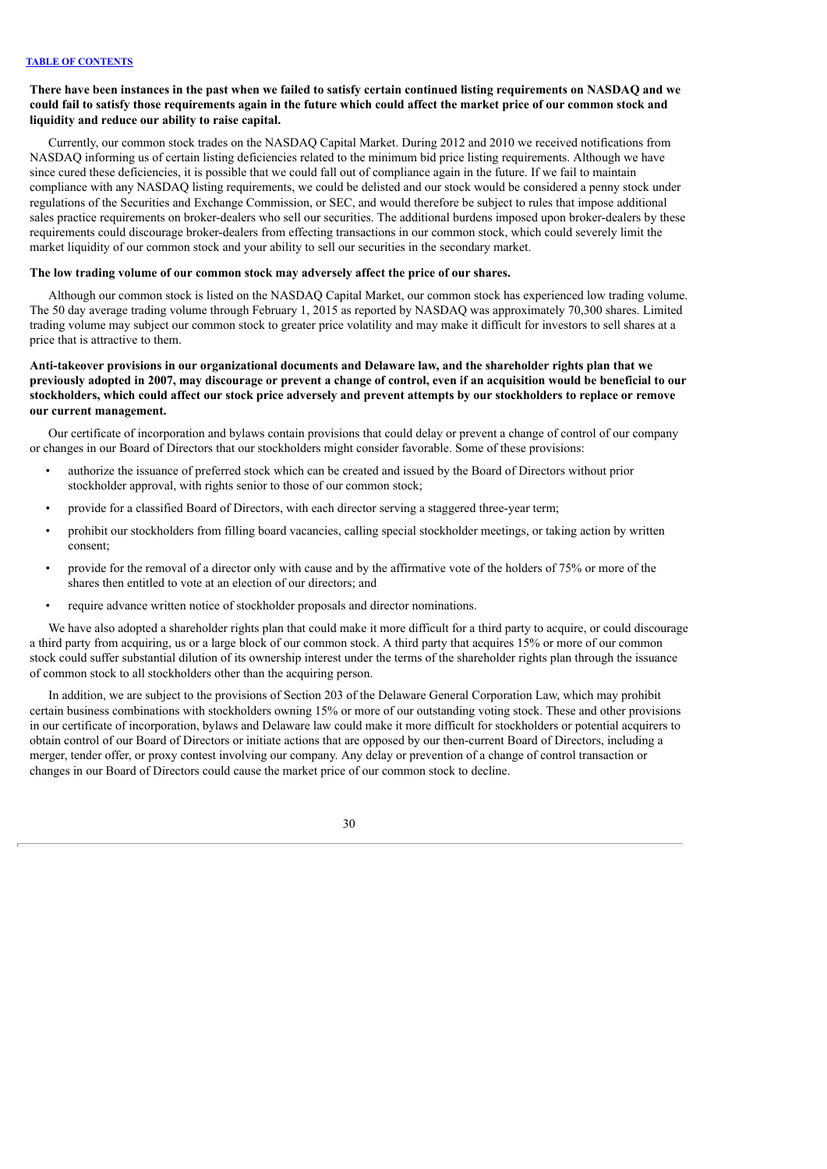# There have been instances in the past when we failed to satisfy certain continued listing requirements on NASDAO and we could fail to satisfy those requirements again in the future which could affect the market price of our common stock and **liquidity and reduce our ability to raise capital.**

Currently, our common stock trades on the NASDAQ Capital Market. During 2012 and 2010 we received notifications from NASDAQ informing us of certain listing deficiencies related to the minimum bid price listing requirements. Although we have since cured these deficiencies, it is possible that we could fall out of compliance again in the future. If we fail to maintain compliance with any NASDAQ listing requirements, we could be delisted and our stock would be considered a penny stock under regulations of the Securities and Exchange Commission, or SEC, and would therefore be subject to rules that impose additional sales practice requirements on broker-dealers who sell our securities. The additional burdens imposed upon broker-dealers by these requirements could discourage broker-dealers from effecting transactions in our common stock, which could severely limit the market liquidity of our common stock and your ability to sell our securities in the secondary market.

# **The low trading volume of our common stock may adversely affect the price of our shares.**

Although our common stock is listed on the NASDAQ Capital Market, our common stock has experienced low trading volume. The 50 day average trading volume through February 1, 2015 as reported by NASDAQ was approximately 70,300 shares. Limited trading volume may subject our common stock to greater price volatility and may make it difficult for investors to sell shares at a price that is attractive to them.

# Anti-takeover provisions in our organizational documents and Delaware law, and the shareholder rights plan that we previously adopted in 2007, may discourage or prevent a change of control, even if an acquisition would be beneficial to our stockholders, which could affect our stock price adversely and prevent attempts by our stockholders to replace or remove **our current management.**

Our certificate of incorporation and bylaws contain provisions that could delay or prevent a change of control of our company or changes in our Board of Directors that our stockholders might consider favorable. Some of these provisions:

- authorize the issuance of preferred stock which can be created and issued by the Board of Directors without prior stockholder approval, with rights senior to those of our common stock;
- provide for a classified Board of Directors, with each director serving a staggered three-year term;
- prohibit our stockholders from filling board vacancies, calling special stockholder meetings, or taking action by written consent;
- provide for the removal of a director only with cause and by the affirmative vote of the holders of 75% or more of the shares then entitled to vote at an election of our directors; and
- require advance written notice of stockholder proposals and director nominations.

We have also adopted a shareholder rights plan that could make it more difficult for a third party to acquire, or could discourage a third party from acquiring, us or a large block of our common stock. A third party that acquires 15% or more of our common stock could suffer substantial dilution of its ownership interest under the terms of the shareholder rights plan through the issuance of common stock to all stockholders other than the acquiring person.

In addition, we are subject to the provisions of Section 203 of the Delaware General Corporation Law, which may prohibit certain business combinations with stockholders owning 15% or more of our outstanding voting stock. These and other provisions in our certificate of incorporation, bylaws and Delaware law could make it more difficult for stockholders or potential acquirers to obtain control of our Board of Directors or initiate actions that are opposed by our then-current Board of Directors, including a merger, tender offer, or proxy contest involving our company. Any delay or prevention of a change of control transaction or changes in our Board of Directors could cause the market price of our common stock to decline.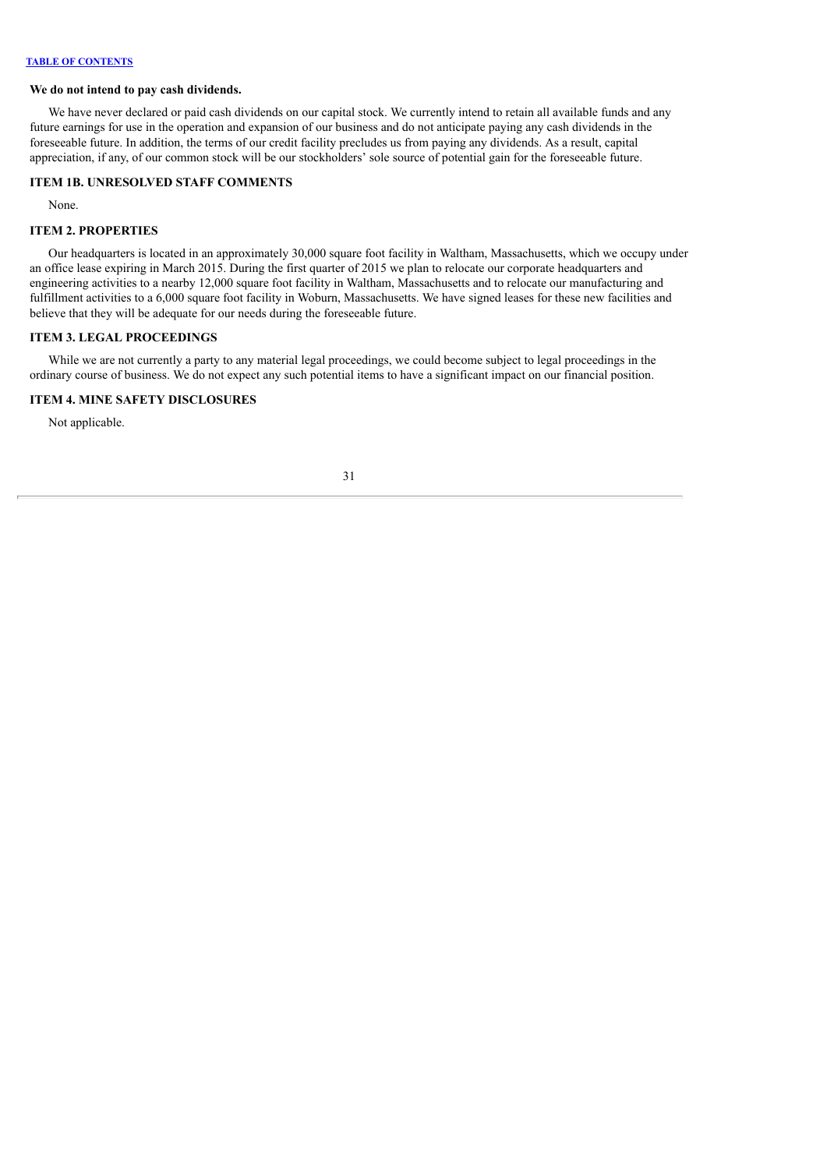### **We do not intend to pay cash dividends.**

We have never declared or paid cash dividends on our capital stock. We currently intend to retain all available funds and any future earnings for use in the operation and expansion of our business and do not anticipate paying any cash dividends in the foreseeable future. In addition, the terms of our credit facility precludes us from paying any dividends. As a result, capital appreciation, if any, of our common stock will be our stockholders' sole source of potential gain for the foreseeable future.

### <span id="page-33-0"></span>**ITEM 1B. UNRESOLVED STAFF COMMENTS**

None.

# <span id="page-33-1"></span>**ITEM 2. PROPERTIES**

Our headquarters is located in an approximately 30,000 square foot facility in Waltham, Massachusetts, which we occupy under an office lease expiring in March 2015. During the first quarter of 2015 we plan to relocate our corporate headquarters and engineering activities to a nearby 12,000 square foot facility in Waltham, Massachusetts and to relocate our manufacturing and fulfillment activities to a 6,000 square foot facility in Woburn, Massachusetts. We have signed leases for these new facilities and believe that they will be adequate for our needs during the foreseeable future.

### <span id="page-33-2"></span>**ITEM 3. LEGAL PROCEEDINGS**

While we are not currently a party to any material legal proceedings, we could become subject to legal proceedings in the ordinary course of business. We do not expect any such potential items to have a significant impact on our financial position.

# <span id="page-33-3"></span>**ITEM 4. MINE SAFETY DISCLOSURES**

Not applicable.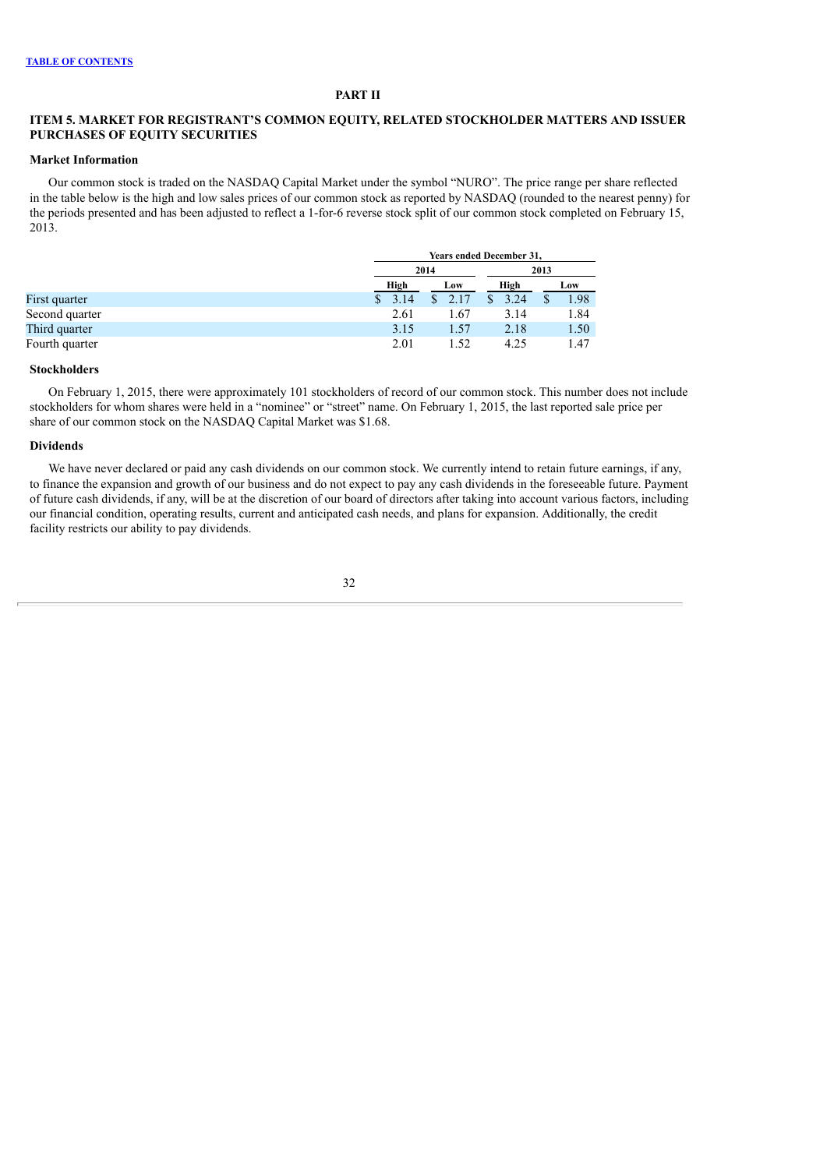### **PART II**

# <span id="page-34-0"></span>**ITEM 5. MARKET FOR REGISTRANT'S COMMON EQUITY, RELATED STOCKHOLDER MATTERS AND ISSUER PURCHASES OF EQUITY SECURITIES**

# **Market Information**

Our common stock is traded on the NASDAQ Capital Market under the symbol "NURO". The price range per share reflected in the table below is the high and low sales prices of our common stock as reported by NASDAQ (rounded to the nearest penny) for the periods presented and has been adjusted to reflect a 1-for-6 reverse stock split of our common stock completed on February 15, 2013.

|                |        | <b>Years ended December 31,</b> |      |      |  |  |  |  |
|----------------|--------|---------------------------------|------|------|--|--|--|--|
|                |        | 2014                            |      | 2013 |  |  |  |  |
|                | High   | Low                             | High | Low  |  |  |  |  |
| First quarter  | \$3.14 |                                 | 3.24 | 1.98 |  |  |  |  |
| Second quarter | 2.61   | 1.67                            | 3.14 | 1.84 |  |  |  |  |
| Third quarter  | 3.15   | 1.57                            | 2.18 | 1.50 |  |  |  |  |
| Fourth quarter | 2.01   | 1.52                            | 4.25 | 1.47 |  |  |  |  |

#### **Stockholders**

On February 1, 2015, there were approximately 101 stockholders of record of our common stock. This number does not include stockholders for whom shares were held in a "nominee" or "street" name. On February 1, 2015, the last reported sale price per share of our common stock on the NASDAQ Capital Market was \$1.68.

### **Dividends**

We have never declared or paid any cash dividends on our common stock. We currently intend to retain future earnings, if any, to finance the expansion and growth of our business and do not expect to pay any cash dividends in the foreseeable future. Payment of future cash dividends, if any, will be at the discretion of our board of directors after taking into account various factors, including our financial condition, operating results, current and anticipated cash needs, and plans for expansion. Additionally, the credit facility restricts our ability to pay dividends.

32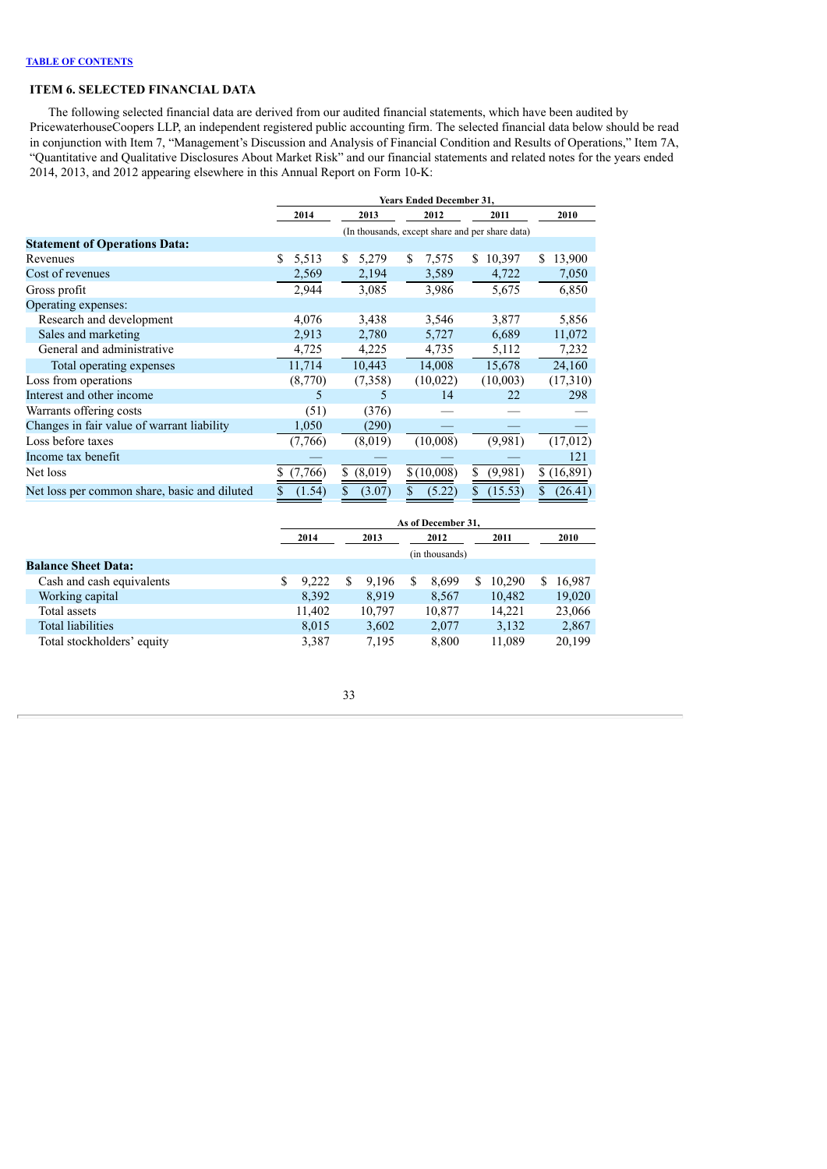# <span id="page-35-0"></span>**ITEM 6. SELECTED FINANCIAL DATA**

The following selected financial data are derived from our audited financial statements, which have been audited by PricewaterhouseCoopers LLP, an independent registered public accounting firm. The selected financial data below should be read in conjunction with Item 7, "Management's Discussion and Analysis of Financial Condition and Results of Operations," Item 7A, "Quantitative and Qualitative Disclosures About Market Risk" and our financial statements and related notes for the years ended 2014, 2013, and 2012 appearing elsewhere in this Annual Report on Form 10-K:

|                                              | <b>Years Ended December 31,</b>                 |              |              |               |                 |  |  |  |
|----------------------------------------------|-------------------------------------------------|--------------|--------------|---------------|-----------------|--|--|--|
|                                              | 2014                                            | 2013         | 2012         | 2011          | 2010            |  |  |  |
|                                              | (In thousands, except share and per share data) |              |              |               |                 |  |  |  |
| <b>Statement of Operations Data:</b>         |                                                 |              |              |               |                 |  |  |  |
| Revenues                                     | 5,513<br>S                                      | \$.<br>5,279 | 7,575<br>S.  | S.<br>10,397  | 13,900<br>S.    |  |  |  |
| Cost of revenues                             | 2,569                                           | 2,194        | 3,589        | 4,722         | 7,050           |  |  |  |
| Gross profit                                 | 2,944                                           | 3,085        | 3,986        | 5,675         | 6,850           |  |  |  |
| Operating expenses:                          |                                                 |              |              |               |                 |  |  |  |
| Research and development                     | 4,076                                           | 3,438        | 3,546        | 3,877         | 5,856           |  |  |  |
| Sales and marketing                          | 2,913                                           | 2,780        | 5,727        | 6,689         | 11,072          |  |  |  |
| General and administrative                   | 4,725                                           | 4,225        | 4,735        | 5,112         | 7,232           |  |  |  |
| Total operating expenses                     | 11,714                                          | 10,443       | 14,008       | 15,678        | 24,160          |  |  |  |
| Loss from operations                         | (8,770)                                         | (7,358)      | (10,022)     | (10,003)      | (17,310)        |  |  |  |
| Interest and other income                    | 5                                               | 5            | 14           | 22            | 298             |  |  |  |
| Warrants offering costs                      | (51)                                            | (376)        |              |               |                 |  |  |  |
| Changes in fair value of warrant liability   | 1,050                                           | (290)        |              |               |                 |  |  |  |
| Loss before taxes                            | (7,766)                                         | (8,019)      | (10,008)     | (9,981)       | (17,012)        |  |  |  |
| Income tax benefit                           |                                                 |              |              |               | 121             |  |  |  |
| Net loss                                     | (7,766)                                         | (8,019)      | \$(10,008)   | \$<br>(9,981) | \$<br>(16, 891) |  |  |  |
| Net loss per common share, basic and diluted | (1.54)                                          | (3.07)       | \$<br>(5.22) | \$<br>(15.53) | (26.41)         |  |  |  |

|                            | As of December 31. |        |      |        |      |                |      |        |        |
|----------------------------|--------------------|--------|------|--------|------|----------------|------|--------|--------|
|                            | 2014               |        | 2013 |        | 2012 |                | 2011 |        | 2010   |
|                            |                    |        |      |        |      | (in thousands) |      |        |        |
| <b>Balance Sheet Data:</b> |                    |        |      |        |      |                |      |        |        |
| Cash and cash equivalents  |                    | 9.222  | S    | 9.196  |      | 8.699          | S.   | 10.290 | 16,987 |
| Working capital            |                    | 8,392  |      | 8.919  |      | 8,567          |      | 10,482 | 19,020 |
| Total assets               |                    | 11,402 |      | 10,797 |      | 10,877         |      | 14,221 | 23,066 |
| <b>Total liabilities</b>   |                    | 8,015  |      | 3,602  |      | 2,077          |      | 3,132  | 2,867  |
| Total stockholders' equity |                    | 3,387  |      | 7,195  |      | 8,800          |      | 11,089 | 20,199 |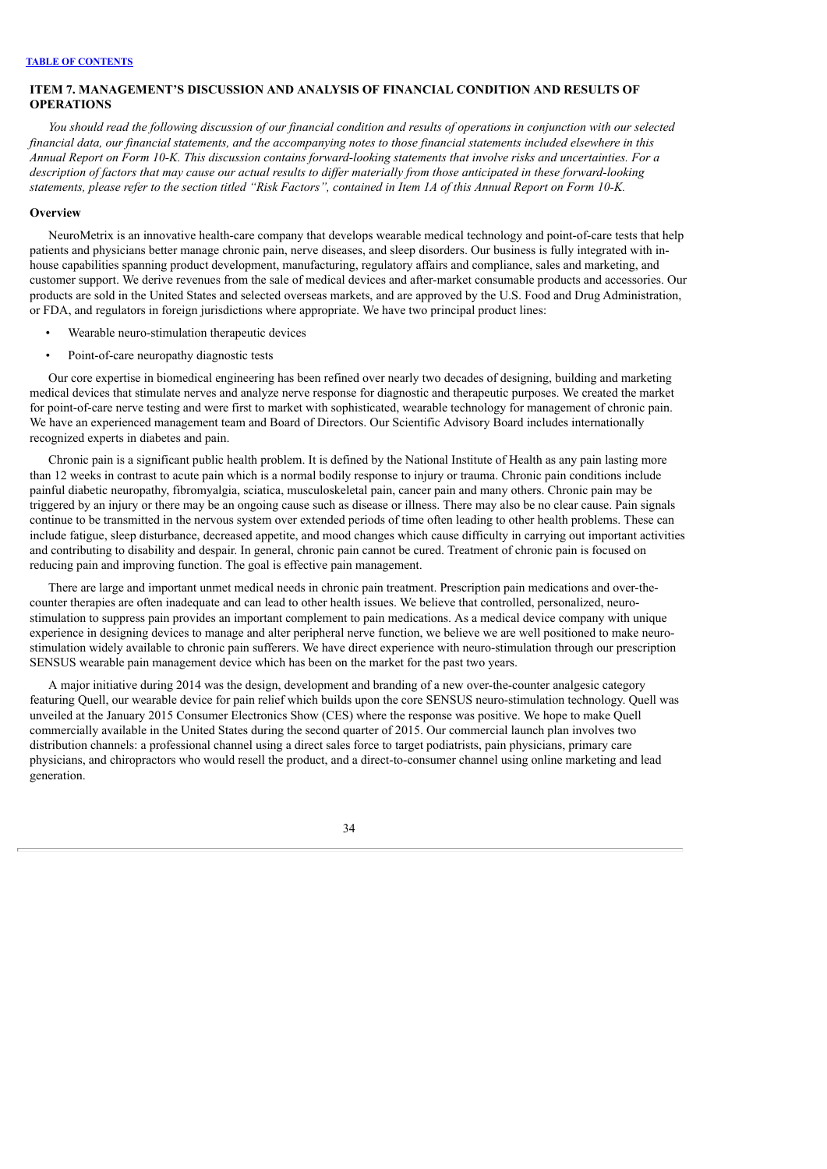## **ITEM 7. MANAGEMENT'S DISCUSSION AND ANALYSIS OF FINANCIAL CONDITION AND RESULTS OF OPERATIONS**

You should read the following discussion of our financial condition and results of operations in conjunction with our selected financial data, our financial statements, and the accompanying notes to those financial statements included elsewhere in this Annual Report on Form 10-K. This discussion contains forward-looking statements that involve risks and uncertainties. For a description of factors that may cause our actual results to differ materially from those anticipated in these forward-looking statements, please refer to the section titled "Risk Factors", contained in Item 1A of this Annual Report on Form 10-K.

## **Overview**

NeuroMetrix is an innovative health-care company that develops wearable medical technology and point-of-care tests that help patients and physicians better manage chronic pain, nerve diseases, and sleep disorders. Our business is fully integrated with inhouse capabilities spanning product development, manufacturing, regulatory affairs and compliance, sales and marketing, and customer support. We derive revenues from the sale of medical devices and after-market consumable products and accessories. Our products are sold in the United States and selected overseas markets, and are approved by the U.S. Food and Drug Administration, or FDA, and regulators in foreign jurisdictions where appropriate. We have two principal product lines:

- Wearable neuro-stimulation therapeutic devices
- Point-of-care neuropathy diagnostic tests

Our core expertise in biomedical engineering has been refined over nearly two decades of designing, building and marketing medical devices that stimulate nerves and analyze nerve response for diagnostic and therapeutic purposes. We created the market for point-of-care nerve testing and were first to market with sophisticated, wearable technology for management of chronic pain. We have an experienced management team and Board of Directors. Our Scientific Advisory Board includes internationally recognized experts in diabetes and pain.

Chronic pain is a significant public health problem. It is defined by the National Institute of Health as any pain lasting more than 12 weeks in contrast to acute pain which is a normal bodily response to injury or trauma. Chronic pain conditions include painful diabetic neuropathy, fibromyalgia, sciatica, musculoskeletal pain, cancer pain and many others. Chronic pain may be triggered by an injury or there may be an ongoing cause such as disease or illness. There may also be no clear cause. Pain signals continue to be transmitted in the nervous system over extended periods of time often leading to other health problems. These can include fatigue, sleep disturbance, decreased appetite, and mood changes which cause difficulty in carrying out important activities and contributing to disability and despair. In general, chronic pain cannot be cured. Treatment of chronic pain is focused on reducing pain and improving function. The goal is effective pain management.

There are large and important unmet medical needs in chronic pain treatment. Prescription pain medications and over-thecounter therapies are often inadequate and can lead to other health issues. We believe that controlled, personalized, neurostimulation to suppress pain provides an important complement to pain medications. As a medical device company with unique experience in designing devices to manage and alter peripheral nerve function, we believe we are well positioned to make neurostimulation widely available to chronic pain sufferers. We have direct experience with neuro-stimulation through our prescription SENSUS wearable pain management device which has been on the market for the past two years.

A major initiative during 2014 was the design, development and branding of a new over-the-counter analgesic category featuring Quell, our wearable device for pain relief which builds upon the core SENSUS neuro-stimulation technology. Quell was unveiled at the January 2015 Consumer Electronics Show (CES) where the response was positive. We hope to make Quell commercially available in the United States during the second quarter of 2015. Our commercial launch plan involves two distribution channels: a professional channel using a direct sales force to target podiatrists, pain physicians, primary care physicians, and chiropractors who would resell the product, and a direct-to-consumer channel using online marketing and lead generation.

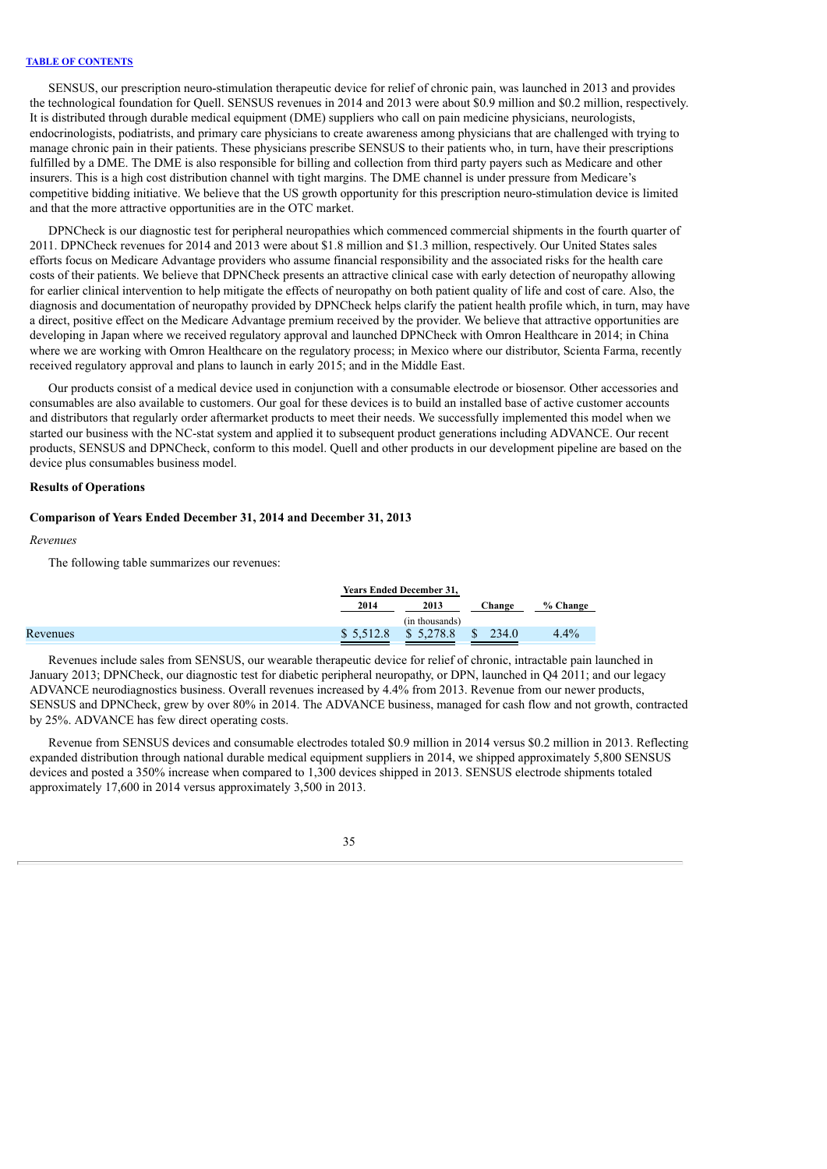SENSUS, our prescription neuro-stimulation therapeutic device for relief of chronic pain, was launched in 2013 and provides the technological foundation for Quell. SENSUS revenues in 2014 and 2013 were about \$0.9 million and \$0.2 million, respectively. It is distributed through durable medical equipment (DME) suppliers who call on pain medicine physicians, neurologists, endocrinologists, podiatrists, and primary care physicians to create awareness among physicians that are challenged with trying to manage chronic pain in their patients. These physicians prescribe SENSUS to their patients who, in turn, have their prescriptions fulfilled by a DME. The DME is also responsible for billing and collection from third party payers such as Medicare and other insurers. This is a high cost distribution channel with tight margins. The DME channel is under pressure from Medicare's competitive bidding initiative. We believe that the US growth opportunity for this prescription neuro-stimulation device is limited and that the more attractive opportunities are in the OTC market.

DPNCheck is our diagnostic test for peripheral neuropathies which commenced commercial shipments in the fourth quarter of 2011. DPNCheck revenues for 2014 and 2013 were about \$1.8 million and \$1.3 million, respectively. Our United States sales efforts focus on Medicare Advantage providers who assume financial responsibility and the associated risks for the health care costs of their patients. We believe that DPNCheck presents an attractive clinical case with early detection of neuropathy allowing for earlier clinical intervention to help mitigate the effects of neuropathy on both patient quality of life and cost of care. Also, the diagnosis and documentation of neuropathy provided by DPNCheck helps clarify the patient health profile which, in turn, may have a direct, positive effect on the Medicare Advantage premium received by the provider. We believe that attractive opportunities are developing in Japan where we received regulatory approval and launched DPNCheck with Omron Healthcare in 2014; in China where we are working with Omron Healthcare on the regulatory process; in Mexico where our distributor, Scienta Farma, recently received regulatory approval and plans to launch in early 2015; and in the Middle East.

Our products consist of a medical device used in conjunction with a consumable electrode or biosensor. Other accessories and consumables are also available to customers. Our goal for these devices is to build an installed base of active customer accounts and distributors that regularly order aftermarket products to meet their needs. We successfully implemented this model when we started our business with the NC-stat system and applied it to subsequent product generations including ADVANCE. Our recent products, SENSUS and DPNCheck, conform to this model. Quell and other products in our development pipeline are based on the device plus consumables business model.

### **Results of Operations**

### **Comparison of Years Ended December 31, 2014 and December 31, 2013**

#### *Revenues*

The following table summarizes our revenues:

|          |      | <b>Years Ended December 31.</b> |                       |          |
|----------|------|---------------------------------|-----------------------|----------|
|          | 2014 | 2013                            | Change                | % Change |
|          |      | (in thousands)                  |                       |          |
| Revenues |      | $$5,512.8$ $$5,278.8$           | $\mathbb{S}$<br>234.0 | 4.4%     |
|          |      |                                 |                       |          |

Revenues include sales from SENSUS, our wearable therapeutic device for relief of chronic, intractable pain launched in January 2013; DPNCheck, our diagnostic test for diabetic peripheral neuropathy, or DPN, launched in Q4 2011; and our legacy ADVANCE neurodiagnostics business. Overall revenues increased by 4.4% from 2013. Revenue from our newer products, SENSUS and DPNCheck, grew by over 80% in 2014. The ADVANCE business, managed for cash flow and not growth, contracted by 25%. ADVANCE has few direct operating costs.

Revenue from SENSUS devices and consumable electrodes totaled \$0.9 million in 2014 versus \$0.2 million in 2013. Reflecting expanded distribution through national durable medical equipment suppliers in 2014, we shipped approximately 5,800 SENSUS devices and posted a 350% increase when compared to 1,300 devices shipped in 2013. SENSUS electrode shipments totaled approximately 17,600 in 2014 versus approximately 3,500 in 2013.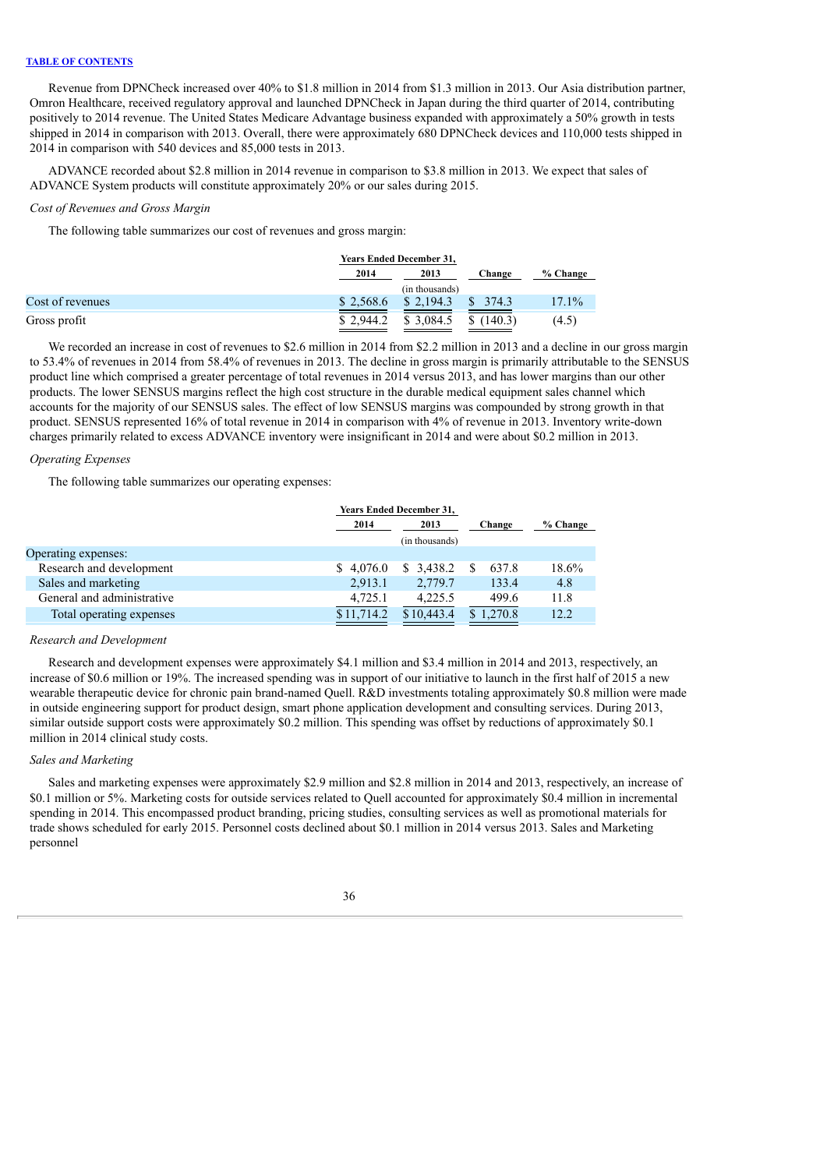Revenue from DPNCheck increased over 40% to \$1.8 million in 2014 from \$1.3 million in 2013. Our Asia distribution partner, Omron Healthcare, received regulatory approval and launched DPNCheck in Japan during the third quarter of 2014, contributing positively to 2014 revenue. The United States Medicare Advantage business expanded with approximately a 50% growth in tests shipped in 2014 in comparison with 2013. Overall, there were approximately 680 DPNCheck devices and 110,000 tests shipped in 2014 in comparison with 540 devices and 85,000 tests in 2013.

ADVANCE recorded about \$2.8 million in 2014 revenue in comparison to \$3.8 million in 2013. We expect that sales of ADVANCE System products will constitute approximately 20% or our sales during 2015.

## *Cost of Revenues and Gross Margin*

The following table summarizes our cost of revenues and gross margin:

|                  |           | <b>Years Ended December 31,</b> |           |          |
|------------------|-----------|---------------------------------|-----------|----------|
|                  | 2014      | 2013                            | Change    | % Change |
|                  |           | (in thousands)                  |           |          |
| Cost of revenues | \$2,568.6 | \$2,194.3                       | \$374.3   | 17.1%    |
| Gross profit     | \$2.944.2 | \$ 3,084.5                      | \$(140.3) | (4.5)    |

We recorded an increase in cost of revenues to \$2.6 million in 2014 from \$2.2 million in 2013 and a decline in our gross margin to 53.4% of revenues in 2014 from 58.4% of revenues in 2013. The decline in gross margin is primarily attributable to the SENSUS product line which comprised a greater percentage of total revenues in 2014 versus 2013, and has lower margins than our other products. The lower SENSUS margins reflect the high cost structure in the durable medical equipment sales channel which accounts for the majority of our SENSUS sales. The effect of low SENSUS margins was compounded by strong growth in that product. SENSUS represented 16% of total revenue in 2014 in comparison with 4% of revenue in 2013. Inventory write-down charges primarily related to excess ADVANCE inventory were insignificant in 2014 and were about \$0.2 million in 2013.

### *Operating Expenses*

The following table summarizes our operating expenses:

|                            | <b>Years Ended December 31,</b> |                |           |          |
|----------------------------|---------------------------------|----------------|-----------|----------|
|                            | 2013<br>2014                    |                | Change    | % Change |
|                            |                                 | (in thousands) |           |          |
| Operating expenses:        |                                 |                |           |          |
| Research and development   | \$4,076.0                       | \$3,438.2      | 637.8     | 18.6%    |
| Sales and marketing        | 2.913.1                         | 2,779.7        | 133.4     | 4.8      |
| General and administrative | 4,725.1                         | 4.225.5        | 499.6     | 11.8     |
| Total operating expenses   | \$11,714.2                      | \$10,443.4     | \$1,270.8 | 12.2     |

## *Research and Development*

Research and development expenses were approximately \$4.1 million and \$3.4 million in 2014 and 2013, respectively, an increase of \$0.6 million or 19%. The increased spending was in support of our initiative to launch in the first half of 2015 a new wearable therapeutic device for chronic pain brand-named Quell. R&D investments totaling approximately \$0.8 million were made in outside engineering support for product design, smart phone application development and consulting services. During 2013, similar outside support costs were approximately \$0.2 million. This spending was offset by reductions of approximately \$0.1 million in 2014 clinical study costs.

## *Sales and Marketing*

Sales and marketing expenses were approximately \$2.9 million and \$2.8 million in 2014 and 2013, respectively, an increase of \$0.1 million or 5%. Marketing costs for outside services related to Quell accounted for approximately \$0.4 million in incremental spending in 2014. This encompassed product branding, pricing studies, consulting services as well as promotional materials for trade shows scheduled for early 2015. Personnel costs declined about \$0.1 million in 2014 versus 2013. Sales and Marketing personnel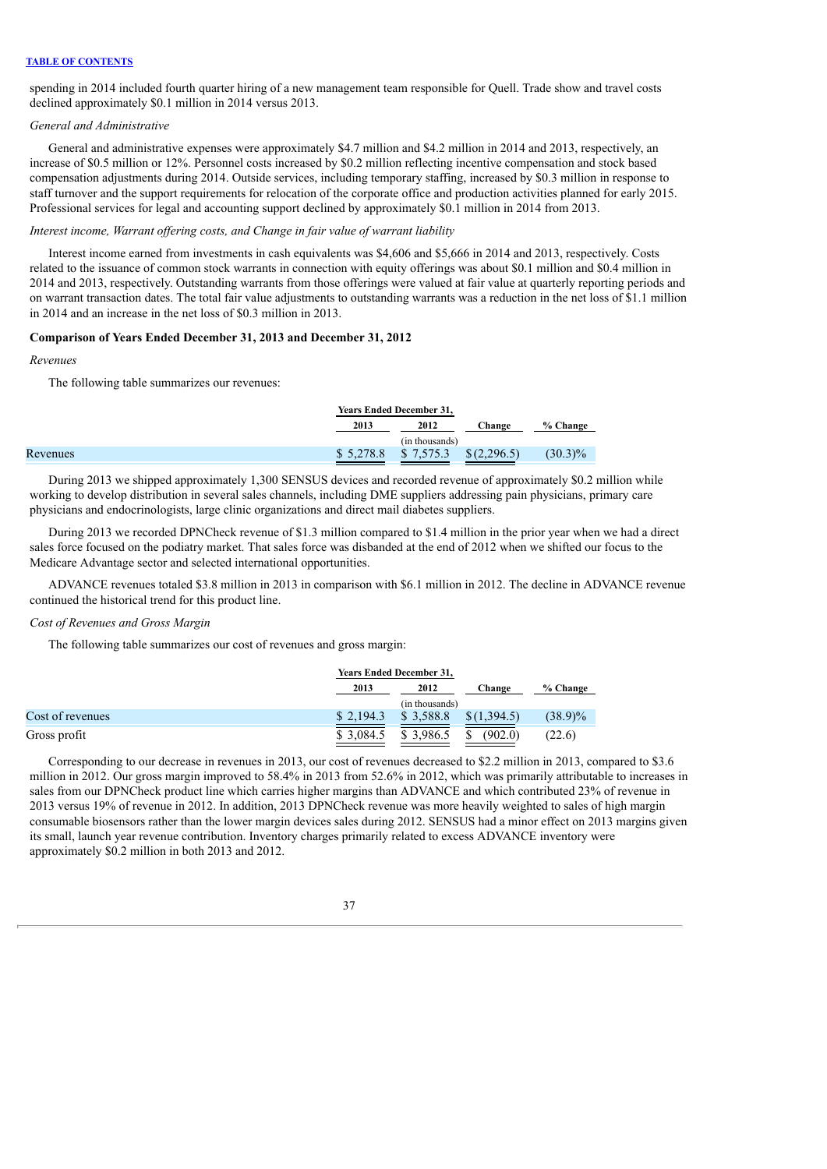spending in 2014 included fourth quarter hiring of a new management team responsible for Quell. Trade show and travel costs declined approximately \$0.1 million in 2014 versus 2013.

### *General and Administrative*

General and administrative expenses were approximately \$4.7 million and \$4.2 million in 2014 and 2013, respectively, an increase of \$0.5 million or 12%. Personnel costs increased by \$0.2 million reflecting incentive compensation and stock based compensation adjustments during 2014. Outside services, including temporary staffing, increased by \$0.3 million in response to staff turnover and the support requirements for relocation of the corporate office and production activities planned for early 2015. Professional services for legal and accounting support declined by approximately \$0.1 million in 2014 from 2013.

## *Interest income, Warrant of ering costs, and Change in fair value of warrant liability*

Interest income earned from investments in cash equivalents was \$4,606 and \$5,666 in 2014 and 2013, respectively. Costs related to the issuance of common stock warrants in connection with equity offerings was about \$0.1 million and \$0.4 million in 2014 and 2013, respectively. Outstanding warrants from those offerings were valued at fair value at quarterly reporting periods and on warrant transaction dates. The total fair value adjustments to outstanding warrants was a reduction in the net loss of \$1.1 million in 2014 and an increase in the net loss of \$0.3 million in 2013.

### **Comparison of Years Ended December 31, 2013 and December 31, 2012**

### *Revenues*

The following table summarizes our revenues:

|          | <b>Years Ended December 31,</b> |                |             |            |
|----------|---------------------------------|----------------|-------------|------------|
|          | 2013                            | 2012           | Change      | % Change   |
|          |                                 | (in thousands) |             |            |
| Revenues | \$5,278.8                       | \$7,575.3      | \$(2,296.5) | $(30.3)\%$ |

During 2013 we shipped approximately 1,300 SENSUS devices and recorded revenue of approximately \$0.2 million while working to develop distribution in several sales channels, including DME suppliers addressing pain physicians, primary care physicians and endocrinologists, large clinic organizations and direct mail diabetes suppliers.

During 2013 we recorded DPNCheck revenue of \$1.3 million compared to \$1.4 million in the prior year when we had a direct sales force focused on the podiatry market. That sales force was disbanded at the end of 2012 when we shifted our focus to the Medicare Advantage sector and selected international opportunities.

ADVANCE revenues totaled \$3.8 million in 2013 in comparison with \$6.1 million in 2012. The decline in ADVANCE revenue continued the historical trend for this product line.

### *Cost of Revenues and Gross Margin*

The following table summarizes our cost of revenues and gross margin:

|                  |           | <b>Years Ended December 31,</b> |               |            |
|------------------|-----------|---------------------------------|---------------|------------|
|                  | 2013      | 2012                            | Change        | % Change   |
|                  |           | (in thousands)                  |               |            |
| Cost of revenues | \$2.194.3 | \$3,588.8                       | \$(1,394.5)   | $(38.9)\%$ |
| Gross profit     | \$3.084.5 | \$3,986.5                       | \$<br>(902.0) | (22.6)     |

Corresponding to our decrease in revenues in 2013, our cost of revenues decreased to \$2.2 million in 2013, compared to \$3.6 million in 2012. Our gross margin improved to 58.4% in 2013 from 52.6% in 2012, which was primarily attributable to increases in sales from our DPNCheck product line which carries higher margins than ADVANCE and which contributed 23% of revenue in 2013 versus 19% of revenue in 2012. In addition, 2013 DPNCheck revenue was more heavily weighted to sales of high margin consumable biosensors rather than the lower margin devices sales during 2012. SENSUS had a minor effect on 2013 margins given its small, launch year revenue contribution. Inventory charges primarily related to excess ADVANCE inventory were approximately \$0.2 million in both 2013 and 2012.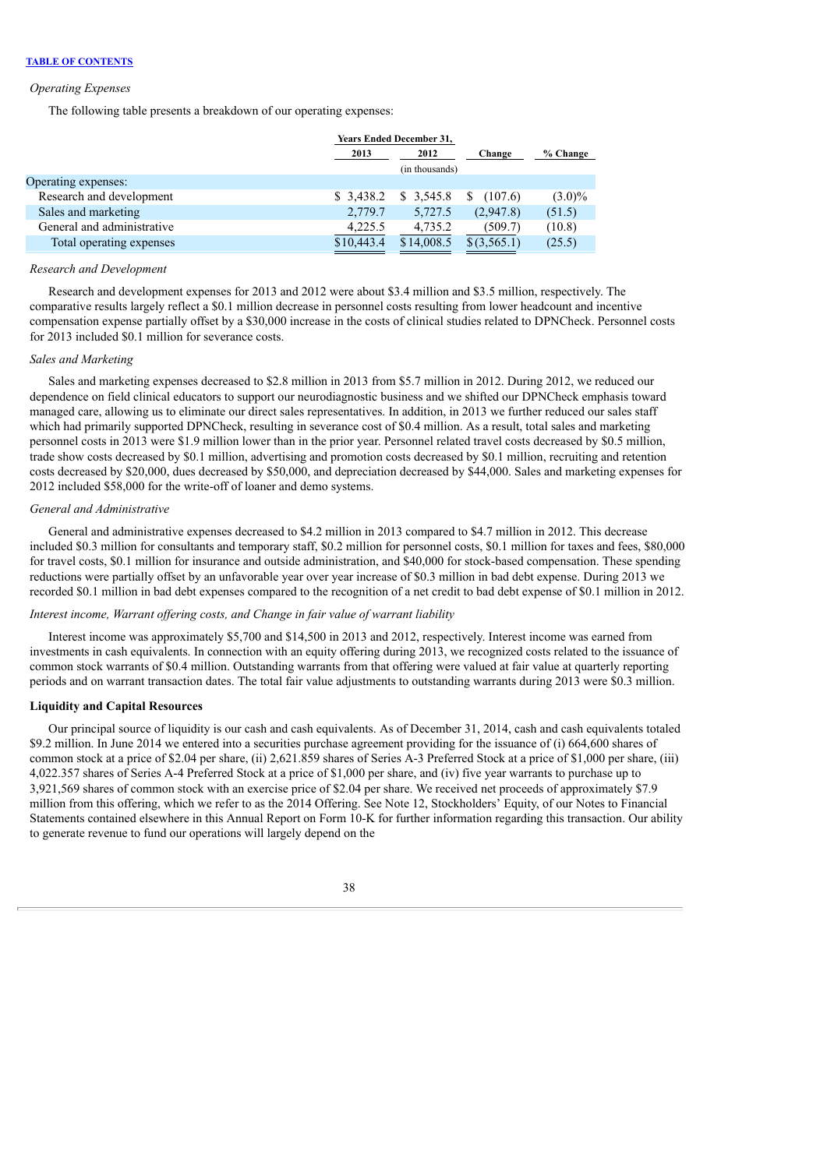#### *Operating Expenses*

The following table presents a breakdown of our operating expenses:

| 2013<br>2012 |                | Change                          | % Change  |
|--------------|----------------|---------------------------------|-----------|
|              | (in thousands) |                                 |           |
|              |                |                                 |           |
| \$ 3,438.2   | \$3,545.8      | (107.6)                         | $(3.0)\%$ |
| 2,779.7      | 5,727.5        | (2,947.8)                       | (51.5)    |
| 4.225.5      | 4,735.2        | (509.7)                         | (10.8)    |
| \$10,443.4   | \$14,008.5     | $$$ $(3,565.1)$                 | (25.5)    |
|              |                | <b>Years Ended December 31,</b> |           |

### *Research and Development*

Research and development expenses for 2013 and 2012 were about \$3.4 million and \$3.5 million, respectively. The comparative results largely reflect a \$0.1 million decrease in personnel costs resulting from lower headcount and incentive compensation expense partially offset by a \$30,000 increase in the costs of clinical studies related to DPNCheck. Personnel costs for 2013 included \$0.1 million for severance costs.

## *Sales and Marketing*

Sales and marketing expenses decreased to \$2.8 million in 2013 from \$5.7 million in 2012. During 2012, we reduced our dependence on field clinical educators to support our neurodiagnostic business and we shifted our DPNCheck emphasis toward managed care, allowing us to eliminate our direct sales representatives. In addition, in 2013 we further reduced our sales staff which had primarily supported DPNCheck, resulting in severance cost of \$0.4 million. As a result, total sales and marketing personnel costs in 2013 were \$1.9 million lower than in the prior year. Personnel related travel costs decreased by \$0.5 million, trade show costs decreased by \$0.1 million, advertising and promotion costs decreased by \$0.1 million, recruiting and retention costs decreased by \$20,000, dues decreased by \$50,000, and depreciation decreased by \$44,000. Sales and marketing expenses for 2012 included \$58,000 for the write-off of loaner and demo systems.

### *General and Administrative*

General and administrative expenses decreased to \$4.2 million in 2013 compared to \$4.7 million in 2012. This decrease included \$0.3 million for consultants and temporary staff, \$0.2 million for personnel costs, \$0.1 million for taxes and fees, \$80,000 for travel costs, \$0.1 million for insurance and outside administration, and \$40,000 for stock-based compensation. These spending reductions were partially offset by an unfavorable year over year increase of \$0.3 million in bad debt expense. During 2013 we recorded \$0.1 million in bad debt expenses compared to the recognition of a net credit to bad debt expense of \$0.1 million in 2012.

## *Interest income, Warrant of ering costs, and Change in fair value of warrant liability*

Interest income was approximately \$5,700 and \$14,500 in 2013 and 2012, respectively. Interest income was earned from investments in cash equivalents. In connection with an equity offering during 2013, we recognized costs related to the issuance of common stock warrants of \$0.4 million. Outstanding warrants from that offering were valued at fair value at quarterly reporting periods and on warrant transaction dates. The total fair value adjustments to outstanding warrants during 2013 were \$0.3 million.

## **Liquidity and Capital Resources**

Our principal source of liquidity is our cash and cash equivalents. As of December 31, 2014, cash and cash equivalents totaled \$9.2 million. In June 2014 we entered into a securities purchase agreement providing for the issuance of (i) 664,600 shares of common stock at a price of \$2.04 per share, (ii) 2,621.859 shares of Series A-3 Preferred Stock at a price of \$1,000 per share, (iii) 4,022.357 shares of Series A-4 Preferred Stock at a price of \$1,000 per share, and (iv) five year warrants to purchase up to 3,921,569 shares of common stock with an exercise price of \$2.04 per share. We received net proceeds of approximately \$7.9 million from this offering, which we refer to as the 2014 Offering. See Note 12, Stockholders' Equity, of our Notes to Financial Statements contained elsewhere in this Annual Report on Form 10-K for further information regarding this transaction. Our ability to generate revenue to fund our operations will largely depend on the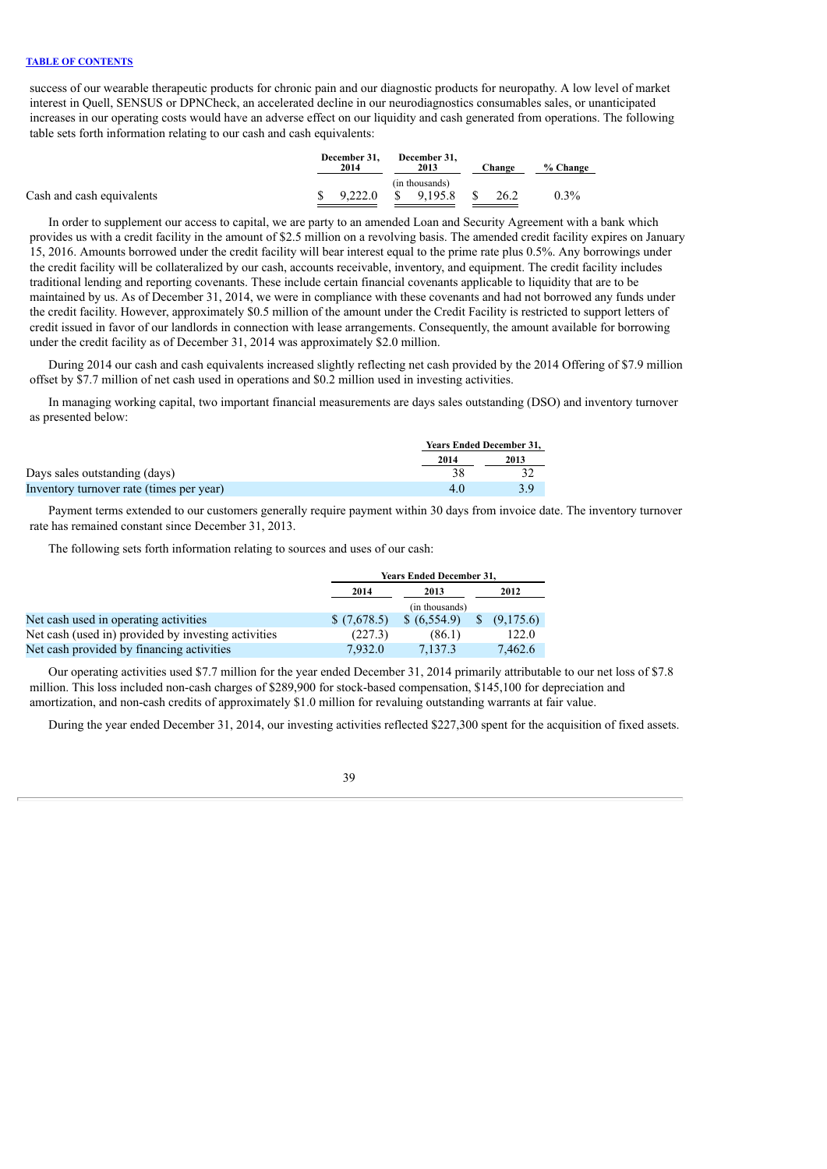success of our wearable therapeutic products for chronic pain and our diagnostic products for neuropathy. A low level of market interest in Quell, SENSUS or DPNCheck, an accelerated decline in our neurodiagnostics consumables sales, or unanticipated increases in our operating costs would have an adverse effect on our liquidity and cash generated from operations. The following table sets forth information relating to our cash and cash equivalents:

|                           | December 31.<br>2014             | December 31.<br>2013 | <b>Change</b> | % Change |
|---------------------------|----------------------------------|----------------------|---------------|----------|
|                           |                                  | (in thousands)       |               |          |
| Cash and cash equivalents | $\frac{1}{2}$ 9.222.0 \$ 9.195.8 |                      | 26.2          | $0.3\%$  |

In order to supplement our access to capital, we are party to an amended Loan and Security Agreement with a bank which provides us with a credit facility in the amount of \$2.5 million on a revolving basis. The amended credit facility expires on January 15, 2016. Amounts borrowed under the credit facility will bear interest equal to the prime rate plus 0.5%. Any borrowings under the credit facility will be collateralized by our cash, accounts receivable, inventory, and equipment. The credit facility includes traditional lending and reporting covenants. These include certain financial covenants applicable to liquidity that are to be maintained by us. As of December 31, 2014, we were in compliance with these covenants and had not borrowed any funds under the credit facility. However, approximately \$0.5 million of the amount under the Credit Facility is restricted to support letters of credit issued in favor of our landlords in connection with lease arrangements. Consequently, the amount available for borrowing under the credit facility as of December 31, 2014 was approximately \$2.0 million.

During 2014 our cash and cash equivalents increased slightly reflecting net cash provided by the 2014 Offering of \$7.9 million offset by \$7.7 million of net cash used in operations and \$0.2 million used in investing activities.

In managing working capital, two important financial measurements are days sales outstanding (DSO) and inventory turnover as presented below:

|                                          | <b>Years Ended December 31.</b> |      |
|------------------------------------------|---------------------------------|------|
|                                          | 2014                            | 2013 |
| Days sales outstanding (days)            |                                 |      |
| Inventory turnover rate (times per year) |                                 |      |

Payment terms extended to our customers generally require payment within 30 days from invoice date. The inventory turnover rate has remained constant since December 31, 2013.

The following sets forth information relating to sources and uses of our cash:

|                                                     | <b>Years Ended December 31,</b> |                |    |           |  |
|-----------------------------------------------------|---------------------------------|----------------|----|-----------|--|
|                                                     | 2014                            | 2013           |    | 2012      |  |
|                                                     |                                 | (in thousands) |    |           |  |
| Net cash used in operating activities               | \$(7,678.5)                     | \$ (6,554.9)   | S. | (9,175.6) |  |
| Net cash (used in) provided by investing activities | (227.3)                         | (86.1)         |    | 122.0     |  |
| Net cash provided by financing activities           | 7.932.0                         | 7.137.3        |    | 7.462.6   |  |

Our operating activities used \$7.7 million for the year ended December 31, 2014 primarily attributable to our net loss of \$7.8 million. This loss included non-cash charges of \$289,900 for stock-based compensation, \$145,100 for depreciation and amortization, and non-cash credits of approximately \$1.0 million for revaluing outstanding warrants at fair value.

During the year ended December 31, 2014, our investing activities reflected \$227,300 spent for the acquisition of fixed assets.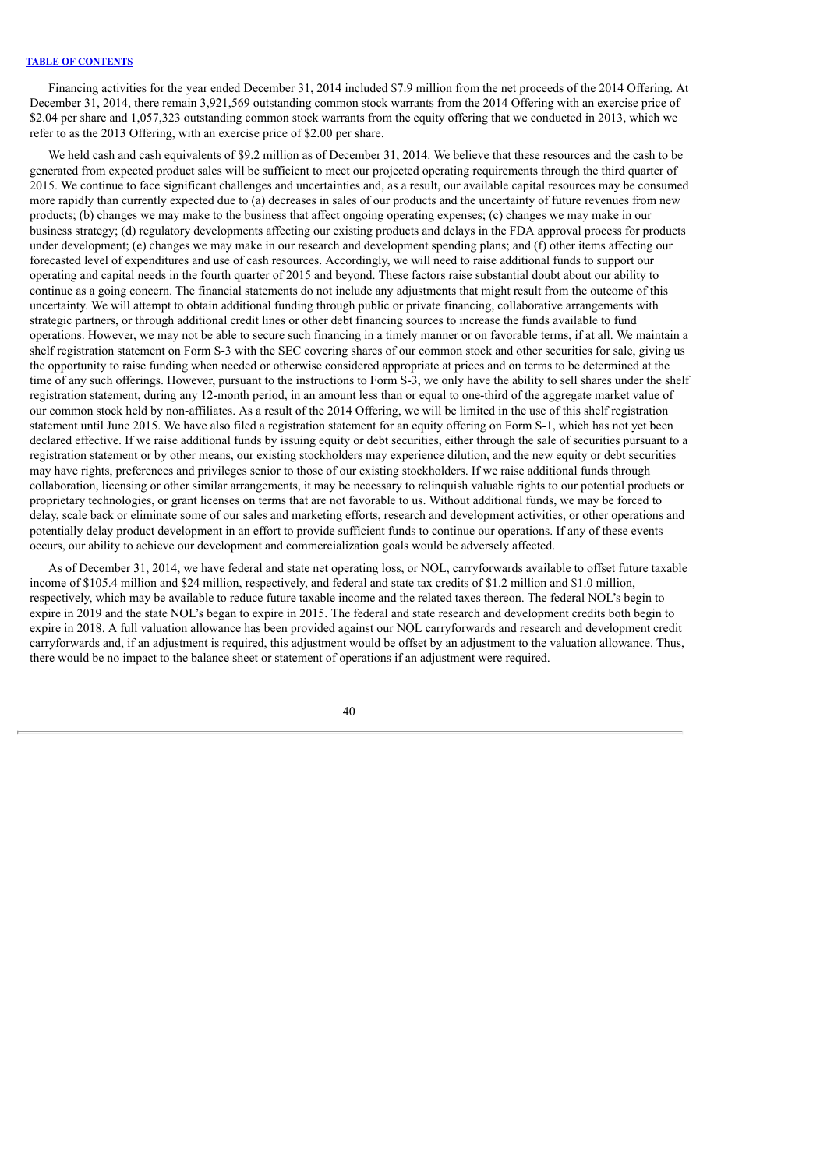Financing activities for the year ended December 31, 2014 included \$7.9 million from the net proceeds of the 2014 Offering. At December 31, 2014, there remain 3,921,569 outstanding common stock warrants from the 2014 Offering with an exercise price of \$2.04 per share and 1,057,323 outstanding common stock warrants from the equity offering that we conducted in 2013, which we refer to as the 2013 Offering, with an exercise price of \$2.00 per share.

We held cash and cash equivalents of \$9.2 million as of December 31, 2014. We believe that these resources and the cash to be generated from expected product sales will be sufficient to meet our projected operating requirements through the third quarter of 2015. We continue to face significant challenges and uncertainties and, as a result, our available capital resources may be consumed more rapidly than currently expected due to (a) decreases in sales of our products and the uncertainty of future revenues from new products; (b) changes we may make to the business that affect ongoing operating expenses; (c) changes we may make in our business strategy; (d) regulatory developments affecting our existing products and delays in the FDA approval process for products under development; (e) changes we may make in our research and development spending plans; and (f) other items affecting our forecasted level of expenditures and use of cash resources. Accordingly, we will need to raise additional funds to support our operating and capital needs in the fourth quarter of 2015 and beyond. These factors raise substantial doubt about our ability to continue as a going concern. The financial statements do not include any adjustments that might result from the outcome of this uncertainty. We will attempt to obtain additional funding through public or private financing, collaborative arrangements with strategic partners, or through additional credit lines or other debt financing sources to increase the funds available to fund operations. However, we may not be able to secure such financing in a timely manner or on favorable terms, if at all. We maintain a shelf registration statement on Form S-3 with the SEC covering shares of our common stock and other securities for sale, giving us the opportunity to raise funding when needed or otherwise considered appropriate at prices and on terms to be determined at the time of any such offerings. However, pursuant to the instructions to Form S-3, we only have the ability to sell shares under the shelf registration statement, during any 12-month period, in an amount less than or equal to one-third of the aggregate market value of our common stock held by non-affiliates. As a result of the 2014 Offering, we will be limited in the use of this shelf registration statement until June 2015. We have also filed a registration statement for an equity offering on Form S-1, which has not yet been declared effective. If we raise additional funds by issuing equity or debt securities, either through the sale of securities pursuant to a registration statement or by other means, our existing stockholders may experience dilution, and the new equity or debt securities may have rights, preferences and privileges senior to those of our existing stockholders. If we raise additional funds through collaboration, licensing or other similar arrangements, it may be necessary to relinquish valuable rights to our potential products or proprietary technologies, or grant licenses on terms that are not favorable to us. Without additional funds, we may be forced to delay, scale back or eliminate some of our sales and marketing efforts, research and development activities, or other operations and potentially delay product development in an effort to provide sufficient funds to continue our operations. If any of these events occurs, our ability to achieve our development and commercialization goals would be adversely affected.

As of December 31, 2014, we have federal and state net operating loss, or NOL, carryforwards available to offset future taxable income of \$105.4 million and \$24 million, respectively, and federal and state tax credits of \$1.2 million and \$1.0 million, respectively, which may be available to reduce future taxable income and the related taxes thereon. The federal NOL's begin to expire in 2019 and the state NOL's began to expire in 2015. The federal and state research and development credits both begin to expire in 2018. A full valuation allowance has been provided against our NOL carryforwards and research and development credit carryforwards and, if an adjustment is required, this adjustment would be offset by an adjustment to the valuation allowance. Thus, there would be no impact to the balance sheet or statement of operations if an adjustment were required.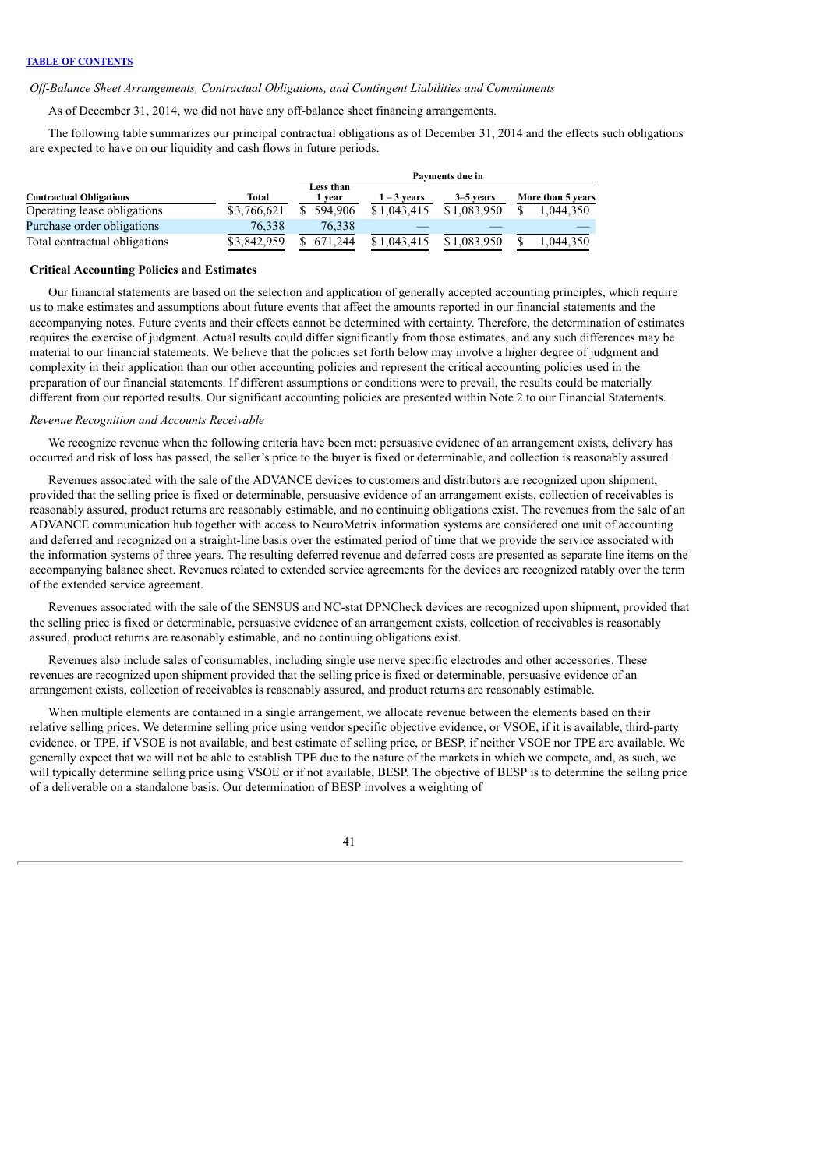### *Of -Balance Sheet Arrangements, Contractual Obligations, and Contingent Liabilities and Commitments*

As of December 31, 2014, we did not have any off-balance sheet financing arrangements.

The following table summarizes our principal contractual obligations as of December 31, 2014 and the effects such obligations are expected to have on our liquidity and cash flows in future periods.

|                                |             |                          |               | Payments due in |                   |
|--------------------------------|-------------|--------------------------|---------------|-----------------|-------------------|
| <b>Contractual Obligations</b> | Total       | <b>Less than</b><br>vear | $1 - 3$ vears | 3–5 years       | More than 5 years |
| Operating lease obligations    | \$3,766,621 | 594.906<br>S.            | \$1,043,415   | \$1.083.950     | 1.044.350         |
| Purchase order obligations     | 76.338      | 76.338                   |               |                 |                   |
| Total contractual obligations  | \$3,842,959 | 671.244                  | \$1,043,415   | \$1,083,950     | 1.044.350         |

### **Critical Accounting Policies and Estimates**

Our financial statements are based on the selection and application of generally accepted accounting principles, which require us to make estimates and assumptions about future events that affect the amounts reported in our financial statements and the accompanying notes. Future events and their effects cannot be determined with certainty. Therefore, the determination of estimates requires the exercise of judgment. Actual results could differ significantly from those estimates, and any such differences may be material to our financial statements. We believe that the policies set forth below may involve a higher degree of judgment and complexity in their application than our other accounting policies and represent the critical accounting policies used in the preparation of our financial statements. If different assumptions or conditions were to prevail, the results could be materially different from our reported results. Our significant accounting policies are presented within Note 2 to our Financial Statements.

## *Revenue Recognition and Accounts Receivable*

We recognize revenue when the following criteria have been met: persuasive evidence of an arrangement exists, delivery has occurred and risk of loss has passed, the seller's price to the buyer is fixed or determinable, and collection is reasonably assured.

Revenues associated with the sale of the ADVANCE devices to customers and distributors are recognized upon shipment, provided that the selling price is fixed or determinable, persuasive evidence of an arrangement exists, collection of receivables is reasonably assured, product returns are reasonably estimable, and no continuing obligations exist. The revenues from the sale of an ADVANCE communication hub together with access to NeuroMetrix information systems are considered one unit of accounting and deferred and recognized on a straight-line basis over the estimated period of time that we provide the service associated with the information systems of three years. The resulting deferred revenue and deferred costs are presented as separate line items on the accompanying balance sheet. Revenues related to extended service agreements for the devices are recognized ratably over the term of the extended service agreement.

Revenues associated with the sale of the SENSUS and NC-stat DPNCheck devices are recognized upon shipment, provided that the selling price is fixed or determinable, persuasive evidence of an arrangement exists, collection of receivables is reasonably assured, product returns are reasonably estimable, and no continuing obligations exist.

Revenues also include sales of consumables, including single use nerve specific electrodes and other accessories. These revenues are recognized upon shipment provided that the selling price is fixed or determinable, persuasive evidence of an arrangement exists, collection of receivables is reasonably assured, and product returns are reasonably estimable.

When multiple elements are contained in a single arrangement, we allocate revenue between the elements based on their relative selling prices. We determine selling price using vendor specific objective evidence, or VSOE, if it is available, third-party evidence, or TPE, if VSOE is not available, and best estimate of selling price, or BESP, if neither VSOE nor TPE are available. We generally expect that we will not be able to establish TPE due to the nature of the markets in which we compete, and, as such, we will typically determine selling price using VSOE or if not available, BESP. The objective of BESP is to determine the selling price of a deliverable on a standalone basis. Our determination of BESP involves a weighting of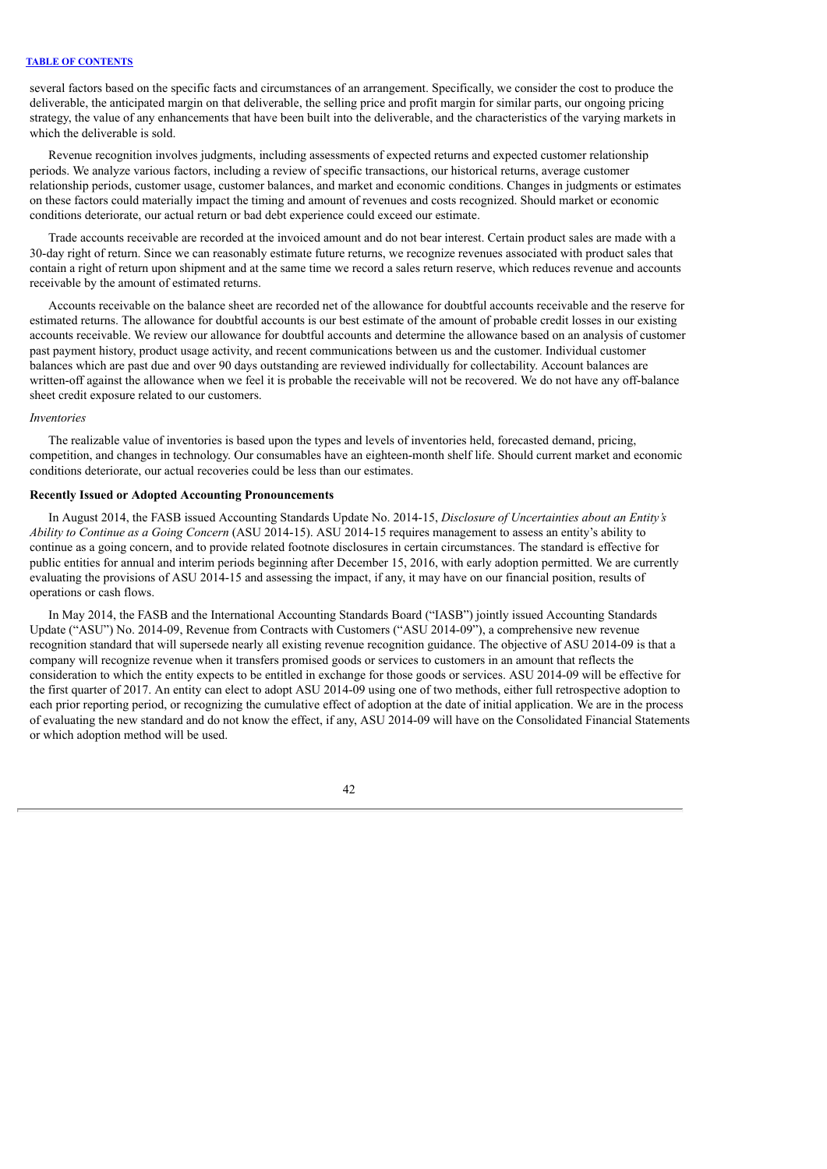several factors based on the specific facts and circumstances of an arrangement. Specifically, we consider the cost to produce the deliverable, the anticipated margin on that deliverable, the selling price and profit margin for similar parts, our ongoing pricing strategy, the value of any enhancements that have been built into the deliverable, and the characteristics of the varying markets in which the deliverable is sold.

Revenue recognition involves judgments, including assessments of expected returns and expected customer relationship periods. We analyze various factors, including a review of specific transactions, our historical returns, average customer relationship periods, customer usage, customer balances, and market and economic conditions. Changes in judgments or estimates on these factors could materially impact the timing and amount of revenues and costs recognized. Should market or economic conditions deteriorate, our actual return or bad debt experience could exceed our estimate.

Trade accounts receivable are recorded at the invoiced amount and do not bear interest. Certain product sales are made with a 30-day right of return. Since we can reasonably estimate future returns, we recognize revenues associated with product sales that contain a right of return upon shipment and at the same time we record a sales return reserve, which reduces revenue and accounts receivable by the amount of estimated returns.

Accounts receivable on the balance sheet are recorded net of the allowance for doubtful accounts receivable and the reserve for estimated returns. The allowance for doubtful accounts is our best estimate of the amount of probable credit losses in our existing accounts receivable. We review our allowance for doubtful accounts and determine the allowance based on an analysis of customer past payment history, product usage activity, and recent communications between us and the customer. Individual customer balances which are past due and over 90 days outstanding are reviewed individually for collectability. Account balances are written-off against the allowance when we feel it is probable the receivable will not be recovered. We do not have any off-balance sheet credit exposure related to our customers.

#### *Inventories*

The realizable value of inventories is based upon the types and levels of inventories held, forecasted demand, pricing, competition, and changes in technology. Our consumables have an eighteen-month shelf life. Should current market and economic conditions deteriorate, our actual recoveries could be less than our estimates.

## **Recently Issued or Adopted Accounting Pronouncements**

In August 2014, the FASB issued Accounting Standards Update No. 2014-15, *Disclosure of Uncertainties about an Entity's Ability to Continue as a Going Concern* (ASU 2014-15). ASU 2014-15 requires management to assess an entity's ability to continue as a going concern, and to provide related footnote disclosures in certain circumstances. The standard is effective for public entities for annual and interim periods beginning after December 15, 2016, with early adoption permitted. We are currently evaluating the provisions of ASU 2014-15 and assessing the impact, if any, it may have on our financial position, results of operations or cash flows.

In May 2014, the FASB and the International Accounting Standards Board ("IASB") jointly issued Accounting Standards Update ("ASU") No. 2014-09, Revenue from Contracts with Customers ("ASU 2014-09"), a comprehensive new revenue recognition standard that will supersede nearly all existing revenue recognition guidance. The objective of ASU 2014-09 is that a company will recognize revenue when it transfers promised goods or services to customers in an amount that reflects the consideration to which the entity expects to be entitled in exchange for those goods or services. ASU 2014-09 will be effective for the first quarter of 2017. An entity can elect to adopt ASU 2014-09 using one of two methods, either full retrospective adoption to each prior reporting period, or recognizing the cumulative effect of adoption at the date of initial application. We are in the process of evaluating the new standard and do not know the effect, if any, ASU 2014-09 will have on the Consolidated Financial Statements or which adoption method will be used.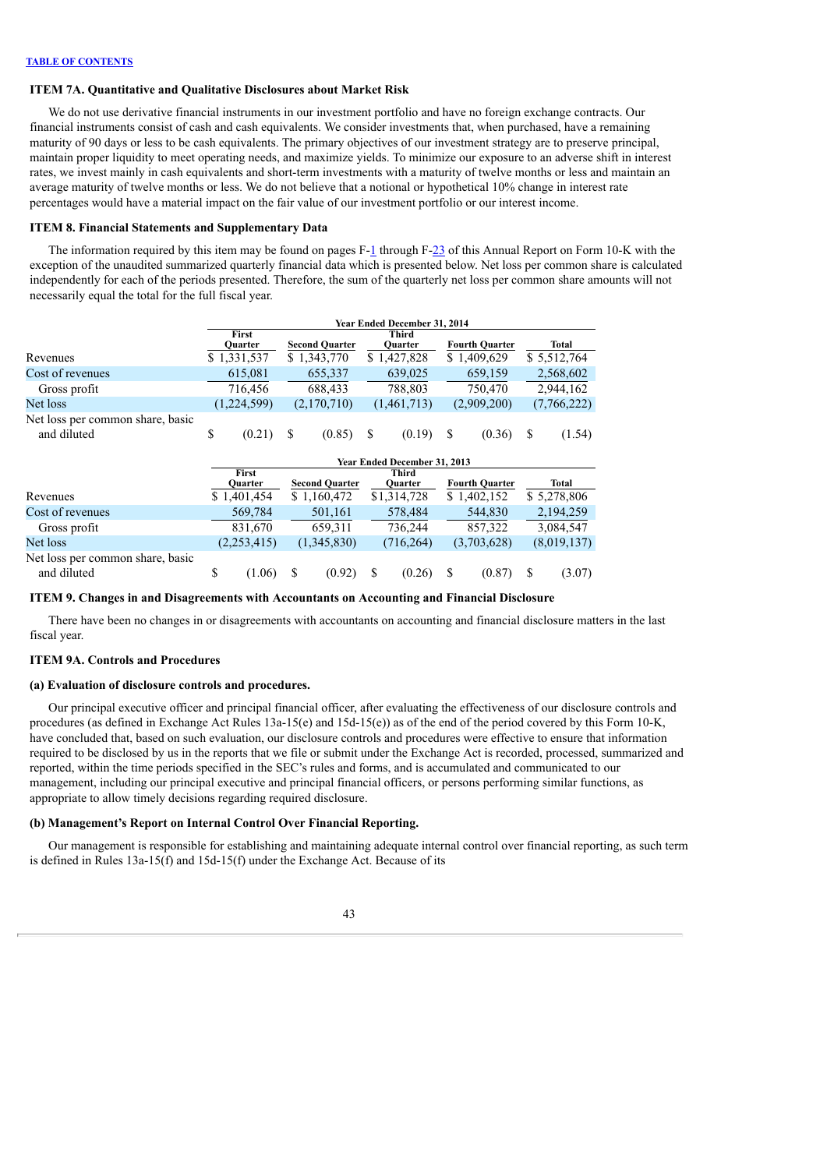## **ITEM 7A. Quantitative and Qualitative Disclosures about Market Risk**

We do not use derivative financial instruments in our investment portfolio and have no foreign exchange contracts. Our financial instruments consist of cash and cash equivalents. We consider investments that, when purchased, have a remaining maturity of 90 days or less to be cash equivalents. The primary objectives of our investment strategy are to preserve principal, maintain proper liquidity to meet operating needs, and maximize yields. To minimize our exposure to an adverse shift in interest rates, we invest mainly in cash equivalents and short-term investments with a maturity of twelve months or less and maintain an average maturity of twelve months or less. We do not believe that a notional or hypothetical 10% change in interest rate percentages would have a material impact on the fair value of our investment portfolio or our interest income.

## **ITEM 8. Financial Statements and Supplementary Data**

The information required by this item may be found on pages F[-1](#page-59-0) through F-[23](#page-81-0) of this Annual Report on Form 10-K with the exception of the unaudited summarized quarterly financial data which is presented below. Net loss per common share is calculated independently for each of the periods presented. Therefore, the sum of the quarterly net loss per common share amounts will not necessarily equal the total for the full fiscal year.

|                                                 |                  |   |                       |         | Year Ended December 31, 2014 |    |                       |              |
|-------------------------------------------------|------------------|---|-----------------------|---------|------------------------------|----|-----------------------|--------------|
|                                                 | First<br>Ouarter |   | <b>Second Quarter</b> |         | Third<br>Ouarter             |    | <b>Fourth Quarter</b> | <b>Total</b> |
| Revenues                                        | \$1,331,537      |   | \$1,343,770           |         | \$1,427,828                  |    | \$1,409,629           | \$5,512,764  |
| Cost of revenues                                | 615,081          |   | 655,337               |         | 639,025                      |    | 659,159               | 2,568,602    |
| Gross profit                                    | 716,456          |   | 688,433               | 788,803 |                              |    | 750,470               | 2,944,162    |
| Net loss                                        | (1,224,599)      |   | (2,170,710)           |         | (1,461,713)                  |    | (2,909,200)           | (7,766,222)  |
| Net loss per common share, basic<br>and diluted | \$<br>(0.21)     | S | (0.85)                | S       | (0.19)                       | S  | (0.36)                | \$<br>(1.54) |
|                                                 |                  |   |                       |         | Year Ended December 31, 2013 |    |                       |              |
|                                                 | First<br>Ouarter |   | <b>Second Quarter</b> |         | <b>Third</b><br>Ouarter      |    | <b>Fourth Quarter</b> | Total        |
| Revenues                                        | \$1,401,454      |   | \$1,160,472           |         | \$1,314,728                  |    | \$1,402,152           | \$5,278,806  |
| Cost of revenues                                | 569,784          |   | 501,161               |         | 578,484                      |    | 544,830               | 2,194,259    |
| Gross profit                                    | 831,670          |   | 659,311               |         | 736,244                      |    | 857,322               | 3,084,547    |
| Net loss                                        | (2,253,415)      |   | (1,345,830)           |         | (716, 264)                   |    | (3,703,628)           | (8,019,137)  |
| Net loss per common share, basic                |                  |   |                       |         |                              |    |                       |              |
| and diluted                                     | \$<br>(1.06)     | S | (0.92)                | \$      | (0.26)                       | \$ | (0.87)                | \$<br>(3.07) |

## **ITEM 9. Changes in and Disagreements with Accountants on Accounting and Financial Disclosure**

There have been no changes in or disagreements with accountants on accounting and financial disclosure matters in the last fiscal year.

## **ITEM 9A. Controls and Procedures**

## **(a) Evaluation of disclosure controls and procedures.**

Our principal executive officer and principal financial officer, after evaluating the effectiveness of our disclosure controls and procedures (as defined in Exchange Act Rules 13a-15(e) and 15d-15(e)) as of the end of the period covered by this Form 10-K, have concluded that, based on such evaluation, our disclosure controls and procedures were effective to ensure that information required to be disclosed by us in the reports that we file or submit under the Exchange Act is recorded, processed, summarized and reported, within the time periods specified in the SEC's rules and forms, and is accumulated and communicated to our management, including our principal executive and principal financial officers, or persons performing similar functions, as appropriate to allow timely decisions regarding required disclosure.

## **(b) Management's Report on Internal Control Over Financial Reporting.**

Our management is responsible for establishing and maintaining adequate internal control over financial reporting, as such term is defined in Rules 13a-15(f) and 15d-15(f) under the Exchange Act. Because of its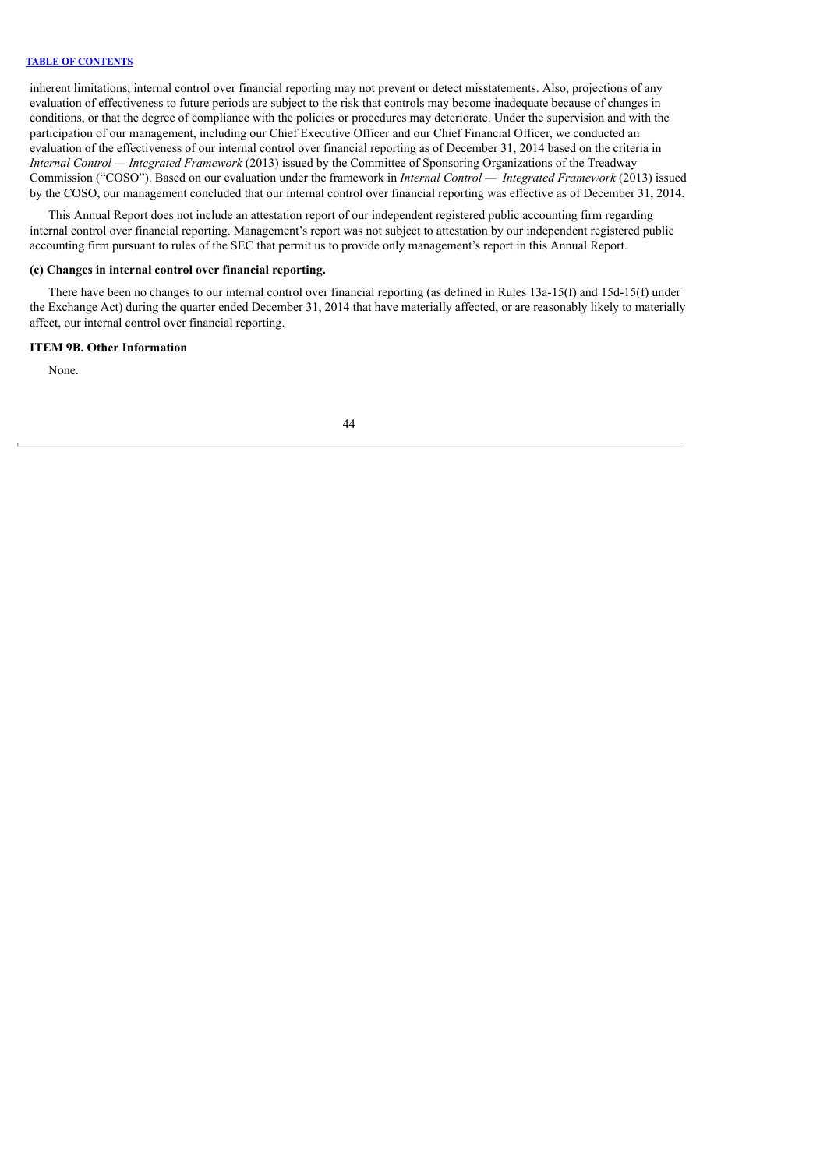inherent limitations, internal control over financial reporting may not prevent or detect misstatements. Also, projections of any evaluation of effectiveness to future periods are subject to the risk that controls may become inadequate because of changes in conditions, or that the degree of compliance with the policies or procedures may deteriorate. Under the supervision and with the participation of our management, including our Chief Executive Officer and our Chief Financial Officer, we conducted an evaluation of the effectiveness of our internal control over financial reporting as of December 31, 2014 based on the criteria in *Internal Control — Integrated Framework* (2013) issued by the Committee of Sponsoring Organizations of the Treadway Commission ("COSO"). Based on our evaluation under the framework in *Internal Control — Integrated Framework* (2013) issued by the COSO, our management concluded that our internal control over financial reporting was effective as of December 31, 2014.

This Annual Report does not include an attestation report of our independent registered public accounting firm regarding internal control over financial reporting. Management's report was not subject to attestation by our independent registered public accounting firm pursuant to rules of the SEC that permit us to provide only management's report in this Annual Report.

## **(c) Changes in internal control over financial reporting.**

There have been no changes to our internal control over financial reporting (as defined in Rules 13a-15(f) and 15d-15(f) under the Exchange Act) during the quarter ended December 31, 2014 that have materially affected, or are reasonably likely to materially affect, our internal control over financial reporting.

## **ITEM 9B. Other Information**

None.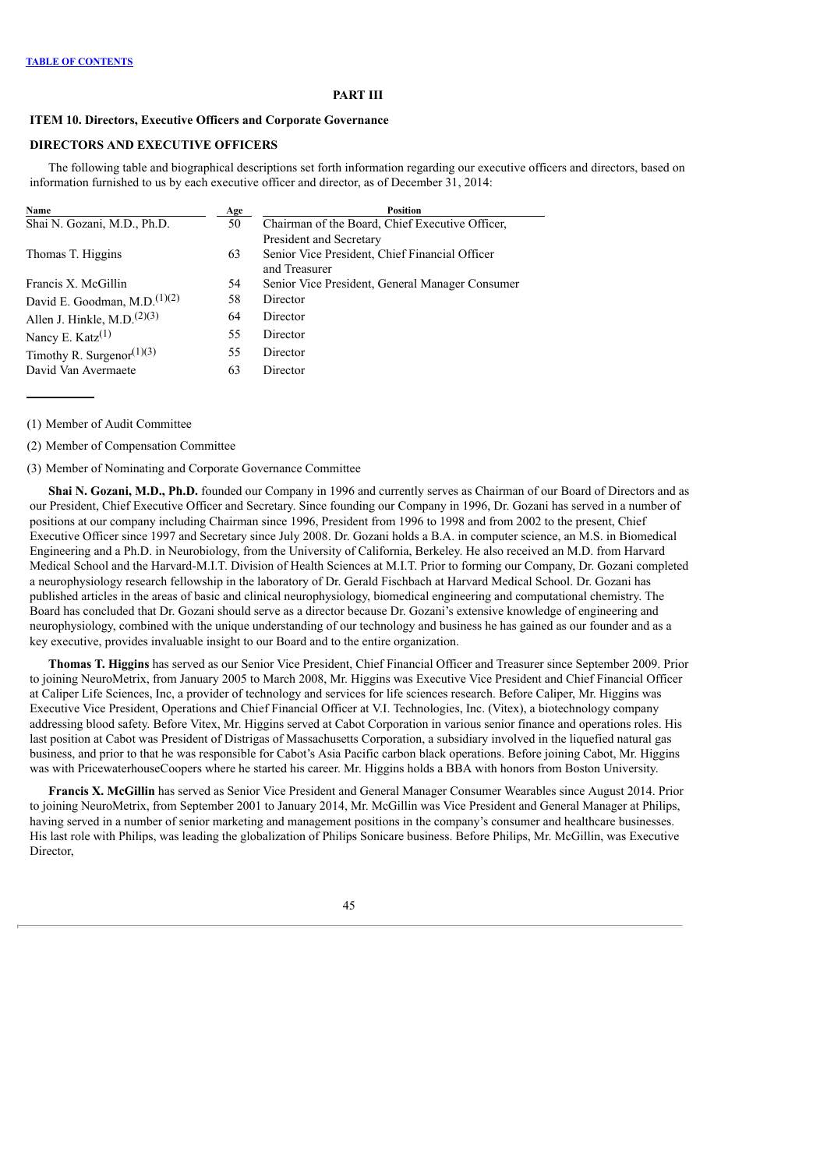## **PART III**

### **ITEM 10. Directors, Executive Officers and Corporate Governance**

## **DIRECTORS AND EXECUTIVE OFFICERS**

The following table and biographical descriptions set forth information regarding our executive officers and directors, based on information furnished to us by each executive officer and director, as of December 31, 2014:

| Name                                                 | Age | <b>Position</b>                                 |
|------------------------------------------------------|-----|-------------------------------------------------|
| Shai N. Gozani, M.D., Ph.D.                          | 50  | Chairman of the Board, Chief Executive Officer, |
|                                                      |     | President and Secretary                         |
| Thomas T. Higgins                                    | 63  | Senior Vice President, Chief Financial Officer  |
|                                                      |     | and Treasurer                                   |
| Francis X. McGillin                                  | 54  | Senior Vice President, General Manager Consumer |
| David E. Goodman, M.D. $^{(1)(2)}$                   | 58  | Director                                        |
| Allen J. Hinkle, M.D. <sup><math>(2)(3)</math></sup> | 64  | Director                                        |
| Nancy E. $Katz^{(1)}$                                | 55  | Director                                        |
| Timothy R. Surgenor <sup>(1)(3)</sup>                | 55  | Director                                        |
| David Van Avermaete                                  | 63  | Director                                        |
|                                                      |     |                                                 |

(1) Member of Audit Committee

(2) Member of Compensation Committee

(3) Member of Nominating and Corporate Governance Committee

**Shai N. Gozani, M.D., Ph.D.** founded our Company in 1996 and currently serves as Chairman of our Board of Directors and as our President, Chief Executive Officer and Secretary. Since founding our Company in 1996, Dr. Gozani has served in a number of positions at our company including Chairman since 1996, President from 1996 to 1998 and from 2002 to the present, Chief Executive Officer since 1997 and Secretary since July 2008. Dr. Gozani holds a B.A. in computer science, an M.S. in Biomedical Engineering and a Ph.D. in Neurobiology, from the University of California, Berkeley. He also received an M.D. from Harvard Medical School and the Harvard-M.I.T. Division of Health Sciences at M.I.T. Prior to forming our Company, Dr. Gozani completed a neurophysiology research fellowship in the laboratory of Dr. Gerald Fischbach at Harvard Medical School. Dr. Gozani has published articles in the areas of basic and clinical neurophysiology, biomedical engineering and computational chemistry. The Board has concluded that Dr. Gozani should serve as a director because Dr. Gozani's extensive knowledge of engineering and neurophysiology, combined with the unique understanding of our technology and business he has gained as our founder and as a key executive, provides invaluable insight to our Board and to the entire organization.

**Thomas T. Higgins** has served as our Senior Vice President, Chief Financial Officer and Treasurer since September 2009. Prior to joining NeuroMetrix, from January 2005 to March 2008, Mr. Higgins was Executive Vice President and Chief Financial Officer at Caliper Life Sciences, Inc, a provider of technology and services for life sciences research. Before Caliper, Mr. Higgins was Executive Vice President, Operations and Chief Financial Officer at V.I. Technologies, Inc. (Vitex), a biotechnology company addressing blood safety. Before Vitex, Mr. Higgins served at Cabot Corporation in various senior finance and operations roles. His last position at Cabot was President of Distrigas of Massachusetts Corporation, a subsidiary involved in the liquefied natural gas business, and prior to that he was responsible for Cabot's Asia Pacific carbon black operations. Before joining Cabot, Mr. Higgins was with PricewaterhouseCoopers where he started his career. Mr. Higgins holds a BBA with honors from Boston University.

**Francis X. McGillin** has served as Senior Vice President and General Manager Consumer Wearables since August 2014. Prior to joining NeuroMetrix, from September 2001 to January 2014, Mr. McGillin was Vice President and General Manager at Philips, having served in a number of senior marketing and management positions in the company's consumer and healthcare businesses. His last role with Philips, was leading the globalization of Philips Sonicare business. Before Philips, Mr. McGillin, was Executive **Director**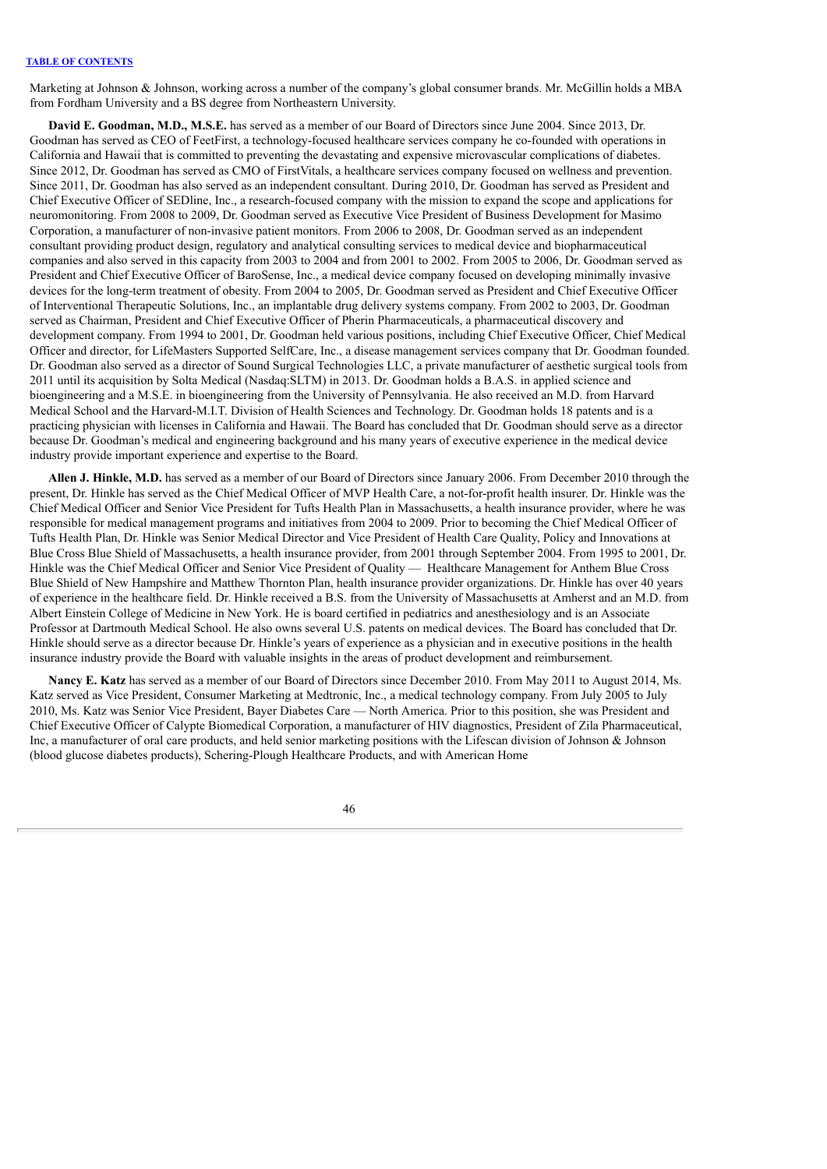Marketing at Johnson & Johnson, working across a number of the company's global consumer brands. Mr. McGillin holds a MBA from Fordham University and a BS degree from Northeastern University.

**David E. Goodman, M.D., M.S.E.** has served as a member of our Board of Directors since June 2004. Since 2013, Dr. Goodman has served as CEO of FeetFirst, a technology-focused healthcare services company he co-founded with operations in California and Hawaii that is committed to preventing the devastating and expensive microvascular complications of diabetes. Since 2012, Dr. Goodman has served as CMO of FirstVitals, a healthcare services company focused on wellness and prevention. Since 2011, Dr. Goodman has also served as an independent consultant. During 2010, Dr. Goodman has served as President and Chief Executive Officer of SEDline, Inc., a research-focused company with the mission to expand the scope and applications for neuromonitoring. From 2008 to 2009, Dr. Goodman served as Executive Vice President of Business Development for Masimo Corporation, a manufacturer of non-invasive patient monitors. From 2006 to 2008, Dr. Goodman served as an independent consultant providing product design, regulatory and analytical consulting services to medical device and biopharmaceutical companies and also served in this capacity from 2003 to 2004 and from 2001 to 2002. From 2005 to 2006, Dr. Goodman served as President and Chief Executive Officer of BaroSense, Inc., a medical device company focused on developing minimally invasive devices for the long-term treatment of obesity. From 2004 to 2005, Dr. Goodman served as President and Chief Executive Officer of Interventional Therapeutic Solutions, Inc., an implantable drug delivery systems company. From 2002 to 2003, Dr. Goodman served as Chairman, President and Chief Executive Officer of Pherin Pharmaceuticals, a pharmaceutical discovery and development company. From 1994 to 2001, Dr. Goodman held various positions, including Chief Executive Officer, Chief Medical Officer and director, for LifeMasters Supported SelfCare, Inc., a disease management services company that Dr. Goodman founded. Dr. Goodman also served as a director of Sound Surgical Technologies LLC, a private manufacturer of aesthetic surgical tools from 2011 until its acquisition by Solta Medical (Nasdaq:SLTM) in 2013. Dr. Goodman holds a B.A.S. in applied science and bioengineering and a M.S.E. in bioengineering from the University of Pennsylvania. He also received an M.D. from Harvard Medical School and the Harvard-M.I.T. Division of Health Sciences and Technology. Dr. Goodman holds 18 patents and is a practicing physician with licenses in California and Hawaii. The Board has concluded that Dr. Goodman should serve as a director because Dr. Goodman's medical and engineering background and his many years of executive experience in the medical device industry provide important experience and expertise to the Board.

**Allen J. Hinkle, M.D.** has served as a member of our Board of Directors since January 2006. From December 2010 through the present, Dr. Hinkle has served as the Chief Medical Officer of MVP Health Care, a not-for-profit health insurer. Dr. Hinkle was the Chief Medical Officer and Senior Vice President for Tufts Health Plan in Massachusetts, a health insurance provider, where he was responsible for medical management programs and initiatives from 2004 to 2009. Prior to becoming the Chief Medical Officer of Tufts Health Plan, Dr. Hinkle was Senior Medical Director and Vice President of Health Care Quality, Policy and Innovations at Blue Cross Blue Shield of Massachusetts, a health insurance provider, from 2001 through September 2004. From 1995 to 2001, Dr. Hinkle was the Chief Medical Officer and Senior Vice President of Quality — Healthcare Management for Anthem Blue Cross Blue Shield of New Hampshire and Matthew Thornton Plan, health insurance provider organizations. Dr. Hinkle has over 40 years of experience in the healthcare field. Dr. Hinkle received a B.S. from the University of Massachusetts at Amherst and an M.D. from Albert Einstein College of Medicine in New York. He is board certified in pediatrics and anesthesiology and is an Associate Professor at Dartmouth Medical School. He also owns several U.S. patents on medical devices. The Board has concluded that Dr. Hinkle should serve as a director because Dr. Hinkle's years of experience as a physician and in executive positions in the health insurance industry provide the Board with valuable insights in the areas of product development and reimbursement.

**Nancy E. Katz** has served as a member of our Board of Directors since December 2010. From May 2011 to August 2014, Ms. Katz served as Vice President, Consumer Marketing at Medtronic, Inc., a medical technology company. From July 2005 to July 2010, Ms. Katz was Senior Vice President, Bayer Diabetes Care — North America. Prior to this position, she was President and Chief Executive Officer of Calypte Biomedical Corporation, a manufacturer of HIV diagnostics, President of Zila Pharmaceutical, Inc, a manufacturer of oral care products, and held senior marketing positions with the Lifescan division of Johnson & Johnson (blood glucose diabetes products), Schering-Plough Healthcare Products, and with American Home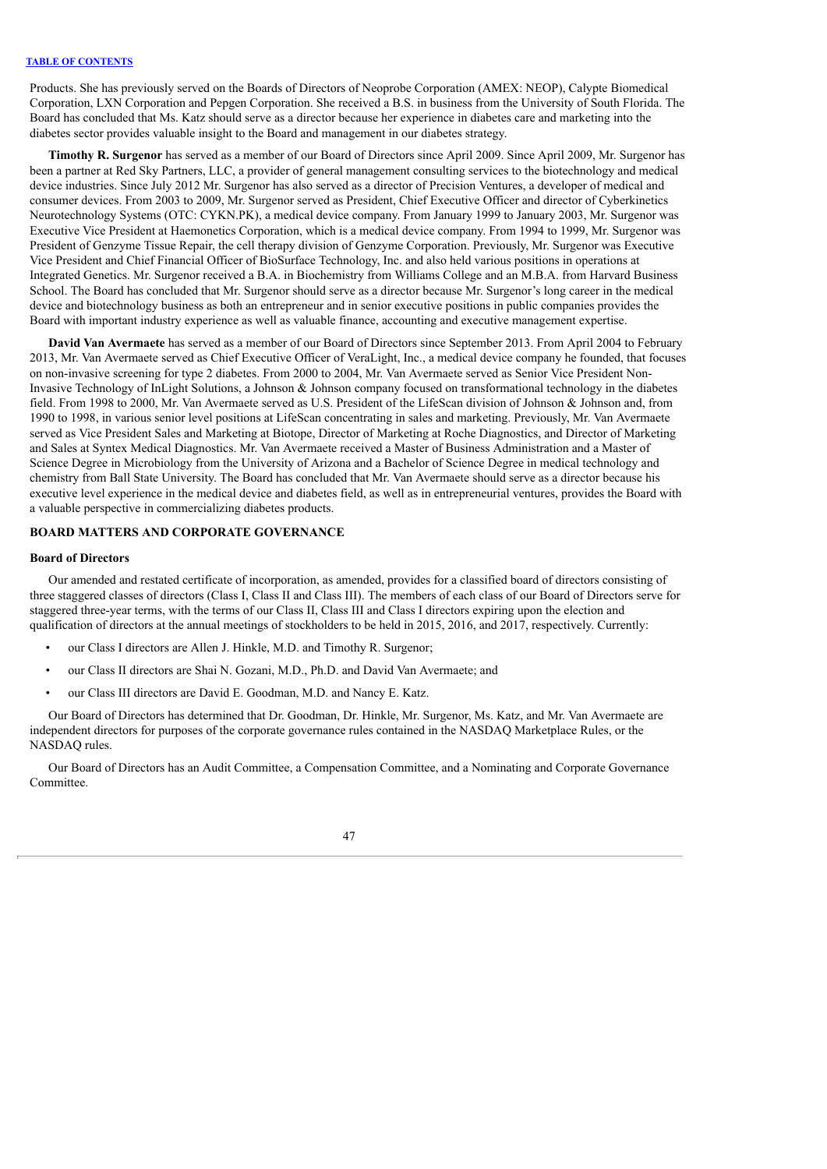Products. She has previously served on the Boards of Directors of Neoprobe Corporation (AMEX: NEOP), Calypte Biomedical Corporation, LXN Corporation and Pepgen Corporation. She received a B.S. in business from the University of South Florida. The Board has concluded that Ms. Katz should serve as a director because her experience in diabetes care and marketing into the diabetes sector provides valuable insight to the Board and management in our diabetes strategy.

**Timothy R. Surgenor** has served as a member of our Board of Directors since April 2009. Since April 2009, Mr. Surgenor has been a partner at Red Sky Partners, LLC, a provider of general management consulting services to the biotechnology and medical device industries. Since July 2012 Mr. Surgenor has also served as a director of Precision Ventures, a developer of medical and consumer devices. From 2003 to 2009, Mr. Surgenor served as President, Chief Executive Officer and director of Cyberkinetics Neurotechnology Systems (OTC: CYKN.PK), a medical device company. From January 1999 to January 2003, Mr. Surgenor was Executive Vice President at Haemonetics Corporation, which is a medical device company. From 1994 to 1999, Mr. Surgenor was President of Genzyme Tissue Repair, the cell therapy division of Genzyme Corporation. Previously, Mr. Surgenor was Executive Vice President and Chief Financial Officer of BioSurface Technology, Inc. and also held various positions in operations at Integrated Genetics. Mr. Surgenor received a B.A. in Biochemistry from Williams College and an M.B.A. from Harvard Business School. The Board has concluded that Mr. Surgenor should serve as a director because Mr. Surgenor's long career in the medical device and biotechnology business as both an entrepreneur and in senior executive positions in public companies provides the Board with important industry experience as well as valuable finance, accounting and executive management expertise.

**David Van Avermaete** has served as a member of our Board of Directors since September 2013. From April 2004 to February 2013, Mr. Van Avermaete served as Chief Executive Officer of VeraLight, Inc., a medical device company he founded, that focuses on non-invasive screening for type 2 diabetes. From 2000 to 2004, Mr. Van Avermaete served as Senior Vice President Non-Invasive Technology of InLight Solutions, a Johnson & Johnson company focused on transformational technology in the diabetes field. From 1998 to 2000, Mr. Van Avermaete served as U.S. President of the LifeScan division of Johnson & Johnson and, from 1990 to 1998, in various senior level positions at LifeScan concentrating in sales and marketing. Previously, Mr. Van Avermaete served as Vice President Sales and Marketing at Biotope, Director of Marketing at Roche Diagnostics, and Director of Marketing and Sales at Syntex Medical Diagnostics. Mr. Van Avermaete received a Master of Business Administration and a Master of Science Degree in Microbiology from the University of Arizona and a Bachelor of Science Degree in medical technology and chemistry from Ball State University. The Board has concluded that Mr. Van Avermaete should serve as a director because his executive level experience in the medical device and diabetes field, as well as in entrepreneurial ventures, provides the Board with a valuable perspective in commercializing diabetes products.

## **BOARD MATTERS AND CORPORATE GOVERNANCE**

## **Board of Directors**

Our amended and restated certificate of incorporation, as amended, provides for a classified board of directors consisting of three staggered classes of directors (Class I, Class II and Class III). The members of each class of our Board of Directors serve for staggered three-year terms, with the terms of our Class II, Class III and Class I directors expiring upon the election and qualification of directors at the annual meetings of stockholders to be held in 2015, 2016, and 2017, respectively. Currently:

- our Class I directors are Allen J. Hinkle, M.D. and Timothy R. Surgenor;
- our Class II directors are Shai N. Gozani, M.D., Ph.D. and David Van Avermaete; and
- our Class III directors are David E. Goodman, M.D. and Nancy E. Katz.

Our Board of Directors has determined that Dr. Goodman, Dr. Hinkle, Mr. Surgenor, Ms. Katz, and Mr. Van Avermaete are independent directors for purposes of the corporate governance rules contained in the NASDAQ Marketplace Rules, or the NASDAQ rules.

Our Board of Directors has an Audit Committee, a Compensation Committee, and a Nominating and Corporate Governance Committee.

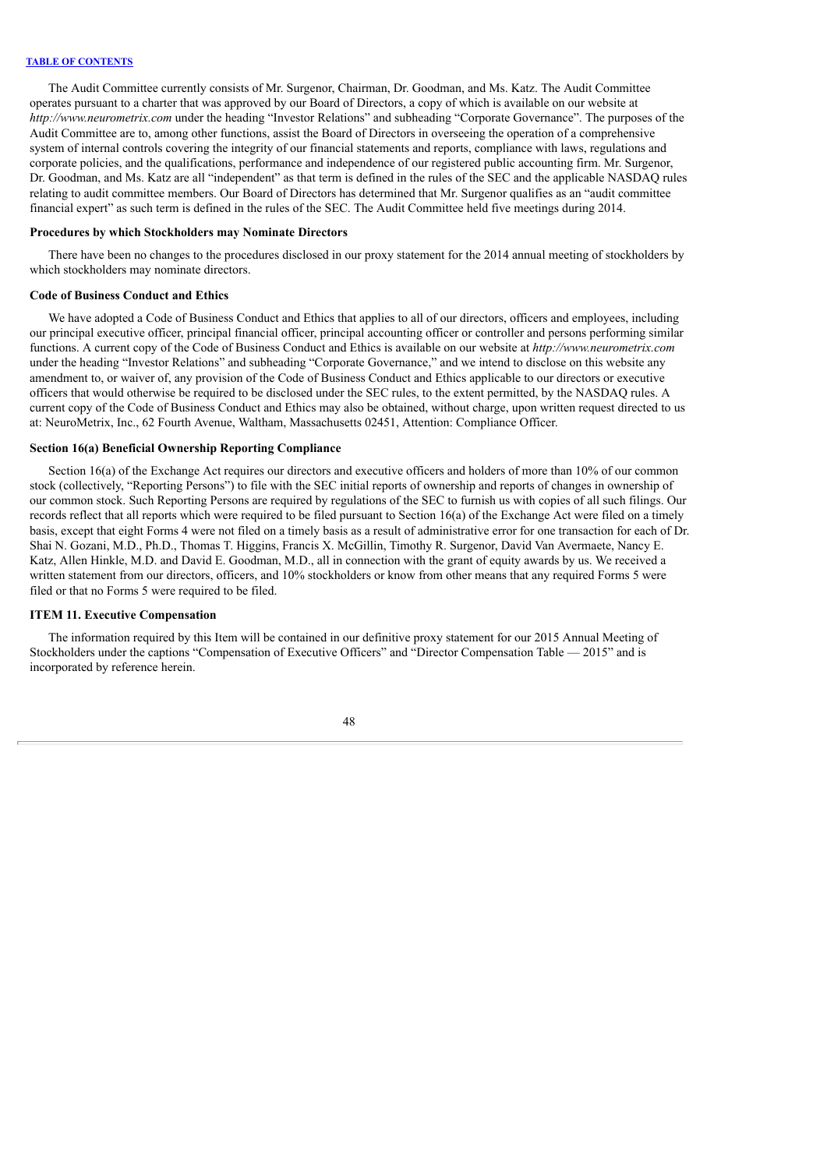The Audit Committee currently consists of Mr. Surgenor, Chairman, Dr. Goodman, and Ms. Katz. The Audit Committee operates pursuant to a charter that was approved by our Board of Directors, a copy of which is available on our website at *http://www.neurometrix.com* under the heading "Investor Relations" and subheading "Corporate Governance". The purposes of the Audit Committee are to, among other functions, assist the Board of Directors in overseeing the operation of a comprehensive system of internal controls covering the integrity of our financial statements and reports, compliance with laws, regulations and corporate policies, and the qualifications, performance and independence of our registered public accounting firm. Mr. Surgenor, Dr. Goodman, and Ms. Katz are all "independent" as that term is defined in the rules of the SEC and the applicable NASDAQ rules relating to audit committee members. Our Board of Directors has determined that Mr. Surgenor qualifies as an "audit committee financial expert" as such term is defined in the rules of the SEC. The Audit Committee held five meetings during 2014.

#### **Procedures by which Stockholders may Nominate Directors**

There have been no changes to the procedures disclosed in our proxy statement for the 2014 annual meeting of stockholders by which stockholders may nominate directors.

## **Code of Business Conduct and Ethics**

We have adopted a Code of Business Conduct and Ethics that applies to all of our directors, officers and employees, including our principal executive officer, principal financial officer, principal accounting officer or controller and persons performing similar functions. A current copy of the Code of Business Conduct and Ethics is available on our website at *http://www.neurometrix.com* under the heading "Investor Relations" and subheading "Corporate Governance," and we intend to disclose on this website any amendment to, or waiver of, any provision of the Code of Business Conduct and Ethics applicable to our directors or executive officers that would otherwise be required to be disclosed under the SEC rules, to the extent permitted, by the NASDAQ rules. A current copy of the Code of Business Conduct and Ethics may also be obtained, without charge, upon written request directed to us at: NeuroMetrix, Inc., 62 Fourth Avenue, Waltham, Massachusetts 02451, Attention: Compliance Officer.

## **Section 16(a) Beneficial Ownership Reporting Compliance**

Section 16(a) of the Exchange Act requires our directors and executive officers and holders of more than 10% of our common stock (collectively, "Reporting Persons") to file with the SEC initial reports of ownership and reports of changes in ownership of our common stock. Such Reporting Persons are required by regulations of the SEC to furnish us with copies of all such filings. Our records reflect that all reports which were required to be filed pursuant to Section 16(a) of the Exchange Act were filed on a timely basis, except that eight Forms 4 were not filed on a timely basis as a result of administrative error for one transaction for each of Dr. Shai N. Gozani, M.D., Ph.D., Thomas T. Higgins, Francis X. McGillin, Timothy R. Surgenor, David Van Avermaete, Nancy E. Katz, Allen Hinkle, M.D. and David E. Goodman, M.D., all in connection with the grant of equity awards by us. We received a written statement from our directors, officers, and 10% stockholders or know from other means that any required Forms 5 were filed or that no Forms 5 were required to be filed.

### **ITEM 11. Executive Compensation**

The information required by this Item will be contained in our definitive proxy statement for our 2015 Annual Meeting of Stockholders under the captions "Compensation of Executive Officers" and "Director Compensation Table — 2015" and is incorporated by reference herein.

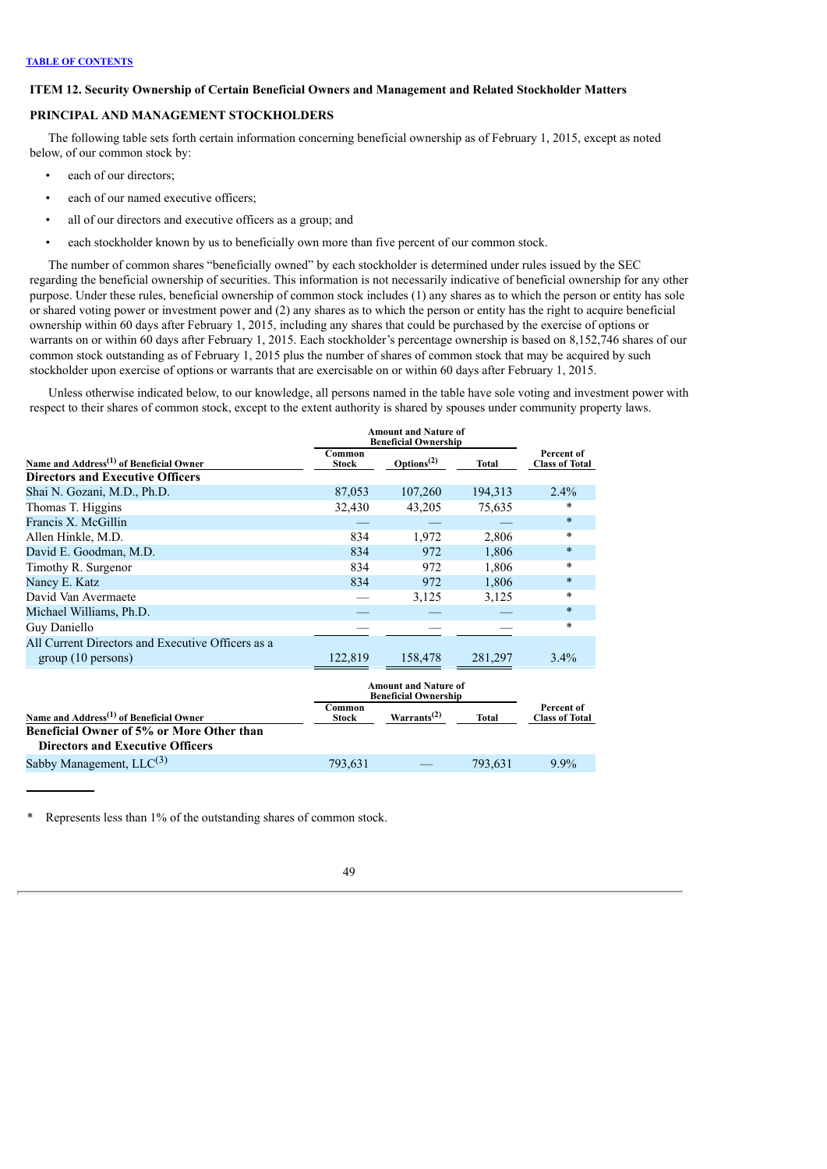## **ITEM 12. Security Ownership of Certain Beneficial Owners and Management and Related Stockholder Matters**

## **PRINCIPAL AND MANAGEMENT STOCKHOLDERS**

The following table sets forth certain information concerning beneficial ownership as of February 1, 2015, except as noted below, of our common stock by:

- each of our directors;
- each of our named executive officers;
- all of our directors and executive officers as a group; and
- each stockholder known by us to beneficially own more than five percent of our common stock.

The number of common shares "beneficially owned" by each stockholder is determined under rules issued by the SEC regarding the beneficial ownership of securities. This information is not necessarily indicative of beneficial ownership for any other purpose. Under these rules, beneficial ownership of common stock includes (1) any shares as to which the person or entity has sole or shared voting power or investment power and (2) any shares as to which the person or entity has the right to acquire beneficial ownership within 60 days after February 1, 2015, including any shares that could be purchased by the exercise of options or warrants on or within 60 days after February 1, 2015. Each stockholder's percentage ownership is based on 8,152,746 shares of our common stock outstanding as of February 1, 2015 plus the number of shares of common stock that may be acquired by such stockholder upon exercise of options or warrants that are exercisable on or within 60 days after February 1, 2015.

Unless otherwise indicated below, to our knowledge, all persons named in the table have sole voting and investment power with respect to their shares of common stock, except to the extent authority is shared by spouses under community property laws.

|                                                                        | <b>Amount and Nature of</b><br><b>Beneficial Ownership</b> |                                     |         |                                     |
|------------------------------------------------------------------------|------------------------------------------------------------|-------------------------------------|---------|-------------------------------------|
| Name and Address <sup>(1)</sup> of Beneficial Owner                    | Common<br><b>Stock</b>                                     | Options <sup><math>(2)</math></sup> | Total   | Percent of<br><b>Class of Total</b> |
| <b>Directors and Executive Officers</b>                                |                                                            |                                     |         |                                     |
| Shai N. Gozani, M.D., Ph.D.                                            | 87,053                                                     | 107,260                             | 194.313 | $2.4\%$                             |
| Thomas T. Higgins                                                      | 32,430                                                     | 43,205                              | 75,635  | $\ast$                              |
| Francis X. McGillin                                                    |                                                            |                                     |         | $\ast$                              |
| Allen Hinkle, M.D.                                                     | 834                                                        | 1,972                               | 2,806   | $\ast$                              |
| David E. Goodman, M.D.                                                 | 834                                                        | 972                                 | 1,806   | $\ast$                              |
| Timothy R. Surgenor                                                    | 834                                                        | 972                                 | 1,806   | $\ast$                              |
| Nancy E. Katz                                                          | 834                                                        | 972                                 | 1,806   | $\ast$                              |
| David Van Avermaete                                                    |                                                            | 3,125                               | 3,125   | $\ast$                              |
| Michael Williams, Ph.D.                                                |                                                            |                                     |         | $\ast$                              |
| Guy Daniello                                                           |                                                            |                                     |         | $\ast$                              |
| All Current Directors and Executive Officers as a<br>group(10 persons) | 122,819                                                    | 158,478                             | 281,297 | 3.4%                                |
|                                                                        |                                                            |                                     |         |                                     |

|                                                     | <b>Amount and Nature of</b><br><b>Beneficial Ownership</b> |                         |         |                                     |
|-----------------------------------------------------|------------------------------------------------------------|-------------------------|---------|-------------------------------------|
| Name and Address <sup>(1)</sup> of Beneficial Owner | Common<br>Stock                                            | Warrants <sup>(2)</sup> | Total   | Percent of<br><b>Class of Total</b> |
| <b>Beneficial Owner of 5% or More Other than</b>    |                                                            |                         |         |                                     |
| <b>Directors and Executive Officers</b>             |                                                            |                         |         |                                     |
| Sabby Management, $LLC^{(3)}$                       | 793.631                                                    |                         | 793.631 | $9.9\%$                             |

\* Represents less than 1% of the outstanding shares of common stock.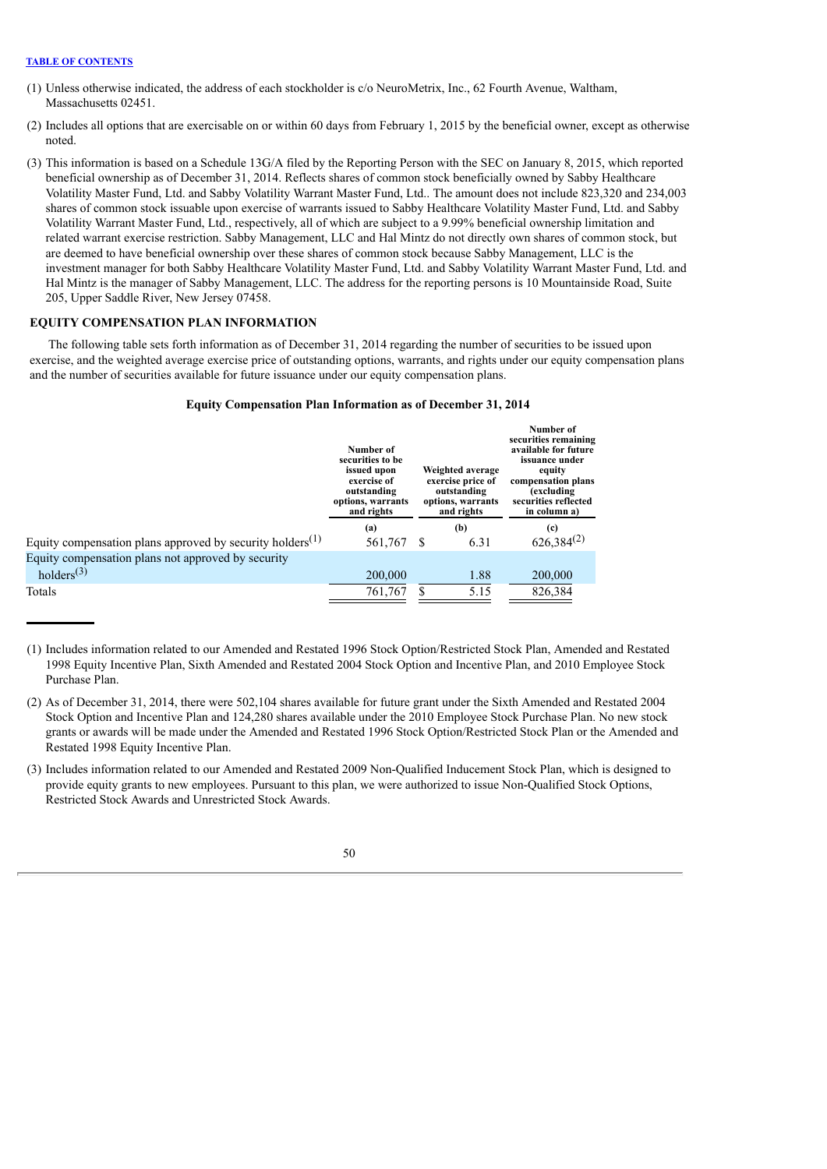- (1) Unless otherwise indicated, the address of each stockholder is c/o NeuroMetrix, Inc., 62 Fourth Avenue, Waltham, Massachusetts 02451.
- (2) Includes all options that are exercisable on or within 60 days from February 1, 2015 by the beneficial owner, except as otherwise noted.
- (3) This information is based on a Schedule 13G/A filed by the Reporting Person with the SEC on January 8, 2015, which reported beneficial ownership as of December 31, 2014. Reflects shares of common stock beneficially owned by Sabby Healthcare Volatility Master Fund, Ltd. and Sabby Volatility Warrant Master Fund, Ltd.. The amount does not include 823,320 and 234,003 shares of common stock issuable upon exercise of warrants issued to Sabby Healthcare Volatility Master Fund, Ltd. and Sabby Volatility Warrant Master Fund, Ltd., respectively, all of which are subject to a 9.99% beneficial ownership limitation and related warrant exercise restriction. Sabby Management, LLC and Hal Mintz do not directly own shares of common stock, but are deemed to have beneficial ownership over these shares of common stock because Sabby Management, LLC is the investment manager for both Sabby Healthcare Volatility Master Fund, Ltd. and Sabby Volatility Warrant Master Fund, Ltd. and Hal Mintz is the manager of Sabby Management, LLC. The address for the reporting persons is 10 Mountainside Road, Suite 205, Upper Saddle River, New Jersey 07458.

## **EQUITY COMPENSATION PLAN INFORMATION**

The following table sets forth information as of December 31, 2014 regarding the number of securities to be issued upon exercise, and the weighted average exercise price of outstanding options, warrants, and rights under our equity compensation plans and the number of securities available for future issuance under our equity compensation plans.

## **Equity Compensation Plan Information as of December 31, 2014**

|                                                              | Number of<br>securities to be<br>Weighted average<br>issued upon<br>exercise price of<br>exercise of<br>outstanding<br>outstanding<br>options, warrants<br>options, warrants<br>and rights<br>and rights |    | Number of<br>securities remaining<br>available for future<br>issuance under<br>equity<br>compensation plans<br>(excluding<br>securities reflected<br>in column a) |                 |
|--------------------------------------------------------------|----------------------------------------------------------------------------------------------------------------------------------------------------------------------------------------------------------|----|-------------------------------------------------------------------------------------------------------------------------------------------------------------------|-----------------|
|                                                              | (a)                                                                                                                                                                                                      |    | (b)                                                                                                                                                               | (c)             |
| Equity compensation plans approved by security holders $(1)$ | 561,767                                                                                                                                                                                                  | -8 | 6.31                                                                                                                                                              | $626,384^{(2)}$ |
| Equity compensation plans not approved by security           |                                                                                                                                                                                                          |    |                                                                                                                                                                   |                 |
| holders $(3)$                                                | 200,000                                                                                                                                                                                                  |    | 1.88                                                                                                                                                              | 200,000         |
| Totals                                                       | 761,767                                                                                                                                                                                                  | S  | 5.15                                                                                                                                                              | 826,384         |

<sup>(1)</sup> Includes information related to our Amended and Restated 1996 Stock Option/Restricted Stock Plan, Amended and Restated 1998 Equity Incentive Plan, Sixth Amended and Restated 2004 Stock Option and Incentive Plan, and 2010 Employee Stock Purchase Plan.

<sup>(2)</sup> As of December 31, 2014, there were 502,104 shares available for future grant under the Sixth Amended and Restated 2004 Stock Option and Incentive Plan and 124,280 shares available under the 2010 Employee Stock Purchase Plan. No new stock grants or awards will be made under the Amended and Restated 1996 Stock Option/Restricted Stock Plan or the Amended and Restated 1998 Equity Incentive Plan.

<sup>(3)</sup> Includes information related to our Amended and Restated 2009 Non-Qualified Inducement Stock Plan, which is designed to provide equity grants to new employees. Pursuant to this plan, we were authorized to issue Non-Qualified Stock Options, Restricted Stock Awards and Unrestricted Stock Awards.

<sup>50</sup>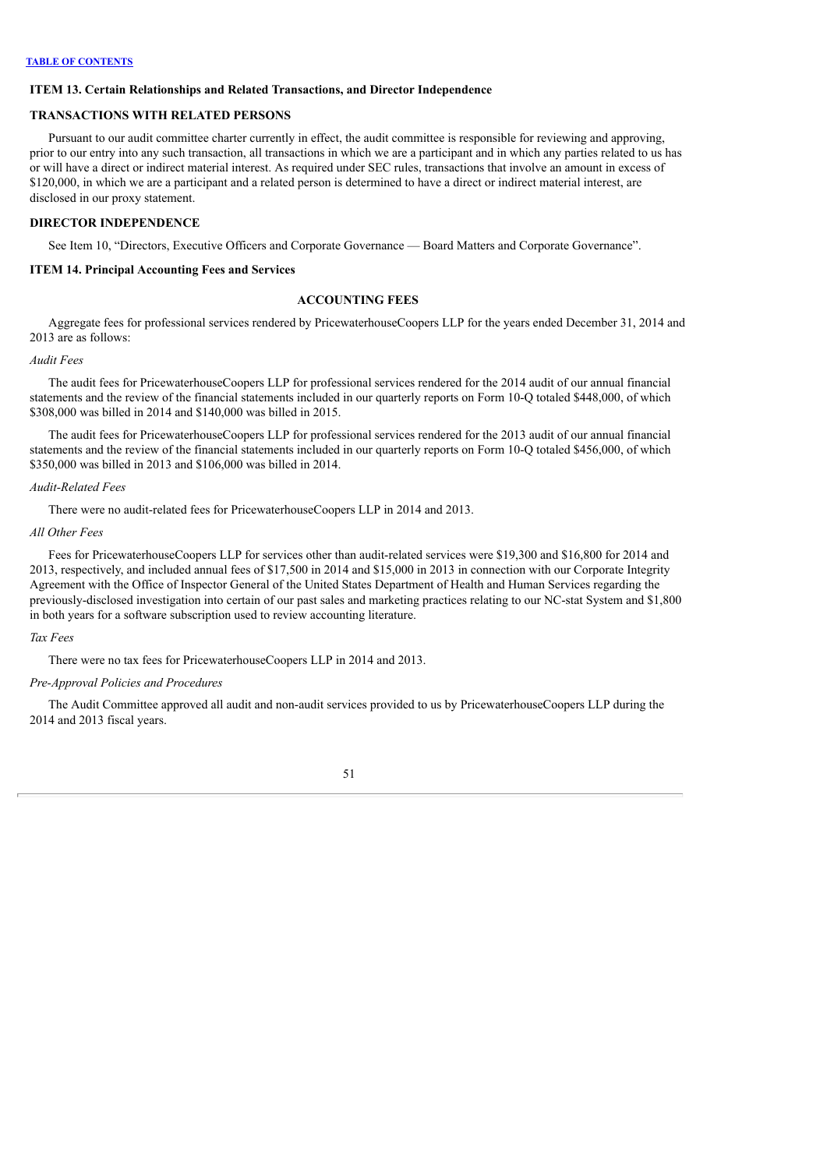## **ITEM 13. Certain Relationships and Related Transactions, and Director Independence**

## **TRANSACTIONS WITH RELATED PERSONS**

Pursuant to our audit committee charter currently in effect, the audit committee is responsible for reviewing and approving, prior to our entry into any such transaction, all transactions in which we are a participant and in which any parties related to us has or will have a direct or indirect material interest. As required under SEC rules, transactions that involve an amount in excess of \$120,000, in which we are a participant and a related person is determined to have a direct or indirect material interest, are disclosed in our proxy statement.

## **DIRECTOR INDEPENDENCE**

See Item 10, "Directors, Executive Officers and Corporate Governance — Board Matters and Corporate Governance".

## **ITEM 14. Principal Accounting Fees and Services**

## **ACCOUNTING FEES**

Aggregate fees for professional services rendered by PricewaterhouseCoopers LLP for the years ended December 31, 2014 and 2013 are as follows:

## *Audit Fees*

The audit fees for PricewaterhouseCoopers LLP for professional services rendered for the 2014 audit of our annual financial statements and the review of the financial statements included in our quarterly reports on Form 10-Q totaled \$448,000, of which \$308,000 was billed in 2014 and \$140,000 was billed in 2015.

The audit fees for PricewaterhouseCoopers LLP for professional services rendered for the 2013 audit of our annual financial statements and the review of the financial statements included in our quarterly reports on Form 10-Q totaled \$456,000, of which \$350,000 was billed in 2013 and \$106,000 was billed in 2014.

## *Audit-Related Fees*

There were no audit-related fees for PricewaterhouseCoopers LLP in 2014 and 2013.

#### *All Other Fees*

Fees for PricewaterhouseCoopers LLP for services other than audit-related services were \$19,300 and \$16,800 for 2014 and 2013, respectively, and included annual fees of \$17,500 in 2014 and \$15,000 in 2013 in connection with our Corporate Integrity Agreement with the Office of Inspector General of the United States Department of Health and Human Services regarding the previously-disclosed investigation into certain of our past sales and marketing practices relating to our NC-stat System and \$1,800 in both years for a software subscription used to review accounting literature.

#### *Tax Fees*

There were no tax fees for PricewaterhouseCoopers LLP in 2014 and 2013.

### *Pre-Approval Policies and Procedures*

The Audit Committee approved all audit and non-audit services provided to us by PricewaterhouseCoopers LLP during the 2014 and 2013 fiscal years.

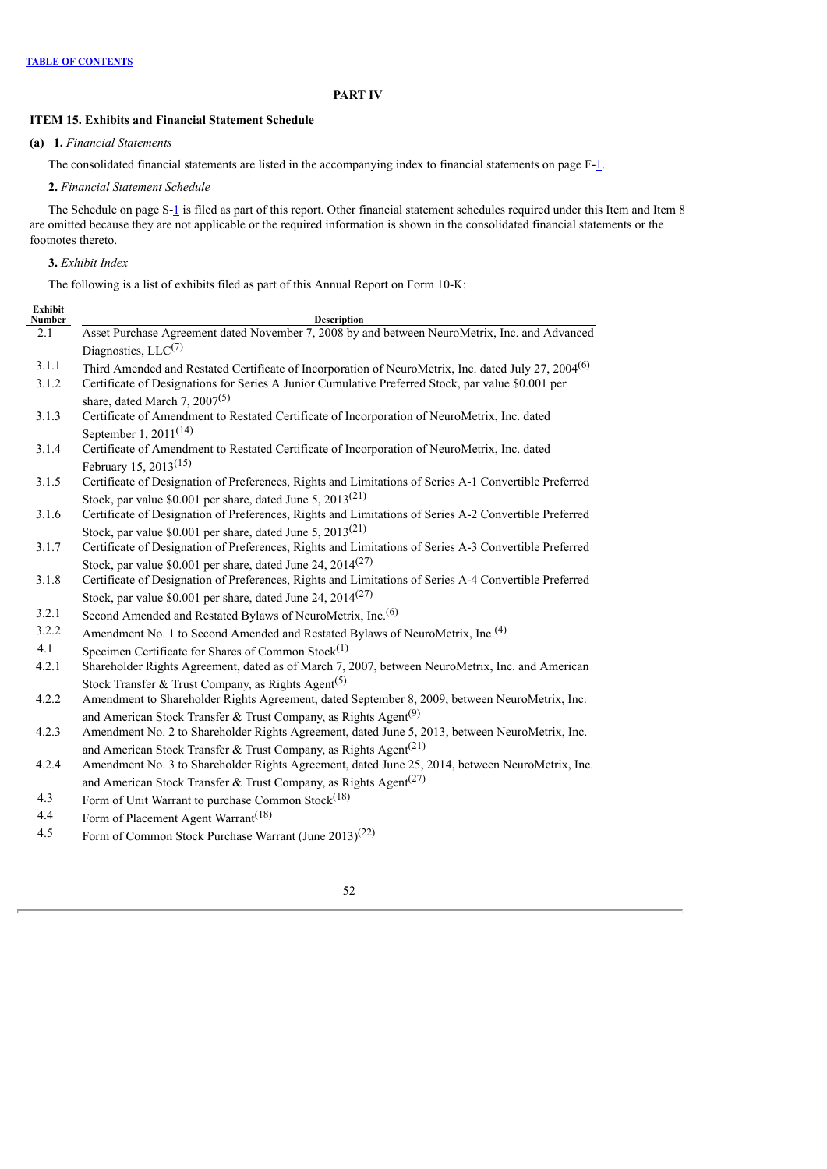## **PART IV**

## **ITEM 15. Exhibits and Financial Statement Schedule**

**(a) 1.** *Financial Statements*

The consolidated financial statements are listed in the accompanying index to financial statements on page F[-1.](#page-59-0)

**2.** *Financial Statement Schedule*

The Schedule on page S-[1](#page-82-0) is filed as part of this report. Other financial statement schedules required under this Item and Item 8 are omitted because they are not applicable or the required information is shown in the consolidated financial statements or the footnotes thereto.

## **3.** *Exhibit Index*

The following is a list of exhibits filed as part of this Annual Report on Form 10-K:

| Exhibit<br><b>Number</b> | <b>Description</b>                                                                                                                                                                                                                                              |
|--------------------------|-----------------------------------------------------------------------------------------------------------------------------------------------------------------------------------------------------------------------------------------------------------------|
| 2.1                      | Asset Purchase Agreement dated November 7, 2008 by and between NeuroMetrix, Inc. and Advanced                                                                                                                                                                   |
|                          | Diagnostics, $LLC^{(7)}$                                                                                                                                                                                                                                        |
| 3.1.1                    | Third Amended and Restated Certificate of Incorporation of NeuroMetrix, Inc. dated July 27, 2004 <sup>(6)</sup>                                                                                                                                                 |
| 3.1.2                    | Certificate of Designations for Series A Junior Cumulative Preferred Stock, par value \$0.001 per<br>share, dated March 7, $2007^{(5)}$                                                                                                                         |
| 3.1.3                    | Certificate of Amendment to Restated Certificate of Incorporation of NeuroMetrix, Inc. dated<br>September 1, $2011^{(14)}$                                                                                                                                      |
| 3.1.4                    | Certificate of Amendment to Restated Certificate of Incorporation of NeuroMetrix, Inc. dated<br>February 15, 2013 <sup>(15)</sup>                                                                                                                               |
| 3.1.5                    | Certificate of Designation of Preferences, Rights and Limitations of Series A-1 Convertible Preferred<br>Stock, par value \$0.001 per share, dated June 5, $2013^{(21)}$                                                                                        |
| 3.1.6                    | Certificate of Designation of Preferences, Rights and Limitations of Series A-2 Convertible Preferred<br>Stock, par value \$0.001 per share, dated June 5, 2013(21)                                                                                             |
| 3.1.7                    | Certificate of Designation of Preferences, Rights and Limitations of Series A-3 Convertible Preferred                                                                                                                                                           |
| 3.1.8                    | Stock, par value \$0.001 per share, dated June 24, $2014^{(27)}$<br>Certificate of Designation of Preferences, Rights and Limitations of Series A-4 Convertible Preferred                                                                                       |
|                          | Stock, par value \$0.001 per share, dated June 24, 2014 <sup>(27)</sup>                                                                                                                                                                                         |
| 3.2.1                    | Second Amended and Restated Bylaws of NeuroMetrix, Inc. <sup>(6)</sup>                                                                                                                                                                                          |
| 3.2.2                    | Amendment No. 1 to Second Amended and Restated Bylaws of NeuroMetrix, Inc. <sup>(4)</sup>                                                                                                                                                                       |
| 4.1                      | Specimen Certificate for Shares of Common Stock <sup>(1)</sup>                                                                                                                                                                                                  |
| 4.2.1                    | Shareholder Rights Agreement, dated as of March 7, 2007, between NeuroMetrix, Inc. and American<br>Stock Transfer & Trust Company, as Rights Agent <sup>(5)</sup>                                                                                               |
| 4.2.2                    | Amendment to Shareholder Rights Agreement, dated September 8, 2009, between NeuroMetrix, Inc.<br>and American Stock Transfer & Trust Company, as Rights Agent <sup>(9)</sup>                                                                                    |
| 4.2.3                    | Amendment No. 2 to Shareholder Rights Agreement, dated June 5, 2013, between NeuroMetrix, Inc.                                                                                                                                                                  |
| 4.2.4                    | and American Stock Transfer & Trust Company, as Rights Agent <sup>(21)</sup><br>Amendment No. 3 to Shareholder Rights Agreement, dated June 25, 2014, between NeuroMetrix, Inc.<br>and American Stock Transfer & Trust Company, as Rights Agent <sup>(27)</sup> |
| 4.3                      | Form of Unit Warrant to purchase Common Stock <sup>(18)</sup>                                                                                                                                                                                                   |
| 4.4                      | Form of Placement Agent Warrant <sup>(18)</sup>                                                                                                                                                                                                                 |
| 4.5                      | Form of Common Stock Purchase Warrant (June 2013) <sup>(22)</sup>                                                                                                                                                                                               |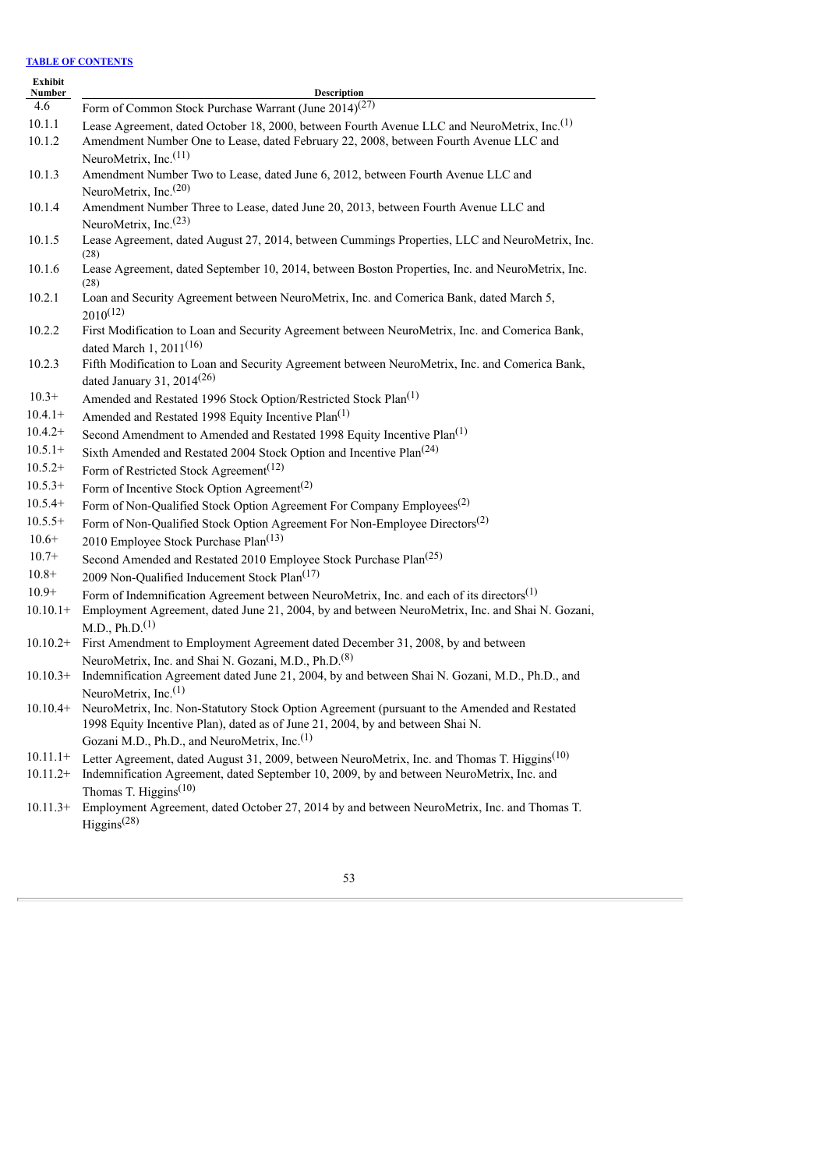Higgins (28)

| Exhibit<br>Number | Description                                                                                                                                                                             |
|-------------------|-----------------------------------------------------------------------------------------------------------------------------------------------------------------------------------------|
| 4.6               | Form of Common Stock Purchase Warrant (June 2014) <sup>(27)</sup>                                                                                                                       |
| 10.1.1            | Lease Agreement, dated October 18, 2000, between Fourth Avenue LLC and NeuroMetrix, Inc. <sup>(1)</sup>                                                                                 |
| 10.1.2            | Amendment Number One to Lease, dated February 22, 2008, between Fourth Avenue LLC and                                                                                                   |
| 10.1.3            | NeuroMetrix, Inc. $(11)$<br>Amendment Number Two to Lease, dated June 6, 2012, between Fourth Avenue LLC and                                                                            |
| 10.1.4            | NeuroMetrix, Inc. <sup>(20)</sup><br>Amendment Number Three to Lease, dated June 20, 2013, between Fourth Avenue LLC and<br>NeuroMetrix, Inc. <sup>(23)</sup>                           |
| 10.1.5            | Lease Agreement, dated August 27, 2014, between Cummings Properties, LLC and NeuroMetrix, Inc.<br>(28)                                                                                  |
| 10.1.6            | Lease Agreement, dated September 10, 2014, between Boston Properties, Inc. and NeuroMetrix, Inc.<br>(28)                                                                                |
| 10.2.1            | Loan and Security Agreement between NeuroMetrix, Inc. and Comerica Bank, dated March 5,<br>$2010^{(12)}$                                                                                |
| 10.2.2            | First Modification to Loan and Security Agreement between NeuroMetrix, Inc. and Comerica Bank,<br>dated March 1, $2011^{(16)}$                                                          |
| 10.2.3            | Fifth Modification to Loan and Security Agreement between NeuroMetrix, Inc. and Comerica Bank,<br>dated January 31, 2014 $(26)$                                                         |
| $10.3+$           | Amended and Restated 1996 Stock Option/Restricted Stock Plan <sup>(1)</sup>                                                                                                             |
| $10.4.1+$         | Amended and Restated 1998 Equity Incentive Plan <sup>(1)</sup>                                                                                                                          |
| $10.4.2+$         | Second Amendment to Amended and Restated 1998 Equity Incentive Plan <sup>(1)</sup>                                                                                                      |
| $10.5.1+$         | Sixth Amended and Restated 2004 Stock Option and Incentive Plan <sup>(24)</sup>                                                                                                         |
| $10.5.2+$         | Form of Restricted Stock Agreement <sup>(12)</sup>                                                                                                                                      |
| $10.5.3+$         | Form of Incentive Stock Option Agreement <sup>(2)</sup>                                                                                                                                 |
| $10.5.4+$         | Form of Non-Qualified Stock Option Agreement For Company Employees <sup>(2)</sup>                                                                                                       |
| $10.5.5+$         | Form of Non-Qualified Stock Option Agreement For Non-Employee Directors <sup>(2)</sup>                                                                                                  |
| $10.6+$           | 2010 Employee Stock Purchase Plan <sup>(13)</sup>                                                                                                                                       |
| $10.7+$           | Second Amended and Restated 2010 Employee Stock Purchase Plan <sup>(25)</sup>                                                                                                           |
| $10.8+$           | 2009 Non-Qualified Inducement Stock Plan <sup>(17)</sup>                                                                                                                                |
| $10.9+$           | Form of Indemnification Agreement between NeuroMetrix, Inc. and each of its directors <sup>(1)</sup>                                                                                    |
| $10.10.1+$        | Employment Agreement, dated June 21, 2004, by and between NeuroMetrix, Inc. and Shai N. Gozani,<br>M.D., Ph.D. <sup>(1)</sup>                                                           |
| $10.10.2+$        | First Amendment to Employment Agreement dated December 31, 2008, by and between                                                                                                         |
|                   | NeuroMetrix, Inc. and Shai N. Gozani, M.D., Ph.D. <sup>(8)</sup>                                                                                                                        |
| $10.10.3+$        | Indemnification Agreement dated June 21, 2004, by and between Shai N. Gozani, M.D., Ph.D., and<br>NeuroMetrix, Inc. $(1)$                                                               |
|                   | 10.10.4+ NeuroMetrix, Inc. Non-Statutory Stock Option Agreement (pursuant to the Amended and Restated<br>1998 Equity Incentive Plan), dated as of June 21, 2004, by and between Shai N. |
|                   | Gozani M.D., Ph.D., and NeuroMetrix, Inc. <sup>(1)</sup>                                                                                                                                |
| $10.11.1+$        | Letter Agreement, dated August 31, 2009, between NeuroMetrix, Inc. and Thomas T. Higgins <sup>(10)</sup>                                                                                |
| $10.11.2+$        | Indemnification Agreement, dated September 10, 2009, by and between NeuroMetrix, Inc. and<br>Thomas T. Higgins <sup><math>(10)</math></sup>                                             |
| $10.11.3+$        | Employment Agreement, dated October 27, 2014 by and between NeuroMetrix, Inc. and Thomas T.                                                                                             |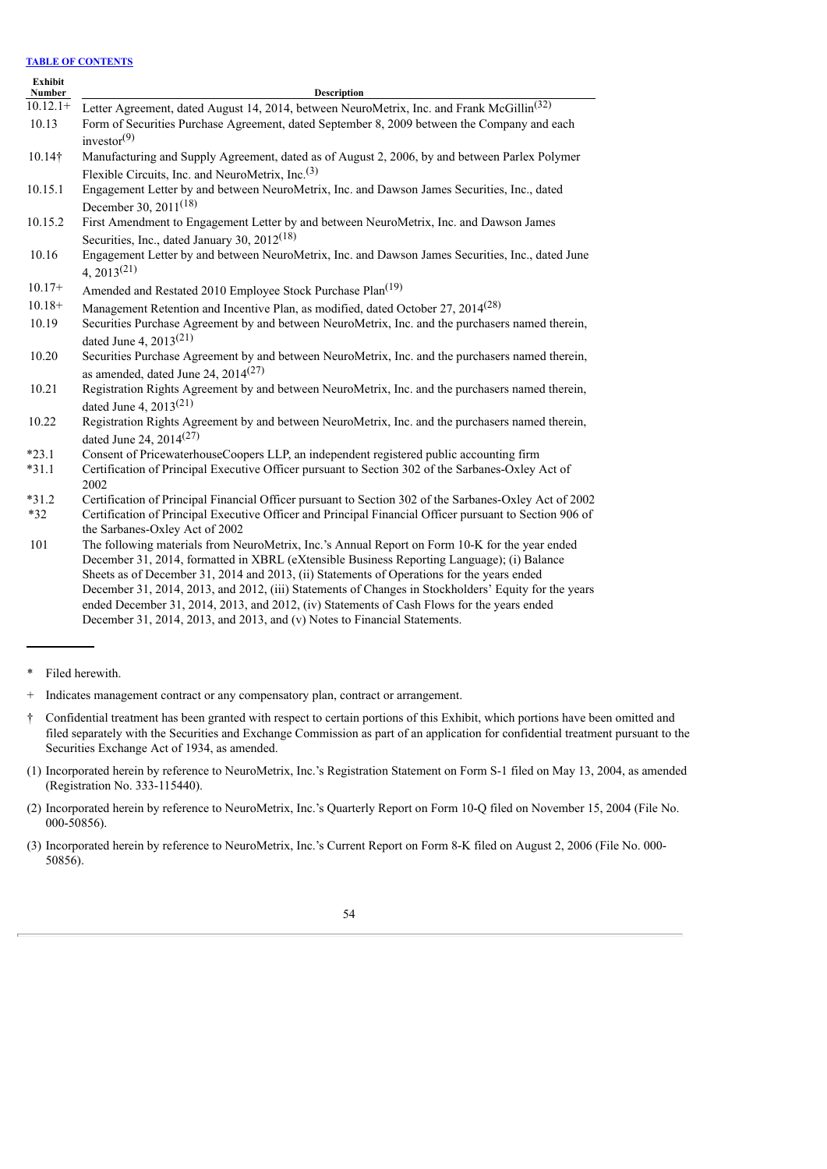| Exhibit<br>Number | <b>Description</b>                                                                                                               |
|-------------------|----------------------------------------------------------------------------------------------------------------------------------|
| $10.12.1+$        | Letter Agreement, dated August 14, 2014, between NeuroMetrix, Inc. and Frank McGillin <sup>(32)</sup>                            |
| 10.13             | Form of Securities Purchase Agreement, dated September 8, 2009 between the Company and each                                      |
|                   | investor $(9)$                                                                                                                   |
| 10.14†            | Manufacturing and Supply Agreement, dated as of August 2, 2006, by and between Parlex Polymer                                    |
|                   | Flexible Circuits, Inc. and NeuroMetrix, Inc. <sup>(3)</sup>                                                                     |
| 10.15.1           | Engagement Letter by and between NeuroMetrix, Inc. and Dawson James Securities, Inc., dated                                      |
|                   | December 30, 2011 <sup>(18)</sup>                                                                                                |
| 10.15.2           | First Amendment to Engagement Letter by and between NeuroMetrix, Inc. and Dawson James                                           |
|                   | Securities, Inc., dated January 30, 2012 <sup>(18)</sup>                                                                         |
| 10.16             | Engagement Letter by and between NeuroMetrix, Inc. and Dawson James Securities, Inc., dated June                                 |
|                   | 4, 2013 <sup>(21)</sup>                                                                                                          |
| $10.17+$          | Amended and Restated 2010 Employee Stock Purchase Plan <sup>(19)</sup>                                                           |
| $10.18+$          | Management Retention and Incentive Plan, as modified, dated October 27, 2014 <sup>(28)</sup>                                     |
| 10.19             | Securities Purchase Agreement by and between NeuroMetrix, Inc. and the purchasers named therein,                                 |
|                   | dated June 4, $2013^{(21)}$                                                                                                      |
| 10.20             | Securities Purchase Agreement by and between NeuroMetrix, Inc. and the purchasers named therein,                                 |
|                   | as amended, dated June 24, $2014^{(27)}$                                                                                         |
| 10.21             | Registration Rights Agreement by and between NeuroMetrix, Inc. and the purchasers named therein,                                 |
|                   | dated June 4, $2013^{(21)}$                                                                                                      |
| 10.22             | Registration Rights Agreement by and between NeuroMetrix, Inc. and the purchasers named therein,                                 |
|                   | dated June 24, 2014 <sup>(27)</sup>                                                                                              |
| $*23.1$           | Consent of PricewaterhouseCoopers LLP, an independent registered public accounting firm                                          |
| $*31.1$           | Certification of Principal Executive Officer pursuant to Section 302 of the Sarbanes-Oxley Act of                                |
|                   | 2002                                                                                                                             |
| $*31.2$           | Certification of Principal Financial Officer pursuant to Section 302 of the Sarbanes-Oxley Act of 2002                           |
| $*32$             | Certification of Principal Executive Officer and Principal Financial Officer pursuant to Section 906 of                          |
| 101               | the Sarbanes-Oxley Act of 2002<br>The following materials from NeuroMetrix, Inc.'s Annual Report on Form 10-K for the year ended |
|                   | December 31, 2014, formatted in XBRL (eXtensible Business Reporting Language); (i) Balance                                       |
|                   | Sheets as of December 31, 2014 and 2013, (ii) Statements of Operations for the years ended                                       |
|                   | December 31, 2014, 2013, and 2012, (iii) Statements of Changes in Stockholders' Equity for the years                             |
|                   | ended December 31, 2014, 2013, and 2012, (iv) Statements of Cash Flows for the years ended                                       |
|                   | December 31, 2014, 2013, and 2013, and (v) Notes to Financial Statements.                                                        |
|                   |                                                                                                                                  |

- † Confidential treatment has been granted with respect to certain portions of this Exhibit, which portions have been omitted and filed separately with the Securities and Exchange Commission as part of an application for confidential treatment pursuant to the Securities Exchange Act of 1934, as amended.
- (1) Incorporated herein by reference to NeuroMetrix, Inc.'s Registration Statement on Form S-1 filed on May 13, 2004, as amended (Registration No. 333-115440).
- (2) Incorporated herein by reference to NeuroMetrix, Inc.'s Quarterly Report on Form 10-Q filed on November 15, 2004 (File No. 000-50856).
- (3) Incorporated herein by reference to NeuroMetrix, Inc.'s Current Report on Form 8-K filed on August 2, 2006 (File No. 000- 50856).

<sup>\*</sup> Filed herewith.

<sup>+</sup> Indicates management contract or any compensatory plan, contract or arrangement.

<sup>54</sup>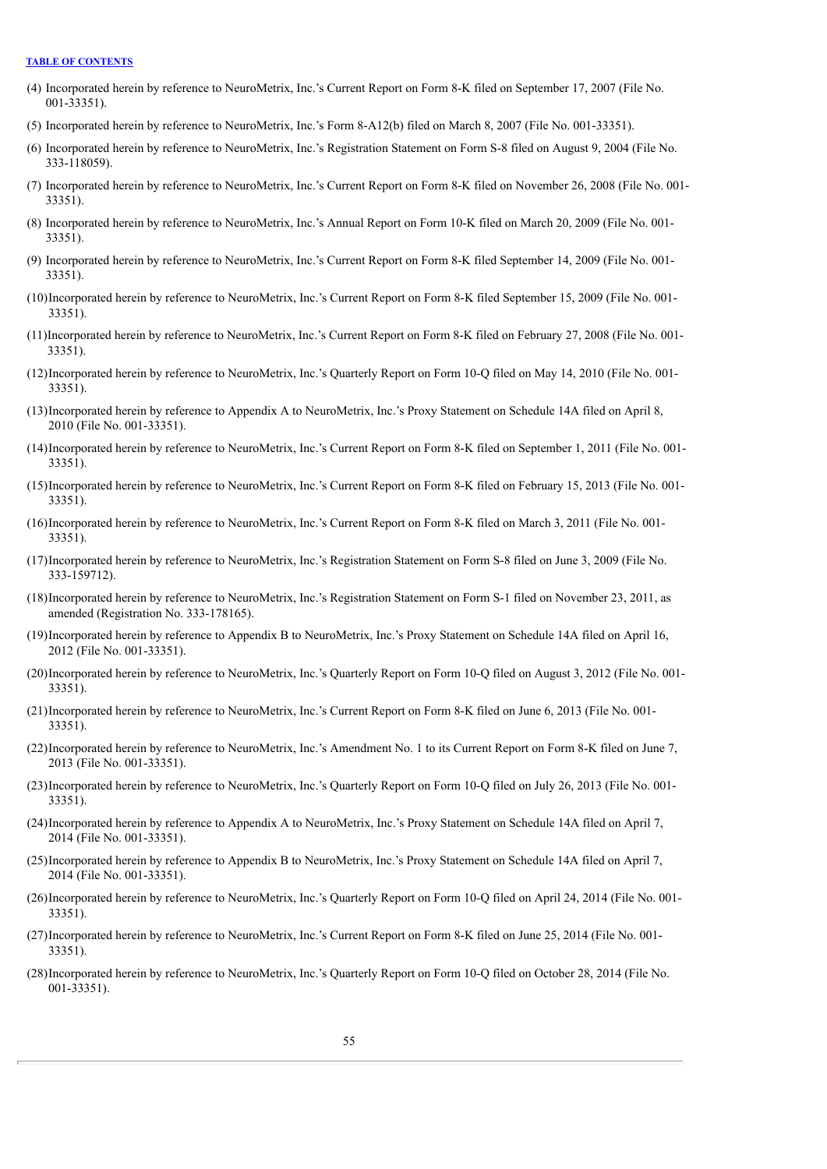- (4) Incorporated herein by reference to NeuroMetrix, Inc.'s Current Report on Form 8-K filed on September 17, 2007 (File No. 001-33351).
- (5) Incorporated herein by reference to NeuroMetrix, Inc.'s Form 8-A12(b) filed on March 8, 2007 (File No. 001-33351).
- (6) Incorporated herein by reference to NeuroMetrix, Inc.'s Registration Statement on Form S-8 filed on August 9, 2004 (File No. 333-118059).
- (7) Incorporated herein by reference to NeuroMetrix, Inc.'s Current Report on Form 8-K filed on November 26, 2008 (File No. 001- 33351).
- (8) Incorporated herein by reference to NeuroMetrix, Inc.'s Annual Report on Form 10-K filed on March 20, 2009 (File No. 001- 33351).
- (9) Incorporated herein by reference to NeuroMetrix, Inc.'s Current Report on Form 8-K filed September 14, 2009 (File No. 001- 33351).
- (10)Incorporated herein by reference to NeuroMetrix, Inc.'s Current Report on Form 8-K filed September 15, 2009 (File No. 001- 33351).
- (11)Incorporated herein by reference to NeuroMetrix, Inc.'s Current Report on Form 8-K filed on February 27, 2008 (File No. 001- 33351).
- (12)Incorporated herein by reference to NeuroMetrix, Inc.'s Quarterly Report on Form 10-Q filed on May 14, 2010 (File No. 001- 33351).
- (13)Incorporated herein by reference to Appendix A to NeuroMetrix, Inc.'s Proxy Statement on Schedule 14A filed on April 8, 2010 (File No. 001-33351).
- (14)Incorporated herein by reference to NeuroMetrix, Inc.'s Current Report on Form 8-K filed on September 1, 2011 (File No. 001- 33351).
- (15)Incorporated herein by reference to NeuroMetrix, Inc.'s Current Report on Form 8-K filed on February 15, 2013 (File No. 001- 33351).
- (16)Incorporated herein by reference to NeuroMetrix, Inc.'s Current Report on Form 8-K filed on March 3, 2011 (File No. 001- 33351).
- (17)Incorporated herein by reference to NeuroMetrix, Inc.'s Registration Statement on Form S-8 filed on June 3, 2009 (File No. 333-159712).
- (18)Incorporated herein by reference to NeuroMetrix, Inc.'s Registration Statement on Form S-1 filed on November 23, 2011, as amended (Registration No. 333-178165).
- (19)Incorporated herein by reference to Appendix B to NeuroMetrix, Inc.'s Proxy Statement on Schedule 14A filed on April 16, 2012 (File No. 001-33351).
- (20)Incorporated herein by reference to NeuroMetrix, Inc.'s Quarterly Report on Form 10-Q filed on August 3, 2012 (File No. 001- 33351).
- (21)Incorporated herein by reference to NeuroMetrix, Inc.'s Current Report on Form 8-K filed on June 6, 2013 (File No. 001- 33351).
- (22)Incorporated herein by reference to NeuroMetrix, Inc.'s Amendment No. 1 to its Current Report on Form 8-K filed on June 7, 2013 (File No. 001-33351).
- (23)Incorporated herein by reference to NeuroMetrix, Inc.'s Quarterly Report on Form 10-Q filed on July 26, 2013 (File No. 001- 33351).
- (24)Incorporated herein by reference to Appendix A to NeuroMetrix, Inc.'s Proxy Statement on Schedule 14A filed on April 7, 2014 (File No. 001-33351).
- (25)Incorporated herein by reference to Appendix B to NeuroMetrix, Inc.'s Proxy Statement on Schedule 14A filed on April 7, 2014 (File No. 001-33351).
- (26)Incorporated herein by reference to NeuroMetrix, Inc.'s Quarterly Report on Form 10-Q filed on April 24, 2014 (File No. 001- 33351).
- (27)Incorporated herein by reference to NeuroMetrix, Inc.'s Current Report on Form 8-K filed on June 25, 2014 (File No. 001- 33351).
- (28)Incorporated herein by reference to NeuroMetrix, Inc.'s Quarterly Report on Form 10-Q filed on October 28, 2014 (File No. 001-33351).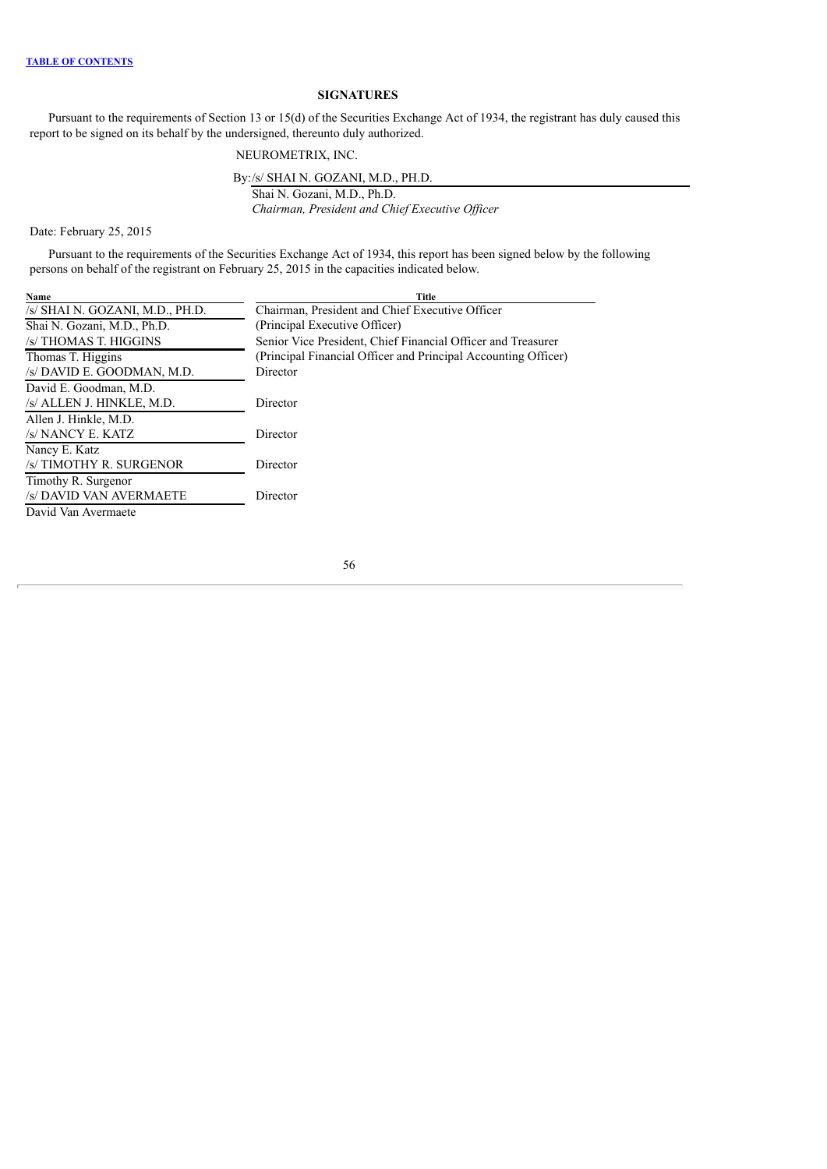## **SIGNATURES**

Pursuant to the requirements of Section 13 or 15(d) of the Securities Exchange Act of 1934, the registrant has duly caused this report to be signed on its behalf by the undersigned, thereunto duly authorized.

## NEUROMETRIX, INC.

By:/s/ SHAI N. GOZANI, M.D., PH.D.

Shai N. Gozani, M.D., Ph.D. *Chairman, President and Chief Executive Of icer*

Date: February 25, 2015

Pursuant to the requirements of the Securities Exchange Act of 1934, this report has been signed below by the following persons on behalf of the registrant on February 25, 2015 in the capacities indicated below.

| Name                            | Title                                                          |
|---------------------------------|----------------------------------------------------------------|
| /s/ SHAI N. GOZANI, M.D., PH.D. | Chairman, President and Chief Executive Officer                |
| Shai N. Gozani, M.D., Ph.D.     | (Principal Executive Officer)                                  |
| /s/ THOMAS T. HIGGINS           | Senior Vice President, Chief Financial Officer and Treasurer   |
| Thomas T. Higgins               | (Principal Financial Officer and Principal Accounting Officer) |
| /s/ DAVID E. GOODMAN, M.D.      | Director                                                       |
| David E. Goodman, M.D.          |                                                                |
| /s/ ALLEN J. HINKLE, M.D.       | Director                                                       |
| Allen J. Hinkle, M.D.           |                                                                |
| /s/ NANCY E. KATZ               | Director                                                       |
| Nancy E. Katz                   |                                                                |
| /s/ TIMOTHY R. SURGENOR         | Director                                                       |
| Timothy R. Surgenor             |                                                                |
| /s/ DAVID VAN AVERMAETE         | Director                                                       |
| David Van Avermaete             |                                                                |
|                                 |                                                                |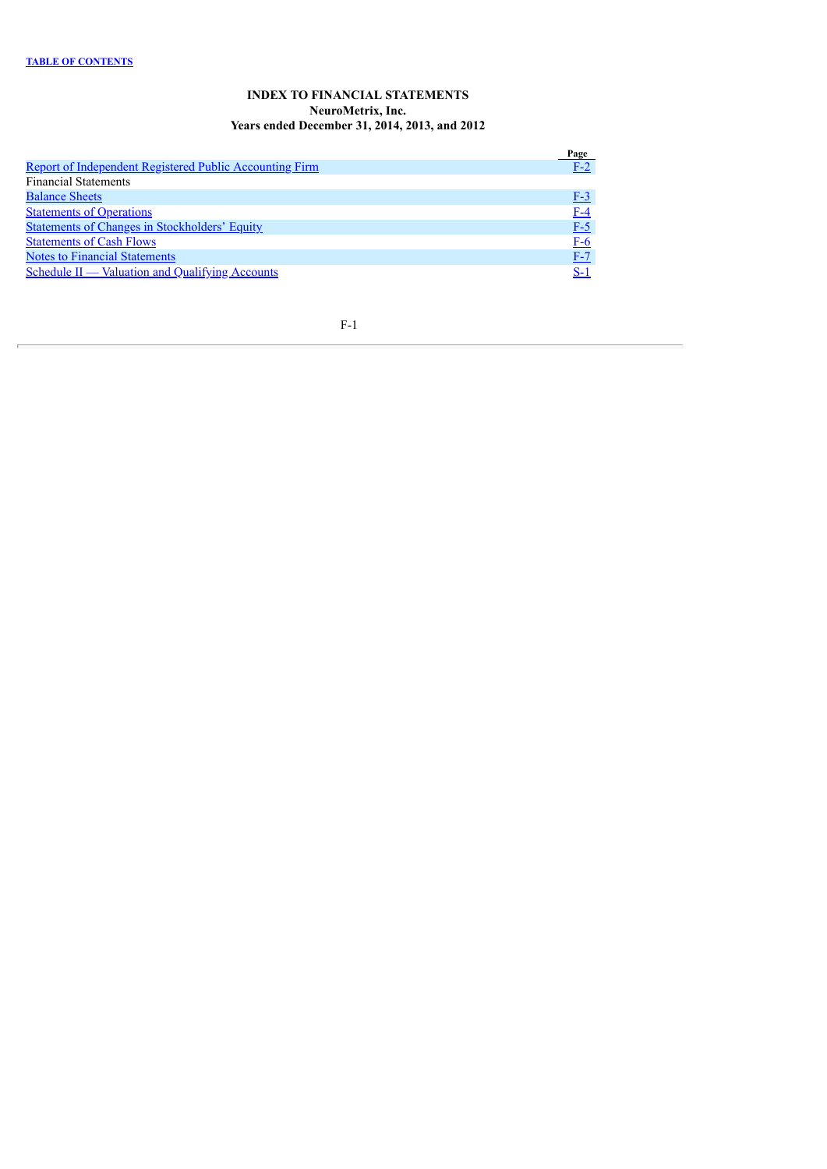## **INDEX TO FINANCIAL STATEMENTS NeuroMetrix, Inc. Years ended December 31, 2014, 2013, and 2012**

<span id="page-59-0"></span>

|                                                         | Page  |
|---------------------------------------------------------|-------|
| Report of Independent Registered Public Accounting Firm | $F-2$ |
| <b>Financial Statements</b>                             |       |
| <b>Balance Sheets</b>                                   | $F-3$ |
| <b>Statements of Operations</b>                         | $F-4$ |
| <b>Statements of Changes in Stockholders' Equity</b>    | $F-5$ |
| <b>Statements of Cash Flows</b>                         | $F-6$ |
| <b>Notes to Financial Statements</b>                    | $F-7$ |
| Schedule II - Valuation and Qualifying Accounts         | $S-1$ |
|                                                         |       |

F-1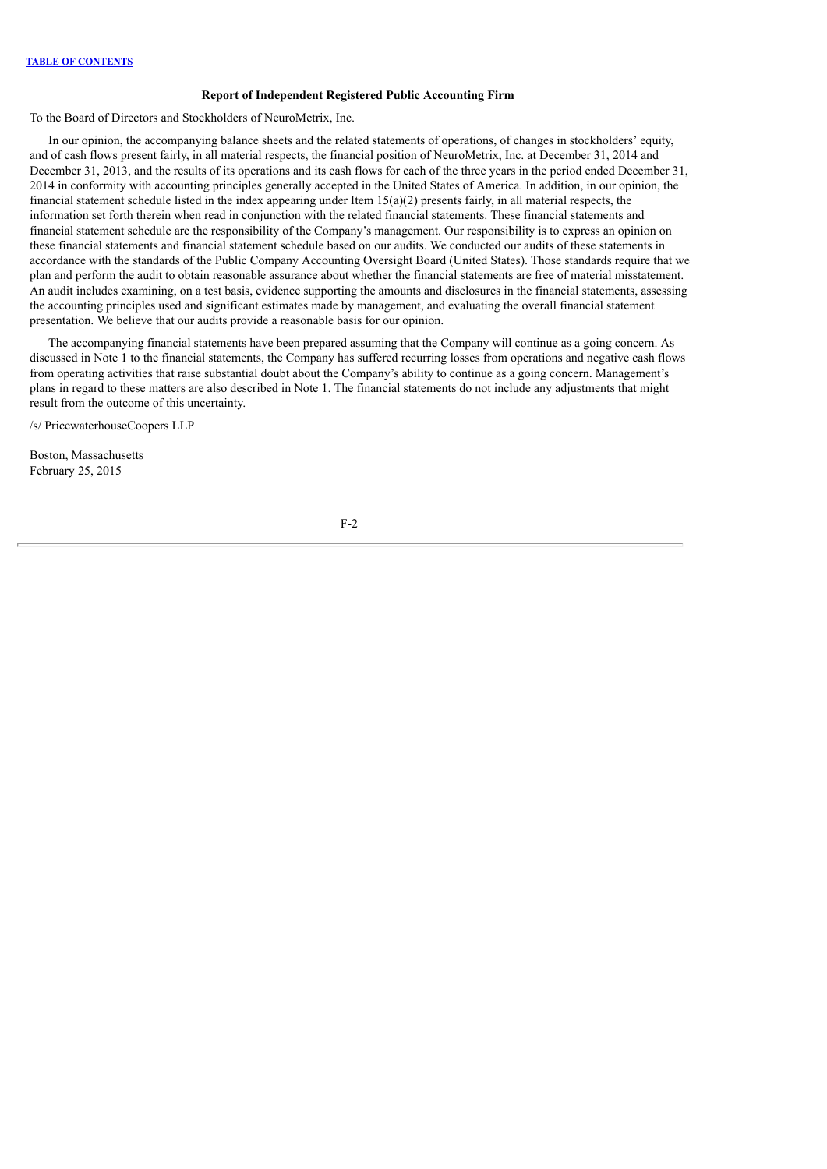#### **Report of Independent Registered Public Accounting Firm**

<span id="page-60-0"></span>To the Board of Directors and Stockholders of NeuroMetrix, Inc.

In our opinion, the accompanying balance sheets and the related statements of operations, of changes in stockholders' equity, and of cash flows present fairly, in all material respects, the financial position of NeuroMetrix, Inc. at December 31, 2014 and December 31, 2013, and the results of its operations and its cash flows for each of the three years in the period ended December 31, 2014 in conformity with accounting principles generally accepted in the United States of America. In addition, in our opinion, the financial statement schedule listed in the index appearing under Item 15(a)(2) presents fairly, in all material respects, the information set forth therein when read in conjunction with the related financial statements. These financial statements and financial statement schedule are the responsibility of the Company's management. Our responsibility is to express an opinion on these financial statements and financial statement schedule based on our audits. We conducted our audits of these statements in accordance with the standards of the Public Company Accounting Oversight Board (United States). Those standards require that we plan and perform the audit to obtain reasonable assurance about whether the financial statements are free of material misstatement. An audit includes examining, on a test basis, evidence supporting the amounts and disclosures in the financial statements, assessing the accounting principles used and significant estimates made by management, and evaluating the overall financial statement presentation. We believe that our audits provide a reasonable basis for our opinion.

The accompanying financial statements have been prepared assuming that the Company will continue as a going concern. As discussed in Note 1 to the financial statements, the Company has suffered recurring losses from operations and negative cash flows from operating activities that raise substantial doubt about the Company's ability to continue as a going concern. Management's plans in regard to these matters are also described in Note 1. The financial statements do not include any adjustments that might result from the outcome of this uncertainty.

/s/ PricewaterhouseCoopers LLP

Boston, Massachusetts February 25, 2015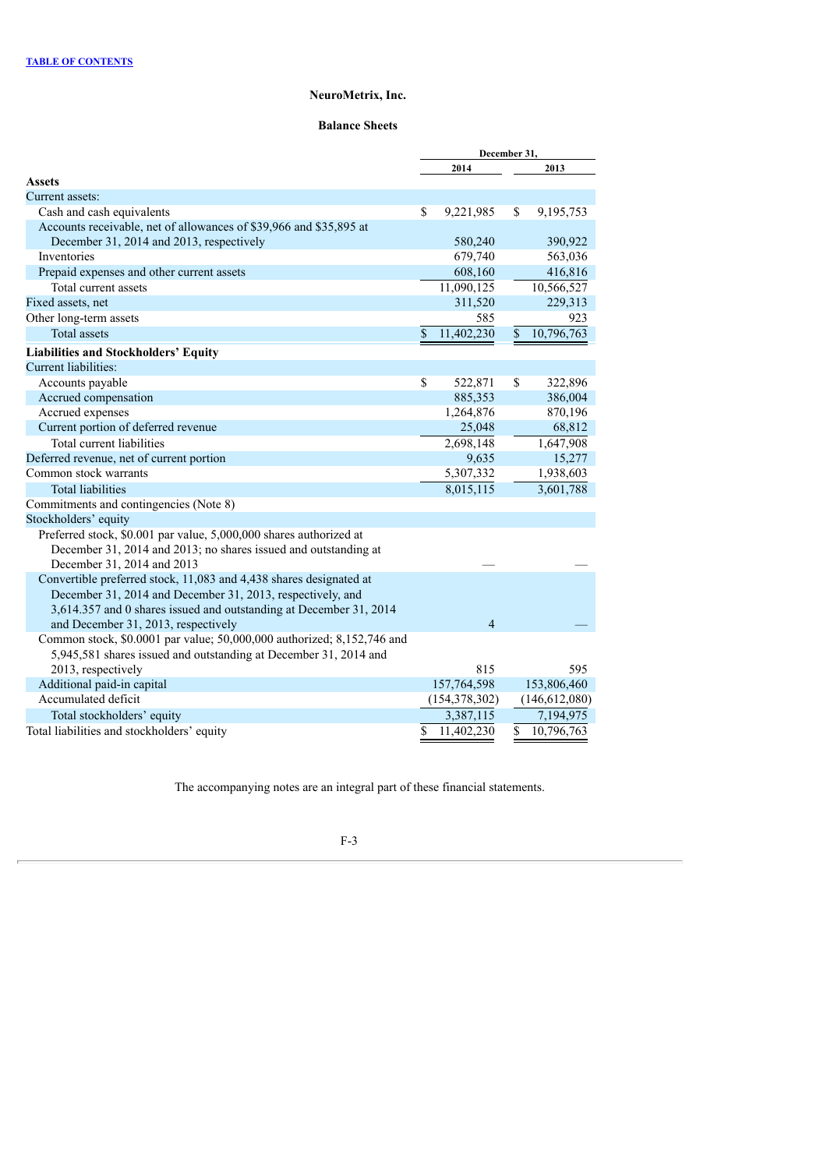## **Balance Sheets**

<span id="page-61-0"></span>

|                                                                        | December 31, |                 |    |                 |
|------------------------------------------------------------------------|--------------|-----------------|----|-----------------|
|                                                                        |              | 2014            |    | 2013            |
| <b>Assets</b>                                                          |              |                 |    |                 |
| Current assets:                                                        |              |                 |    |                 |
| Cash and cash equivalents                                              | \$           | 9,221,985       | S  | 9,195,753       |
| Accounts receivable, net of allowances of \$39,966 and \$35,895 at     |              |                 |    |                 |
| December 31, 2014 and 2013, respectively                               |              | 580,240         |    | 390,922         |
| Inventories                                                            |              | 679,740         |    | 563,036         |
| Prepaid expenses and other current assets                              |              | 608,160         |    | 416,816         |
| Total current assets                                                   |              | 11,090,125      |    | 10,566,527      |
| Fixed assets, net                                                      |              | 311,520         |    | 229,313         |
| Other long-term assets                                                 |              | 585             |    | 923             |
| <b>Total</b> assets                                                    | \$           | 11,402,230      | \$ | 10,796,763      |
| Liabilities and Stockholders' Equity                                   |              |                 |    |                 |
| Current liabilities:                                                   |              |                 |    |                 |
| Accounts payable                                                       | \$           | 522,871         | \$ | 322,896         |
| Accrued compensation                                                   |              | 885,353         |    | 386,004         |
| Accrued expenses                                                       |              | 1,264,876       |    | 870,196         |
| Current portion of deferred revenue                                    |              | 25,048          |    | 68,812          |
| Total current liabilities                                              |              | 2,698,148       |    | 1,647,908       |
| Deferred revenue, net of current portion                               |              | 9,635           |    | 15,277          |
| Common stock warrants                                                  |              | 5,307,332       |    | 1,938,603       |
| <b>Total liabilities</b>                                               |              | 8,015,115       |    | 3,601,788       |
| Commitments and contingencies (Note 8)                                 |              |                 |    |                 |
| Stockholders' equity                                                   |              |                 |    |                 |
| Preferred stock, \$0.001 par value, 5,000,000 shares authorized at     |              |                 |    |                 |
| December 31, 2014 and 2013; no shares issued and outstanding at        |              |                 |    |                 |
| December 31, 2014 and 2013                                             |              |                 |    |                 |
| Convertible preferred stock, 11,083 and 4,438 shares designated at     |              |                 |    |                 |
| December 31, 2014 and December 31, 2013, respectively, and             |              |                 |    |                 |
| 3,614.357 and 0 shares issued and outstanding at December 31, 2014     |              |                 |    |                 |
| and December 31, 2013, respectively                                    |              | $\overline{4}$  |    |                 |
| Common stock, \$0.0001 par value; 50,000,000 authorized; 8,152,746 and |              |                 |    |                 |
| 5,945,581 shares issued and outstanding at December 31, 2014 and       |              |                 |    |                 |
| 2013, respectively                                                     |              | 815             |    | 595             |
| Additional paid-in capital                                             |              | 157,764,598     |    | 153,806,460     |
| Accumulated deficit                                                    |              | (154, 378, 302) |    | (146, 612, 080) |
| Total stockholders' equity                                             |              | 3,387,115       |    | 7,194,975       |
| Total liabilities and stockholders' equity                             | \$           | 11,402,230      | \$ | 10,796,763      |

The accompanying notes are an integral part of these financial statements.

F-3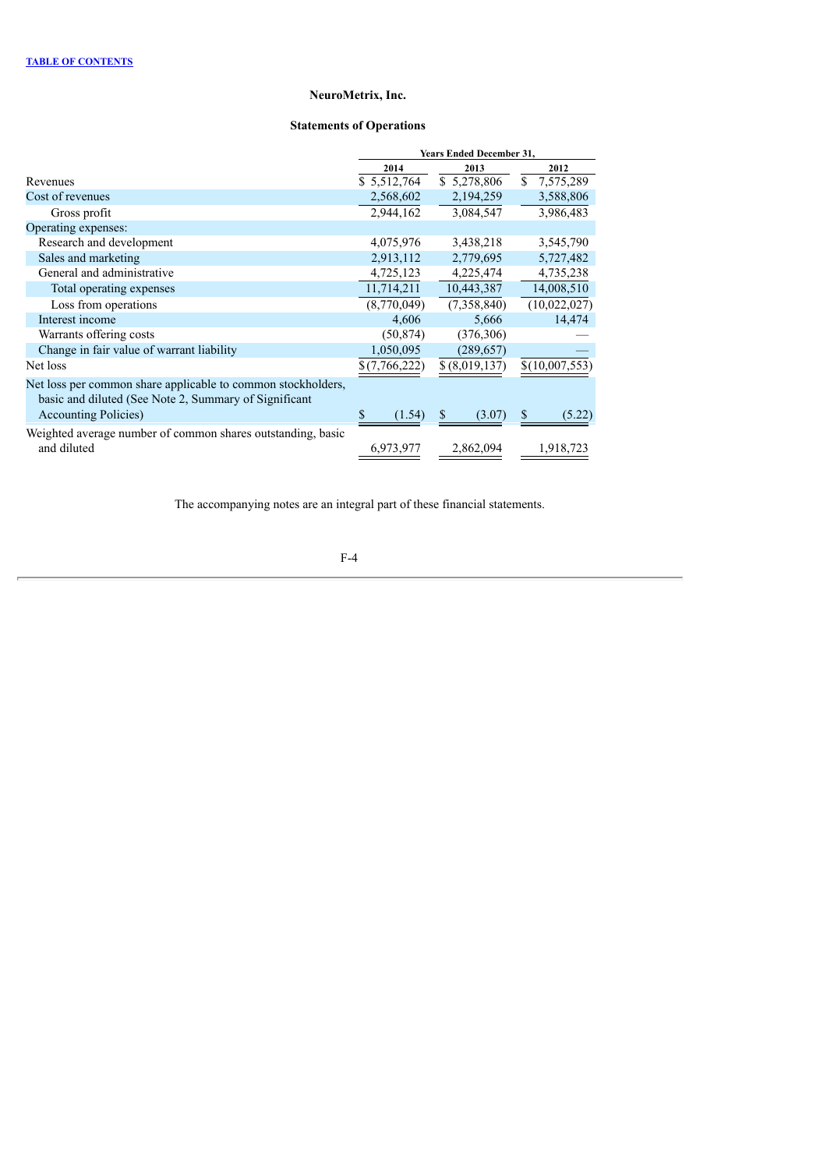## **Statements of Operations**

<span id="page-62-0"></span>

|                                                                                                                       | <b>Years Ended December 31,</b> |                |                 |  |  |  |  |
|-----------------------------------------------------------------------------------------------------------------------|---------------------------------|----------------|-----------------|--|--|--|--|
|                                                                                                                       | 2014                            | 2013           | 2012            |  |  |  |  |
| Revenues                                                                                                              | \$5,512,764                     | \$5,278,806    | \$<br>7,575,289 |  |  |  |  |
| Cost of revenues                                                                                                      | 2,568,602                       | 2,194,259      | 3,588,806       |  |  |  |  |
| Gross profit                                                                                                          | 2,944,162                       | 3,084,547      | 3,986,483       |  |  |  |  |
| Operating expenses:                                                                                                   |                                 |                |                 |  |  |  |  |
| Research and development                                                                                              | 4,075,976                       | 3,438,218      | 3,545,790       |  |  |  |  |
| Sales and marketing                                                                                                   | 2,913,112                       | 2,779,695      | 5,727,482       |  |  |  |  |
| General and administrative                                                                                            | 4,725,123                       | 4,225,474      | 4,735,238       |  |  |  |  |
| Total operating expenses                                                                                              | 11,714,211                      | 10,443,387     | 14,008,510      |  |  |  |  |
| Loss from operations                                                                                                  | (8,770,049)                     | (7,358,840)    | (10,022,027)    |  |  |  |  |
| Interest income                                                                                                       | 4,606                           | 5,666          | 14,474          |  |  |  |  |
| Warrants offering costs                                                                                               | (50, 874)                       | (376, 306)     |                 |  |  |  |  |
| Change in fair value of warrant liability                                                                             | 1,050,095                       | (289, 657)     |                 |  |  |  |  |
| Net loss                                                                                                              | \$(7,766,222)                   | \$ (8,019,137) | \$(10,007,553)  |  |  |  |  |
| Net loss per common share applicable to common stockholders,<br>basic and diluted (See Note 2, Summary of Significant |                                 |                |                 |  |  |  |  |
| <b>Accounting Policies</b> )                                                                                          | (1.54)<br>\$                    | \$<br>(3.07)   | (5.22)<br>\$    |  |  |  |  |
| Weighted average number of common shares outstanding, basic                                                           |                                 |                |                 |  |  |  |  |
| and diluted                                                                                                           | 6,973,977                       | 2,862,094      | 1,918,723       |  |  |  |  |

The accompanying notes are an integral part of these financial statements.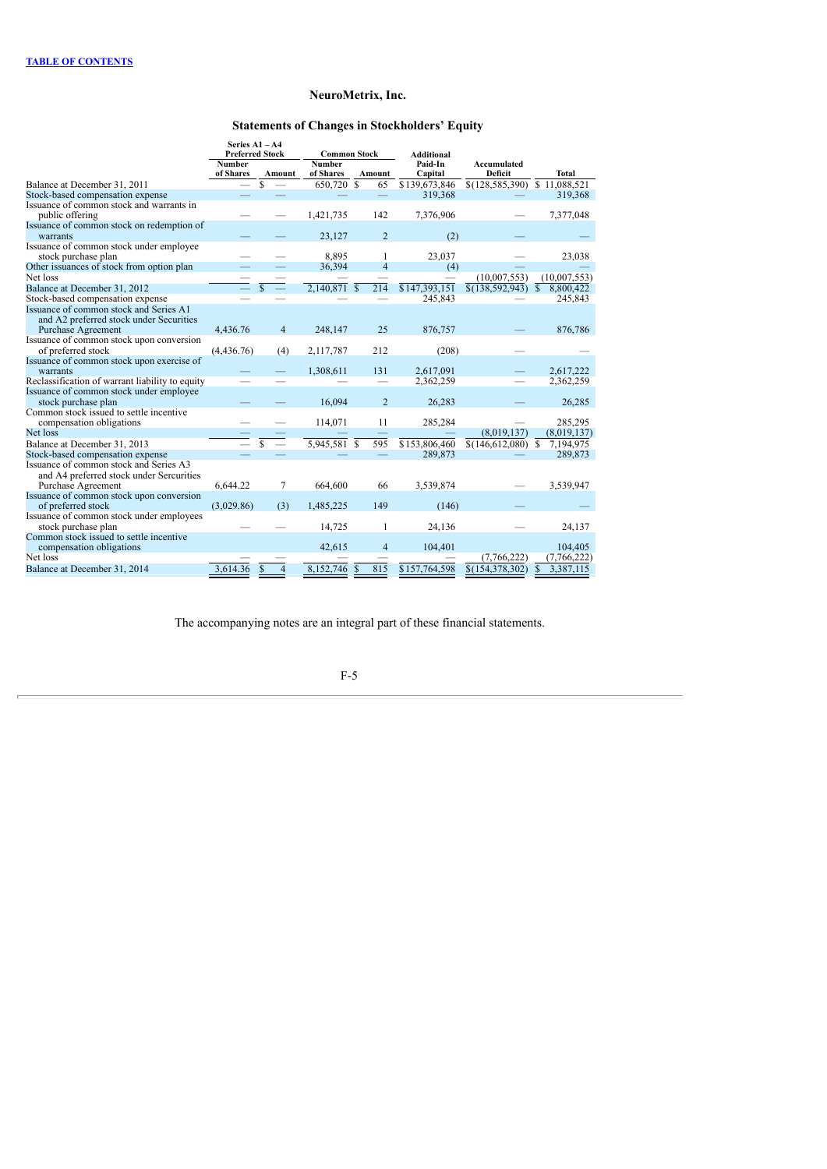## **Statements of Changes in Stockholders' Equity**

<span id="page-63-0"></span>

|                                                                              | Series A1-A4<br><b>Preferred Stock</b><br><b>Number</b> |                         | <b>Common Stock</b><br><b>Number</b><br>Amount |               | <b>Additional</b><br>Paid-In<br>Accumulated |                          |                              |                            |
|------------------------------------------------------------------------------|---------------------------------------------------------|-------------------------|------------------------------------------------|---------------|---------------------------------------------|--------------------------|------------------------------|----------------------------|
|                                                                              | of Shares                                               | Amount                  | of Shares                                      |               |                                             | Capital                  | Deficit                      | Total                      |
| Balance at December 31, 2011                                                 |                                                         | S                       | $650,720$ \$                                   |               | 65                                          | \$139,673,846<br>319.368 | \$(128,585,390) \$11,088,521 | 319,368                    |
| Stock-based compensation expense<br>Issuance of common stock and warrants in |                                                         |                         |                                                |               |                                             |                          |                              |                            |
| public offering                                                              |                                                         |                         | 1,421,735                                      |               | 142                                         | 7,376,906                |                              | 7,377,048                  |
| Issuance of common stock on redemption of                                    |                                                         |                         |                                                |               |                                             |                          |                              |                            |
| warrants                                                                     |                                                         |                         | 23,127                                         |               | $\overline{2}$                              | (2)                      |                              |                            |
| Issuance of common stock under employee                                      |                                                         |                         |                                                |               |                                             |                          |                              |                            |
| stock purchase plan                                                          |                                                         |                         | 8,895                                          |               |                                             | 23,037                   |                              | 23,038                     |
| Other issuances of stock from option plan                                    |                                                         |                         | 36,394                                         |               | $\overline{4}$                              | (4)                      |                              |                            |
| Net loss                                                                     |                                                         |                         |                                                |               |                                             |                          | (10,007,553)                 | (10,007,553)               |
| Balance at December 31, 2012                                                 |                                                         | $\overline{\mathbb{S}}$ | $2,140,871$ \$                                 |               | 214                                         | \$147,393,151            | \$(138, 592, 943)            | <sup>\$</sup><br>8,800,422 |
| Stock-based compensation expense                                             |                                                         |                         |                                                |               |                                             | 245.843                  |                              | 245,843                    |
| Issuance of common stock and Series A1                                       |                                                         |                         |                                                |               |                                             |                          |                              |                            |
| and A2 preferred stock under Securities                                      |                                                         |                         |                                                |               |                                             |                          |                              |                            |
| Purchase Agreement                                                           | 4,436.76                                                | $\overline{4}$          | 248,147                                        |               | 25                                          | 876,757                  |                              | 876,786                    |
| Issuance of common stock upon conversion                                     |                                                         |                         |                                                |               |                                             |                          |                              |                            |
| of preferred stock                                                           | (4,436.76)                                              | (4)                     | 2,117,787                                      |               | 212                                         | (208)                    |                              |                            |
| Issuance of common stock upon exercise of                                    |                                                         |                         |                                                |               |                                             |                          |                              |                            |
| warrants                                                                     |                                                         |                         | 1,308,611                                      |               | 131                                         | 2,617,091                |                              | 2,617,222                  |
| Reclassification of warrant liability to equity                              |                                                         |                         |                                                |               |                                             | 2,362,259                |                              | 2,362,259                  |
| Issuance of common stock under employee                                      |                                                         |                         |                                                |               |                                             |                          |                              |                            |
| stock purchase plan                                                          |                                                         |                         | 16,094                                         |               | $\overline{2}$                              | 26,283                   |                              | 26,285                     |
| Common stock issued to settle incentive                                      |                                                         |                         |                                                |               |                                             |                          |                              |                            |
| compensation obligations                                                     |                                                         |                         | 114,071                                        |               | 11                                          | 285,284                  |                              | 285,295                    |
| Net loss                                                                     |                                                         |                         |                                                |               |                                             |                          | (8,019,137)                  | (8,019,137)                |
| Balance at December 31, 2013                                                 |                                                         |                         | $5,945,581$ \$                                 |               | 595                                         | \$153,806,460            | \$(146, 612, 080)            | -S<br>7,194,975            |
| Stock-based compensation expense                                             |                                                         |                         |                                                |               |                                             | 289,873                  |                              | 289,873                    |
| Issuance of common stock and Series A3                                       |                                                         |                         |                                                |               |                                             |                          |                              |                            |
| and A4 preferred stock under Sercurities                                     |                                                         |                         |                                                |               |                                             |                          |                              |                            |
| Purchase Agreement                                                           | 6,644.22                                                | 7                       | 664,600                                        |               | 66                                          | 3,539,874                |                              | 3,539,947                  |
| Issuance of common stock upon conversion                                     |                                                         |                         |                                                |               |                                             |                          |                              |                            |
| of preferred stock                                                           | (3,029.86)                                              | (3)                     | 1,485,225                                      |               | 149                                         | (146)                    |                              |                            |
| Issuance of common stock under employees                                     |                                                         |                         |                                                |               |                                             |                          |                              |                            |
| stock purchase plan                                                          |                                                         |                         | 14,725                                         |               | 1                                           | 24,136                   |                              | 24,137                     |
| Common stock issued to settle incentive                                      |                                                         |                         |                                                |               |                                             |                          |                              |                            |
| compensation obligations                                                     |                                                         |                         | 42,615                                         |               | $\overline{4}$                              | 104,401                  |                              | 104.405                    |
| Net loss                                                                     |                                                         |                         |                                                |               |                                             |                          | (7,766,222)                  | (7,766,222)                |
| Balance at December 31, 2014                                                 | 3,614.36                                                | $\overline{4}$          | 8,152,746                                      | <sup>\$</sup> | 815                                         | \$157,764,598            | \$(154, 378, 302)            | 3,387,115<br>\$            |

The accompanying notes are an integral part of these financial statements.

F-5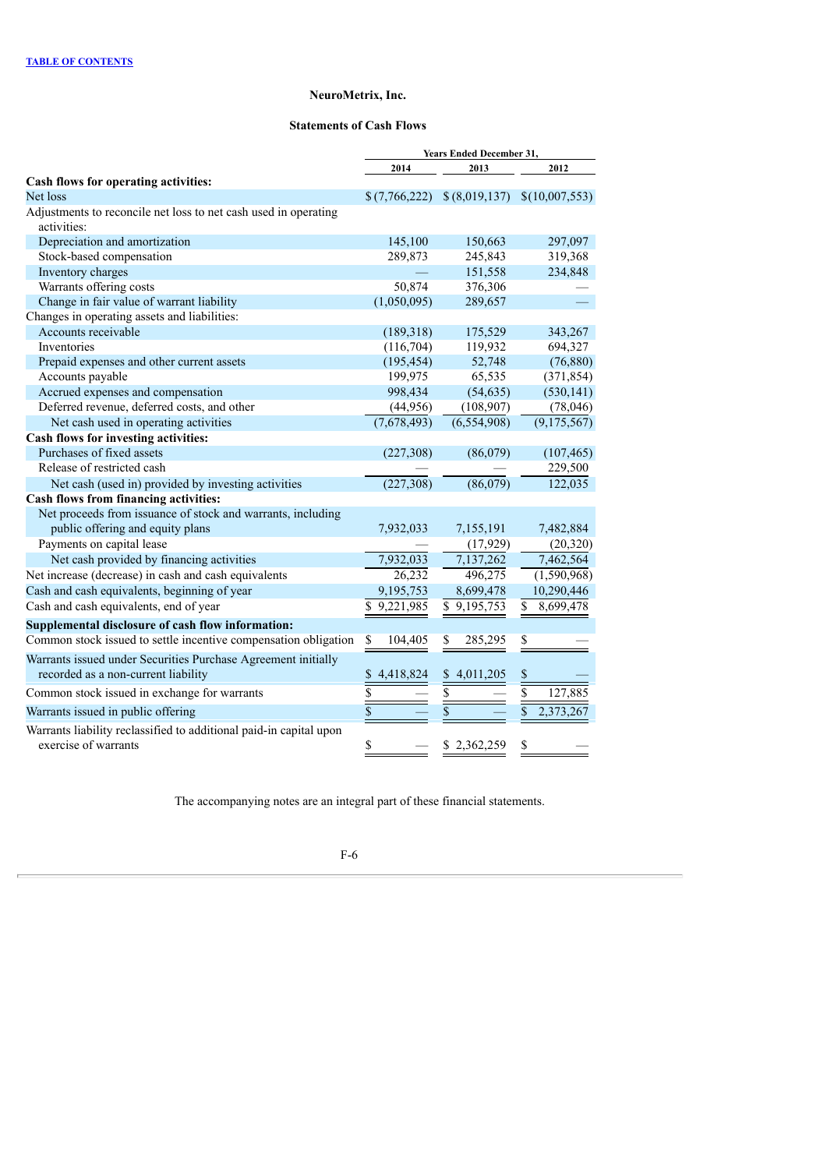## **Statements of Cash Flows**

<span id="page-64-0"></span>

|                                                                    | <b>Years Ended December 31,</b> |                         |                              |  |
|--------------------------------------------------------------------|---------------------------------|-------------------------|------------------------------|--|
|                                                                    | 2014                            | 2013                    | 2012                         |  |
| Cash flows for operating activities:                               |                                 |                         |                              |  |
| Net loss                                                           | \$(7,766,222)                   | \$ (8,019,137)          | \$(10,007,553)               |  |
| Adjustments to reconcile net loss to net cash used in operating    |                                 |                         |                              |  |
| activities:                                                        |                                 |                         |                              |  |
| Depreciation and amortization                                      | 145,100                         | 150,663                 | 297,097                      |  |
| Stock-based compensation                                           | 289,873                         | 245,843                 | 319,368                      |  |
| Inventory charges                                                  |                                 | 151,558                 | 234,848                      |  |
| Warrants offering costs                                            | 50,874                          | 376,306                 |                              |  |
| Change in fair value of warrant liability                          | (1,050,095)                     | 289,657                 |                              |  |
| Changes in operating assets and liabilities:                       |                                 |                         |                              |  |
| Accounts receivable                                                | (189, 318)                      | 175,529                 | 343,267                      |  |
| <b>Inventories</b>                                                 | (116,704)                       | 119,932                 | 694,327                      |  |
| Prepaid expenses and other current assets                          | (195, 454)                      | 52,748                  | (76, 880)                    |  |
| Accounts payable                                                   | 199,975                         | 65,535                  | (371, 854)                   |  |
| Accrued expenses and compensation                                  | 998,434                         | (54, 635)               | (530, 141)                   |  |
| Deferred revenue, deferred costs, and other                        | (44,956)                        | (108,907)               | (78,046)                     |  |
| Net cash used in operating activities                              | (7,678,493)                     | (6, 554, 908)           | (9,175,567)                  |  |
| Cash flows for investing activities:                               |                                 |                         |                              |  |
| Purchases of fixed assets                                          | (227,308)                       | (86,079)                | (107, 465)                   |  |
| Release of restricted cash                                         |                                 |                         | 229,500                      |  |
| Net cash (used in) provided by investing activities                | (227, 308)                      | (86,079)                | 122,035                      |  |
| Cash flows from financing activities:                              |                                 |                         |                              |  |
| Net proceeds from issuance of stock and warrants, including        |                                 |                         |                              |  |
| public offering and equity plans                                   | 7,932,033                       | 7,155,191               | 7,482,884                    |  |
| Payments on capital lease                                          |                                 | (17, 929)               | (20, 320)                    |  |
| Net cash provided by financing activities                          | 7,932,033                       | 7,137,262               | 7,462,564                    |  |
| Net increase (decrease) in cash and cash equivalents               | 26,232                          | 496,275                 | $\overline{(1,590,968)}$     |  |
| Cash and cash equivalents, beginning of year                       | 9,195,753                       | 8,699,478               | 10,290,446                   |  |
| Cash and cash equivalents, end of year                             | \$9,221,985                     | \$9,195,753             | $\overline{\$}$<br>8,699,478 |  |
| Supplemental disclosure of cash flow information:                  |                                 |                         |                              |  |
| Common stock issued to settle incentive compensation obligation    | 104,405<br>\$                   | 285,295<br>S            | \$                           |  |
| Warrants issued under Securities Purchase Agreement initially      |                                 |                         |                              |  |
| recorded as a non-current liability                                | 4,418,824<br>\$                 | \$<br>4,011,205         | \$                           |  |
| Common stock issued in exchange for warrants                       | $\overline{\$}$                 | $\overline{\$}$         | \$<br>127,885                |  |
| Warrants issued in public offering                                 | $\overline{\overline{s}}$       | $\overline{\mathbb{S}}$ | $\overline{\$}$<br>2,373,267 |  |
| Warrants liability reclassified to additional paid-in capital upon |                                 |                         |                              |  |
| exercise of warrants                                               | $\frac{1}{2}$                   | \$2,362,259             | \$                           |  |

The accompanying notes are an integral part of these financial statements.

F-6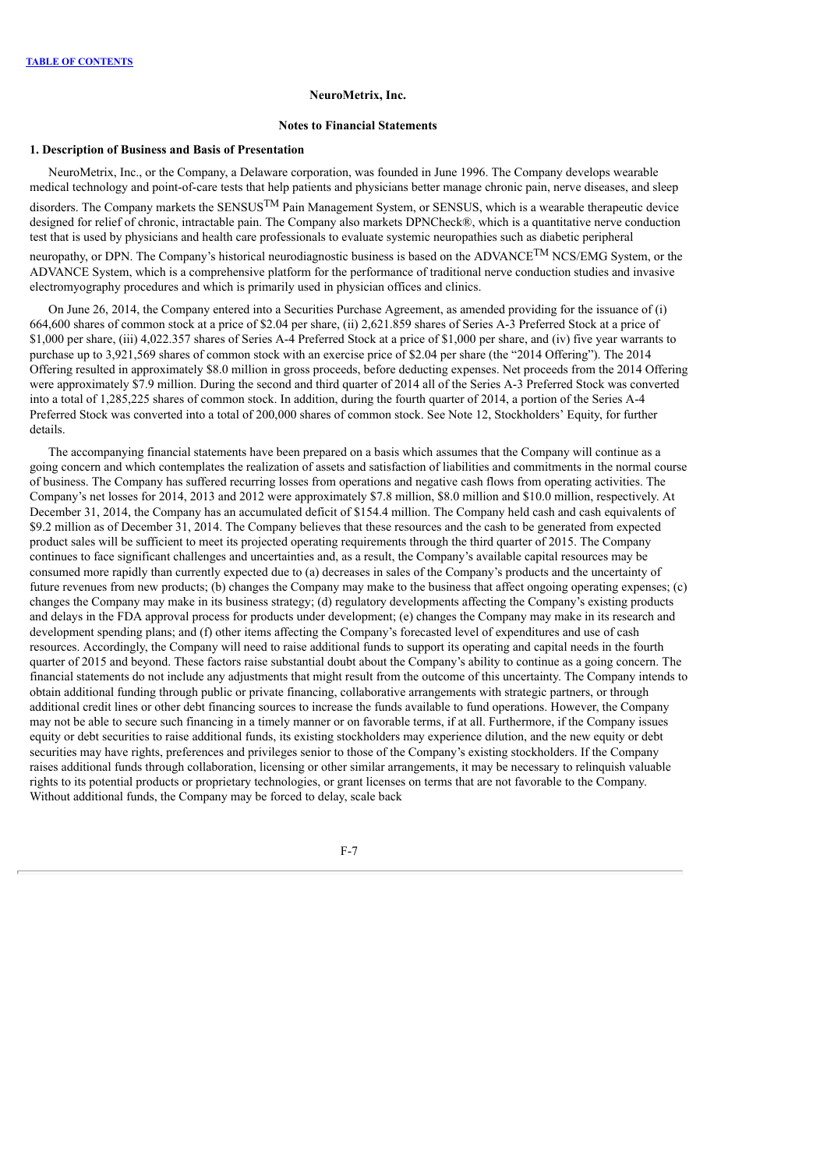#### **Notes to Financial Statements**

## **1. Description of Business and Basis of Presentation**

<span id="page-65-0"></span>NeuroMetrix, Inc., or the Company, a Delaware corporation, was founded in June 1996. The Company develops wearable medical technology and point-of-care tests that help patients and physicians better manage chronic pain, nerve diseases, and sleep disorders. The Company markets the SENSUS<sup>TM</sup> Pain Management System, or SENSUS, which is a wearable therapeutic device designed for relief of chronic, intractable pain. The Company also markets DPNCheck®, which is a quantitative nerve conduction test that is used by physicians and health care professionals to evaluate systemic neuropathies such as diabetic peripheral

neuropathy, or DPN. The Company's historical neurodiagnostic business is based on the ADVANCE<sup>TM</sup> NCS/EMG System, or the ADVANCE System, which is a comprehensive platform for the performance of traditional nerve conduction studies and invasive electromyography procedures and which is primarily used in physician offices and clinics.

On June 26, 2014, the Company entered into a Securities Purchase Agreement, as amended providing for the issuance of (i) 664,600 shares of common stock at a price of \$2.04 per share, (ii) 2,621.859 shares of Series A-3 Preferred Stock at a price of \$1,000 per share, (iii) 4,022.357 shares of Series A-4 Preferred Stock at a price of \$1,000 per share, and (iv) five year warrants to purchase up to 3,921,569 shares of common stock with an exercise price of \$2.04 per share (the "2014 Offering"). The 2014 Offering resulted in approximately \$8.0 million in gross proceeds, before deducting expenses. Net proceeds from the 2014 Offering were approximately \$7.9 million. During the second and third quarter of 2014 all of the Series A-3 Preferred Stock was converted into a total of 1,285,225 shares of common stock. In addition, during the fourth quarter of 2014, a portion of the Series A-4 Preferred Stock was converted into a total of 200,000 shares of common stock. See Note 12, Stockholders' Equity, for further details.

The accompanying financial statements have been prepared on a basis which assumes that the Company will continue as a going concern and which contemplates the realization of assets and satisfaction of liabilities and commitments in the normal course of business. The Company has suffered recurring losses from operations and negative cash flows from operating activities. The Company's net losses for 2014, 2013 and 2012 were approximately \$7.8 million, \$8.0 million and \$10.0 million, respectively. At December 31, 2014, the Company has an accumulated deficit of \$154.4 million. The Company held cash and cash equivalents of \$9.2 million as of December 31, 2014. The Company believes that these resources and the cash to be generated from expected product sales will be sufficient to meet its projected operating requirements through the third quarter of 2015. The Company continues to face significant challenges and uncertainties and, as a result, the Company's available capital resources may be consumed more rapidly than currently expected due to (a) decreases in sales of the Company's products and the uncertainty of future revenues from new products; (b) changes the Company may make to the business that affect ongoing operating expenses; (c) changes the Company may make in its business strategy; (d) regulatory developments affecting the Company's existing products and delays in the FDA approval process for products under development; (e) changes the Company may make in its research and development spending plans; and (f) other items affecting the Company's forecasted level of expenditures and use of cash resources. Accordingly, the Company will need to raise additional funds to support its operating and capital needs in the fourth quarter of 2015 and beyond. These factors raise substantial doubt about the Company's ability to continue as a going concern. The financial statements do not include any adjustments that might result from the outcome of this uncertainty. The Company intends to obtain additional funding through public or private financing, collaborative arrangements with strategic partners, or through additional credit lines or other debt financing sources to increase the funds available to fund operations. However, the Company may not be able to secure such financing in a timely manner or on favorable terms, if at all. Furthermore, if the Company issues equity or debt securities to raise additional funds, its existing stockholders may experience dilution, and the new equity or debt securities may have rights, preferences and privileges senior to those of the Company's existing stockholders. If the Company raises additional funds through collaboration, licensing or other similar arrangements, it may be necessary to relinquish valuable rights to its potential products or proprietary technologies, or grant licenses on terms that are not favorable to the Company. Without additional funds, the Company may be forced to delay, scale back

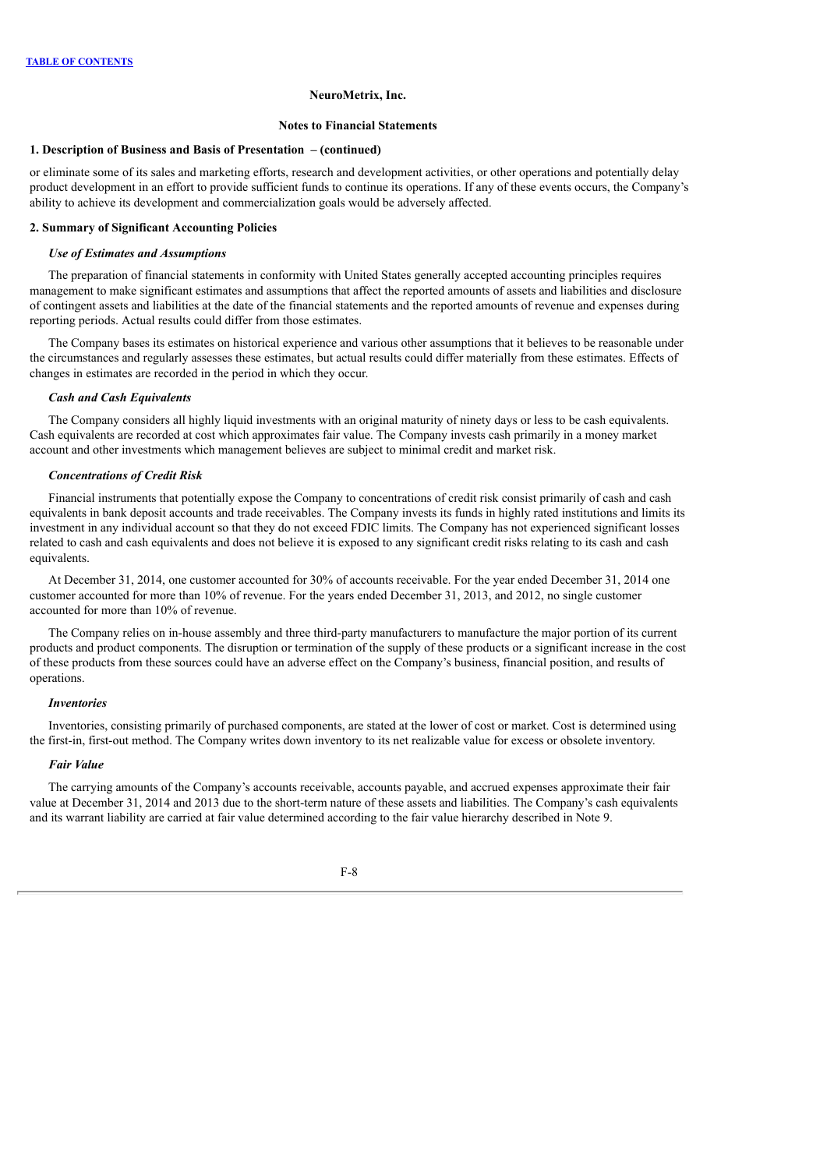#### **Notes to Financial Statements**

## **1. Description of Business and Basis of Presentation – (continued)**

or eliminate some of its sales and marketing efforts, research and development activities, or other operations and potentially delay product development in an effort to provide sufficient funds to continue its operations. If any of these events occurs, the Company's ability to achieve its development and commercialization goals would be adversely affected.

## **2. Summary of Significant Accounting Policies**

## *Use of Estimates and Assumptions*

The preparation of financial statements in conformity with United States generally accepted accounting principles requires management to make significant estimates and assumptions that affect the reported amounts of assets and liabilities and disclosure of contingent assets and liabilities at the date of the financial statements and the reported amounts of revenue and expenses during reporting periods. Actual results could differ from those estimates.

The Company bases its estimates on historical experience and various other assumptions that it believes to be reasonable under the circumstances and regularly assesses these estimates, but actual results could differ materially from these estimates. Effects of changes in estimates are recorded in the period in which they occur.

### *Cash and Cash Equivalents*

The Company considers all highly liquid investments with an original maturity of ninety days or less to be cash equivalents. Cash equivalents are recorded at cost which approximates fair value. The Company invests cash primarily in a money market account and other investments which management believes are subject to minimal credit and market risk.

### *Concentrations of Credit Risk*

Financial instruments that potentially expose the Company to concentrations of credit risk consist primarily of cash and cash equivalents in bank deposit accounts and trade receivables. The Company invests its funds in highly rated institutions and limits its investment in any individual account so that they do not exceed FDIC limits. The Company has not experienced significant losses related to cash and cash equivalents and does not believe it is exposed to any significant credit risks relating to its cash and cash equivalents.

At December 31, 2014, one customer accounted for 30% of accounts receivable. For the year ended December 31, 2014 one customer accounted for more than 10% of revenue. For the years ended December 31, 2013, and 2012, no single customer accounted for more than 10% of revenue.

The Company relies on in-house assembly and three third-party manufacturers to manufacture the major portion of its current products and product components. The disruption or termination of the supply of these products or a significant increase in the cost of these products from these sources could have an adverse effect on the Company's business, financial position, and results of operations.

#### *Inventories*

Inventories, consisting primarily of purchased components, are stated at the lower of cost or market. Cost is determined using the first-in, first-out method. The Company writes down inventory to its net realizable value for excess or obsolete inventory.

### *Fair Value*

The carrying amounts of the Company's accounts receivable, accounts payable, and accrued expenses approximate their fair value at December 31, 2014 and 2013 due to the short-term nature of these assets and liabilities. The Company's cash equivalents and its warrant liability are carried at fair value determined according to the fair value hierarchy described in Note 9.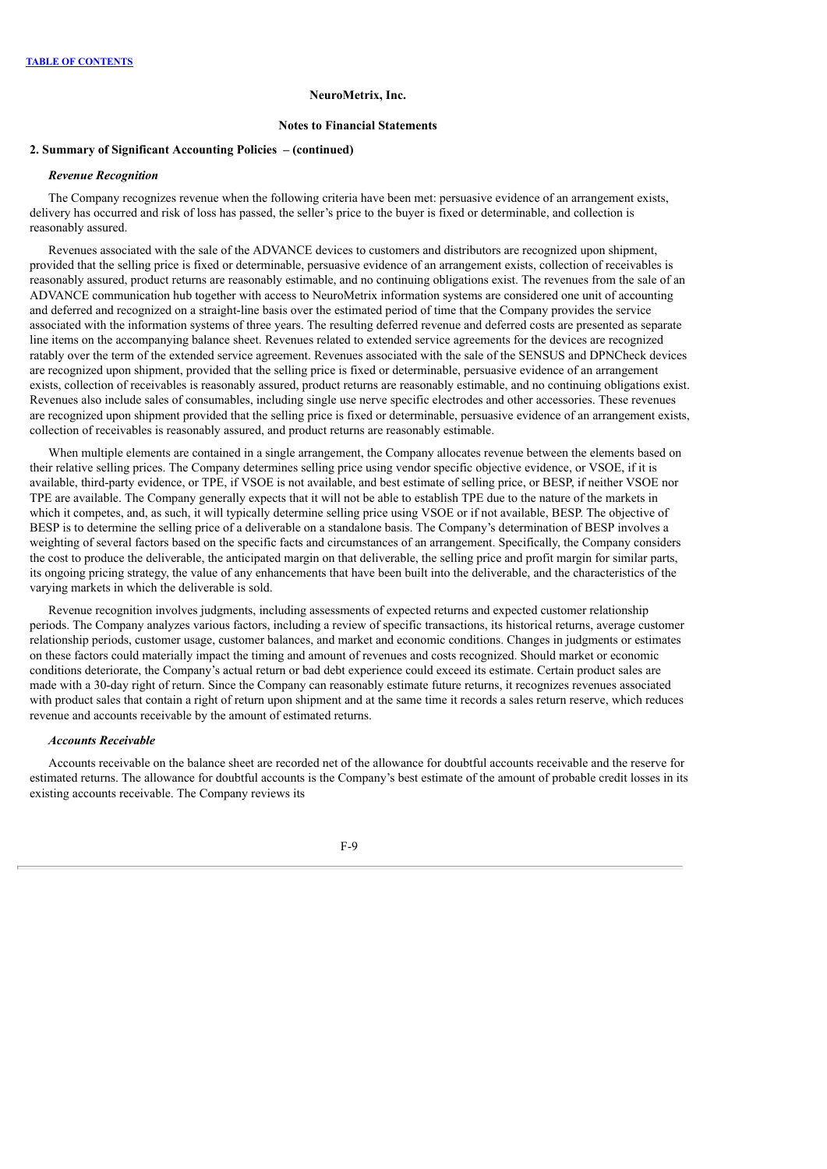#### **Notes to Financial Statements**

#### **2. Summary of Significant Accounting Policies – (continued)**

## *Revenue Recognition*

The Company recognizes revenue when the following criteria have been met: persuasive evidence of an arrangement exists, delivery has occurred and risk of loss has passed, the seller's price to the buyer is fixed or determinable, and collection is reasonably assured.

Revenues associated with the sale of the ADVANCE devices to customers and distributors are recognized upon shipment, provided that the selling price is fixed or determinable, persuasive evidence of an arrangement exists, collection of receivables is reasonably assured, product returns are reasonably estimable, and no continuing obligations exist. The revenues from the sale of an ADVANCE communication hub together with access to NeuroMetrix information systems are considered one unit of accounting and deferred and recognized on a straight-line basis over the estimated period of time that the Company provides the service associated with the information systems of three years. The resulting deferred revenue and deferred costs are presented as separate line items on the accompanying balance sheet. Revenues related to extended service agreements for the devices are recognized ratably over the term of the extended service agreement. Revenues associated with the sale of the SENSUS and DPNCheck devices are recognized upon shipment, provided that the selling price is fixed or determinable, persuasive evidence of an arrangement exists, collection of receivables is reasonably assured, product returns are reasonably estimable, and no continuing obligations exist. Revenues also include sales of consumables, including single use nerve specific electrodes and other accessories. These revenues are recognized upon shipment provided that the selling price is fixed or determinable, persuasive evidence of an arrangement exists, collection of receivables is reasonably assured, and product returns are reasonably estimable.

When multiple elements are contained in a single arrangement, the Company allocates revenue between the elements based on their relative selling prices. The Company determines selling price using vendor specific objective evidence, or VSOE, if it is available, third-party evidence, or TPE, if VSOE is not available, and best estimate of selling price, or BESP, if neither VSOE nor TPE are available. The Company generally expects that it will not be able to establish TPE due to the nature of the markets in which it competes, and, as such, it will typically determine selling price using VSOE or if not available, BESP. The objective of BESP is to determine the selling price of a deliverable on a standalone basis. The Company's determination of BESP involves a weighting of several factors based on the specific facts and circumstances of an arrangement. Specifically, the Company considers the cost to produce the deliverable, the anticipated margin on that deliverable, the selling price and profit margin for similar parts, its ongoing pricing strategy, the value of any enhancements that have been built into the deliverable, and the characteristics of the varying markets in which the deliverable is sold.

Revenue recognition involves judgments, including assessments of expected returns and expected customer relationship periods. The Company analyzes various factors, including a review of specific transactions, its historical returns, average customer relationship periods, customer usage, customer balances, and market and economic conditions. Changes in judgments or estimates on these factors could materially impact the timing and amount of revenues and costs recognized. Should market or economic conditions deteriorate, the Company's actual return or bad debt experience could exceed its estimate. Certain product sales are made with a 30-day right of return. Since the Company can reasonably estimate future returns, it recognizes revenues associated with product sales that contain a right of return upon shipment and at the same time it records a sales return reserve, which reduces revenue and accounts receivable by the amount of estimated returns.

### *Accounts Receivable*

Accounts receivable on the balance sheet are recorded net of the allowance for doubtful accounts receivable and the reserve for estimated returns. The allowance for doubtful accounts is the Company's best estimate of the amount of probable credit losses in its existing accounts receivable. The Company reviews its

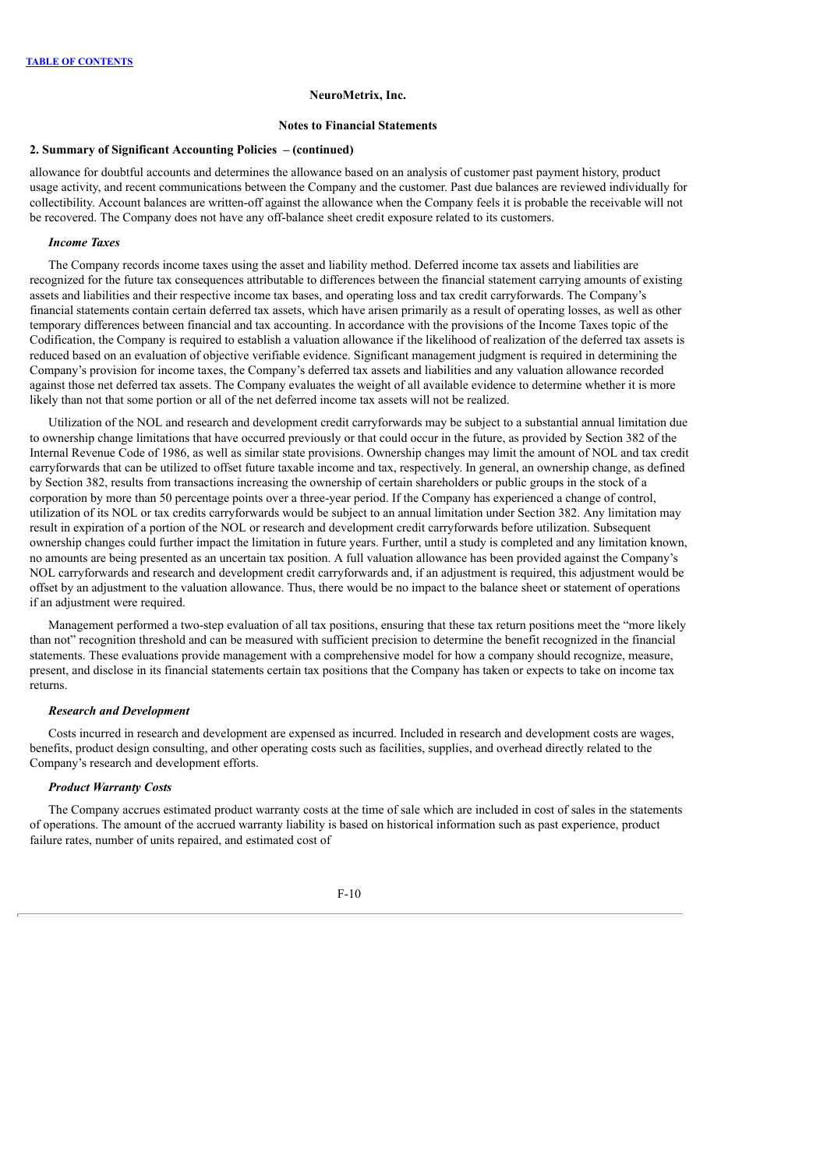#### **Notes to Financial Statements**

## **2. Summary of Significant Accounting Policies – (continued)**

allowance for doubtful accounts and determines the allowance based on an analysis of customer past payment history, product usage activity, and recent communications between the Company and the customer. Past due balances are reviewed individually for collectibility. Account balances are written-off against the allowance when the Company feels it is probable the receivable will not be recovered. The Company does not have any off-balance sheet credit exposure related to its customers.

## *Income Taxes*

The Company records income taxes using the asset and liability method. Deferred income tax assets and liabilities are recognized for the future tax consequences attributable to differences between the financial statement carrying amounts of existing assets and liabilities and their respective income tax bases, and operating loss and tax credit carryforwards. The Company's financial statements contain certain deferred tax assets, which have arisen primarily as a result of operating losses, as well as other temporary differences between financial and tax accounting. In accordance with the provisions of the Income Taxes topic of the Codification, the Company is required to establish a valuation allowance if the likelihood of realization of the deferred tax assets is reduced based on an evaluation of objective verifiable evidence. Significant management judgment is required in determining the Company's provision for income taxes, the Company's deferred tax assets and liabilities and any valuation allowance recorded against those net deferred tax assets. The Company evaluates the weight of all available evidence to determine whether it is more likely than not that some portion or all of the net deferred income tax assets will not be realized.

Utilization of the NOL and research and development credit carryforwards may be subject to a substantial annual limitation due to ownership change limitations that have occurred previously or that could occur in the future, as provided by Section 382 of the Internal Revenue Code of 1986, as well as similar state provisions. Ownership changes may limit the amount of NOL and tax credit carryforwards that can be utilized to offset future taxable income and tax, respectively. In general, an ownership change, as defined by Section 382, results from transactions increasing the ownership of certain shareholders or public groups in the stock of a corporation by more than 50 percentage points over a three-year period. If the Company has experienced a change of control, utilization of its NOL or tax credits carryforwards would be subject to an annual limitation under Section 382. Any limitation may result in expiration of a portion of the NOL or research and development credit carryforwards before utilization. Subsequent ownership changes could further impact the limitation in future years. Further, until a study is completed and any limitation known, no amounts are being presented as an uncertain tax position. A full valuation allowance has been provided against the Company's NOL carryforwards and research and development credit carryforwards and, if an adjustment is required, this adjustment would be offset by an adjustment to the valuation allowance. Thus, there would be no impact to the balance sheet or statement of operations if an adjustment were required.

Management performed a two-step evaluation of all tax positions, ensuring that these tax return positions meet the "more likely than not" recognition threshold and can be measured with sufficient precision to determine the benefit recognized in the financial statements. These evaluations provide management with a comprehensive model for how a company should recognize, measure, present, and disclose in its financial statements certain tax positions that the Company has taken or expects to take on income tax returns.

## *Research and Development*

Costs incurred in research and development are expensed as incurred. Included in research and development costs are wages, benefits, product design consulting, and other operating costs such as facilities, supplies, and overhead directly related to the Company's research and development efforts.

## *Product Warranty Costs*

The Company accrues estimated product warranty costs at the time of sale which are included in cost of sales in the statements of operations. The amount of the accrued warranty liability is based on historical information such as past experience, product failure rates, number of units repaired, and estimated cost of

#### F-10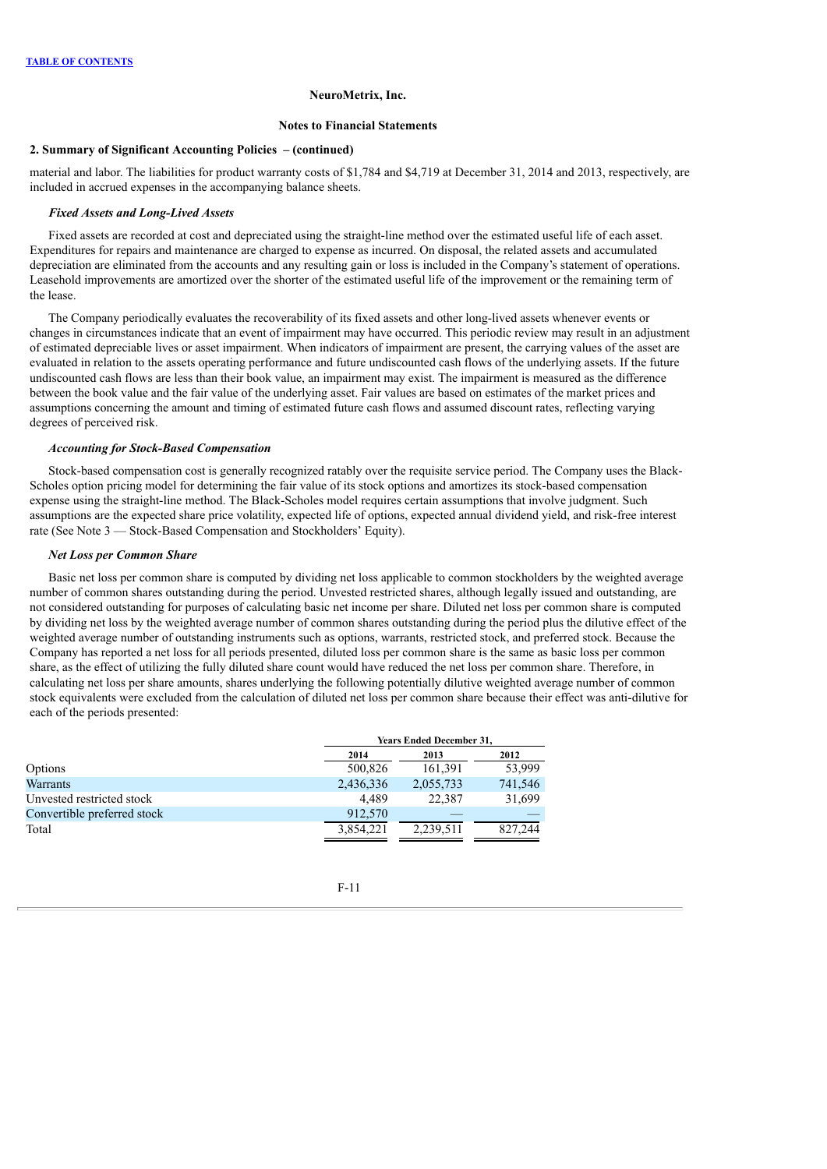#### **Notes to Financial Statements**

### **2. Summary of Significant Accounting Policies – (continued)**

material and labor. The liabilities for product warranty costs of \$1,784 and \$4,719 at December 31, 2014 and 2013, respectively, are included in accrued expenses in the accompanying balance sheets.

## *Fixed Assets and Long-Lived Assets*

Fixed assets are recorded at cost and depreciated using the straight-line method over the estimated useful life of each asset. Expenditures for repairs and maintenance are charged to expense as incurred. On disposal, the related assets and accumulated depreciation are eliminated from the accounts and any resulting gain or loss is included in the Company's statement of operations. Leasehold improvements are amortized over the shorter of the estimated useful life of the improvement or the remaining term of the lease.

The Company periodically evaluates the recoverability of its fixed assets and other long-lived assets whenever events or changes in circumstances indicate that an event of impairment may have occurred. This periodic review may result in an adjustment of estimated depreciable lives or asset impairment. When indicators of impairment are present, the carrying values of the asset are evaluated in relation to the assets operating performance and future undiscounted cash flows of the underlying assets. If the future undiscounted cash flows are less than their book value, an impairment may exist. The impairment is measured as the difference between the book value and the fair value of the underlying asset. Fair values are based on estimates of the market prices and assumptions concerning the amount and timing of estimated future cash flows and assumed discount rates, reflecting varying degrees of perceived risk.

## *Accounting for Stock-Based Compensation*

Stock-based compensation cost is generally recognized ratably over the requisite service period. The Company uses the Black-Scholes option pricing model for determining the fair value of its stock options and amortizes its stock-based compensation expense using the straight-line method. The Black-Scholes model requires certain assumptions that involve judgment. Such assumptions are the expected share price volatility, expected life of options, expected annual dividend yield, and risk-free interest rate (See Note 3 — Stock-Based Compensation and Stockholders' Equity).

## *Net Loss per Common Share*

Basic net loss per common share is computed by dividing net loss applicable to common stockholders by the weighted average number of common shares outstanding during the period. Unvested restricted shares, although legally issued and outstanding, are not considered outstanding for purposes of calculating basic net income per share. Diluted net loss per common share is computed by dividing net loss by the weighted average number of common shares outstanding during the period plus the dilutive effect of the weighted average number of outstanding instruments such as options, warrants, restricted stock, and preferred stock. Because the Company has reported a net loss for all periods presented, diluted loss per common share is the same as basic loss per common share, as the effect of utilizing the fully diluted share count would have reduced the net loss per common share. Therefore, in calculating net loss per share amounts, shares underlying the following potentially dilutive weighted average number of common stock equivalents were excluded from the calculation of diluted net loss per common share because their effect was anti-dilutive for each of the periods presented:

|                             |           | <b>Years Ended December 31.</b> |         |  |
|-----------------------------|-----------|---------------------------------|---------|--|
|                             | 2014      | 2013                            | 2012    |  |
| Options                     | 500,826   | 161,391                         | 53,999  |  |
| Warrants                    | 2,436,336 | 2,055,733                       | 741,546 |  |
| Unvested restricted stock   | 4.489     | 22,387                          | 31,699  |  |
| Convertible preferred stock | 912.570   |                                 |         |  |
| Total                       | 3,854,221 | 2,239,511                       | 827,244 |  |
|                             |           |                                 |         |  |

F-11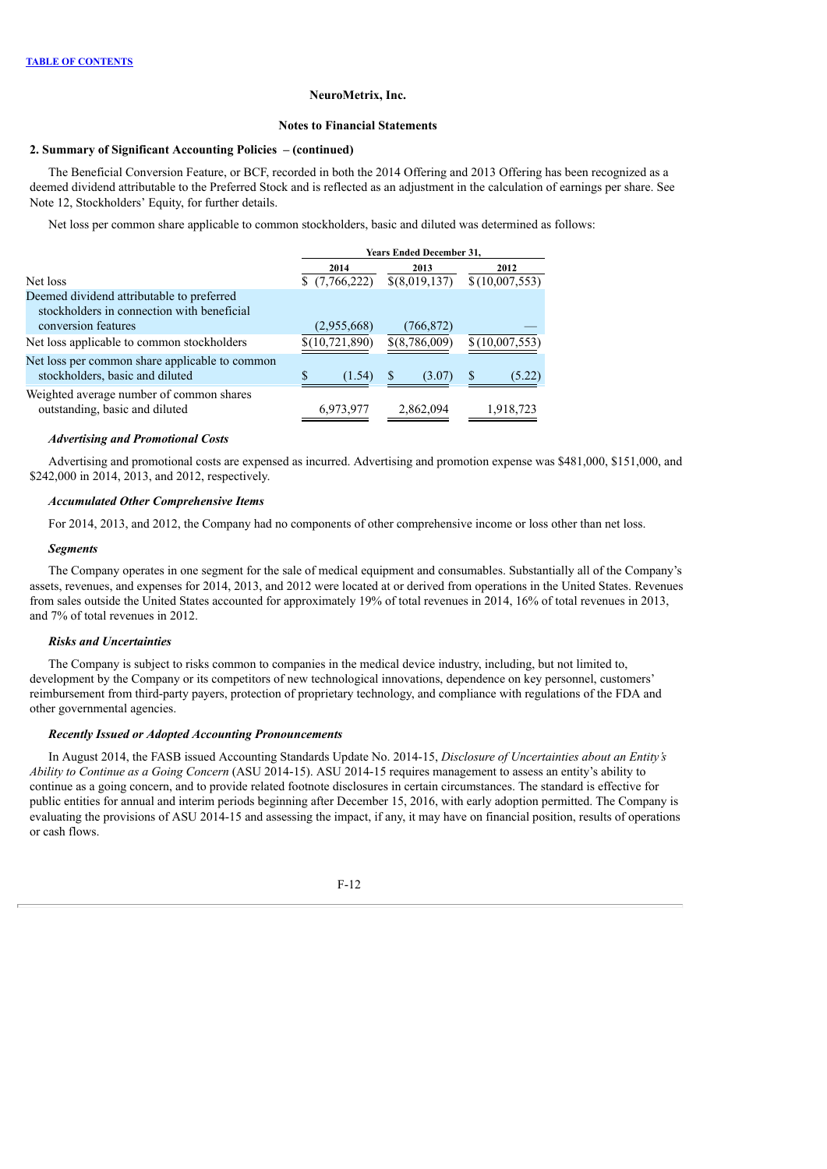#### **Notes to Financial Statements**

### **2. Summary of Significant Accounting Policies – (continued)**

The Beneficial Conversion Feature, or BCF, recorded in both the 2014 Offering and 2013 Offering has been recognized as a deemed dividend attributable to the Preferred Stock and is reflected as an adjustment in the calculation of earnings per share. See Note 12, Stockholders' Equity, for further details.

Net loss per common share applicable to common stockholders, basic and diluted was determined as follows:

|                                                | <b>Years Ended December 31.</b> |               |                         |
|------------------------------------------------|---------------------------------|---------------|-------------------------|
|                                                | 2014                            | 2013          | 2012                    |
| Net loss                                       | \$(7,766,222)                   | \$(8,019,137) | \$(10,007,553)          |
| Deemed dividend attributable to preferred      |                                 |               |                         |
| stockholders in connection with beneficial     |                                 |               |                         |
| conversion features                            | (2,955,668)                     | (766, 872)    |                         |
| Net loss applicable to common stockholders     | \$(10,721,890)                  | \$(8,786,009) | \$(10,007,553)          |
| Net loss per common share applicable to common |                                 |               |                         |
| stockholders, basic and diluted                | ς<br>(1.54)                     | S<br>(3.07)   | <sup>\$</sup><br>(5.22) |
| Weighted average number of common shares       |                                 |               |                         |
| outstanding, basic and diluted                 | 6,973,977                       | 2,862,094     | 1,918,723               |

### *Advertising and Promotional Costs*

Advertising and promotional costs are expensed as incurred. Advertising and promotion expense was \$481,000, \$151,000, and \$242,000 in 2014, 2013, and 2012, respectively.

### *Accumulated Other Comprehensive Items*

For 2014, 2013, and 2012, the Company had no components of other comprehensive income or loss other than net loss.

### *Segments*

The Company operates in one segment for the sale of medical equipment and consumables. Substantially all of the Company's assets, revenues, and expenses for 2014, 2013, and 2012 were located at or derived from operations in the United States. Revenues from sales outside the United States accounted for approximately 19% of total revenues in 2014, 16% of total revenues in 2013, and 7% of total revenues in 2012.

### *Risks and Uncertainties*

The Company is subject to risks common to companies in the medical device industry, including, but not limited to, development by the Company or its competitors of new technological innovations, dependence on key personnel, customers' reimbursement from third-party payers, protection of proprietary technology, and compliance with regulations of the FDA and other governmental agencies.

### *Recently Issued or Adopted Accounting Pronouncements*

In August 2014, the FASB issued Accounting Standards Update No. 2014-15, *Disclosure of Uncertainties about an Entity's Ability to Continue as a Going Concern* (ASU 2014-15). ASU 2014-15 requires management to assess an entity's ability to continue as a going concern, and to provide related footnote disclosures in certain circumstances. The standard is effective for public entities for annual and interim periods beginning after December 15, 2016, with early adoption permitted. The Company is evaluating the provisions of ASU 2014-15 and assessing the impact, if any, it may have on financial position, results of operations or cash flows.

$$
F-12
$$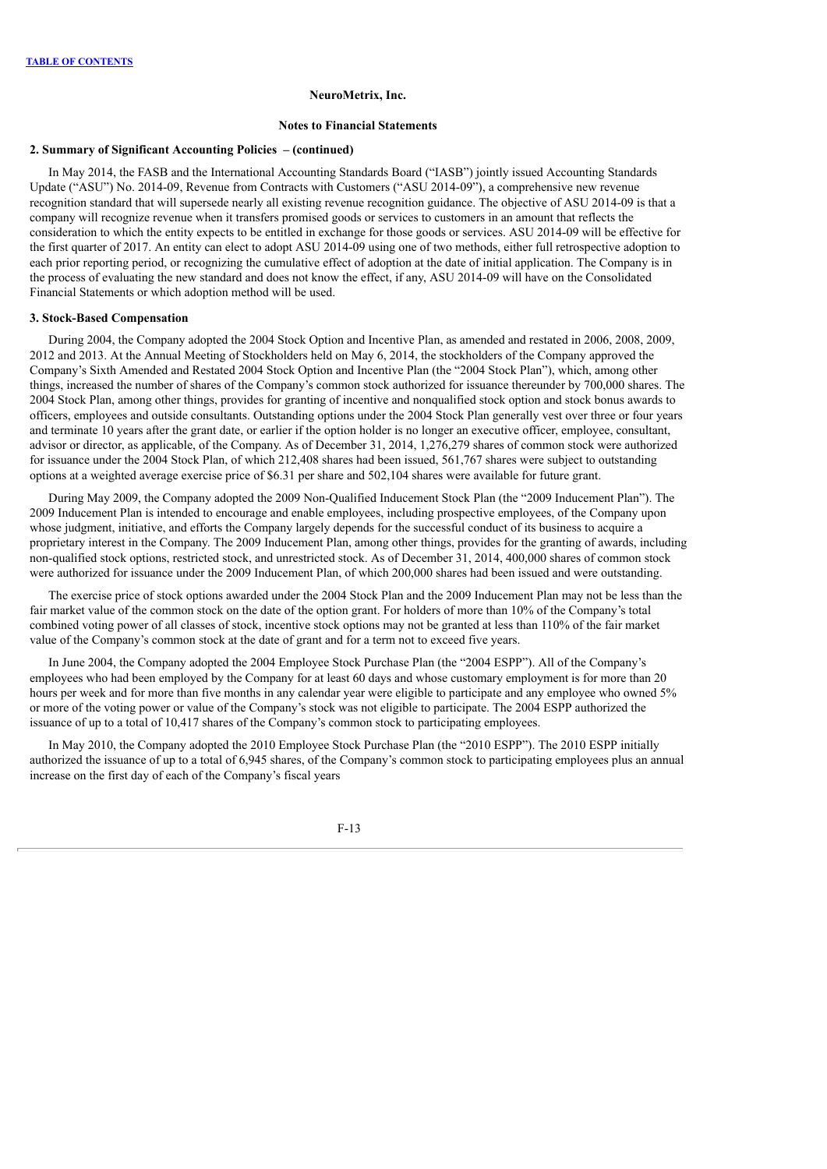#### **Notes to Financial Statements**

### **2. Summary of Significant Accounting Policies – (continued)**

In May 2014, the FASB and the International Accounting Standards Board ("IASB") jointly issued Accounting Standards Update ("ASU") No. 2014-09, Revenue from Contracts with Customers ("ASU 2014-09"), a comprehensive new revenue recognition standard that will supersede nearly all existing revenue recognition guidance. The objective of ASU 2014-09 is that a company will recognize revenue when it transfers promised goods or services to customers in an amount that reflects the consideration to which the entity expects to be entitled in exchange for those goods or services. ASU 2014-09 will be effective for the first quarter of 2017. An entity can elect to adopt ASU 2014-09 using one of two methods, either full retrospective adoption to each prior reporting period, or recognizing the cumulative effect of adoption at the date of initial application. The Company is in the process of evaluating the new standard and does not know the effect, if any, ASU 2014-09 will have on the Consolidated Financial Statements or which adoption method will be used.

## **3. Stock-Based Compensation**

During 2004, the Company adopted the 2004 Stock Option and Incentive Plan, as amended and restated in 2006, 2008, 2009, 2012 and 2013. At the Annual Meeting of Stockholders held on May 6, 2014, the stockholders of the Company approved the Company's Sixth Amended and Restated 2004 Stock Option and Incentive Plan (the "2004 Stock Plan"), which, among other things, increased the number of shares of the Company's common stock authorized for issuance thereunder by 700,000 shares. The 2004 Stock Plan, among other things, provides for granting of incentive and nonqualified stock option and stock bonus awards to officers, employees and outside consultants. Outstanding options under the 2004 Stock Plan generally vest over three or four years and terminate 10 years after the grant date, or earlier if the option holder is no longer an executive officer, employee, consultant, advisor or director, as applicable, of the Company. As of December 31, 2014, 1,276,279 shares of common stock were authorized for issuance under the 2004 Stock Plan, of which 212,408 shares had been issued, 561,767 shares were subject to outstanding options at a weighted average exercise price of \$6.31 per share and 502,104 shares were available for future grant.

During May 2009, the Company adopted the 2009 Non-Qualified Inducement Stock Plan (the "2009 Inducement Plan"). The 2009 Inducement Plan is intended to encourage and enable employees, including prospective employees, of the Company upon whose judgment, initiative, and efforts the Company largely depends for the successful conduct of its business to acquire a proprietary interest in the Company. The 2009 Inducement Plan, among other things, provides for the granting of awards, including non-qualified stock options, restricted stock, and unrestricted stock. As of December 31, 2014, 400,000 shares of common stock were authorized for issuance under the 2009 Inducement Plan, of which 200,000 shares had been issued and were outstanding.

The exercise price of stock options awarded under the 2004 Stock Plan and the 2009 Inducement Plan may not be less than the fair market value of the common stock on the date of the option grant. For holders of more than 10% of the Company's total combined voting power of all classes of stock, incentive stock options may not be granted at less than 110% of the fair market value of the Company's common stock at the date of grant and for a term not to exceed five years.

In June 2004, the Company adopted the 2004 Employee Stock Purchase Plan (the "2004 ESPP"). All of the Company's employees who had been employed by the Company for at least 60 days and whose customary employment is for more than 20 hours per week and for more than five months in any calendar year were eligible to participate and any employee who owned 5% or more of the voting power or value of the Company's stock was not eligible to participate. The 2004 ESPP authorized the issuance of up to a total of 10,417 shares of the Company's common stock to participating employees.

In May 2010, the Company adopted the 2010 Employee Stock Purchase Plan (the "2010 ESPP"). The 2010 ESPP initially authorized the issuance of up to a total of 6,945 shares, of the Company's common stock to participating employees plus an annual increase on the first day of each of the Company's fiscal years

### F-13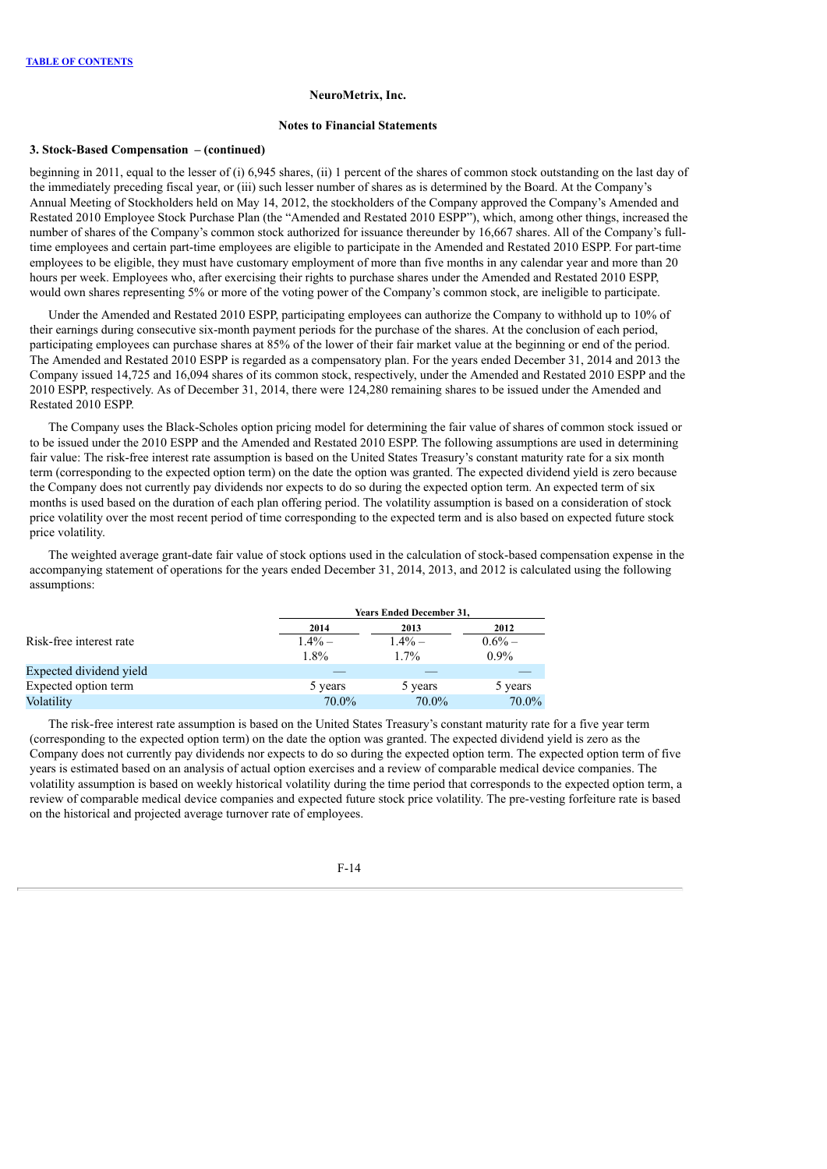#### **Notes to Financial Statements**

# **3. Stock-Based Compensation – (continued)**

beginning in 2011, equal to the lesser of (i) 6,945 shares, (ii) 1 percent of the shares of common stock outstanding on the last day of the immediately preceding fiscal year, or (iii) such lesser number of shares as is determined by the Board. At the Company's Annual Meeting of Stockholders held on May 14, 2012, the stockholders of the Company approved the Company's Amended and Restated 2010 Employee Stock Purchase Plan (the "Amended and Restated 2010 ESPP"), which, among other things, increased the number of shares of the Company's common stock authorized for issuance thereunder by 16,667 shares. All of the Company's fulltime employees and certain part-time employees are eligible to participate in the Amended and Restated 2010 ESPP. For part-time employees to be eligible, they must have customary employment of more than five months in any calendar year and more than 20 hours per week. Employees who, after exercising their rights to purchase shares under the Amended and Restated 2010 ESPP, would own shares representing 5% or more of the voting power of the Company's common stock, are ineligible to participate.

Under the Amended and Restated 2010 ESPP, participating employees can authorize the Company to withhold up to 10% of their earnings during consecutive six-month payment periods for the purchase of the shares. At the conclusion of each period, participating employees can purchase shares at 85% of the lower of their fair market value at the beginning or end of the period. The Amended and Restated 2010 ESPP is regarded as a compensatory plan. For the years ended December 31, 2014 and 2013 the Company issued 14,725 and 16,094 shares of its common stock, respectively, under the Amended and Restated 2010 ESPP and the 2010 ESPP, respectively. As of December 31, 2014, there were 124,280 remaining shares to be issued under the Amended and Restated 2010 ESPP.

The Company uses the Black-Scholes option pricing model for determining the fair value of shares of common stock issued or to be issued under the 2010 ESPP and the Amended and Restated 2010 ESPP. The following assumptions are used in determining fair value: The risk-free interest rate assumption is based on the United States Treasury's constant maturity rate for a six month term (corresponding to the expected option term) on the date the option was granted. The expected dividend yield is zero because the Company does not currently pay dividends nor expects to do so during the expected option term. An expected term of six months is used based on the duration of each plan offering period. The volatility assumption is based on a consideration of stock price volatility over the most recent period of time corresponding to the expected term and is also based on expected future stock price volatility.

The weighted average grant-date fair value of stock options used in the calculation of stock-based compensation expense in the accompanying statement of operations for the years ended December 31, 2014, 2013, and 2012 is calculated using the following assumptions:

|                         |           | <b>Years Ended December 31,</b> |           |  |  |
|-------------------------|-----------|---------------------------------|-----------|--|--|
|                         | 2014      | 2013                            | 2012      |  |  |
| Risk-free interest rate | $1.4\%$ – | $1.4\%$ –                       | $0.6\%$ – |  |  |
|                         | 1.8%      | $1.7\%$                         | $0.9\%$   |  |  |
| Expected dividend yield |           |                                 |           |  |  |
| Expected option term    | 5 years   | 5 years                         | 5 years   |  |  |
| Volatility              | 70.0%     | 70.0%                           | 70.0%     |  |  |

The risk-free interest rate assumption is based on the United States Treasury's constant maturity rate for a five year term (corresponding to the expected option term) on the date the option was granted. The expected dividend yield is zero as the Company does not currently pay dividends nor expects to do so during the expected option term. The expected option term of five years is estimated based on an analysis of actual option exercises and a review of comparable medical device companies. The volatility assumption is based on weekly historical volatility during the time period that corresponds to the expected option term, a review of comparable medical device companies and expected future stock price volatility. The pre-vesting forfeiture rate is based on the historical and projected average turnover rate of employees.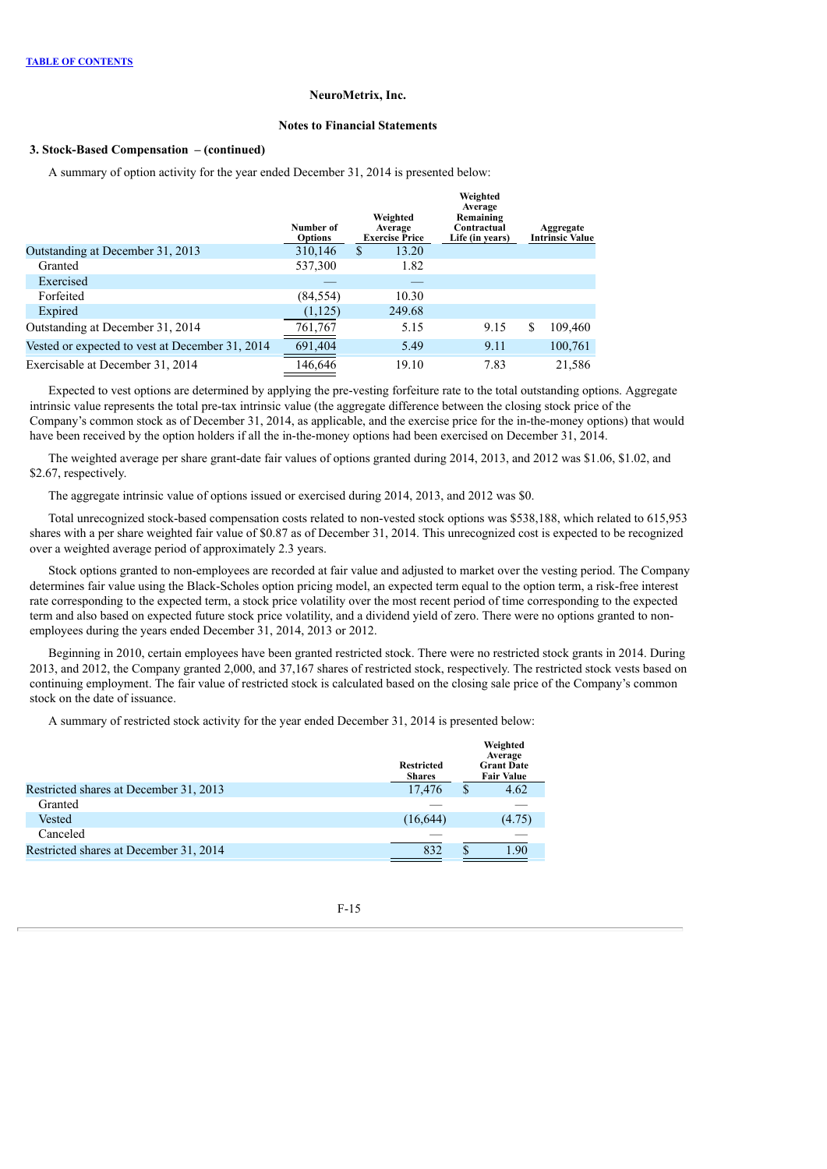## **Notes to Financial Statements**

**Weighted**

#### **3. Stock-Based Compensation – (continued)**

A summary of option activity for the year ended December 31, 2014 is presented below:

|                                                 | Number of<br><b>Options</b> | Weighted<br>Average<br><b>Exercise Price</b> | weighted<br>Average<br>Remaining<br>Contractual<br>Life (in years) |   | Aggregate<br><b>Intrinsic Value</b> |
|-------------------------------------------------|-----------------------------|----------------------------------------------|--------------------------------------------------------------------|---|-------------------------------------|
| Outstanding at December 31, 2013                | 310,146                     | 13.20<br>S                                   |                                                                    |   |                                     |
| Granted                                         | 537,300                     | 1.82                                         |                                                                    |   |                                     |
| Exercised                                       |                             |                                              |                                                                    |   |                                     |
| Forfeited                                       | (84, 554)                   | 10.30                                        |                                                                    |   |                                     |
| Expired                                         | (1, 125)                    | 249.68                                       |                                                                    |   |                                     |
| Outstanding at December 31, 2014                | 761,767                     | 5.15                                         | 9.15                                                               | S | 109,460                             |
| Vested or expected to vest at December 31, 2014 | 691,404                     | 5.49                                         | 9.11                                                               |   | 100,761                             |
| Exercisable at December 31, 2014                | 146,646                     | 19.10                                        | 7.83                                                               |   | 21.586                              |

Expected to vest options are determined by applying the pre-vesting forfeiture rate to the total outstanding options. Aggregate intrinsic value represents the total pre-tax intrinsic value (the aggregate difference between the closing stock price of the Company's common stock as of December 31, 2014, as applicable, and the exercise price for the in-the-money options) that would have been received by the option holders if all the in-the-money options had been exercised on December 31, 2014.

The weighted average per share grant-date fair values of options granted during 2014, 2013, and 2012 was \$1.06, \$1.02, and \$2.67, respectively.

The aggregate intrinsic value of options issued or exercised during 2014, 2013, and 2012 was \$0.

Total unrecognized stock-based compensation costs related to non-vested stock options was \$538,188, which related to 615,953 shares with a per share weighted fair value of \$0.87 as of December 31, 2014. This unrecognized cost is expected to be recognized over a weighted average period of approximately 2.3 years.

Stock options granted to non-employees are recorded at fair value and adjusted to market over the vesting period. The Company determines fair value using the Black-Scholes option pricing model, an expected term equal to the option term, a risk-free interest rate corresponding to the expected term, a stock price volatility over the most recent period of time corresponding to the expected term and also based on expected future stock price volatility, and a dividend yield of zero. There were no options granted to nonemployees during the years ended December 31, 2014, 2013 or 2012.

Beginning in 2010, certain employees have been granted restricted stock. There were no restricted stock grants in 2014. During 2013, and 2012, the Company granted 2,000, and 37,167 shares of restricted stock, respectively. The restricted stock vests based on continuing employment. The fair value of restricted stock is calculated based on the closing sale price of the Company's common stock on the date of issuance.

A summary of restricted stock activity for the year ended December 31, 2014 is presented below:

|                                        | <b>Restricted</b><br><b>Shares</b> |    | Weighted<br>Average<br><b>Grant Date</b><br><b>Fair Value</b> |
|----------------------------------------|------------------------------------|----|---------------------------------------------------------------|
| Restricted shares at December 31, 2013 | 17.476                             | \$ | 4.62                                                          |
| Granted                                |                                    |    |                                                               |
| Vested                                 | (16, 644)                          |    | (4.75)                                                        |
| Canceled                               |                                    |    |                                                               |
| Restricted shares at December 31, 2014 | 832                                | S  | 1.90                                                          |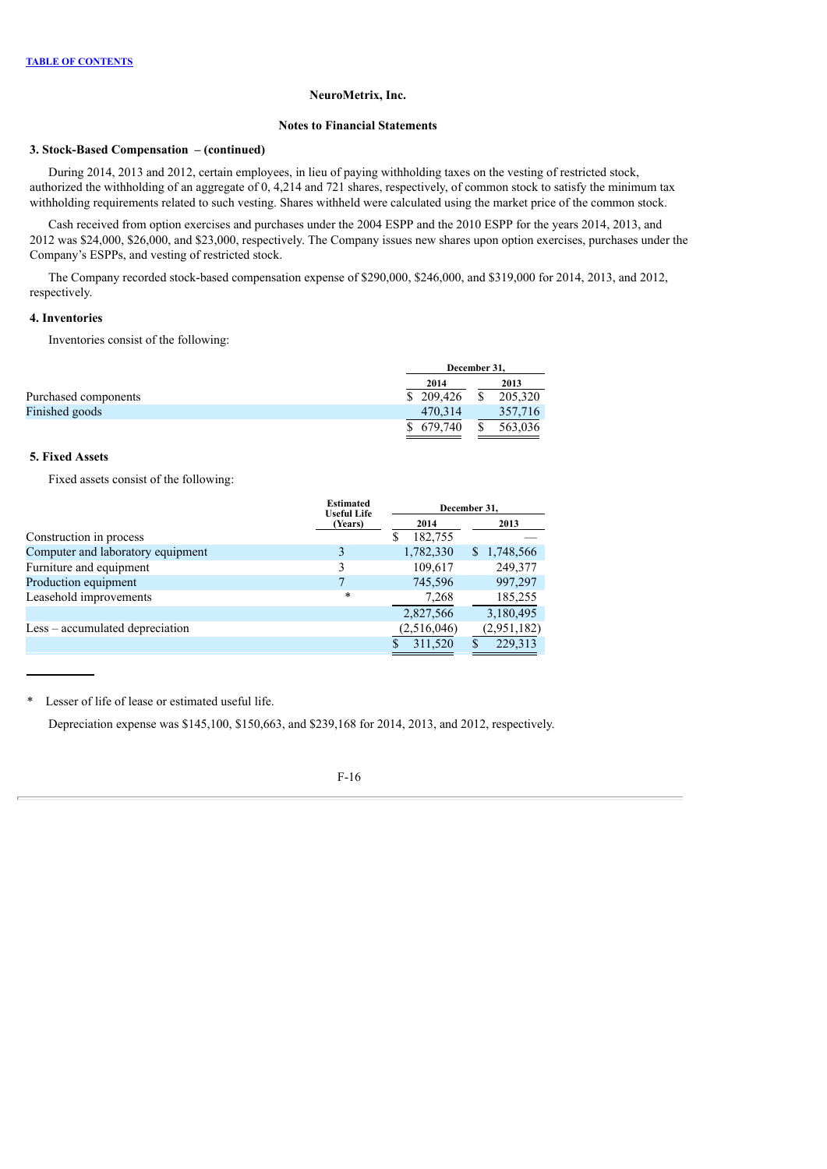### **Notes to Financial Statements**

# **3. Stock-Based Compensation – (continued)**

During 2014, 2013 and 2012, certain employees, in lieu of paying withholding taxes on the vesting of restricted stock, authorized the withholding of an aggregate of 0, 4,214 and 721 shares, respectively, of common stock to satisfy the minimum tax withholding requirements related to such vesting. Shares withheld were calculated using the market price of the common stock.

Cash received from option exercises and purchases under the 2004 ESPP and the 2010 ESPP for the years 2014, 2013, and 2012 was \$24,000, \$26,000, and \$23,000, respectively. The Company issues new shares upon option exercises, purchases under the Company's ESPPs, and vesting of restricted stock.

The Company recorded stock-based compensation expense of \$290,000, \$246,000, and \$319,000 for 2014, 2013, and 2012, respectively.

# **4. Inventories**

Inventories consist of the following:

|                      |           | December 31, |  |  |
|----------------------|-----------|--------------|--|--|
|                      | 2014      | 2013         |  |  |
| Purchased components | \$209,426 | 205.320      |  |  |
| Finished goods       | 470.314   | 357,716      |  |  |
|                      | \$679,740 | 563,036      |  |  |

# **5. Fixed Assets**

Fixed assets consist of the following:

|                                   | <b>Estimated</b><br><b>Useful Life</b> |              | December 31, |
|-----------------------------------|----------------------------------------|--------------|--------------|
|                                   | (Years)                                | 2014         | 2013         |
| Construction in process           |                                        | 182,755<br>S |              |
| Computer and laboratory equipment | 3                                      | 1,782,330    | \$1,748,566  |
| Furniture and equipment           | 3                                      | 109,617      | 249,377      |
| Production equipment              |                                        | 745,596      | 997,297      |
| Leasehold improvements            | $\ast$                                 | 7,268        | 185,255      |
|                                   |                                        | 2,827,566    | 3,180,495    |
| Less – accumulated depreciation   |                                        | (2,516,046)  | (2,951,182)  |
|                                   |                                        | 311,520      | 229,313      |

\* Lesser of life of lease or estimated useful life.

Depreciation expense was \$145,100, \$150,663, and \$239,168 for 2014, 2013, and 2012, respectively.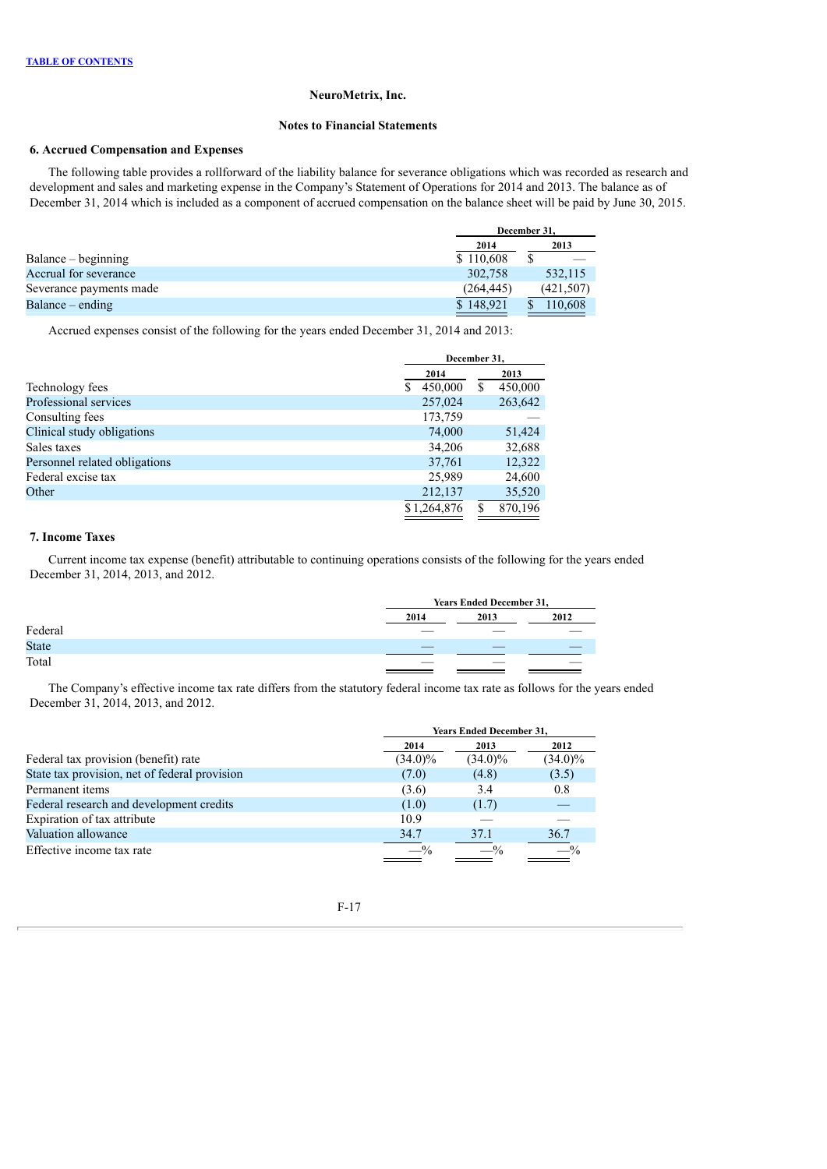## **Notes to Financial Statements**

# **6. Accrued Compensation and Expenses**

The following table provides a rollforward of the liability balance for severance obligations which was recorded as research and development and sales and marketing expense in the Company's Statement of Operations for 2014 and 2013. The balance as of December 31, 2014 which is included as a component of accrued compensation on the balance sheet will be paid by June 30, 2015.

|                         |            | December 31, |
|-------------------------|------------|--------------|
|                         | 2014       | 2013         |
| $Balance - beginning$   | \$110,608  |              |
| Accrual for severance   | 302,758    | 532.115      |
| Severance payments made | (264, 445) | (421, 507)   |
| $Balance - ending$      | \$148.921  | 110.608      |

Accrued expenses consist of the following for the years ended December 31, 2014 and 2013:

|                               |             | December 31, |         |  |
|-------------------------------|-------------|--------------|---------|--|
|                               | 2014        |              | 2013    |  |
| Technology fees               | 450,000     | \$.          | 450,000 |  |
| Professional services         | 257,024     |              | 263,642 |  |
| Consulting fees               | 173,759     |              |         |  |
| Clinical study obligations    | 74,000      |              | 51,424  |  |
| Sales taxes                   | 34,206      |              | 32,688  |  |
| Personnel related obligations | 37,761      |              | 12,322  |  |
| Federal excise tax            | 25,989      |              | 24,600  |  |
| Other                         | 212,137     |              | 35,520  |  |
|                               | \$1.264.876 |              | 870,196 |  |

# **7. Income Taxes**

Current income tax expense (benefit) attributable to continuing operations consists of the following for the years ended December 31, 2014, 2013, and 2012.

|              |      | <b>Years Ended December 31,</b> |      |  |
|--------------|------|---------------------------------|------|--|
|              | 2014 | 2013                            | 2012 |  |
| Federal      |      |                                 |      |  |
| <b>State</b> |      |                                 |      |  |
| Total        |      |                                 |      |  |
|              |      |                                 |      |  |

The Company's effective income tax rate differs from the statutory federal income tax rate as follows for the years ended December 31, 2014, 2013, and 2012.

|                                               | <b>Years Ended December 31,</b> |            |            |
|-----------------------------------------------|---------------------------------|------------|------------|
|                                               | 2014                            | 2013       | 2012       |
| Federal tax provision (benefit) rate          | $(34.0)\%$                      | $(34.0)\%$ | $(34.0)\%$ |
| State tax provision, net of federal provision | (7.0)                           | (4.8)      | (3.5)      |
| Permanent items                               | (3.6)                           | 3.4        | 0.8        |
| Federal research and development credits      | (1.0)                           | (1.7)      |            |
| Expiration of tax attribute                   | 10.9                            |            |            |
| Valuation allowance                           | 34.7                            | 37.1       | 36.7       |
| Effective income tax rate                     | $-$ %                           | $-$ %      | $-$ %      |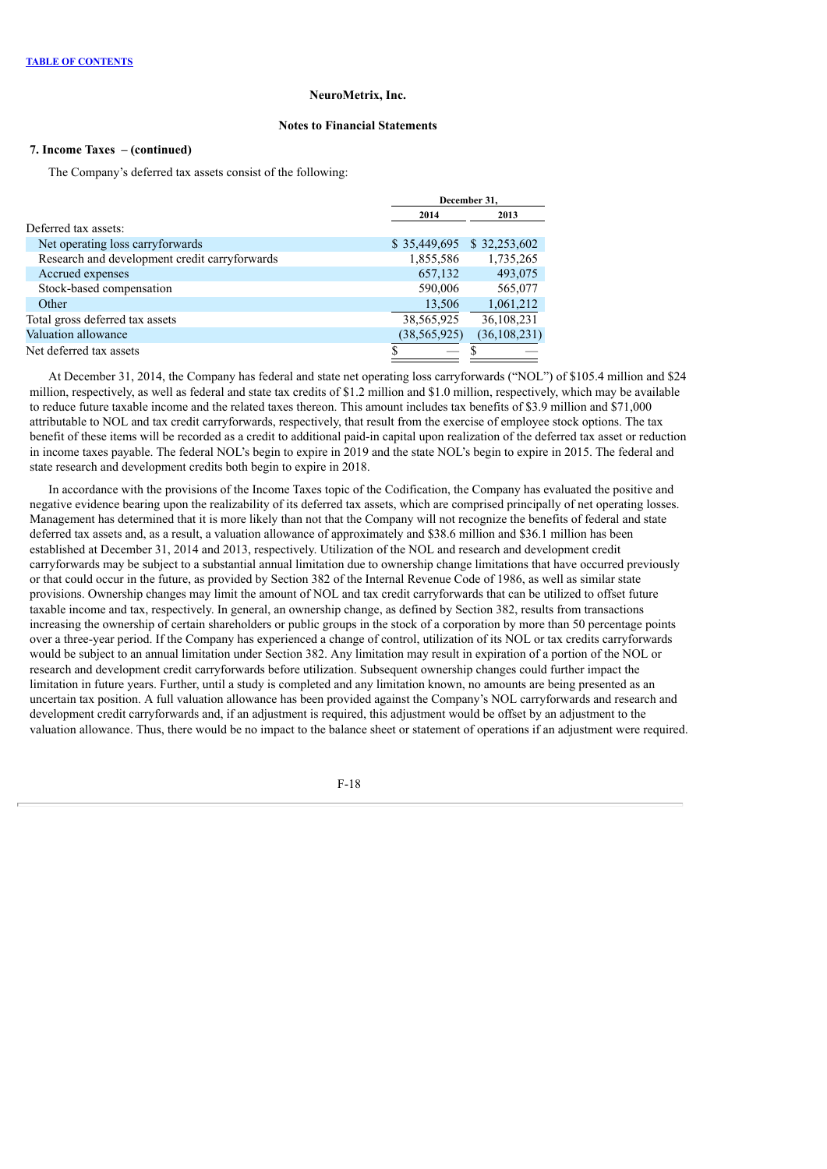#### **Notes to Financial Statements**

## **7. Income Taxes – (continued)**

The Company's deferred tax assets consist of the following:

|                                               | December 31.   |                |  |
|-----------------------------------------------|----------------|----------------|--|
|                                               | 2014           | 2013           |  |
| Deferred tax assets:                          |                |                |  |
| Net operating loss carry forwards             | \$35,449,695   | \$32,253,602   |  |
| Research and development credit carryforwards | 1,855,586      | 1,735,265      |  |
| Accrued expenses                              | 657,132        | 493,075        |  |
| Stock-based compensation                      | 590,006        | 565,077        |  |
| Other                                         | 13,506         | 1,061,212      |  |
| Total gross deferred tax assets               | 38,565,925     | 36,108,231     |  |
| Valuation allowance                           | (38, 565, 925) | (36, 108, 231) |  |
| Net deferred tax assets                       |                |                |  |

At December 31, 2014, the Company has federal and state net operating loss carryforwards ("NOL") of \$105.4 million and \$24 million, respectively, as well as federal and state tax credits of \$1.2 million and \$1.0 million, respectively, which may be available to reduce future taxable income and the related taxes thereon. This amount includes tax benefits of \$3.9 million and \$71,000 attributable to NOL and tax credit carryforwards, respectively, that result from the exercise of employee stock options. The tax benefit of these items will be recorded as a credit to additional paid-in capital upon realization of the deferred tax asset or reduction in income taxes payable. The federal NOL's begin to expire in 2019 and the state NOL's begin to expire in 2015. The federal and state research and development credits both begin to expire in 2018.

In accordance with the provisions of the Income Taxes topic of the Codification, the Company has evaluated the positive and negative evidence bearing upon the realizability of its deferred tax assets, which are comprised principally of net operating losses. Management has determined that it is more likely than not that the Company will not recognize the benefits of federal and state deferred tax assets and, as a result, a valuation allowance of approximately and \$38.6 million and \$36.1 million has been established at December 31, 2014 and 2013, respectively. Utilization of the NOL and research and development credit carryforwards may be subject to a substantial annual limitation due to ownership change limitations that have occurred previously or that could occur in the future, as provided by Section 382 of the Internal Revenue Code of 1986, as well as similar state provisions. Ownership changes may limit the amount of NOL and tax credit carryforwards that can be utilized to offset future taxable income and tax, respectively. In general, an ownership change, as defined by Section 382, results from transactions increasing the ownership of certain shareholders or public groups in the stock of a corporation by more than 50 percentage points over a three-year period. If the Company has experienced a change of control, utilization of its NOL or tax credits carryforwards would be subject to an annual limitation under Section 382. Any limitation may result in expiration of a portion of the NOL or research and development credit carryforwards before utilization. Subsequent ownership changes could further impact the limitation in future years. Further, until a study is completed and any limitation known, no amounts are being presented as an uncertain tax position. A full valuation allowance has been provided against the Company's NOL carryforwards and research and development credit carryforwards and, if an adjustment is required, this adjustment would be offset by an adjustment to the valuation allowance. Thus, there would be no impact to the balance sheet or statement of operations if an adjustment were required.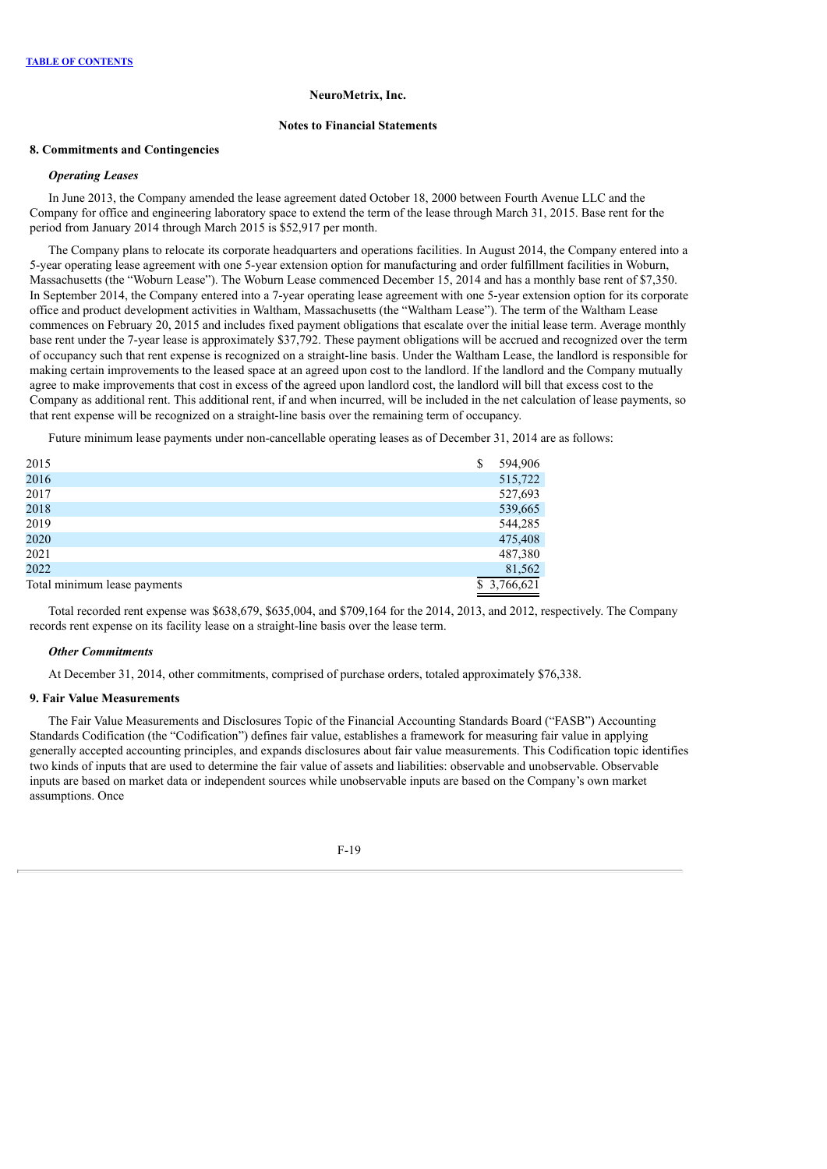### **Notes to Financial Statements**

#### **8. Commitments and Contingencies**

# *Operating Leases*

In June 2013, the Company amended the lease agreement dated October 18, 2000 between Fourth Avenue LLC and the Company for office and engineering laboratory space to extend the term of the lease through March 31, 2015. Base rent for the period from January 2014 through March 2015 is \$52,917 per month.

The Company plans to relocate its corporate headquarters and operations facilities. In August 2014, the Company entered into a 5-year operating lease agreement with one 5-year extension option for manufacturing and order fulfillment facilities in Woburn, Massachusetts (the "Woburn Lease"). The Woburn Lease commenced December 15, 2014 and has a monthly base rent of \$7,350. In September 2014, the Company entered into a 7-year operating lease agreement with one 5-year extension option for its corporate office and product development activities in Waltham, Massachusetts (the "Waltham Lease"). The term of the Waltham Lease commences on February 20, 2015 and includes fixed payment obligations that escalate over the initial lease term. Average monthly base rent under the 7-year lease is approximately \$37,792. These payment obligations will be accrued and recognized over the term of occupancy such that rent expense is recognized on a straight-line basis. Under the Waltham Lease, the landlord is responsible for making certain improvements to the leased space at an agreed upon cost to the landlord. If the landlord and the Company mutually agree to make improvements that cost in excess of the agreed upon landlord cost, the landlord will bill that excess cost to the Company as additional rent. This additional rent, if and when incurred, will be included in the net calculation of lease payments, so that rent expense will be recognized on a straight-line basis over the remaining term of occupancy.

Future minimum lease payments under non-cancellable operating leases as of December 31, 2014 are as follows:

| 2015                         | \$<br>594,906 |
|------------------------------|---------------|
| 2016                         | 515,722       |
| 2017                         | 527,693       |
| 2018                         | 539,665       |
| 2019                         | 544,285       |
| 2020                         | 475,408       |
| 2021                         | 487,380       |
| 2022                         | 81,562        |
| Total minimum lease payments | \$ 3,766,621  |

Total recorded rent expense was \$638,679, \$635,004, and \$709,164 for the 2014, 2013, and 2012, respectively. The Company records rent expense on its facility lease on a straight-line basis over the lease term.

#### *Other Commitments*

At December 31, 2014, other commitments, comprised of purchase orders, totaled approximately \$76,338.

### **9. Fair Value Measurements**

The Fair Value Measurements and Disclosures Topic of the Financial Accounting Standards Board ("FASB") Accounting Standards Codification (the "Codification") defines fair value, establishes a framework for measuring fair value in applying generally accepted accounting principles, and expands disclosures about fair value measurements. This Codification topic identifies two kinds of inputs that are used to determine the fair value of assets and liabilities: observable and unobservable. Observable inputs are based on market data or independent sources while unobservable inputs are based on the Company's own market assumptions. Once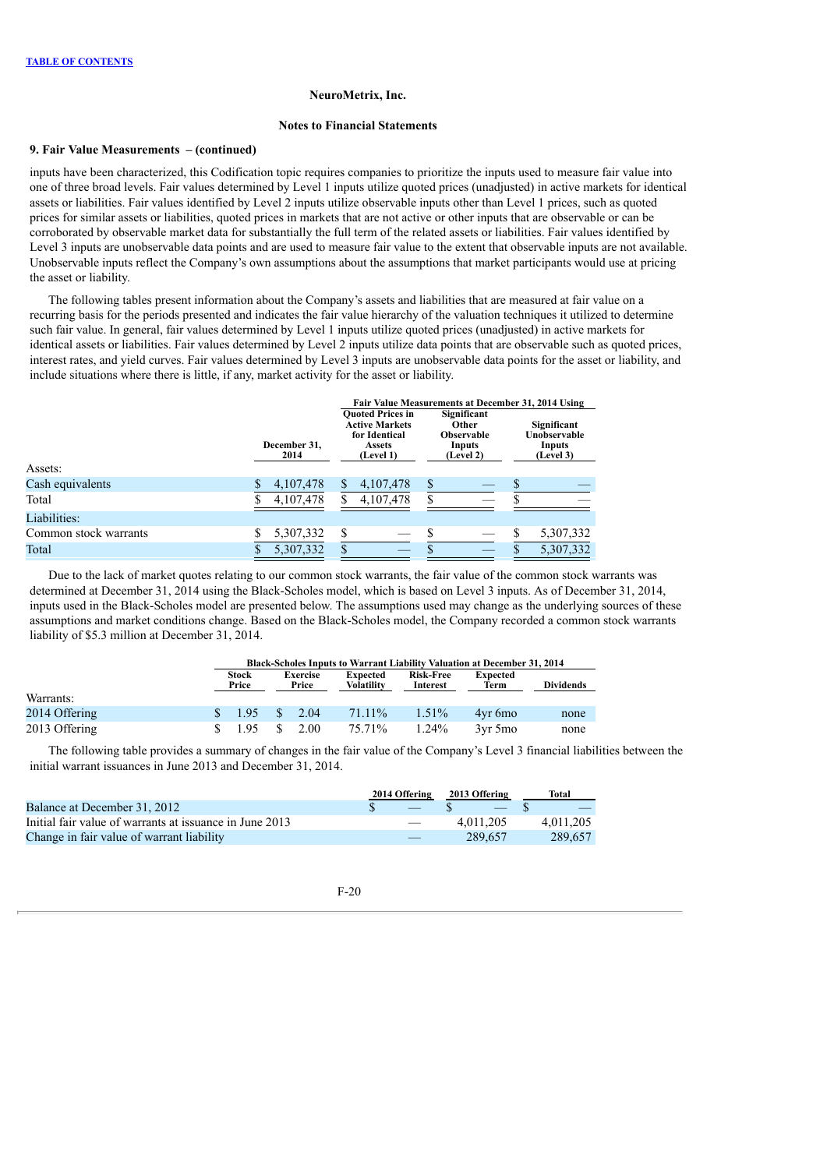### **Notes to Financial Statements**

### **9. Fair Value Measurements – (continued)**

inputs have been characterized, this Codification topic requires companies to prioritize the inputs used to measure fair value into one of three broad levels. Fair values determined by Level 1 inputs utilize quoted prices (unadjusted) in active markets for identical assets or liabilities. Fair values identified by Level 2 inputs utilize observable inputs other than Level 1 prices, such as quoted prices for similar assets or liabilities, quoted prices in markets that are not active or other inputs that are observable or can be corroborated by observable market data for substantially the full term of the related assets or liabilities. Fair values identified by Level 3 inputs are unobservable data points and are used to measure fair value to the extent that observable inputs are not available. Unobservable inputs reflect the Company's own assumptions about the assumptions that market participants would use at pricing the asset or liability.

The following tables present information about the Company's assets and liabilities that are measured at fair value on a recurring basis for the periods presented and indicates the fair value hierarchy of the valuation techniques it utilized to determine such fair value. In general, fair values determined by Level 1 inputs utilize quoted prices (unadjusted) in active markets for identical assets or liabilities. Fair values determined by Level 2 inputs utilize data points that are observable such as quoted prices, interest rates, and yield curves. Fair values determined by Level 3 inputs are unobservable data points for the asset or liability, and include situations where there is little, if any, market activity for the asset or liability.

|                       |                      | Fair Value Measurements at December 31, 2014 Using                                       |                                                                  |                                                    |  |
|-----------------------|----------------------|------------------------------------------------------------------------------------------|------------------------------------------------------------------|----------------------------------------------------|--|
|                       | December 31,<br>2014 | <b>Ouoted Prices in</b><br><b>Active Markets</b><br>for Identical<br>Assets<br>(Level 1) | Significant<br>Other<br><b>Observable</b><br>Inputs<br>(Level 2) | Significant<br>Unobservable<br>Inputs<br>(Level 3) |  |
| Assets:               |                      |                                                                                          |                                                                  |                                                    |  |
| Cash equivalents      | 4, 107, 478          | 4,107,478<br><b>S</b>                                                                    | S                                                                |                                                    |  |
| Total                 | 4,107,478            | 4,107,478                                                                                | S                                                                |                                                    |  |
| Liabilities:          |                      |                                                                                          |                                                                  |                                                    |  |
| Common stock warrants | 5,307,332            | \$                                                                                       |                                                                  | 5,307,332                                          |  |
| Total                 | 5,307,332            |                                                                                          |                                                                  | 5,307,332                                          |  |

Due to the lack of market quotes relating to our common stock warrants, the fair value of the common stock warrants was determined at December 31, 2014 using the Black-Scholes model, which is based on Level 3 inputs. As of December 31, 2014, inputs used in the Black-Scholes model are presented below. The assumptions used may change as the underlying sources of these assumptions and market conditions change. Based on the Black-Scholes model, the Company recorded a common stock warrants liability of \$5.3 million at December 31, 2014.

|               | <b>Black-Scholes Inputs to Warrant Liability Valuation at December 31, 2014</b> |  |                          |                               |                              |                                 |                  |  |
|---------------|---------------------------------------------------------------------------------|--|--------------------------|-------------------------------|------------------------------|---------------------------------|------------------|--|
|               | <b>Stock</b><br>Price                                                           |  | <b>Exercise</b><br>Price | Expected<br><b>Volatility</b> | <b>Risk-Free</b><br>Interest | Expected<br>Term                | <b>Dividends</b> |  |
| Warrants:     |                                                                                 |  |                          |                               |                              |                                 |                  |  |
| 2014 Offering | 195                                                                             |  | $\frac{1}{2}$ 04         | 71.11%                        | $1.51\%$                     | $4vr$ 6mo                       | none             |  |
| 2013 Offering | 195                                                                             |  | 2.00                     | 75.71%                        | $1.24\%$                     | 3 <sub>vr</sub> 5 <sub>mo</sub> | none             |  |

The following table provides a summary of changes in the fair value of the Company's Level 3 financial liabilities between the initial warrant issuances in June 2013 and December 31, 2014.

|                                                         | 2014 Offering | 2013 Offering | Total     |
|---------------------------------------------------------|---------------|---------------|-----------|
| Balance at December 31, 2012                            |               | $ -$          |           |
| Initial fair value of warrants at issuance in June 2013 |               | 4.011.205     | 4.011.205 |
| Change in fair value of warrant liability               |               | 289.657       | 289,657   |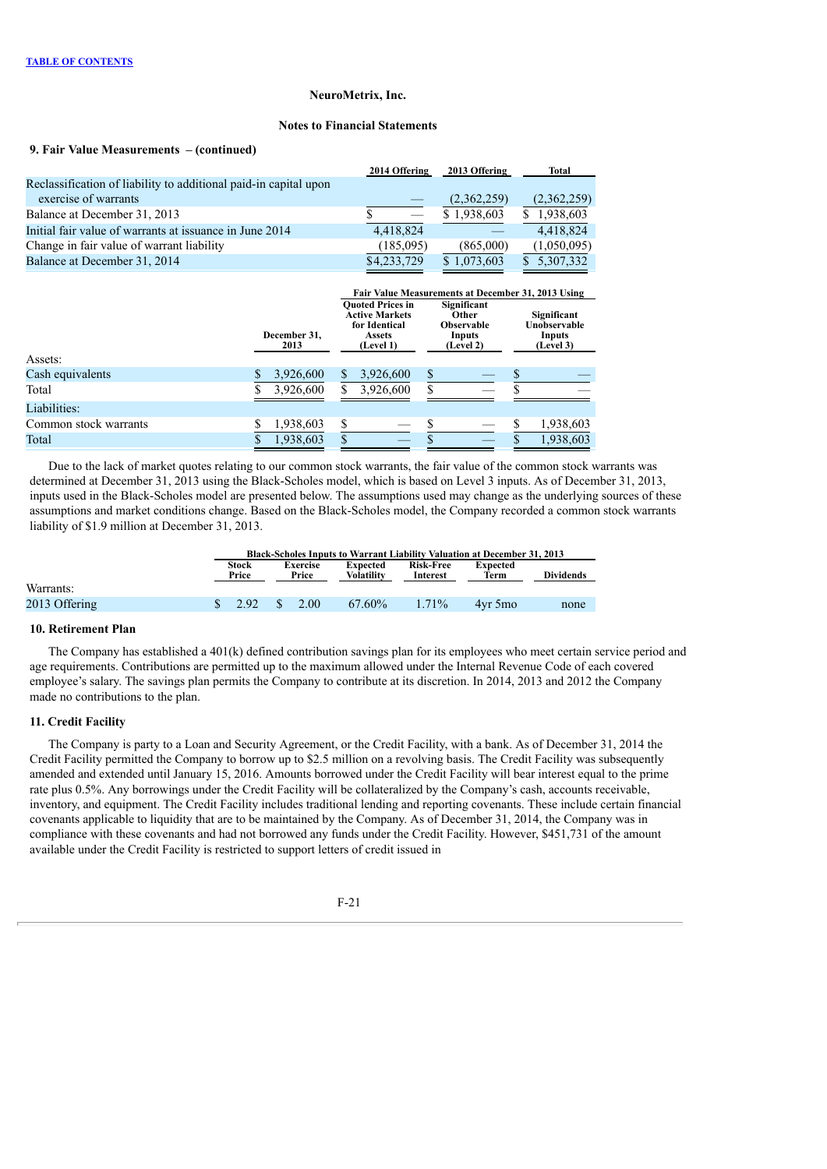## **Notes to Financial Statements**

# **9. Fair Value Measurements – (continued)**

|                                                                  | 2014 Offering | 2013 Offering | Total       |
|------------------------------------------------------------------|---------------|---------------|-------------|
| Reclassification of liability to additional paid-in capital upon |               |               |             |
| exercise of warrants                                             |               | (2,362,259)   | (2,362,259) |
| Balance at December 31, 2013                                     |               | \$1,938,603   | \$1,938,603 |
| Initial fair value of warrants at issuance in June 2014          | 4,418,824     |               | 4,418,824   |
| Change in fair value of warrant liability                        | (185,095)     | (865,000)     | (1,050,095) |
| Balance at December 31, 2014                                     | \$4,233,729   | \$1,073,603   | \$5,307,332 |

|                       |                      | Fair Value Measurements at December 31, 2013 Using                                              |                                                                  |                                                    |  |  |  |  |  |
|-----------------------|----------------------|-------------------------------------------------------------------------------------------------|------------------------------------------------------------------|----------------------------------------------------|--|--|--|--|--|
|                       | December 31.<br>2013 | <b>Ouoted Prices in</b><br><b>Active Markets</b><br>for Identical<br><b>Assets</b><br>(Level 1) | Significant<br>Other<br><b>Observable</b><br>Inputs<br>(Level 2) | Significant<br>Unobservable<br>Inputs<br>(Level 3) |  |  |  |  |  |
| Assets:               |                      |                                                                                                 |                                                                  |                                                    |  |  |  |  |  |
| Cash equivalents      | 3,926,600<br>S       | 3,926,600                                                                                       | S                                                                |                                                    |  |  |  |  |  |
| Total                 | 3,926,600            | 3,926,600                                                                                       |                                                                  |                                                    |  |  |  |  |  |
| Liabilities:          |                      |                                                                                                 |                                                                  |                                                    |  |  |  |  |  |
| Common stock warrants | \$<br>1,938,603      | \$                                                                                              |                                                                  | S<br>1,938,603                                     |  |  |  |  |  |
| Total                 | 1,938,603<br>S       | \$                                                                                              |                                                                  | 1,938,603                                          |  |  |  |  |  |

Due to the lack of market quotes relating to our common stock warrants, the fair value of the common stock warrants was determined at December 31, 2013 using the Black-Scholes model, which is based on Level 3 inputs. As of December 31, 2013, inputs used in the Black-Scholes model are presented below. The assumptions used may change as the underlying sources of these assumptions and market conditions change. Based on the Black-Scholes model, the Company recorded a common stock warrants liability of \$1.9 million at December 31, 2013.

|               | <b>Black-Scholes Inputs to Warrant Liability Valuation at December 31, 2013</b> |    |                          |                               |                              |                  |                  |  |
|---------------|---------------------------------------------------------------------------------|----|--------------------------|-------------------------------|------------------------------|------------------|------------------|--|
|               | <b>Stock</b><br>Price                                                           |    | <b>Exercise</b><br>Price | Expected<br><b>Volatility</b> | <b>Risk-Free</b><br>Interest | Expected<br>Term | <b>Dividends</b> |  |
| Warrants:     |                                                                                 |    |                          |                               |                              |                  |                  |  |
| 2013 Offering | $\frac{1}{2}$ 2.92                                                              | -8 | 2.00                     | 67.60%                        | $1.71\%$                     | $4vr$ 5mo        | none             |  |

# **10. Retirement Plan**

The Company has established a 401(k) defined contribution savings plan for its employees who meet certain service period and age requirements. Contributions are permitted up to the maximum allowed under the Internal Revenue Code of each covered employee's salary. The savings plan permits the Company to contribute at its discretion. In 2014, 2013 and 2012 the Company made no contributions to the plan.

# **11. Credit Facility**

The Company is party to a Loan and Security Agreement, or the Credit Facility, with a bank. As of December 31, 2014 the Credit Facility permitted the Company to borrow up to \$2.5 million on a revolving basis. The Credit Facility was subsequently amended and extended until January 15, 2016. Amounts borrowed under the Credit Facility will bear interest equal to the prime rate plus 0.5%. Any borrowings under the Credit Facility will be collateralized by the Company's cash, accounts receivable, inventory, and equipment. The Credit Facility includes traditional lending and reporting covenants. These include certain financial covenants applicable to liquidity that are to be maintained by the Company. As of December 31, 2014, the Company was in compliance with these covenants and had not borrowed any funds under the Credit Facility. However, \$451,731 of the amount available under the Credit Facility is restricted to support letters of credit issued in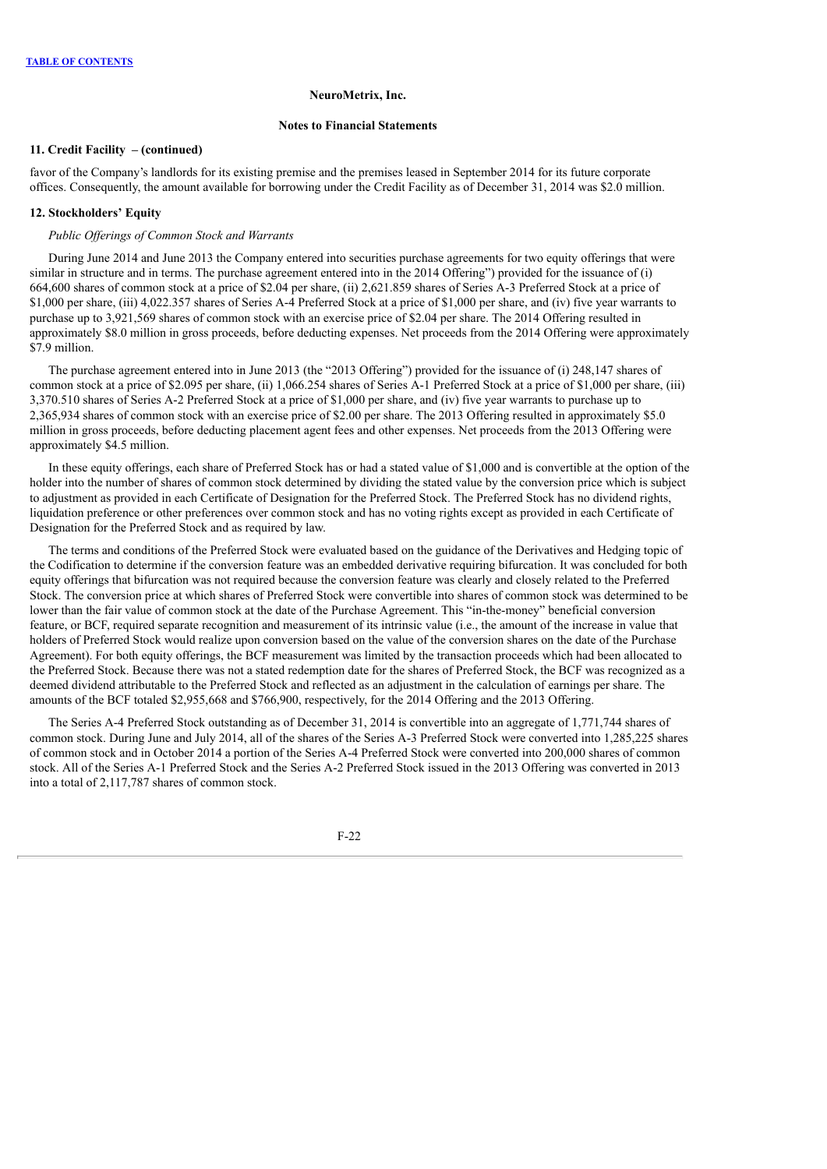#### **Notes to Financial Statements**

## **11. Credit Facility – (continued)**

favor of the Company's landlords for its existing premise and the premises leased in September 2014 for its future corporate offices. Consequently, the amount available for borrowing under the Credit Facility as of December 31, 2014 was \$2.0 million.

#### **12. Stockholders' Equity**

### *Public Of erings of Common Stock and Warrants*

During June 2014 and June 2013 the Company entered into securities purchase agreements for two equity offerings that were similar in structure and in terms. The purchase agreement entered into in the 2014 Offering") provided for the issuance of (i) 664,600 shares of common stock at a price of \$2.04 per share, (ii) 2,621.859 shares of Series A-3 Preferred Stock at a price of \$1,000 per share, (iii) 4,022.357 shares of Series A-4 Preferred Stock at a price of \$1,000 per share, and (iv) five year warrants to purchase up to 3,921,569 shares of common stock with an exercise price of \$2.04 per share. The 2014 Offering resulted in approximately \$8.0 million in gross proceeds, before deducting expenses. Net proceeds from the 2014 Offering were approximately \$7.9 million.

The purchase agreement entered into in June 2013 (the "2013 Offering") provided for the issuance of (i) 248,147 shares of common stock at a price of \$2.095 per share, (ii) 1,066.254 shares of Series A-1 Preferred Stock at a price of \$1,000 per share, (iii) 3,370.510 shares of Series A-2 Preferred Stock at a price of \$1,000 per share, and (iv) five year warrants to purchase up to 2,365,934 shares of common stock with an exercise price of \$2.00 per share. The 2013 Offering resulted in approximately \$5.0 million in gross proceeds, before deducting placement agent fees and other expenses. Net proceeds from the 2013 Offering were approximately \$4.5 million.

In these equity offerings, each share of Preferred Stock has or had a stated value of \$1,000 and is convertible at the option of the holder into the number of shares of common stock determined by dividing the stated value by the conversion price which is subject to adjustment as provided in each Certificate of Designation for the Preferred Stock. The Preferred Stock has no dividend rights, liquidation preference or other preferences over common stock and has no voting rights except as provided in each Certificate of Designation for the Preferred Stock and as required by law.

The terms and conditions of the Preferred Stock were evaluated based on the guidance of the Derivatives and Hedging topic of the Codification to determine if the conversion feature was an embedded derivative requiring bifurcation. It was concluded for both equity offerings that bifurcation was not required because the conversion feature was clearly and closely related to the Preferred Stock. The conversion price at which shares of Preferred Stock were convertible into shares of common stock was determined to be lower than the fair value of common stock at the date of the Purchase Agreement. This "in-the-money" beneficial conversion feature, or BCF, required separate recognition and measurement of its intrinsic value (i.e., the amount of the increase in value that holders of Preferred Stock would realize upon conversion based on the value of the conversion shares on the date of the Purchase Agreement). For both equity offerings, the BCF measurement was limited by the transaction proceeds which had been allocated to the Preferred Stock. Because there was not a stated redemption date for the shares of Preferred Stock, the BCF was recognized as a deemed dividend attributable to the Preferred Stock and reflected as an adjustment in the calculation of earnings per share. The amounts of the BCF totaled \$2,955,668 and \$766,900, respectively, for the 2014 Offering and the 2013 Offering.

The Series A-4 Preferred Stock outstanding as of December 31, 2014 is convertible into an aggregate of 1,771,744 shares of common stock. During June and July 2014, all of the shares of the Series A-3 Preferred Stock were converted into 1,285,225 shares of common stock and in October 2014 a portion of the Series A-4 Preferred Stock were converted into 200,000 shares of common stock. All of the Series A-1 Preferred Stock and the Series A-2 Preferred Stock issued in the 2013 Offering was converted in 2013 into a total of 2,117,787 shares of common stock.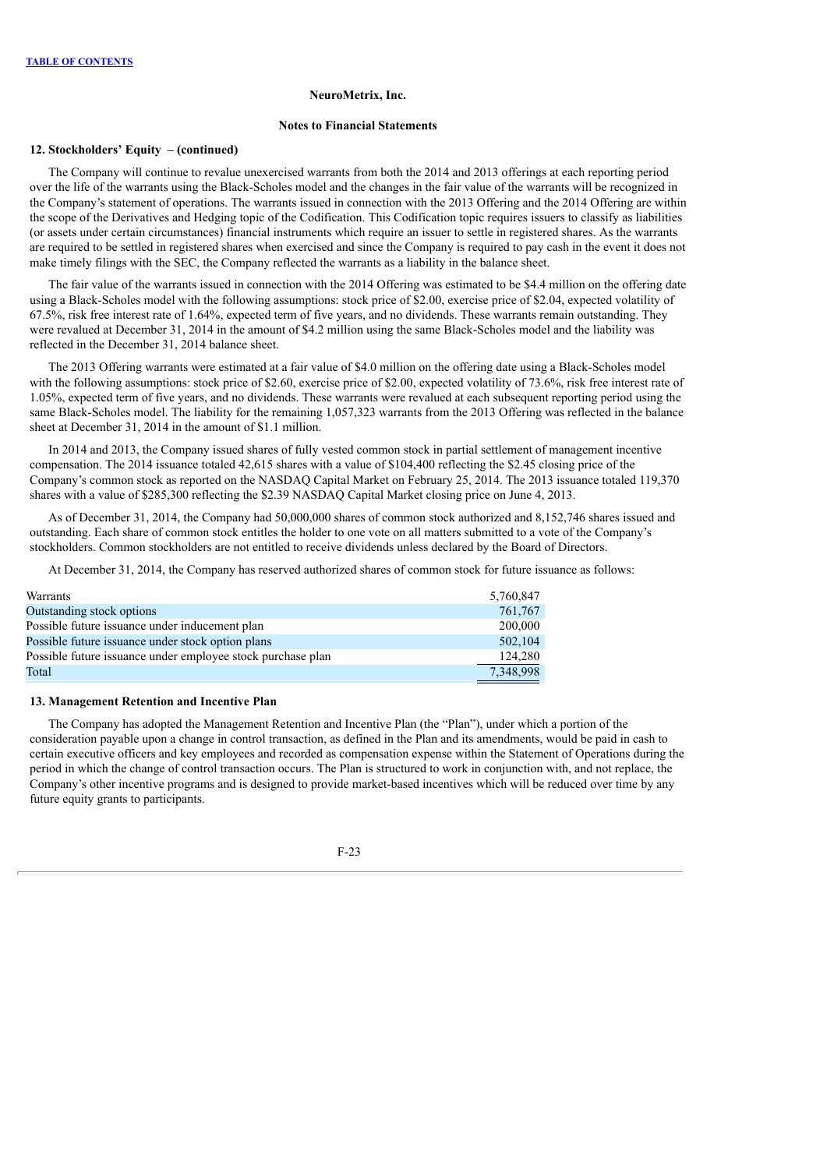#### **Notes to Financial Statements**

# **12. Stockholders' Equity – (continued)**

The Company will continue to revalue unexercised warrants from both the 2014 and 2013 offerings at each reporting period over the life of the warrants using the Black-Scholes model and the changes in the fair value of the warrants will be recognized in the Company's statement of operations. The warrants issued in connection with the 2013 Offering and the 2014 Offering are within the scope of the Derivatives and Hedging topic of the Codification. This Codification topic requires issuers to classify as liabilities (or assets under certain circumstances) financial instruments which require an issuer to settle in registered shares. As the warrants are required to be settled in registered shares when exercised and since the Company is required to pay cash in the event it does not make timely filings with the SEC, the Company reflected the warrants as a liability in the balance sheet.

The fair value of the warrants issued in connection with the 2014 Offering was estimated to be \$4.4 million on the offering date using a Black-Scholes model with the following assumptions: stock price of \$2.00, exercise price of \$2.04, expected volatility of 67.5%, risk free interest rate of 1.64%, expected term of five years, and no dividends. These warrants remain outstanding. They were revalued at December 31, 2014 in the amount of \$4.2 million using the same Black-Scholes model and the liability was reflected in the December 31, 2014 balance sheet.

The 2013 Offering warrants were estimated at a fair value of \$4.0 million on the offering date using a Black-Scholes model with the following assumptions: stock price of \$2.60, exercise price of \$2.00, expected volatility of 73.6%, risk free interest rate of 1.05%, expected term of five years, and no dividends. These warrants were revalued at each subsequent reporting period using the same Black-Scholes model. The liability for the remaining 1,057,323 warrants from the 2013 Offering was reflected in the balance sheet at December 31, 2014 in the amount of \$1.1 million.

In 2014 and 2013, the Company issued shares of fully vested common stock in partial settlement of management incentive compensation. The 2014 issuance totaled 42,615 shares with a value of \$104,400 reflecting the \$2.45 closing price of the Company's common stock as reported on the NASDAQ Capital Market on February 25, 2014. The 2013 issuance totaled 119,370 shares with a value of \$285,300 reflecting the \$2.39 NASDAQ Capital Market closing price on June 4, 2013.

As of December 31, 2014, the Company had 50,000,000 shares of common stock authorized and 8,152,746 shares issued and outstanding. Each share of common stock entitles the holder to one vote on all matters submitted to a vote of the Company's stockholders. Common stockholders are not entitled to receive dividends unless declared by the Board of Directors.

At December 31, 2014, the Company has reserved authorized shares of common stock for future issuance as follows:

| Warrants                                                    | 5,760,847 |
|-------------------------------------------------------------|-----------|
| Outstanding stock options                                   | 761.767   |
| Possible future issuance under inducement plan              | 200,000   |
| Possible future issuance under stock option plans           | 502.104   |
| Possible future issuance under employee stock purchase plan | 124,280   |
| Total                                                       | 7,348,998 |

#### **13. Management Retention and Incentive Plan**

The Company has adopted the Management Retention and Incentive Plan (the "Plan"), under which a portion of the consideration payable upon a change in control transaction, as defined in the Plan and its amendments, would be paid in cash to certain executive officers and key employees and recorded as compensation expense within the Statement of Operations during the period in which the change of control transaction occurs. The Plan is structured to work in conjunction with, and not replace, the Company's other incentive programs and is designed to provide market-based incentives which will be reduced over time by any future equity grants to participants.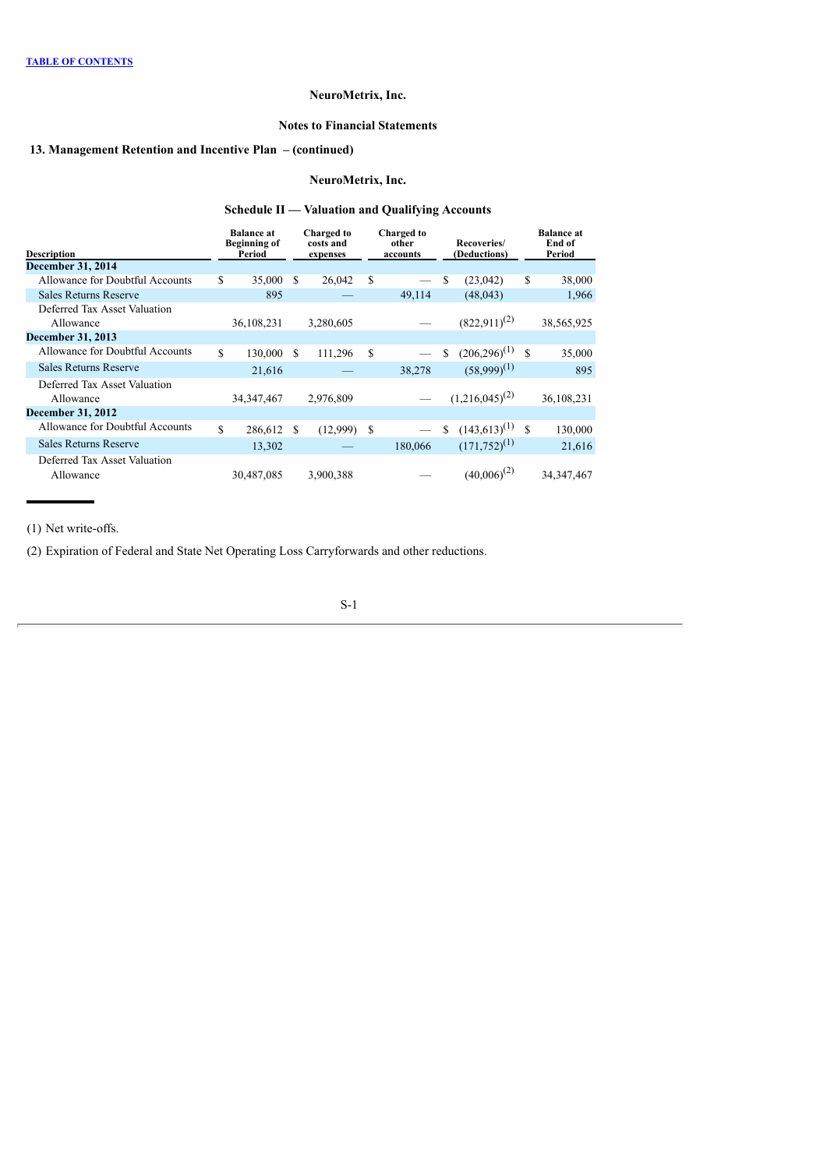# **Notes to Financial Statements**

# **13. Management Retention and Incentive Plan – (continued)**

# **NeuroMetrix, Inc.**

# **Schedule II — Valuation and Qualifying Accounts**

| <b>Description</b>              |     | <b>Balance at</b><br><b>Beginning of</b><br>Period |     | <b>Charged to</b><br>costs and<br>expenses |   | <b>Charged to</b><br>other<br>accounts |    | Recoveries/<br>(Deductions) |    | <b>Balance at</b><br>End of<br>Period |  |
|---------------------------------|-----|----------------------------------------------------|-----|--------------------------------------------|---|----------------------------------------|----|-----------------------------|----|---------------------------------------|--|
| <b>December 31, 2014</b>        |     |                                                    |     |                                            |   |                                        |    |                             |    |                                       |  |
| Allowance for Doubtful Accounts | \$  | 35,000                                             | S   | 26,042                                     | S | $\overline{\phantom{0}}$               | \$ | (23, 042)                   | \$ | 38,000                                |  |
| <b>Sales Returns Reserve</b>    |     | 895                                                |     |                                            |   | 49,114                                 |    | (48, 043)                   |    | 1,966                                 |  |
| Deferred Tax Asset Valuation    |     |                                                    |     |                                            |   |                                        |    |                             |    |                                       |  |
| Allowance                       |     | 36,108,231                                         |     | 3,280,605                                  |   |                                        |    | $(822,911)^{(2)}$           |    | 38,565,925                            |  |
| <b>December 31, 2013</b>        |     |                                                    |     |                                            |   |                                        |    |                             |    |                                       |  |
| Allowance for Doubtful Accounts | \$. | 130,000                                            | \$. | 111.296                                    | S |                                        | \$ | $(206,296)^{(1)}$           | S  | 35,000                                |  |
| Sales Returns Reserve           |     | 21,616                                             |     |                                            |   | 38,278                                 |    | $(58,999)^{(1)}$            |    | 895                                   |  |
| Deferred Tax Asset Valuation    |     |                                                    |     |                                            |   |                                        |    |                             |    |                                       |  |
| Allowance                       |     | 34, 347, 467                                       |     | 2,976,809                                  |   |                                        |    | $(1,216,045)^{(2)}$         |    | 36,108,231                            |  |
| <b>December 31, 2012</b>        |     |                                                    |     |                                            |   |                                        |    |                             |    |                                       |  |
| Allowance for Doubtful Accounts | \$  | 286,612                                            | S   | (12,999)                                   | S |                                        | \$ | $(143,613)^{(1)}$           | S  | 130,000                               |  |
| Sales Returns Reserve           |     | 13,302                                             |     |                                            |   | 180,066                                |    | $(171,752)^{(1)}$           |    | 21,616                                |  |
| Deferred Tax Asset Valuation    |     |                                                    |     |                                            |   |                                        |    |                             |    |                                       |  |
| Allowance                       |     | 30,487,085                                         |     | 3.900.388                                  |   |                                        |    | $(40,006)^{(2)}$            |    | 34.347.467                            |  |

(1) Net write-offs.

(2) Expiration of Federal and State Net Operating Loss Carryforwards and other reductions.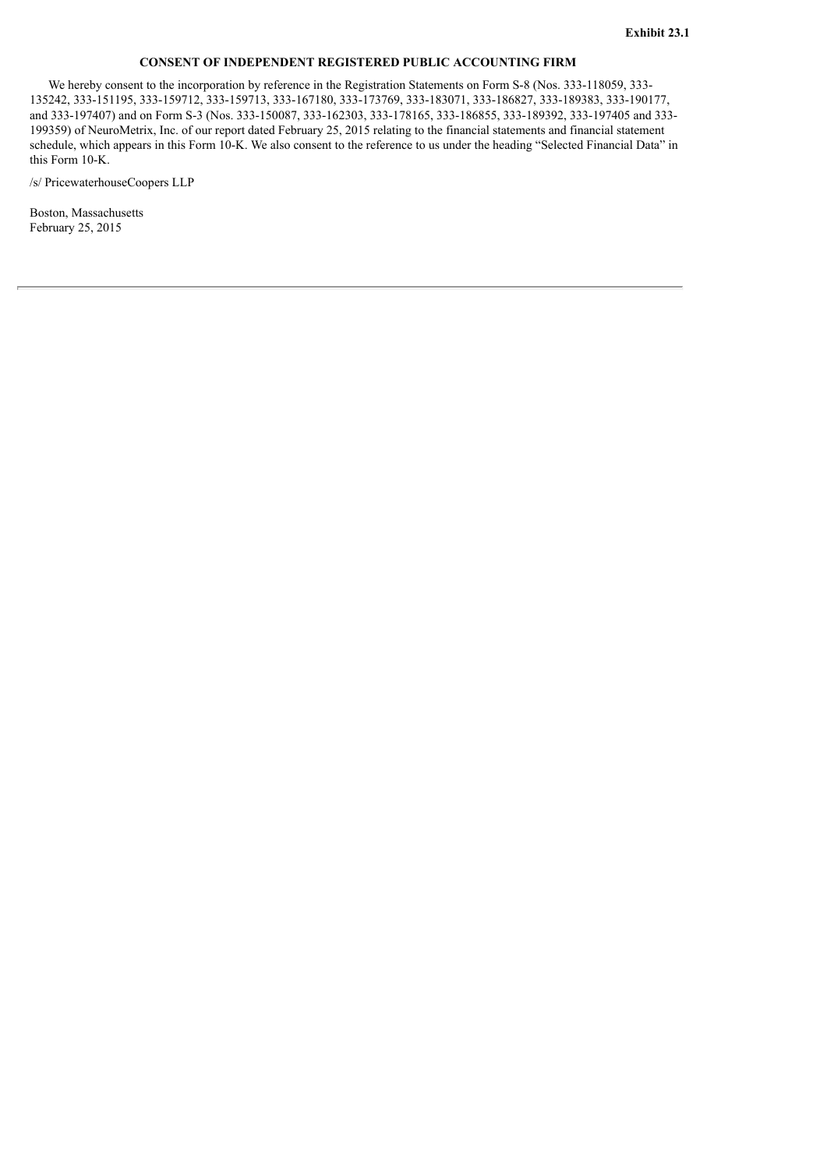# **CONSENT OF INDEPENDENT REGISTERED PUBLIC ACCOUNTING FIRM**

We hereby consent to the incorporation by reference in the Registration Statements on Form S-8 (Nos. 333-118059, 333-135242, 333-151195, 333-159712, 333-159713, 333-167180, 333-173769, 333-183071, 333-186827, 333-189383, 333-190177, and 333-197407) and on Form S-3 (Nos. 333-150087, 333-162303, 333-178165, 333-186855, 333-189392, 333-197405 and 333- 199359) of NeuroMetrix, Inc. of our report dated February 25, 2015 relating to the financial statements and financial statement schedule, which appears in this Form 10-K. We also consent to the reference to us under the heading "Selected Financial Data" in this Form 10-K.

/s/ PricewaterhouseCoopers LLP

Boston, Massachusetts February 25, 2015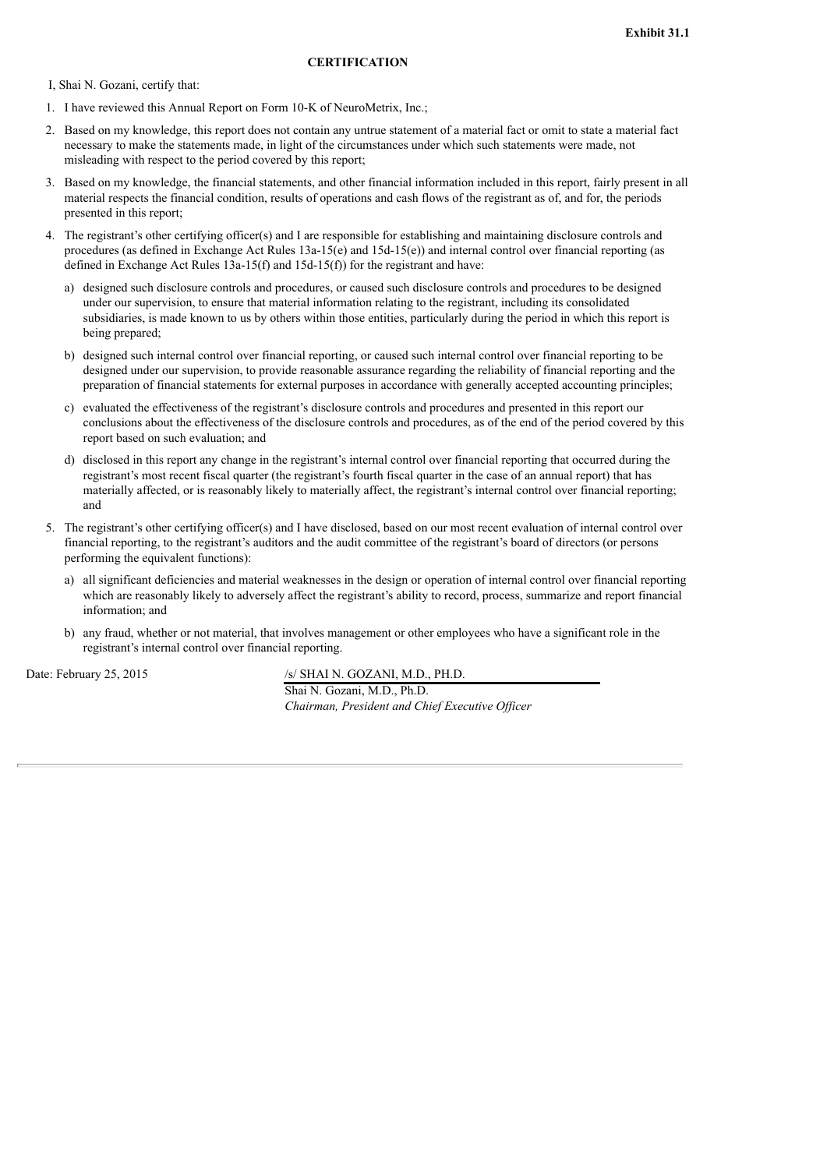I, Shai N. Gozani, certify that:

- 1. I have reviewed this Annual Report on Form 10-K of NeuroMetrix, Inc.;
- 2. Based on my knowledge, this report does not contain any untrue statement of a material fact or omit to state a material fact necessary to make the statements made, in light of the circumstances under which such statements were made, not misleading with respect to the period covered by this report;
- 3. Based on my knowledge, the financial statements, and other financial information included in this report, fairly present in all material respects the financial condition, results of operations and cash flows of the registrant as of, and for, the periods presented in this report;
- 4. The registrant's other certifying officer(s) and I are responsible for establishing and maintaining disclosure controls and procedures (as defined in Exchange Act Rules 13a-15(e) and 15d-15(e)) and internal control over financial reporting (as defined in Exchange Act Rules  $13a-15(f)$  and  $15d-15(f)$  for the registrant and have:
	- a) designed such disclosure controls and procedures, or caused such disclosure controls and procedures to be designed under our supervision, to ensure that material information relating to the registrant, including its consolidated subsidiaries, is made known to us by others within those entities, particularly during the period in which this report is being prepared;
	- b) designed such internal control over financial reporting, or caused such internal control over financial reporting to be designed under our supervision, to provide reasonable assurance regarding the reliability of financial reporting and the preparation of financial statements for external purposes in accordance with generally accepted accounting principles;
	- c) evaluated the effectiveness of the registrant's disclosure controls and procedures and presented in this report our conclusions about the effectiveness of the disclosure controls and procedures, as of the end of the period covered by this report based on such evaluation; and
	- d) disclosed in this report any change in the registrant's internal control over financial reporting that occurred during the registrant's most recent fiscal quarter (the registrant's fourth fiscal quarter in the case of an annual report) that has materially affected, or is reasonably likely to materially affect, the registrant's internal control over financial reporting; and
- 5. The registrant's other certifying officer(s) and I have disclosed, based on our most recent evaluation of internal control over financial reporting, to the registrant's auditors and the audit committee of the registrant's board of directors (or persons performing the equivalent functions):
	- a) all significant deficiencies and material weaknesses in the design or operation of internal control over financial reporting which are reasonably likely to adversely affect the registrant's ability to record, process, summarize and report financial information; and
	- b) any fraud, whether or not material, that involves management or other employees who have a significant role in the registrant's internal control over financial reporting.

Date: February 25, 2015 /s/ SHAI N. GOZANI, M.D., PH.D. Shai N. Gozani, M.D., Ph.D.

*Chairman, President and Chief Executive Of icer*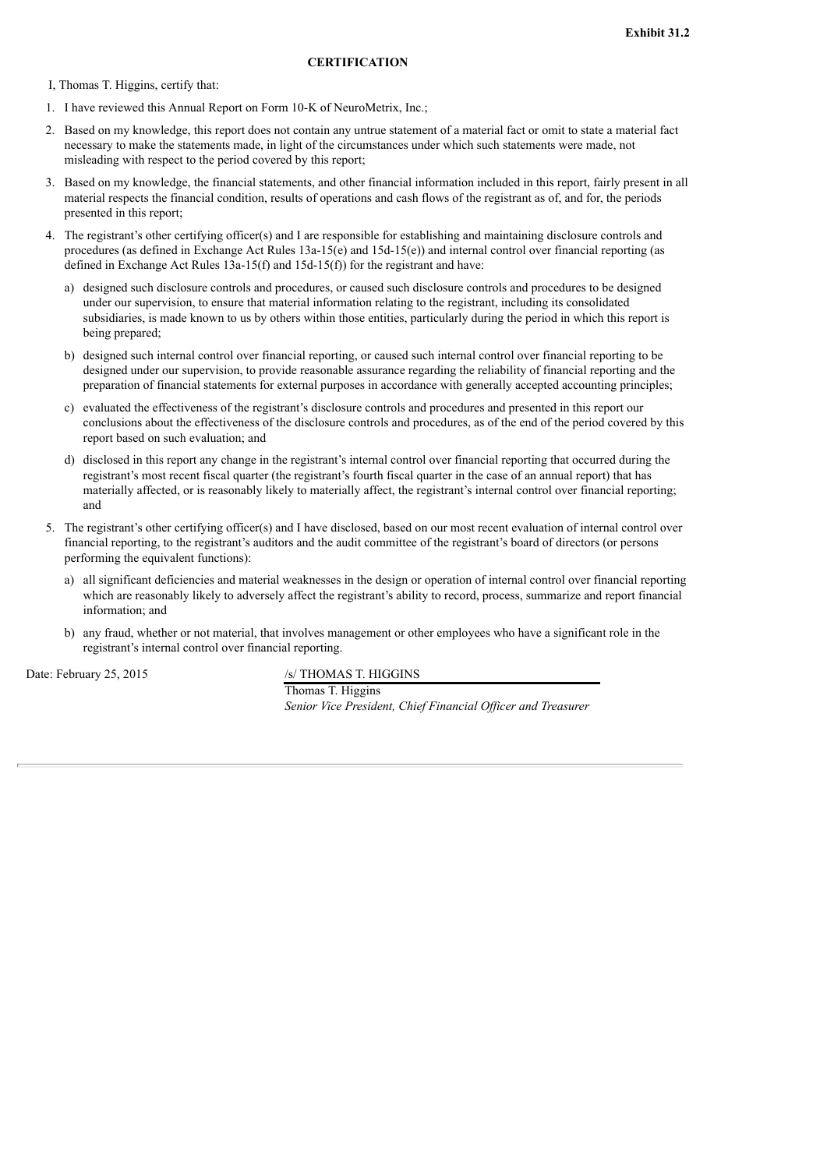I, Thomas T. Higgins, certify that:

- 1. I have reviewed this Annual Report on Form 10-K of NeuroMetrix, Inc.;
- 2. Based on my knowledge, this report does not contain any untrue statement of a material fact or omit to state a material fact necessary to make the statements made, in light of the circumstances under which such statements were made, not misleading with respect to the period covered by this report;
- 3. Based on my knowledge, the financial statements, and other financial information included in this report, fairly present in all material respects the financial condition, results of operations and cash flows of the registrant as of, and for, the periods presented in this report;
- 4. The registrant's other certifying officer(s) and I are responsible for establishing and maintaining disclosure controls and procedures (as defined in Exchange Act Rules 13a-15(e) and 15d-15(e)) and internal control over financial reporting (as defined in Exchange Act Rules  $13a-15(f)$  and  $15d-15(f)$  for the registrant and have:
	- a) designed such disclosure controls and procedures, or caused such disclosure controls and procedures to be designed under our supervision, to ensure that material information relating to the registrant, including its consolidated subsidiaries, is made known to us by others within those entities, particularly during the period in which this report is being prepared;
	- b) designed such internal control over financial reporting, or caused such internal control over financial reporting to be designed under our supervision, to provide reasonable assurance regarding the reliability of financial reporting and the preparation of financial statements for external purposes in accordance with generally accepted accounting principles;
	- c) evaluated the effectiveness of the registrant's disclosure controls and procedures and presented in this report our conclusions about the effectiveness of the disclosure controls and procedures, as of the end of the period covered by this report based on such evaluation; and
	- d) disclosed in this report any change in the registrant's internal control over financial reporting that occurred during the registrant's most recent fiscal quarter (the registrant's fourth fiscal quarter in the case of an annual report) that has materially affected, or is reasonably likely to materially affect, the registrant's internal control over financial reporting; and
- 5. The registrant's other certifying officer(s) and I have disclosed, based on our most recent evaluation of internal control over financial reporting, to the registrant's auditors and the audit committee of the registrant's board of directors (or persons performing the equivalent functions):
	- a) all significant deficiencies and material weaknesses in the design or operation of internal control over financial reporting which are reasonably likely to adversely affect the registrant's ability to record, process, summarize and report financial information; and
	- b) any fraud, whether or not material, that involves management or other employees who have a significant role in the registrant's internal control over financial reporting.

# Date: February 25, 2015 /s/ THOMAS T. HIGGINS

Thomas T. Higgins *Senior Vice President, Chief Financial Of icer and Treasurer*